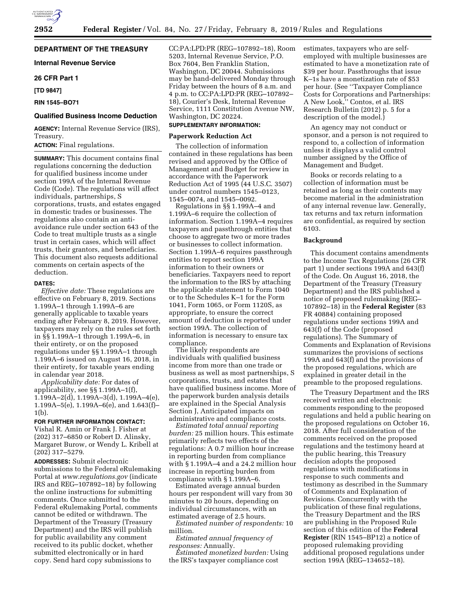# **DEPARTMENT OF THE TREASURY**

**Internal Revenue Service** 

### **26 CFR Part 1**

**[TD 9847]** 

# **RIN 1545–BO71**

# **Qualified Business Income Deduction**

**AGENCY:** Internal Revenue Service (IRS), Treasury.

# **ACTION:** Final regulations.

**SUMMARY:** This document contains final regulations concerning the deduction for qualified business income under section 199A of the Internal Revenue Code (Code). The regulations will affect individuals, partnerships, S corporations, trusts, and estates engaged in domestic trades or businesses. The regulations also contain an antiavoidance rule under section 643 of the Code to treat multiple trusts as a single trust in certain cases, which will affect trusts, their grantors, and beneficiaries. This document also requests additional comments on certain aspects of the deduction.

#### **DATES:**

*Effective date:* These regulations are effective on February 8, 2019. Sections 1.199A–1 through 1.199A–6 are generally applicable to taxable years ending after February 8, 2019. However, taxpayers may rely on the rules set forth in §§ 1.199A–1 through 1.199A–6, in their entirety, or on the proposed regulations under §§ 1.199A–1 through 1.199A–6 issued on August 16, 2018, in their entirety, for taxable years ending in calendar year 2018.

*Applicability date:* For dates of applicability, see §§ 1.199A–1(f), 1.199A–2(d), 1.199A–3(d), 1.199A–4(e), 1.199A–5(e), 1.199A–6(e), and 1.643(f)– 1(b).

# **FOR FURTHER INFORMATION CONTACT:**

Vishal R. Amin or Frank J. Fisher at (202) 317–6850 or Robert D. Alinsky, Margaret Burow, or Wendy L. Kribell at (202) 317–5279.

**ADDRESSES:** Submit electronic submissions to the Federal eRulemaking Portal at *[www.regulations.gov](http://www.regulations.gov)* (indicate IRS and REG–107892–18) by following the online instructions for submitting comments. Once submitted to the Federal eRulemaking Portal, comments cannot be edited or withdrawn. The Department of the Treasury (Treasury Department) and the IRS will publish for public availability any comment received to its public docket, whether submitted electronically or in hard copy. Send hard copy submissions to

CC:PA:LPD:PR (REG–107892–18), Room 5203, Internal Revenue Service, P.O. Box 7604, Ben Franklin Station, Washington, DC 20044. Submissions may be hand-delivered Monday through Friday between the hours of 8 a.m. and 4 p.m. to CC:PA:LPD:PR (REG–107892– 18), Courier's Desk, Internal Revenue Service, 1111 Constitution Avenue NW, Washington, DC 20224.

# **SUPPLEMENTARY INFORMATION:**

# **Paperwork Reduction Act**

The collection of information contained in these regulations has been revised and approved by the Office of Management and Budget for review in accordance with the Paperwork Reduction Act of 1995 (44 U.S.C. 3507) under control numbers 1545–0123, 1545–0074, and 1545–0092.

Regulations in §§ 1.199A–4 and 1.199A–6 require the collection of information. Section 1.199A–4 requires taxpayers and passthrough entities that choose to aggregate two or more trades or businesses to collect information. Section 1.199A–6 requires passthrough entities to report section 199A information to their owners or beneficiaries. Taxpayers need to report the information to the IRS by attaching the applicable statement to Form 1040 or to the Schedules K–1 for the Form 1041, Form 1065, or Form 1120S, as appropriate, to ensure the correct amount of deduction is reported under section 199A. The collection of information is necessary to ensure tax compliance.

The likely respondents are individuals with qualified business income from more than one trade or business as well as most partnerships, S corporations, trusts, and estates that have qualified business income. More of the paperwork burden analysis details are explained in the Special Analysis Section J, Anticipated impacts on administrative and compliance costs.

*Estimated total annual reporting burden:* 25 million hours. This estimate primarily reflects two effects of the regulations: A 0.7 million hour increase in reporting burden from compliance with § 1.199A–4 and a 24.2 million hour increase in reporting burden from compliance with § 1.199A–6.

Estimated average annual burden hours per respondent will vary from 30 minutes to 20 hours, depending on individual circumstances, with an estimated average of 2.5 hours.

*Estimated number of respondents:* 10 million.

*Estimated annual frequency of responses:* Annually.

*Estimated monetized burden:* Using the IRS's taxpayer compliance cost

estimates, taxpayers who are selfemployed with multiple businesses are estimated to have a monetization rate of \$39 per hour. Passthroughs that issue K–1s have a monetization rate of \$53 per hour. (See ''Taxpayer Compliance Costs for Corporations and Partnerships: A New Look,'' Contos, et al. IRS Research Bulletin (2012) p. 5 for a description of the model.)

An agency may not conduct or sponsor, and a person is not required to respond to, a collection of information unless it displays a valid control number assigned by the Office of Management and Budget.

Books or records relating to a collection of information must be retained as long as their contents may become material in the administration of any internal revenue law. Generally, tax returns and tax return information are confidential, as required by section 6103.

#### **Background**

This document contains amendments to the Income Tax Regulations (26 CFR part 1) under sections 199A and 643(f) of the Code. On August 16, 2018, the Department of the Treasury (Treasury Department) and the IRS published a notice of proposed rulemaking (REG– 107892–18) in the **Federal Register** (83 FR 40884) containing proposed regulations under sections 199A and 643(f) of the Code (proposed regulations). The Summary of Comments and Explanation of Revisions summarizes the provisions of sections 199A and 643(f) and the provisions of the proposed regulations, which are explained in greater detail in the preamble to the proposed regulations.

The Treasury Department and the IRS received written and electronic comments responding to the proposed regulations and held a public hearing on the proposed regulations on October 16, 2018. After full consideration of the comments received on the proposed regulations and the testimony heard at the public hearing, this Treasury decision adopts the proposed regulations with modifications in response to such comments and testimony as described in the Summary of Comments and Explanation of Revisions. Concurrently with the publication of these final regulations, the Treasury Department and the IRS are publishing in the Proposed Rule section of this edition of the **Federal Register** (RIN 1545–BP12) a notice of proposed rulemaking providing additional proposed regulations under section 199A (REG–134652–18).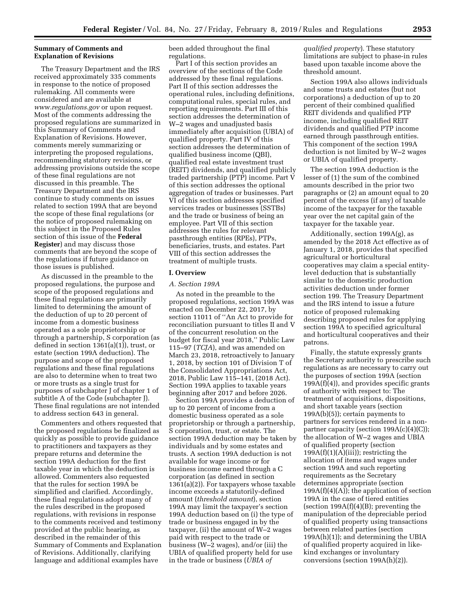# **Summary of Comments and Explanation of Revisions**

The Treasury Department and the IRS received approximately 335 comments in response to the notice of proposed rulemaking. All comments were considered and are available at *[www.regulations.gov](http://www.regulations.gov)* or upon request. Most of the comments addressing the proposed regulations are summarized in this Summary of Comments and Explanation of Revisions. However, comments merely summarizing or interpreting the proposed regulations, recommending statutory revisions, or addressing provisions outside the scope of these final regulations are not discussed in this preamble. The Treasury Department and the IRS continue to study comments on issues related to section 199A that are beyond the scope of these final regulations (or the notice of proposed rulemaking on this subject in the Proposed Rules section of this issue of the **Federal Register**) and may discuss those comments that are beyond the scope of the regulations if future guidance on those issues is published.

As discussed in the preamble to the proposed regulations, the purpose and scope of the proposed regulations and these final regulations are primarily limited to determining the amount of the deduction of up to 20 percent of income from a domestic business operated as a sole proprietorship or through a partnership, S corporation (as defined in section 1361(a)(1)), trust, or estate (section 199A deduction). The purpose and scope of the proposed regulations and these final regulations are also to determine when to treat two or more trusts as a single trust for purposes of subchapter J of chapter 1 of subtitle A of the Code (subchapter J). These final regulations are not intended to address section 643 in general.

Commenters and others requested that the proposed regulations be finalized as quickly as possible to provide guidance to practitioners and taxpayers as they prepare returns and determine the section 199A deduction for the first taxable year in which the deduction is allowed. Commenters also requested that the rules for section 199A be simplified and clarified. Accordingly, these final regulations adopt many of the rules described in the proposed regulations, with revisions in response to the comments received and testimony provided at the public hearing, as described in the remainder of this Summary of Comments and Explanation of Revisions. Additionally, clarifying language and additional examples have

been added throughout the final regulations.

Part I of this section provides an overview of the sections of the Code addressed by these final regulations. Part II of this section addresses the operational rules, including definitions, computational rules, special rules, and reporting requirements. Part III of this section addresses the determination of W–2 wages and unadjusted basis immediately after acquisition (UBIA) of qualified property. Part IV of this section addresses the determination of qualified business income (QBI), qualified real estate investment trust (REIT) dividends, and qualified publicly traded partnership (PTP) income. Part V of this section addresses the optional aggregation of trades or businesses. Part VI of this section addresses specified services trades or businesses (SSTBs) and the trade or business of being an employee. Part VII of this section addresses the rules for relevant passthrough entities (RPEs), PTPs, beneficiaries, trusts, and estates. Part VIII of this section addresses the treatment of multiple trusts.

### **I. Overview**

# *A. Section 199A*

As noted in the preamble to the proposed regulations, section 199A was enacted on December 22, 2017, by section 11011 of ''An Act to provide for reconciliation pursuant to titles II and V of the concurrent resolution on the budget for fiscal year 2018,'' Public Law 115–97 (*TCJA*), and was amended on March 23, 2018, retroactively to January 1, 2018, by section 101 of Division T of the Consolidated Appropriations Act, 2018, Public Law 115–141, (2018 Act). Section 199A applies to taxable years beginning after 2017 and before 2026.

Section 199A provides a deduction of up to 20 percent of income from a domestic business operated as a sole proprietorship or through a partnership, S corporation, trust, or estate. The section 199A deduction may be taken by individuals and by some estates and trusts. A section 199A deduction is not available for wage income or for business income earned through a C corporation (as defined in section 1361(a)(2)). For taxpayers whose taxable income exceeds a statutorily-defined amount (*threshold amount*), section 199A may limit the taxpayer's section 199A deduction based on (i) the type of trade or business engaged in by the taxpayer, (ii) the amount of W–2 wages paid with respect to the trade or business (W–2 wages), and/or (iii) the UBIA of qualified property held for use in the trade or business (*UBIA of* 

*qualified property*). These statutory limitations are subject to phase-in rules based upon taxable income above the threshold amount.

Section 199A also allows individuals and some trusts and estates (but not corporations) a deduction of up to 20 percent of their combined qualified REIT dividends and qualified PTP income, including qualified REIT dividends and qualified PTP income earned through passthrough entities. This component of the section 199A deduction is not limited by W–2 wages or UBIA of qualified property.

The section 199A deduction is the lesser of (1) the sum of the combined amounts described in the prior two paragraphs or (2) an amount equal to 20 percent of the excess (if any) of taxable income of the taxpayer for the taxable year over the net capital gain of the taxpayer for the taxable year.

Additionally, section 199A(g), as amended by the 2018 Act effective as of January 1, 2018, provides that specified agricultural or horticultural cooperatives may claim a special entitylevel deduction that is substantially similar to the domestic production activities deduction under former section 199. The Treasury Department and the IRS intend to issue a future notice of proposed rulemaking describing proposed rules for applying section 199A to specified agricultural and horticultural cooperatives and their patrons.

Finally, the statute expressly grants the Secretary authority to prescribe such regulations as are necessary to carry out the purposes of section 199A (section  $199A(f)(4)$ , and provides specific grants of authority with respect to: The treatment of acquisitions, dispositions, and short taxable years (section 199A(b)(5)); certain payments to partners for services rendered in a nonpartner capacity (section  $199A(c)(4)(C)$ ); the allocation of W–2 wages and UBIA of qualified property (section  $199A(f)(1)(A)(iii)$ ; restricting the allocation of items and wages under section 199A and such reporting requirements as the Secretary determines appropriate (section  $199A(f)(4)(A);$  the application of section 199A in the case of tiered entities (section  $199A(f)(4)(B)$ ; preventing the manipulation of the depreciable period of qualified property using transactions between related parties (section 199A(h)(1)); and determining the UBIA of qualified property acquired in likekind exchanges or involuntary conversions (section 199A(h)(2)).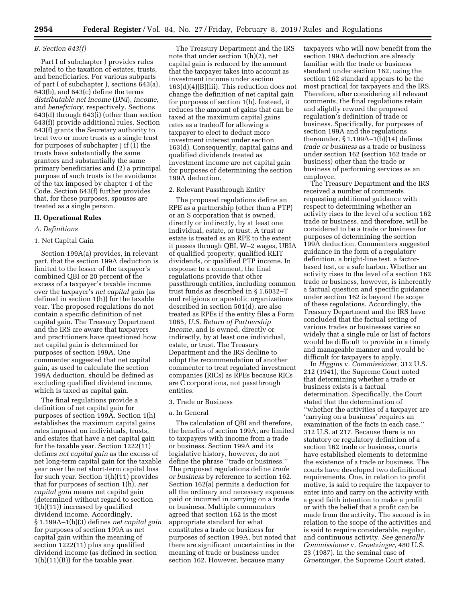# *B. Section 643(f)*

Part I of subchapter J provides rules related to the taxation of estates, trusts, and beneficiaries. For various subparts of part I of subchapter J, sections 643(a), 643(b), and 643(c) define the terms *distributable net income* (*DNI*), *income,*  and *beneficiary,* respectively. Sections 643(d) through 643(i) (other than section 643(f)) provide additional rules. Section 643(f) grants the Secretary authority to treat two or more trusts as a single trust for purposes of subchapter J if (1) the trusts have substantially the same grantors and substantially the same primary beneficiaries and (2) a principal purpose of such trusts is the avoidance of the tax imposed by chapter 1 of the Code. Section 643(f) further provides that, for these purposes, spouses are treated as a single person.

### **II. Operational Rules**

# *A. Definitions*

#### 1. Net Capital Gain

Section 199A(a) provides, in relevant part, that the section 199A deduction is limited to the lesser of the taxpayer's combined QBI or 20 percent of the excess of a taxpayer's taxable income over the taxpayer's *net capital gain* (as defined in section 1(h)) for the taxable year. The proposed regulations do not contain a specific definition of net capital gain. The Treasury Department and the IRS are aware that taxpayers and practitioners have questioned how net capital gain is determined for purposes of section 199A. One commenter suggested that net capital gain, as used to calculate the section 199A deduction, should be defined as excluding qualified dividend income, which is taxed as capital gain.

The final regulations provide a definition of net capital gain for purposes of section 199A. Section 1(h) establishes the maximum capital gains rates imposed on individuals, trusts, and estates that have a net capital gain for the taxable year. Section 1222(11) defines *net capital gain* as the excess of net long-term capital gain for the taxable year over the net short-term capital loss for such year. Section 1(h)(11) provides that for purposes of section 1(h), *net capital gain* means net capital gain (determined without regard to section 1(h)(11)) increased by qualified dividend income. Accordingly, § 1.199A–1(b)(3) defines *net capital gain*  for purposes of section 199A as net capital gain within the meaning of section 1222(11) plus any qualified dividend income (as defined in section  $1(h)(11)(B)$  for the taxable year.

The Treasury Department and the IRS note that under section 1(h)(2), net capital gain is reduced by the amount that the taxpayer takes into account as investment income under section 163(d)(4)(B)(iii). This reduction does not change the definition of net capital gain for purposes of section 1(h). Instead, it reduces the amount of gains that can be taxed at the maximum capital gains rates as a tradeoff for allowing a taxpayer to elect to deduct more investment interest under section 163(d). Consequently, capital gains and qualified dividends treated as investment income are net capital gain for purposes of determining the section 199A deduction.

### 2. Relevant Passthrough Entity

The proposed regulations define an RPE as a partnership (other than a PTP) or an S corporation that is owned, directly or indirectly, by at least one individual, estate, or trust. A trust or estate is treated as an RPE to the extent it passes through QBI, W–2 wages, UBIA of qualified property, qualified REIT dividends, or qualified PTP income. In response to a comment, the final regulations provide that other passthrough entities, including common trust funds as described in § 1.6032–T and religious or apostolic organizations described in section 501(d), are also treated as RPEs if the entity files a Form 1065, *U.S. Return of Partnership Income,* and is owned, directly or indirectly, by at least one individual, estate, or trust. The Treasury Department and the IRS decline to adopt the recommendation of another commenter to treat regulated investment companies (RICs) as RPEs because RICs are C corporations, not passthrough entities.

# 3. Trade or Business

# a. In General

The calculation of QBI and therefore, the benefits of section 199A, are limited to taxpayers with income from a trade or business. Section 199A and its legislative history, however, do not define the phrase ''trade or business.'' The proposed regulations define *trade or business* by reference to section 162. Section 162(a) permits a deduction for all the ordinary and necessary expenses paid or incurred in carrying on a trade or business. Multiple commenters agreed that section 162 is the most appropriate standard for what constitutes a trade or business for purposes of section 199A, but noted that there are significant uncertainties in the meaning of trade or business under section 162. However, because many

taxpayers who will now benefit from the section 199A deduction are already familiar with the trade or business standard under section 162, using the section 162 standard appears to be the most practical for taxpayers and the IRS. Therefore, after considering all relevant comments, the final regulations retain and slightly reword the proposed regulation's definition of trade or business. Specifically, for purposes of section 199A and the regulations thereunder, § 1.199A–1(b)(14) defines *trade or business* as a trade or business under section 162 (section 162 trade or business) other than the trade or business of performing services as an employee.

The Treasury Department and the IRS received a number of comments requesting additional guidance with respect to determining whether an activity rises to the level of a section 162 trade or business, and therefore, will be considered to be a trade or business for purposes of determining the section 199A deduction. Commenters suggested guidance in the form of a regulatory definition, a bright-line test, a factorbased test, or a safe harbor. Whether an activity rises to the level of a section 162 trade or business, however, is inherently a factual question and specific guidance under section 162 is beyond the scope of these regulations. Accordingly, the Treasury Department and the IRS have concluded that the factual setting of various trades or businesses varies so widely that a single rule or list of factors would be difficult to provide in a timely and manageable manner and would be difficult for taxpayers to apply.

In *Higgins* v. *Commissioner,* 312 U.S. 212 (1941), the Supreme Court noted that determining whether a trade or business exists is a factual determination. Specifically, the Court stated that the determination of ''whether the activities of a taxpayer are 'carrying on a business' requires an examination of the facts in each case.'' 312 U.S. at 217. Because there is no statutory or regulatory definition of a section 162 trade or business, courts have established elements to determine the existence of a trade or business. The courts have developed two definitional requirements. One, in relation to profit motive, is said to require the taxpayer to enter into and carry on the activity with a good faith intention to make a profit or with the belief that a profit can be made from the activity. The second is in relation to the scope of the activities and is said to require considerable, regular, and continuous activity. *See generally Commissioner* v. *Groetzinger,* 480 U.S. 23 (1987). In the seminal case of *Groetzinger,* the Supreme Court stated,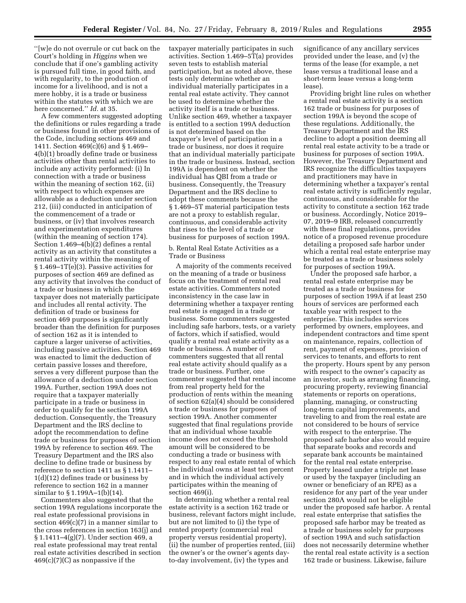''[w]e do not overrule or cut back on the Court's holding in *Higgins* when we conclude that if one's gambling activity is pursued full time, in good faith, and with regularity, to the production of income for a livelihood, and is not a mere hobby, it is a trade or business within the statutes with which we are here concerned.'' *Id.* at 35.

A few commenters suggested adopting the definitions or rules regarding a trade or business found in other provisions of the Code, including sections 469 and 1411. Section 469(c)(6) and § 1.469– 4(b)(1) broadly define trade or business activities other than rental activities to include any activity performed: (i) In connection with a trade or business within the meaning of section 162, (ii) with respect to which expenses are allowable as a deduction under section 212, (iii) conducted in anticipation of the commencement of a trade or business, or (iv) that involves research and experimentation expenditures (within the meaning of section 174). Section 1.469–4(b)(2) defines a rental activity as an activity that constitutes a rental activity within the meaning of § 1.469–1T(e)(3). Passive activities for purposes of section 469 are defined as any activity that involves the conduct of a trade or business in which the taxpayer does not materially participate and includes all rental activity. The definition of trade or business for section 469 purposes is significantly broader than the definition for purposes of section 162 as it is intended to capture a larger universe of activities, including passive activities. Section 469 was enacted to limit the deduction of certain passive losses and therefore, serves a very different purpose than the allowance of a deduction under section 199A. Further, section 199A does not require that a taxpayer materially participate in a trade or business in order to qualify for the section 199A deduction. Consequently, the Treasury Department and the IRS decline to adopt the recommendation to define trade or business for purposes of section 199A by reference to section 469. The Treasury Department and the IRS also decline to define trade or business by reference to section 1411 as § 1.1411– 1(d)(12) defines trade or business by reference to section 162 in a manner similar to § 1.199A–1(b)(14).

Commenters also suggested that the section 199A regulations incorporate the real estate professional provisions in section  $469(c)(7)$  in a manner similar to the cross references in section 163(j) and § 1.1411–4(g)(7). Under section 469, a real estate professional may treat rental real estate activities described in section  $469(c)(7)(C)$  as nonpassive if the

taxpayer materially participates in such activities. Section 1.469–5T(a) provides seven tests to establish material participation, but as noted above, these tests only determine whether an individual materially participates in a rental real estate activity. They cannot be used to determine whether the activity itself is a trade or business. Unlike section 469, whether a taxpayer is entitled to a section 199A deduction is not determined based on the taxpayer's level of participation in a trade or business, nor does it require that an individual materially participate in the trade or business. Instead, section 199A is dependent on whether the individual has QBI from a trade or business. Consequently, the Treasury Department and the IRS decline to adopt these comments because the § 1.469–5T material participation tests are not a proxy to establish regular, continuous, and considerable activity that rises to the level of a trade or business for purposes of section 199A.

b. Rental Real Estate Activities as a Trade or Business

A majority of the comments received on the meaning of a trade or business focus on the treatment of rental real estate activities. Commenters noted inconsistency in the case law in determining whether a taxpayer renting real estate is engaged in a trade or business. Some commenters suggested including safe harbors, tests, or a variety of factors, which if satisfied, would qualify a rental real estate activity as a trade or business. A number of commenters suggested that all rental real estate activity should qualify as a trade or business. Further, one commenter suggested that rental income from real property held for the production of rents within the meaning of section 62(a)(4) should be considered a trade or business for purposes of section 199A. Another commenter suggested that final regulations provide that an individual whose taxable income does not exceed the threshold amount will be considered to be conducting a trade or business with respect to any real estate rental of which the individual owns at least ten percent and in which the individual actively participates within the meaning of section 469(i).

In determining whether a rental real estate activity is a section 162 trade or business, relevant factors might include, but are not limited to (i) the type of rented property (commercial real property versus residential property), (ii) the number of properties rented, (iii) the owner's or the owner's agents dayto-day involvement, (iv) the types and

significance of any ancillary services provided under the lease, and (v) the terms of the lease (for example, a net lease versus a traditional lease and a short-term lease versus a long-term lease).

Providing bright line rules on whether a rental real estate activity is a section 162 trade or business for purposes of section 199A is beyond the scope of these regulations. Additionally, the Treasury Department and the IRS decline to adopt a position deeming all rental real estate activity to be a trade or business for purposes of section 199A. However, the Treasury Department and IRS recognize the difficulties taxpayers and practitioners may have in determining whether a taxpayer's rental real estate activity is sufficiently regular, continuous, and considerable for the activity to constitute a section 162 trade or business. Accordingly, Notice 2019– 07, 2019–9 IRB, released concurrently with these final regulations, provides notice of a proposed revenue procedure detailing a proposed safe harbor under which a rental real estate enterprise may be treated as a trade or business solely for purposes of section 199A.

Under the proposed safe harbor, a rental real estate enterprise may be treated as a trade or business for purposes of section 199A if at least 250 hours of services are performed each taxable year with respect to the enterprise. This includes services performed by owners, employees, and independent contractors and time spent on maintenance, repairs, collection of rent, payment of expenses, provision of services to tenants, and efforts to rent the property. Hours spent by any person with respect to the owner's capacity as an investor, such as arranging financing, procuring property, reviewing financial statements or reports on operations, planning, managing, or constructing long-term capital improvements, and traveling to and from the real estate are not considered to be hours of service with respect to the enterprise. The proposed safe harbor also would require that separate books and records and separate bank accounts be maintained for the rental real estate enterprise. Property leased under a triple net lease or used by the taxpayer (including an owner or beneficiary of an RPE) as a residence for any part of the year under section 280A would not be eligible under the proposed safe harbor. A rental real estate enterprise that satisfies the proposed safe harbor may be treated as a trade or business solely for purposes of section 199A and such satisfaction does not necessarily determine whether the rental real estate activity is a section 162 trade or business. Likewise, failure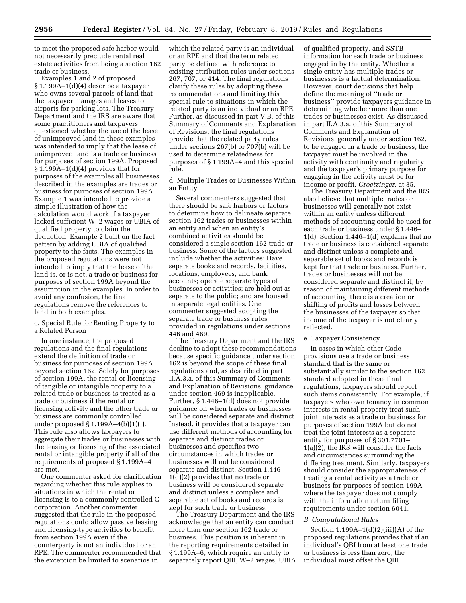to meet the proposed safe harbor would not necessarily preclude rental real estate activities from being a section 162 trade or business.

Examples 1 and 2 of proposed § 1.199A–1(d)(4) describe a taxpayer who owns several parcels of land that the taxpayer manages and leases to airports for parking lots. The Treasury Department and the IRS are aware that some practitioners and taxpayers questioned whether the use of the lease of unimproved land in these examples was intended to imply that the lease of unimproved land is a trade or business for purposes of section 199A. Proposed § 1.199A–1(d)(4) provides that for purposes of the examples all businesses described in the examples are trades or business for purposes of section 199A. Example 1 was intended to provide a simple illustration of how the calculation would work if a taxpayer lacked sufficient W–2 wages or UBIA of qualified property to claim the deduction. Example 2 built on the fact pattern by adding UBIA of qualified property to the facts. The examples in the proposed regulations were not intended to imply that the lease of the land is, or is not, a trade or business for purposes of section 199A beyond the assumption in the examples. In order to avoid any confusion, the final regulations remove the references to land in both examples.

c. Special Rule for Renting Property to a Related Person

In one instance, the proposed regulations and the final regulations extend the definition of trade or business for purposes of section 199A beyond section 162. Solely for purposes of section 199A, the rental or licensing of tangible or intangible property to a related trade or business is treated as a trade or business if the rental or licensing activity and the other trade or business are commonly controlled under proposed § 1.199A–4(b)(1)(i). This rule also allows taxpayers to aggregate their trades or businesses with the leasing or licensing of the associated rental or intangible property if all of the requirements of proposed § 1.199A–4 are met.

One commenter asked for clarification regarding whether this rule applies to situations in which the rental or licensing is to a commonly controlled C corporation. Another commenter suggested that the rule in the proposed regulations could allow passive leasing and licensing-type activities to benefit from section 199A even if the counterparty is not an individual or an RPE. The commenter recommended that the exception be limited to scenarios in

which the related party is an individual or an RPE and that the term related party be defined with reference to existing attribution rules under sections 267, 707, or 414. The final regulations clarify these rules by adopting these recommendations and limiting this special rule to situations in which the related party is an individual or an RPE. Further, as discussed in part V.B. of this Summary of Comments and Explanation of Revisions, the final regulations provide that the related party rules under sections 267(b) or 707(b) will be used to determine relatedness for purposes of § 1.199A–4 and this special rule.

d. Multiple Trades or Businesses Within an Entity

Several commenters suggested that there should be safe harbors or factors to determine how to delineate separate section 162 trades or businesses within an entity and when an entity's combined activities should be considered a single section 162 trade or business. Some of the factors suggested include whether the activities: Have separate books and records, facilities, locations, employees, and bank accounts; operate separate types of businesses or activities; are held out as separate to the public; and are housed in separate legal entities. One commenter suggested adopting the separate trade or business rules provided in regulations under sections 446 and 469.

The Treasury Department and the IRS decline to adopt these recommendations because specific guidance under section 162 is beyond the scope of these final regulations and, as described in part II.A.3.a. of this Summary of Comments and Explanation of Revisions, guidance under section 469 is inapplicable. Further, § 1.446–1(d) does not provide guidance on when trades or businesses will be considered separate and distinct. Instead, it provides that a taxpayer can use different methods of accounting for separate and distinct trades or businesses and specifies two circumstances in which trades or businesses will not be considered separate and distinct. Section 1.446– 1(d)(2) provides that no trade or business will be considered separate and distinct unless a complete and separable set of books and records is kept for such trade or business.

The Treasury Department and the IRS acknowledge that an entity can conduct more than one section 162 trade or business. This position is inherent in the reporting requirements detailed in § 1.199A–6, which require an entity to separately report QBI, W–2 wages, UBIA

of qualified property, and SSTB information for each trade or business engaged in by the entity. Whether a single entity has multiple trades or businesses is a factual determination. However, court decisions that help define the meaning of ''trade or business'' provide taxpayers guidance in determining whether more than one trades or businesses exist. As discussed in part II.A.3.a. of this Summary of Comments and Explanation of Revisions, generally under section 162, to be engaged in a trade or business, the taxpayer must be involved in the activity with continuity and regularity and the taxpayer's primary purpose for engaging in the activity must be for income or profit. *Groetzinger,* at 35.

The Treasury Department and the IRS also believe that multiple trades or businesses will generally not exist within an entity unless different methods of accounting could be used for each trade or business under § 1.446– 1(d). Section 1.446–1(d) explains that no trade or business is considered separate and distinct unless a complete and separable set of books and records is kept for that trade or business. Further, trades or businesses will not be considered separate and distinct if, by reason of maintaining different methods of accounting, there is a creation or shifting of profits and losses between the businesses of the taxpayer so that income of the taxpayer is not clearly reflected.

#### e. Taxpayer Consistency

In cases in which other Code provisions use a trade or business standard that is the same or substantially similar to the section 162 standard adopted in these final regulations, taxpayers should report such items consistently. For example, if taxpayers who own tenancy in common interests in rental property treat such joint interests as a trade or business for purposes of section 199A but do not treat the joint interests as a separate entity for purposes of § 301.7701– 1(a)(2), the IRS will consider the facts and circumstances surrounding the differing treatment. Similarly, taxpayers should consider the appropriateness of treating a rental activity as a trade or business for purposes of section 199A where the taxpayer does not comply with the information return filing requirements under section 6041.

#### *B. Computational Rules*

Section  $1.199A-1(d)(2)(iii)(A)$  of the proposed regulations provides that if an individual's QBI from at least one trade or business is less than zero, the individual must offset the QBI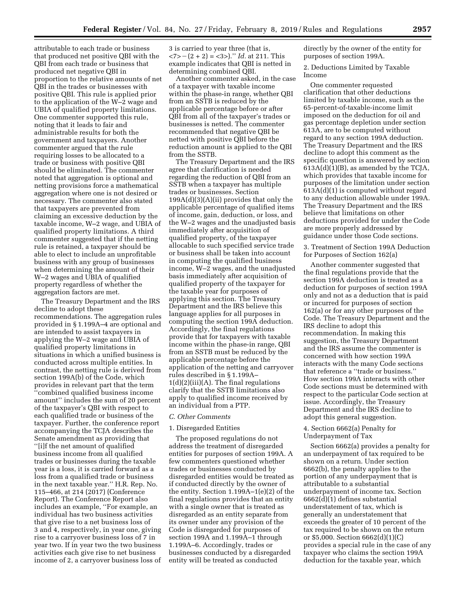attributable to each trade or business that produced net positive QBI with the QBI from each trade or business that produced net negative QBI in proportion to the relative amounts of net QBI in the trades or businesses with positive QBI. This rule is applied prior to the application of the W–2 wage and UBIA of qualified property limitations. One commenter supported this rule, noting that it leads to fair and administrable results for both the government and taxpayers. Another commenter argued that the rule requiring losses to be allocated to a trade or business with positive QBI should be eliminated. The commenter noted that aggregation is optional and netting provisions force a mathematical aggregation where one is not desired or necessary. The commenter also stated that taxpayers are prevented from claiming an excessive deduction by the taxable income, W–2 wage, and UBIA of qualified property limitations. A third commenter suggested that if the netting rule is retained, a taxpayer should be able to elect to include an unprofitable business with any group of businesses when determining the amount of their W–2 wages and UBIA of qualified property regardless of whether the aggregation factors are met.

The Treasury Department and the IRS decline to adopt these recommendations. The aggregation rules provided in § 1.199A–4 are optional and are intended to assist taxpayers in applying the W–2 wage and UBIA of qualified property limitations in situations in which a unified business is conducted across multiple entities. In contrast, the netting rule is derived from section 199A(b) of the Code, which provides in relevant part that the term ''combined qualified business income amount'' includes the sum of 20 percent of the taxpayer's QBI with respect to each qualified trade or business of the taxpayer. Further, the conference report accompanying the TCJA describes the Senate amendment as providing that ''[i]f the net amount of qualified business income from all qualified trades or businesses during the taxable year is a loss, it is carried forward as a loss from a qualified trade or business in the next taxable year.'' H.R. Rep. No. 115–466, at 214 (2017) (Conference Report). The Conference Report also includes an example, ''For example, an individual has two business activities that give rise to a net business loss of 3 and 4, respectively, in year one, giving rise to a carryover business loss of 7 in year two. If in year two the two business activities each give rise to net business income of 2, a carryover business loss of

3 is carried to year three (that is,  $\langle 7 \rangle - (2 + 2) = \langle 3 \rangle$ .'' *Id.* at 211. This example indicates that QBI is netted in determining combined QBI.

Another commenter asked, in the case of a taxpayer with taxable income within the phase-in range, whether QBI from an SSTB is reduced by the applicable percentage before or after QBI from all of the taxpayer's trades or businesses is netted. The commenter recommended that negative QBI be netted with positive QBI before the reduction amount is applied to the QBI from the SSTB.

The Treasury Department and the IRS agree that clarification is needed regarding the reduction of QBI from an SSTB when a taxpayer has multiple trades or businesses. Section 199A(d)(3)(A)(ii) provides that only the applicable percentage of qualified items of income, gain, deduction, or loss, and the W–2 wages and the unadjusted basis immediately after acquisition of qualified property, of the taxpayer allocable to such specified service trade or business shall be taken into account in computing the qualified business income, W–2 wages, and the unadjusted basis immediately after acquisition of qualified property of the taxpayer for the taxable year for purposes of applying this section. The Treasury Department and the IRS believe this language applies for all purposes in computing the section 199A deduction. Accordingly, the final regulations provide that for taxpayers with taxable income within the phase-in range, QBI from an SSTB must be reduced by the applicable percentage before the application of the netting and carryover rules described in § 1.199A–  $1(d)(2)(iii)(A)$ . The final regulations clarify that the SSTB limitations also apply to qualified income received by an individual from a PTP.

### *C. Other Comments*

### 1. Disregarded Entities

The proposed regulations do not address the treatment of disregarded entities for purposes of section 199A. A few commenters questioned whether trades or businesses conducted by disregarded entities would be treated as if conducted directly by the owner of the entity. Section 1.199A–1(e)(2) of the final regulations provides that an entity with a single owner that is treated as disregarded as an entity separate from its owner under any provision of the Code is disregarded for purposes of section 199A and 1.199A–1 through 1.199A–6. Accordingly, trades or businesses conducted by a disregarded entity will be treated as conducted

directly by the owner of the entity for purposes of section 199A.

2. Deductions Limited by Taxable Income

One commenter requested clarification that other deductions limited by taxable income, such as the 65-percent-of-taxable-income limit imposed on the deduction for oil and gas percentage depletion under section 613A, are to be computed without regard to any section 199A deduction. The Treasury Department and the IRS decline to adopt this comment as the specific question is answered by section 613A(d)(1)(B), as amended by the TCJA, which provides that taxable income for purposes of the limitation under section 613A(d)(1) is computed without regard to any deduction allowable under 199A. The Treasury Department and the IRS believe that limitations on other deductions provided for under the Code are more properly addressed by guidance under those Code sections.

3. Treatment of Section 199A Deduction for Purposes of Section 162(a)

Another commenter suggested that the final regulations provide that the section 199A deduction is treated as a deduction for purposes of section 199A only and not as a deduction that is paid or incurred for purposes of section 162(a) or for any other purposes of the Code. The Treasury Department and the IRS decline to adopt this recommendation. In making this suggestion, the Treasury Department and the IRS assume the commenter is concerned with how section 199A interacts with the many Code sections that reference a ''trade or business.'' How section 199A interacts with other Code sections must be determined with respect to the particular Code section at issue. Accordingly, the Treasury Department and the IRS decline to adopt this general suggestion.

# 4. Section 6662(a) Penalty for Underpayment of Tax

Section 6662(a) provides a penalty for an underpayment of tax required to be shown on a return. Under section 6662(b), the penalty applies to the portion of any underpayment that is attributable to a substantial underpayment of income tax. Section 6662(d)(1) defines substantial understatement of tax, which is generally an understatement that exceeds the greater of 10 percent of the tax required to be shown on the return or \$5,000. Section 6662(d)(1)(C) provides a special rule in the case of any taxpayer who claims the section 199A deduction for the taxable year, which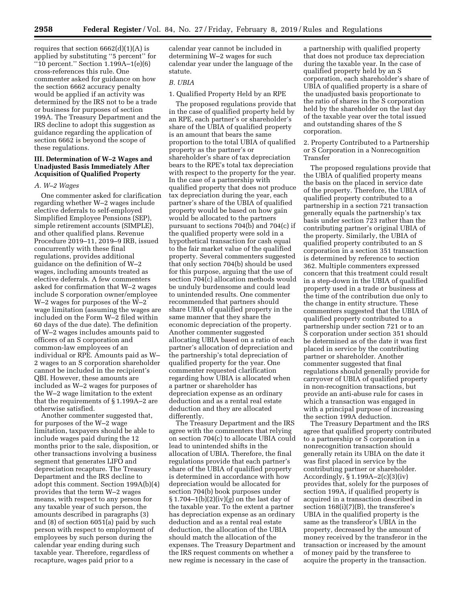requires that section  $6662(d)(1)(A)$  is applied by substituting ''5 percent'' for ''10 percent.'' Section 1.199A–1(e)(6) cross-references this rule. One commenter asked for guidance on how the section 6662 accuracy penalty would be applied if an activity was determined by the IRS not to be a trade or business for purposes of section 199A. The Treasury Department and the IRS decline to adopt this suggestion as guidance regarding the application of section 6662 is beyond the scope of these regulations.

# **III. Determination of W–2 Wages and Unadjusted Basis Immediately After Acquisition of Qualified Property**

*A. W–2 Wages* 

One commenter asked for clarification regarding whether W–2 wages include elective deferrals to self-employed Simplified Employee Pensions (SEP), simple retirement accounts (SIMPLE), and other qualified plans. Revenue Procedure 2019–11, 2019–9 IRB, issued concurrently with these final regulations, provides additional guidance on the definition of W–2 wages, including amounts treated as elective deferrals. A few commenters asked for confirmation that W–2 wages include S corporation owner/employee W–2 wages for purposes of the W–2 wage limitation (assuming the wages are included on the Form W–2 filed within 60 days of the due date). The definition of W–2 wages includes amounts paid to officers of an S corporation and common-law employees of an individual or RPE. Amounts paid as W– 2 wages to an S corporation shareholder cannot be included in the recipient's QBI. However, these amounts are included as W–2 wages for purposes of the W–2 wage limitation to the extent that the requirements of § 1.199A–2 are otherwise satisfied.

Another commenter suggested that, for purposes of the W–2 wage limitation, taxpayers should be able to include wages paid during the 12 months prior to the sale, disposition, or other transactions involving a business segment that generates LIFO and depreciation recapture. The Treasury Department and the IRS decline to adopt this comment. Section 199A(b)(4) provides that the term W–2 wages means, with respect to any person for any taxable year of such person, the amounts described in paragraphs (3) and (8) of section 6051(a) paid by such person with respect to employment of employees by such person during the calendar year ending during such taxable year. Therefore, regardless of recapture, wages paid prior to a

calendar year cannot be included in determining W–2 wages for such calendar year under the language of the statute.

# *B. UBIA*

1. Qualified Property Held by an RPE

The proposed regulations provide that in the case of qualified property held by an RPE, each partner's or shareholder's share of the UBIA of qualified property is an amount that bears the same proportion to the total UBIA of qualified property as the partner's or shareholder's share of tax depreciation bears to the RPE's total tax depreciation with respect to the property for the year. In the case of a partnership with qualified property that does not produce tax depreciation during the year, each partner's share of the UBIA of qualified property would be based on how gain would be allocated to the partners pursuant to sections 704(b) and 704(c) if the qualified property were sold in a hypothetical transaction for cash equal to the fair market value of the qualified property. Several commenters suggested that only section 704(b) should be used for this purpose, arguing that the use of section 704(c) allocation methods would be unduly burdensome and could lead to unintended results. One commenter recommended that partners should share UBIA of qualified property in the same manner that they share the economic depreciation of the property. Another commenter suggested allocating UBIA based on a ratio of each partner's allocation of depreciation and the partnership's total depreciation of qualified property for the year. One commenter requested clarification regarding how UBIA is allocated when a partner or shareholder has depreciation expense as an ordinary deduction and as a rental real estate deduction and they are allocated differently.

The Treasury Department and the IRS agree with the commenters that relying on section 704(c) to allocate UBIA could lead to unintended shifts in the allocation of UBIA. Therefore, the final regulations provide that each partner's share of the UBIA of qualified property is determined in accordance with how depreciation would be allocated for section 704(b) book purposes under § 1.704–1(b)(2)(iv)(*g*) on the last day of the taxable year. To the extent a partner has depreciation expense as an ordinary deduction and as a rental real estate deduction, the allocation of the UBIA should match the allocation of the expenses. The Treasury Department and the IRS request comments on whether a new regime is necessary in the case of

a partnership with qualified property that does not produce tax depreciation during the taxable year. In the case of qualified property held by an S corporation, each shareholder's share of UBIA of qualified property is a share of the unadjusted basis proportionate to the ratio of shares in the S corporation held by the shareholder on the last day of the taxable year over the total issued and outstanding shares of the S corporation.

2. Property Contributed to a Partnership or S Corporation in a Nonrecognition Transfer

The proposed regulations provide that the UBIA of qualified property means the basis on the placed in service date of the property. Therefore, the UBIA of qualified property contributed to a partnership in a section 721 transaction generally equals the partnership's tax basis under section 723 rather than the contributing partner's original UBIA of the property. Similarly, the UBIA of qualified property contributed to an S corporation in a section 351 transaction is determined by reference to section 362. Multiple commenters expressed concern that this treatment could result in a step-down in the UBIA of qualified property used in a trade or business at the time of the contribution due only to the change in entity structure. These commenters suggested that the UBIA of qualified property contributed to a partnership under section 721 or to an S corporation under section 351 should be determined as of the date it was first placed in service by the contributing partner or shareholder. Another commenter suggested that final regulations should generally provide for carryover of UBIA of qualified property in non-recognition transactions, but provide an anti-abuse rule for cases in which a transaction was engaged in with a principal purpose of increasing the section 199A deduction.

The Treasury Department and the IRS agree that qualified property contributed to a partnership or S corporation in a nonrecognition transaction should generally retain its UBIA on the date it was first placed in service by the contributing partner or shareholder. Accordingly, § 1.199A–2(c)(3)(iv) provides that, solely for the purposes of section 199A, if qualified property is acquired in a transaction described in section 168(i)(7)(B), the transferee's UBIA in the qualified property is the same as the transferor's UBIA in the property, decreased by the amount of money received by the transferor in the transaction or increased by the amount of money paid by the transferee to acquire the property in the transaction.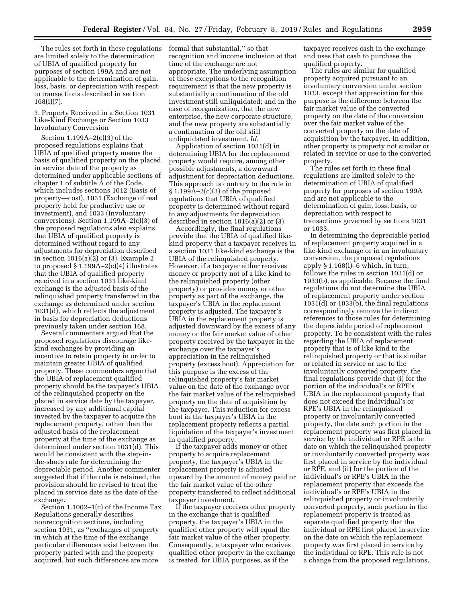The rules set forth in these regulations are limited solely to the determination of UBIA of qualified property for purposes of section 199A and are not applicable to the determination of gain, loss, basis, or depreciation with respect to transactions described in section 168(i)(7).

3. Property Received in a Section 1031 Like-Kind Exchange or Section 1033 Involuntary Conversion

Section 1.199A–2(c)(3) of the proposed regulations explains that UBIA of qualified property means the basis of qualified property on the placed in service date of the property as determined under applicable sections of chapter 1 of subtitle A of the Code, which includes sections 1012 (Basis of property—cost), 1031 (Exchange of real property held for productive use or investment), and 1033 (Involuntary conversions). Section 1.199A–2(c)(3) of the proposed regulations also explains that UBIA of qualified property is determined without regard to any adjustments for depreciation described in section 1016(a)(2) or (3). Example 2 to proposed § 1.199A–2(c)(4) illustrates that the UBIA of qualified property received in a section 1031 like-kind exchange is the adjusted basis of the relinquished property transferred in the exchange as determined under section 1031(d), which reflects the adjustment in basis for depreciation deductions previously taken under section 168.

Several commenters argued that the proposed regulations discourage likekind exchanges by providing an incentive to retain property in order to maintain greater UBIA of qualified property. These commenters argue that the UBIA of replacement qualified property should be the taxpayer's UBIA of the relinquished property on the placed in service date by the taxpayer, increased by any additional capital invested by the taxpayer to acquire the replacement property, rather than the adjusted basis of the replacement property at the time of the exchange as determined under section 1031(d). This would be consistent with the step-inthe-shoes rule for determining the depreciable period. Another commenter suggested that if the rule is retained, the provision should be revised to treat the placed in service date as the date of the exchange.

Section 1.1002–1(c) of the Income Tax Regulations generally describes nonrecognition sections, including section 1031, as ''exchanges of property in which at the time of the exchange particular differences exist between the property parted with and the property acquired, but such differences are more

formal that substantial,'' so that recognition and income inclusion at that time of the exchange are not appropriate. The underlying assumption of these exceptions to the recognition requirement is that the new property is substantially a continuation of the old investment still unliquidated; and in the case of reorganization, that the new enterprise, the new corporate structure, and the new property are substantially a continuation of the old still unliquidated investment. *Id.* 

Application of section 1031(d) in determining UBIA for the replacement property would require, among other possible adjustments, a downward adjustment for depreciation deductions. This approach is contrary to the rule in § 1.199A–2(c)(3) of the proposed regulations that UBIA of qualified property is determined without regard to any adjustments for depreciation described in section  $1016(a)(2)$  or  $(3)$ .

Accordingly, the final regulations provide that the UBIA of qualified likekind property that a taxpayer receives in a section 1031 like-kind exchange is the UBIA of the relinquished property. However, if a taxpayer either receives money or property not of a like kind to the relinquished property (other property) or provides money or other property as part of the exchange, the taxpayer's UBIA in the replacement property is adjusted. The taxpayer's UBIA in the replacement property is adjusted downward by the excess of any money or the fair market value of other property received by the taxpayer in the exchange over the taxpayer's appreciation in the relinquished property (excess boot). Appreciation for this purpose is the excess of the relinquished property's fair market value on the date of the exchange over the fair market value of the relinquished property on the date of acquisition by the taxpayer. This reduction for excess boot in the taxpayer's UBIA in the replacement property reflects a partial liquidation of the taxpayer's investment in qualified property.

If the taxpayer adds money or other property to acquire replacement property, the taxpayer's UBIA in the replacement property is adjusted upward by the amount of money paid or the fair market value of the other property transferred to reflect additional taxpayer investment.

If the taxpayer receives other property in the exchange that is qualified property, the taxpayer's UBIA in the qualified other property will equal the fair market value of the other property. Consequently, a taxpayer who receives qualified other property in the exchange is treated, for UBIA purposes, as if the

taxpayer receives cash in the exchange and uses that cash to purchase the qualified property.

The rules are similar for qualified property acquired pursuant to an involuntary conversion under section 1033, except that appreciation for this purpose is the difference between the fair market value of the converted property on the date of the conversion over the fair market value of the converted property on the date of acquisition by the taxpayer. In addition, other property is property not similar or related in service or use to the converted property.

The rules set forth in these final regulations are limited solely to the determination of UBIA of qualified property for purposes of section 199A and are not applicable to the determination of gain, loss, basis, or depreciation with respect to transactions governed by sections 1031 or 1033.

In determining the depreciable period of replacement property acquired in a like-kind exchange or in an involuntary conversion, the proposed regulations apply § 1.168(i)–6 which, in turn, follows the rules in section 1031(d) or 1033(b), as applicable. Because the final regulations do not determine the UBIA of replacement property under section 1031(d) or 1033(b), the final regulations correspondingly remove the indirect references to those rules for determining the depreciable period of replacement property. To be consistent with the rules regarding the UBIA of replacement property that is of like kind to the relinquished property or that is similar or related in service or use to the involuntarily converted property, the final regulations provide that (i) for the portion of the individual's or RPE's UBIA in the replacement property that does not exceed the individual's or RPE's UBIA in the relinquished property or involuntarily converted property, the date such portion in the replacement property was first placed in service by the individual or RPE is the date on which the relinquished property or involuntarily converted property was first placed in service by the individual or RPE, and (ii) for the portion of the individual's or RPE's UBIA in the replacement property that exceeds the individual's or RPE's UBIA in the relinquished property or involuntarily converted property, such portion in the replacement property is treated as separate qualified property that the individual or RPE first placed in service on the date on which the replacement property was first placed in service by the individual or RPE. This rule is not a change from the proposed regulations,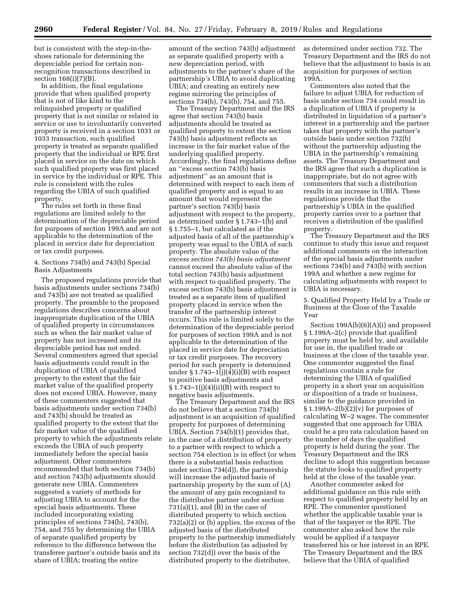but is consistent with the step-in-theshoes rationale for determining the depreciable period for certain nonrecognition transactions described in section 168(i)(7)(B).

In addition, the final regulations provide that when qualified property that is not of like kind to the relinquished property or qualified property that is not similar or related in service or use to involuntarily converted property is received in a section 1031 or 1033 transaction, such qualified property is treated as separate qualified property that the individual or RPE first placed in service on the date on which such qualified property was first placed in service by the individual or RPE. This rule is consistent with the rules regarding the UBIA of such qualified property.

The rules set forth in these final regulations are limited solely to the determination of the depreciable period for purposes of section 199A and are not applicable to the determination of the placed in service date for depreciation or tax credit purposes.

# 4. Sections 734(b) and 743(b) Special Basis Adjustments

The proposed regulations provide that basis adjustments under sections 734(b) and 743(b) are not treated as qualified property. The preamble to the proposed regulations describes concerns about inappropriate duplication of the UBIA of qualified property in circumstances such as when the fair market value of property has not increased and its depreciable period has not ended. Several commenters agreed that special basis adjustments could result in the duplication of UBIA of qualified property to the extent that the fair market value of the qualified property does not exceed UBIA. However, many of these commenters suggested that basis adjustments under section 734(b) and 743(b) should be treated as qualified property to the extent that the fair market value of the qualified property to which the adjustments relate exceeds the UBIA of such property immediately before the special basis adjustment. Other commenters recommended that both section 734(b) and section 743(b) adjustments should generate new UBIA. Commenters suggested a variety of methods for adjusting UBIA to account for the special basis adjustments. These included incorporating existing principles of sections 734(b), 743(b), 754, and 755 by determining the UBIA of separate qualified property by reference to the difference between the transferee partner's outside basis and its share of UBIA; treating the entire

amount of the section 743(b) adjustment as separate qualified property with a new depreciation period, with adjustments to the partner's share of the partnership's UBIA to avoid duplicating UBIA; and creating an entirely new regime mirroring the principles of sections 734(b), 743(b), 754, and 755.

The Treasury Department and the IRS agree that section 743(b) basis adjustments should be treated as qualified property to extent the section 743(b) basis adjustment reflects an increase in the fair market value of the underlying qualified property. Accordingly, the final regulations define an ''excess section 743(b) basis adjustment'' as an amount that is determined with respect to each item of qualified property and is equal to an amount that would represent the partner's section 743(b) basis adjustment with respect to the property, as determined under § 1.743–1(b) and § 1.755–1, but calculated as if the adjusted basis of all of the partnership's property was equal to the UBIA of such property. The absolute value of the *excess section 743(b) basis adjustment*  cannot exceed the absolute value of the total section 743(b) basis adjustment with respect to qualified property. The excess section 743(b) basis adjustment is treated as a separate item of qualified property placed in service when the transfer of the partnership interest occurs. This rule is limited solely to the determination of the depreciable period for purposes of section 199A and is not applicable to the determination of the placed in service date for depreciation or tax credit purposes. The recovery period for such property is determined under  $\S 1.743-1\tilde{j}$  (i)(4)(i)(B) with respect to positive basis adjustments and  $§ 1.743-1(j)(4)(ii)(B)$  with respect to negative basis adjustments.

The Treasury Department and the IRS do not believe that a section 734(b) adjustment is an acquisition of qualified property for purposes of determining UBIA. Section 734(b)(1) provides that, in the case of a distribution of property to a partner with respect to which a section 754 election is in effect (or when there is a substantial basis reduction under section 734(d)), the partnership will increase the adjusted basis of partnership property by the sum of (A) the amount of any gain recognized to the distributee partner under section  $731(a)(1)$ , and  $(B)$  in the case of distributed property to which section 732(a)(2) or (b) applies, the excess of the adjusted basis of the distributed property to the partnership immediately before the distribution (as adjusted by section 732(d)) over the basis of the distributed property to the distributee,

as determined under section 732. The Treasury Department and the IRS do not believe that the adjustment to basis is an acquisition for purposes of section 199A.

Commenters also noted that the failure to adjust UBIA for reduction of basis under section 734 could result in a duplication of UBIA if property is distributed in liquidation of a partner's interest in a partnership and the partner takes that property with the partner's outside basis under section 732(b) without the partnership adjusting the UBIA in the partnership's remaining assets. The Treasury Department and the IRS agree that such a duplication is inappropriate, but do not agree with commenters that such a distribution results in an increase in UBIA. These regulations provide that the partnership's UBIA in the qualified property carries over to a partner that receives a distribution of the qualified property.

The Treasury Department and the IRS continue to study this issue and request additional comments on the interaction of the special basis adjustments under sections 734(b) and 743(b) with section 199A and whether a new regime for calculating adjustments with respect to UBIA is necessary.

5. Qualified Property Held by a Trade or Business at the Close of the Taxable Year

Section 199A(b)(6)(A)(i) and proposed § 1.199A–2(c) provide that qualified property must be held by, and available for use in, the qualified trade or business at the close of the taxable year. One commenter suggested the final regulations contain a rule for determining the UBIA of qualified property in a short year on acquisition or disposition of a trade or business, similar to the guidance provided in  $§ 1.199A-2(b)(2)(v)$  for purposes of calculating W–2 wages. The commenter suggested that one approach for UBIA could be a pro rata calculation based on the number of days the qualified property is held during the year. The Treasury Department and the IRS decline to adopt this suggestion because the statute looks to qualified property held at the close of the taxable year.

Another commenter asked for additional guidance on this rule with respect to qualified property held by an RPE. The commenter questioned whether the applicable taxable year is that of the taxpayer or the RPE. The commenter also asked how the rule would be applied if a taxpayer transferred his or her interest in an RPE. The Treasury Department and the IRS believe that the UBIA of qualified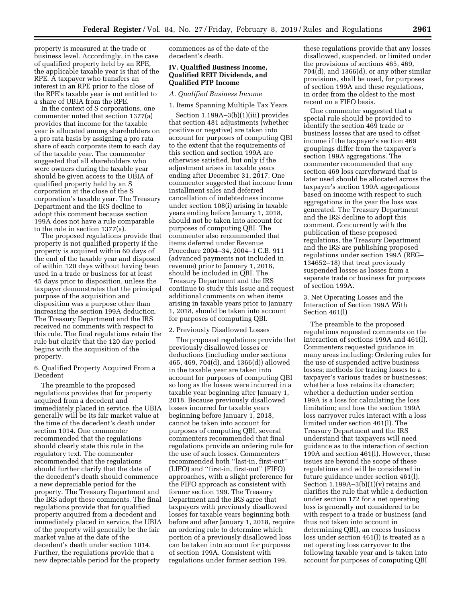property is measured at the trade or business level. Accordingly, in the case of qualified property held by an RPE, the applicable taxable year is that of the RPE. A taxpayer who transfers an interest in an RPE prior to the close of the RPE's taxable year is not entitled to a share of UBIA from the RPE.

In the context of S corporations, one commenter noted that section 1377(a) provides that income for the taxable year is allocated among shareholders on a pro rata basis by assigning a pro rata share of each corporate item to each day of the taxable year. The commenter suggested that all shareholders who were owners during the taxable year should be given access to the UBIA of qualified property held by an S corporation at the close of the S corporation's taxable year. The Treasury Department and the IRS decline to adopt this comment because section 199A does not have a rule comparable to the rule in section 1377(a).

The proposed regulations provide that property is not qualified property if the property is acquired within 60 days of the end of the taxable year and disposed of within 120 days without having been used in a trade or business for at least 45 days prior to disposition, unless the taxpayer demonstrates that the principal purpose of the acquisition and disposition was a purpose other than increasing the section 199A deduction. The Treasury Department and the IRS received no comments with respect to this rule. The final regulations retain the rule but clarify that the 120 day period begins with the acquisition of the property.

6. Qualified Property Acquired From a Decedent

The preamble to the proposed regulations provides that for property acquired from a decedent and immediately placed in service, the UBIA generally will be its fair market value at the time of the decedent's death under section 1014. One commenter recommended that the regulations should clearly state this rule in the regulatory text. The commenter recommended that the regulations should further clarify that the date of the decedent's death should commence a new depreciable period for the property. The Treasury Department and the IRS adopt these comments. The final regulations provide that for qualified property acquired from a decedent and immediately placed in service, the UBIA of the property will generally be the fair market value at the date of the decedent's death under section 1014. Further, the regulations provide that a new depreciable period for the property

commences as of the date of the decedent's death.

### **IV. Qualified Business Income, Qualified REIT Dividends, and Qualified PTP Income**

#### *A. Qualified Business Income*

1. Items Spanning Multiple Tax Years

Section 1.199A–3(b)(1)(iii) provides that section 481 adjustments (whether positive or negative) are taken into account for purposes of computing QBI to the extent that the requirements of this section and section 199A are otherwise satisfied, but only if the adjustment arises in taxable years ending after December 31, 2017. One commenter suggested that income from installment sales and deferred cancellation of indebtedness income under section 108(i) arising in taxable years ending before January 1, 2018, should not be taken into account for purposes of computing QBI. The commenter also recommended that items deferred under Revenue Procedure 2004–34, 2004–1 C.B. 911 (advanced payments not included in revenue) prior to January 1, 2018, should be included in QBI. The Treasury Department and the IRS continue to study this issue and request additional comments on when items arising in taxable years prior to January 1, 2018, should be taken into account for purposes of computing QBI.

### 2. Previously Disallowed Losses

The proposed regulations provide that previously disallowed losses or deductions (including under sections 465, 469, 704(d), and 1366(d)) allowed in the taxable year are taken into account for purposes of computing QBI so long as the losses were incurred in a taxable year beginning after January 1, 2018. Because previously disallowed losses incurred for taxable years beginning before January 1, 2018, cannot be taken into account for purposes of computing QBI, several commenters recommended that final regulations provide an ordering rule for the use of such losses. Commenters recommended both ''last-in, first-out'' (LIFO) and ''first-in, first-out'' (FIFO) approaches, with a slight preference for the FIFO approach as consistent with former section 199. The Treasury Department and the IRS agree that taxpayers with previously disallowed losses for taxable years beginning both before and after January 1, 2018, require an ordering rule to determine which portion of a previously disallowed loss can be taken into account for purposes of section 199A. Consistent with regulations under former section 199,

these regulations provide that any losses disallowed, suspended, or limited under the provisions of sections 465, 469, 704(d), and 1366(d), or any other similar provisions, shall be used, for purposes of section 199A and these regulations, in order from the oldest to the most recent on a FIFO basis.

One commenter suggested that a special rule should be provided to identify the section 469 trade or business losses that are used to offset income if the taxpayer's section 469 groupings differ from the taxpayer's section 199A aggregations. The commenter recommended that any section 469 loss carryforward that is later used should be allocated across the taxpayer's section 199A aggregations based on income with respect to such aggregations in the year the loss was generated. The Treasury Department and the IRS decline to adopt this comment. Concurrently with the publication of these proposed regulations, the Treasury Department and the IRS are publishing proposed regulations under section 199A (REG– 134652–18) that treat previously suspended losses as losses from a separate trade or business for purposes of section 199A.

# 3. Net Operating Losses and the Interaction of Section 199A With Section 461(l)

The preamble to the proposed regulations requested comments on the interaction of sections 199A and 461(l). Commenters requested guidance in many areas including: Ordering rules for the use of suspended active business losses; methods for tracing losses to a taxpayer's various trades or businesses; whether a loss retains its character; whether a deduction under section 199A is a loss for calculating the loss limitation; and how the section 199A loss carryover rules interact with a loss limited under section 461(l). The Treasury Department and the IRS understand that taxpayers will need guidance as to the interaction of section 199A and section 461(l). However, these issues are beyond the scope of these regulations and will be considered in future guidance under section 461(l). Section  $1.199A-3(b)(1)(v)$  retains and clarifies the rule that while a deduction under section 172 for a net operating loss is generally not considered to be with respect to a trade or business (and thus not taken into account in determining QBI), an excess business loss under section 461(l) is treated as a net operating loss carryover to the following taxable year and is taken into account for purposes of computing QBI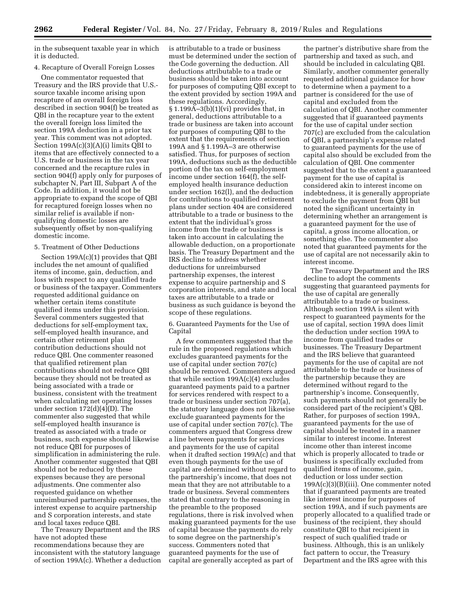in the subsequent taxable year in which it is deducted.

# 4. Recapture of Overall Foreign Losses

One commentator requested that Treasury and the IRS provide that U.S. source taxable income arising upon recapture of an overall foreign loss described in section 904(f) be treated as QBI in the recapture year to the extent the overall foreign loss limited the section 199A deduction in a prior tax year. This comment was not adopted. Section 199A(c)(3)(A)(i) limits QBI to items that are effectively connected to a U.S. trade or business in the tax year concerned and the recapture rules in section 904(f) apply only for purposes of subchapter N, Part III, Subpart A of the Code. In addition, it would not be appropriate to expand the scope of QBI for recaptured foreign losses when no similar relief is available if nonqualifying domestic losses are subsequently offset by non-qualifying domestic income.

# 5. Treatment of Other Deductions

Section 199A(c)(1) provides that QBI includes the net amount of qualified items of income, gain, deduction, and loss with respect to any qualified trade or business of the taxpayer. Commenters requested additional guidance on whether certain items constitute qualified items under this provision. Several commenters suggested that deductions for self-employment tax, self-employed health insurance, and certain other retirement plan contribution deductions should not reduce QBI. One commenter reasoned that qualified retirement plan contributions should not reduce QBI because they should not be treated as being associated with a trade or business, consistent with the treatment when calculating net operating losses under section 172(d)(4)(D). The commenter also suggested that while self-employed health insurance is treated as associated with a trade or business, such expense should likewise not reduce QBI for purposes of simplification in administering the rule. Another commenter suggested that QBI should not be reduced by these expenses because they are personal adjustments. One commenter also requested guidance on whether unreimbursed partnership expenses, the interest expense to acquire partnership and S corporation interests, and state and local taxes reduce QBI.

The Treasury Department and the IRS have not adopted these recommendations because they are inconsistent with the statutory language of section 199A(c). Whether a deduction is attributable to a trade or business must be determined under the section of the Code governing the deduction. All deductions attributable to a trade or business should be taken into account for purposes of computing QBI except to the extent provided by section 199A and these regulations. Accordingly, § 1.199A–3(b)(1)(vi) provides that, in general, deductions attributable to a trade or business are taken into account for purposes of computing QBI to the extent that the requirements of section 199A and § 1.199A–3 are otherwise satisfied. Thus, for purposes of section 199A, deductions such as the deductible portion of the tax on self-employment income under section 164(f), the selfemployed health insurance deduction under section 162(l), and the deduction for contributions to qualified retirement plans under section 404 are considered attributable to a trade or business to the extent that the individual's gross income from the trade or business is taken into account in calculating the allowable deduction, on a proportionate basis. The Treasury Department and the IRS decline to address whether deductions for unreimbursed partnership expenses, the interest expense to acquire partnership and S corporation interests, and state and local taxes are attributable to a trade or business as such guidance is beyond the scope of these regulations.

6. Guaranteed Payments for the Use of Capital

A few commenters suggested that the rule in the proposed regulations which excludes guaranteed payments for the use of capital under section 707(c) should be removed. Commenters argued that while section 199A(c)(4) excludes guaranteed payments paid to a partner for services rendered with respect to a trade or business under section 707(a), the statutory language does not likewise exclude guaranteed payments for the use of capital under section 707(c). The commenters argued that Congress drew a line between payments for services and payments for the use of capital when it drafted section 199A(c) and that even though payments for the use of capital are determined without regard to the partnership's income, that does not mean that they are not attributable to a trade or business. Several commenters stated that contrary to the reasoning in the preamble to the proposed regulations, there is risk involved when making guaranteed payments for the use of capital because the payments do rely to some degree on the partnership's success. Commenters noted that guaranteed payments for the use of capital are generally accepted as part of

the partner's distributive share from the partnership and taxed as such, and should be included in calculating QBI. Similarly, another commenter generally requested additional guidance for how to determine when a payment to a partner is considered for the use of capital and excluded from the calculation of QBI. Another commenter suggested that if guaranteed payments for the use of capital under section 707(c) are excluded from the calculation of QBI, a partnership's expense related to guaranteed payments for the use of capital also should be excluded from the calculation of QBI. One commenter suggested that to the extent a guaranteed payment for the use of capital is considered akin to interest income on indebtedness, it is generally appropriate to exclude the payment from QBI but noted the significant uncertainty in determining whether an arrangement is a guaranteed payment for the use of capital, a gross income allocation, or something else. The commenter also noted that guaranteed payments for the use of capital are not necessarily akin to interest income.

The Treasury Department and the IRS decline to adopt the comments suggesting that guaranteed payments for the use of capital are generally attributable to a trade or business. Although section 199A is silent with respect to guaranteed payments for the use of capital, section 199A does limit the deduction under section 199A to income from qualified trades or businesses. The Treasury Department and the IRS believe that guaranteed payments for the use of capital are not attributable to the trade or business of the partnership because they are determined without regard to the partnership's income. Consequently, such payments should not generally be considered part of the recipient's QBI. Rather, for purposes of section 199A, guaranteed payments for the use of capital should be treated in a manner similar to interest income. Interest income other than interest income which is properly allocated to trade or business is specifically excluded from qualified items of income, gain, deduction or loss under section 199A(c)(3)(B)(iii). One commenter noted that if guaranteed payments are treated like interest income for purposes of section 199A, and if such payments are properly allocated to a qualified trade or business of the recipient, they should constitute QBI to that recipient in respect of such qualified trade or business. Although, this is an unlikely fact pattern to occur, the Treasury Department and the IRS agree with this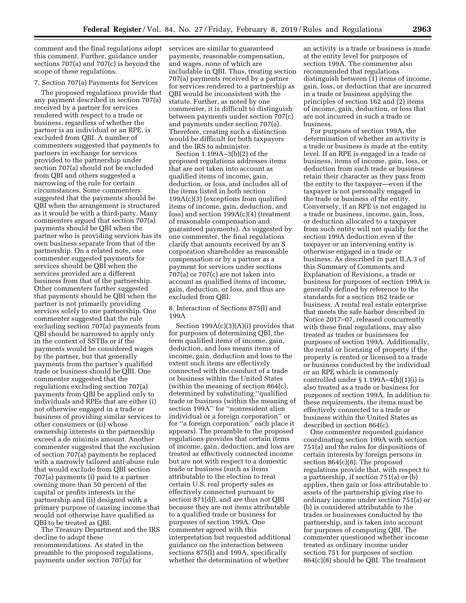comment and the final regulations adopt this comment. Further, guidance under sections 707(a) and 707(c) is beyond the scope of these regulations.

# 7. Section 707(a) Payments for Services

The proposed regulations provide that any payment described in section 707(a) received by a partner for services rendered with respect to a trade or business, regardless of whether the partner is an individual or an RPE, is excluded from QBI. A number of commenters suggested that payments to partners in exchange for services provided to the partnership under section 707(a) should not be excluded from QBI and others suggested a narrowing of the rule for certain circumstances. Some commenters suggested that the payments should be QBI when the arrangement is structured as it would be with a third-party. Many commenters argued that section 707(a) payments should be QBI when the partner who is providing services has its own business separate from that of the partnership. On a related note, one commenter suggested payments for services should be QBI when the services provided are a different business from that of the partnership. Other commenters further suggested that payments should be QBI when the partner is not primarily providing services solely to one partnership. One commenter suggested that the rule excluding section 707(a) payments from QBI should be narrowed to apply only in the context of SSTBs or if the payments would be considered wages by the partner, but that generally payments from the partner's qualified trade or business should be QBI. One commenter suggested that the regulations excluding section 707(a) payments from QBI be applied only to individuals and RPEs that are either (i) not otherwise engaged in a trade or business of providing similar services to other consumers or (ii) whose ownership interests in the partnership exceed a de minimis amount. Another commenter suggested that the exclusion of section 707(a) payments be replaced with a narrowly tailored anti-abuse rule that would exclude from QBI section 707(a) payments (i) paid to a partner owning more than 50 percent of the capital or profits interests in the partnership and (ii) designed with a primary purpose of causing income that would not otherwise have qualified as QBI to be treated as QBI.

The Treasury Department and the IRS decline to adopt these recommendations. As stated in the preamble to the proposed regulations, payments under section 707(a) for

services are similar to guaranteed payments, reasonable compensation, and wages, none of which are includable in QBI. Thus, treating section 707(a) payments received by a partner for services rendered to a partnership as QBI would be inconsistent with the statute. Further, as noted by one commenter, it is difficult to distinguish between payments under section 707(c) and payments under section 707(a). Therefore, creating such a distinction would be difficult for both taxpayers and the IRS to administer.

Section 1.199A–3(b)(2) of the proposed regulations addresses items that are not taken into account as qualified items of income, gain, deduction, or loss, and includes all of the items listed in both section 199A(c)(3) (exceptions from qualified items of income, gain, deduction, and loss) and section 199A(c)(4) (treatment of reasonable compensation and guaranteed payments). As suggested by one commenter, the final regulations clarify that amounts received by an S corporation shareholder as reasonable compensation or by a partner as a payment for services under sections 707(a) or 707(c) are not taken into account as qualified items of income, gain, deduction, or loss, and thus are excluded from QBI.

8. Interaction of Sections 875(l) and 199A

Section 199A(c)(3)(A)(i) provides that for purposes of determining QBI, the term qualified items of income, gain, deduction, and loss means items of income, gain, deduction and loss to the extent such items are effectively connected with the conduct of a trade or business within the United States (within the meaning of section 864(c), determined by substituting ''qualified trade or business (within the meaning of section 199A'' for ''nonresident alien individual or a foreign corporation'' or for ''a foreign corporation'' each place it appears). The preamble to the proposed regulations provides that certain items of income, gain, deduction, and loss are treated as effectively connected income but are not with respect to a domestic trade or business (such as items attributable to the election to treat certain U.S. real property sales as effectively connected pursuant to section 871(d)), and are thus not QBI because they are not items attributable to a qualified trade or business for purposes of section 199A. One commenter agreed with this interpretation but requested additional guidance on the interaction between sections 875(l) and 199A, specifically whether the determination of whether

an activity is a trade or business is made at the entity level for purposes of section 199A. The commenter also recommended that regulations distinguish between (1) items of income, gain, loss, or deduction that are incurred in a trade or business applying the principles of section 162 and (2) items of income, gain, deduction, or loss that are not incurred in such a trade or business.

For purposes of section 199A, the determination of whether an activity is a trade or business is made at the entity level. If an RPE is engaged in a trade or business, items of income, gain, loss, or deduction from such trade or business retain their character as they pass from the entity to the taxpayer—even if the taxpayer is not personally engaged in the trade or business of the entity. Conversely, if an RPE is not engaged in a trade or business, income, gain, loss, or deduction allocated to a taxpayer from such entity will not qualify for the section 199A deduction even if the taxpayer or an intervening entity is otherwise engaged in a trade or business. As described in part II.A.3 of this Summary of Comments and Explanation of Revisions, a trade or business for purposes of section 199A is generally defined by reference to the standards for a section 162 trade or business. A rental real estate enterprise that meets the safe harbor described in Notice 2017–07, released concurrently with these final regulations, may also treated as trades or businesses for purposes of section 199A. Additionally, the rental or licensing of property if the property is rented or licensed to a trade or business conducted by the individual or an RPE which is commonly controlled under  $\S 1.199A-4(b)(1)(i)$  is also treated as a trade or business for purposes of section 199A. In addition to these requirements, the items must be effectively connected to a trade or business within the United States as described in section 864(c).

One commenter requested guidance coordinating section 199A with section 751(a) and the rules for dispositions of certain interests by foreign persons in section 864(c)(8). The proposed regulations provide that, with respect to a partnership, if section 751(a) or (b) applies, then gain or loss attributable to assets of the partnership giving rise to ordinary income under section 751(a) or (b) is considered attributable to the trades or businesses conducted by the partnership, and is taken into account for purposes of computing QBI. The commenter questioned whether income treated as ordinary income under section 751 for purposes of section 864(c)(8) should be QBI. The treatment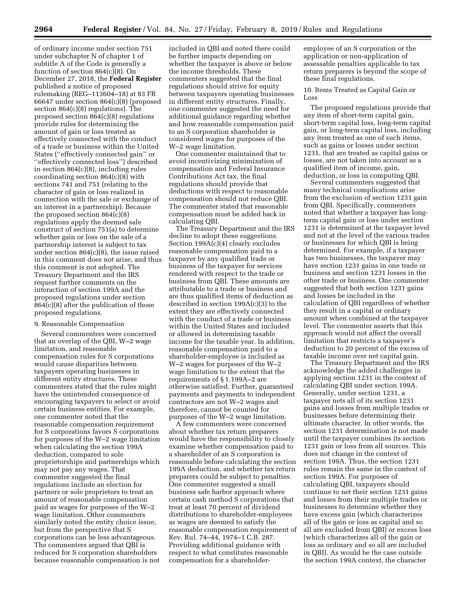of ordinary income under section 751 under subchapter N of chapter 1 of subtitle A of the Code is generally a function of section 864(c)(8). On December 27, 2018, the **Federal Register**  published a notice of proposed rulemaking (REG–113604–18) at 83 FR 66647 under section 864(c)(8) (proposed section 864(c)(8) regulations). The proposed section 864(c)(8) regulations provide rules for determining the amount of gain or loss treated as effectively connected with the conduct of a trade or business within the United States (''effectively connected gain'' or ''effectively connected loss'') described in section 864(c)(8), including rules coordinating section 864(c)(8) with sections 741 and 751 (relating to the character of gain or loss realized in connection with the sale or exchange of an interest in a partnership). Because the proposed section 864(c)(8) regulations apply the deemed sale construct of section 751(a) to determine whether gain or loss on the sale of a partnership interest is subject to tax under section 864(c)(8), the issue raised in this comment does not arise, and thus this comment is not adopted. The Treasury Department and the IRS request further comments on the interaction of section 199A and the proposed regulations under section 864(c)(8) after the publication of those proposed regulations.

## 9. Reasonable Compensation

Several commenters were concerned that an overlap of the QBI, W–2 wage limitation, and reasonable compensation rules for S corporations would cause disparities between taxpayers operating businesses in different entity structures. These commenters stated that the rules might have the unintended consequence of encouraging taxpayers to select or avoid certain business entities. For example, one commenter noted that the reasonable compensation requirement for S corporations favors S corporations for purposes of the W–2 wage limitation when calculating the section 199A deduction, compared to sole proprietorships and partnerships which may not pay any wages. That commenter suggested the final regulations include an election for partners or sole proprietors to treat an amount of reasonable compensation paid as wages for purposes of the W–2 wage limitation. Other commenters similarly noted the entity choice issue, but from the perspective that S corporations can be less advantageous. The commenters argued that QBI is reduced for S corporation shareholders because reasonable compensation is not

included in QBI and noted there could be further impacts depending on whether the taxpayer is above or below the income thresholds. These commenters suggested that the final regulations should strive for equity between taxpayers operating businesses in different entity structures. Finally, one commenter suggested the need for additional guidance regarding whether and how reasonable compensation paid to an S corporation shareholder is considered wages for purposes of the W–2 wage limitation.

One commenter maintained that to avoid incentivizing minimization of compensation and Federal Insurance Contributions Act tax, the final regulations should provide that deductions with respect to reasonable compensation should not reduce QBI. The commenter stated that reasonable compensation must be added back in calculating QBI.

The Treasury Department and the IRS decline to adopt these suggestions. Section 199A(c)(4) clearly excludes reasonable compensation paid to a taxpayer by any qualified trade or business of the taxpayer for services rendered with respect to the trade or business from QBI. These amounts are attributable to a trade or business and are thus qualified items of deduction as described in section 199A(c)(3) to the extent they are effectively connected with the conduct of a trade or business within the United States and included or allowed in determining taxable income for the taxable year. In addition, reasonable compensation paid to a shareholder-employee is included as W–2 wages for purposes of the W–2 wage limitation to the extent that the requirements of § 1.199A–2 are otherwise satisfied. Further, guaranteed payments and payments to independent contractors are not W–2 wages and therefore, cannot be counted for purposes of the W–2 wage limitation.

A few commenters were concerned about whether tax return preparers would have the responsibility to closely examine whether compensation paid to a shareholder of an S corporation is reasonable before calculating the section 199A deduction, and whether tax return preparers could be subject to penalties. One commenter suggested a small business safe harbor approach where certain cash method S corporations that treat at least 70 percent of dividend distributions to shareholder-employees as wages are deemed to satisfy the reasonable compensation requirement of Rev. Rul. 74–44, 1974–1 C.B. 287. Providing additional guidance with respect to what constitutes reasonable compensation for a shareholder-

employee of an S corporation or the application or non-application of assessable penalties applicable to tax return preparers is beyond the scope of these final regulations.

10. Items Treated as Capital Gain or Loss

The proposed regulations provide that any item of short-term capital gain, short-term capital loss, long-term capital gain, or long-term capital loss, including any item treated as one of such items, such as gains or losses under section 1231, that are treated as capital gains or losses, are not taken into account as a qualified item of income, gain, deduction, or loss in computing QBI.

Several commenters suggested that many technical complications arise from the exclusion of section 1231 gain from QBI. Specifically, commenters noted that whether a taxpayer has longterm capital gain or loss under section 1231 is determined at the taxpayer level and not at the level of the various trades or businesses for which QBI is being determined. For example, if a taxpayer has two businesses, the taxpayer may have section 1231 gains in one trade or business and section 1231 losses in the other trade or business. One commenter suggested that both section 1231 gains and losses be included in the calculation of QBI regardless of whether they result in a capital or ordinary amount when combined at the taxpayer level. The commenter asserts that this approach would not affect the overall limitation that restricts a taxpayer's deduction to 20 percent of the excess of taxable income over net capital gain.

The Treasury Department and the IRS acknowledge the added challenges in applying section 1231 in the context of calculating QBI under section 199A. Generally, under section 1231, a taxpayer nets all of its section 1231 gains and losses from multiple trades or businesses before determining their ultimate character. In other words, the section 1231 determination is not made until the taxpayer combines its section 1231 gain or loss from all sources. This does not change in the context of section 199A. Thus, the section 1231 rules remain the same in the context of section 199A. For purposes of calculating QBI, taxpayers should continue to net their section 1231 gains and losses from their multiple trades or businesses to determine whether they have excess gain (which characterizes all of the gain or loss as capital and so all are excluded from QBI) or excess loss (which characterizes all of the gain or loss as ordinary and so all are included in QBI). As would be the case outside the section 199A context, the character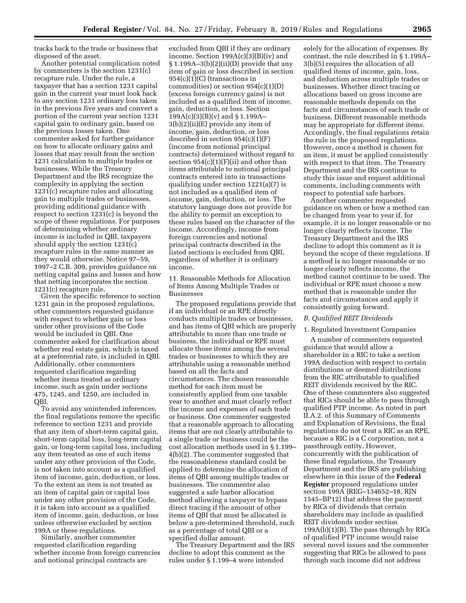tracks back to the trade or business that disposed of the asset.

Another potential complication noted by commenters is the section 1231(c) recapture rule. Under the rule, a taxpayer that has a section 1231 capital gain in the current year must look back to any section 1231 ordinary loss taken in the previous five years and convert a portion of the current year section 1231 capital gain to ordinary gain, based on the previous losses taken. One commenter asked for further guidance on how to allocate ordinary gains and losses that may result from the section 1231 calculation to multiple trades or businesses. While the Treasury Department and the IRS recognize the complexity in applying the section 1231(c) recapture rules and allocating gain to multiple trades or businesses, providing additional guidance with respect to section 1231(c) is beyond the scope of these regulations. For purposes of determining whether ordinary income is included in QBI, taxpayers should apply the section 1231(c) recapture rules in the same manner as they would otherwise. Notice 97–59, 1997–2 C.B. 309, provides guidance on netting capital gains and losses and how that netting incorporates the section 1231(c) recapture rule.

Given the specific reference to section 1231 gain in the proposed regulations, other commenters requested guidance with respect to whether gain or loss under other provisions of the Code would be included in QBI. One commenter asked for clarification about whether real estate gain, which is taxed at a preferential rate, is included in QBI. Additionally, other commenters requested clarification regarding whether items treated as ordinary income, such as gain under sections 475, 1245, and 1250, are included in QBI.

To avoid any unintended inferences, the final regulations remove the specific reference to section 1231 and provide that any item of short-term capital gain, short-term capital loss, long-term capital gain, or long-term capital loss, including any item treated as one of such items under any other provision of the Code, is not taken into account as a qualified item of income, gain, deduction, or loss. To the extent an item is not treated as an item of capital gain or capital loss under any other provision of the Code, it is taken into account as a qualified item of income, gain, deduction, or loss unless otherwise excluded by section 199A or these regulations.

Similarly, another commenter requested clarification regarding whether income from foreign currencies and notional principal contracts are

excluded from QBI if they are ordinary income. Section 199A(c)(3)(B)(iv) and § 1.199A–3(b)(2)(ii)(D) provide that any item of gain or loss described in section 954(c)(1)(C) (transactions in commodities) or section 954(c)(1)(D) (excess foreign currency gains) is not included as a qualified item of income, gain, deduction, or loss. Section 199A(c)(3)(B)(v) and § 1.199A– 3(b)(2)(ii)(E) provide any item of income, gain, deduction, or loss described in section 954(c)(1)(F) (income from notional principal contracts) determined without regard to section  $954(c)(1)(F)(ii)$  and other than items attributable to notional principal contracts entered into in transactions qualifying under section 1221(a)(7) is not included as a qualified item of income, gain, deduction, or loss. The statutory language does not provide for the ability to permit an exception to these rules based on the character of the income. Accordingly, income from foreign currencies and notional principal contracts described in the listed sections is excluded from QBI, regardless of whether it is ordinary income.

11. Reasonable Methods for Allocation of Items Among Multiple Trades or Businesses

The proposed regulations provide that if an individual or an RPE directly conducts multiple trades or businesses, and has items of QBI which are properly attributable to more than one trade or business, the individual or RPE must allocate those items among the several trades or businesses to which they are attributable using a reasonable method based on all the facts and circumstances. The chosen reasonable method for each item must be consistently applied from one taxable year to another and must clearly reflect the income and expenses of each trade or business. One commenter suggested that a reasonable approach to allocating items that are not clearly attributable to a single trade or business could be the cost allocation methods used in § 1.199– 4(b)(2). The commenter suggested that the reasonableness standard could be applied to determine the allocation of items of QBI among multiple trades or businesses. The commenter also suggested a safe harbor allocation method allowing a taxpayer to bypass direct tracing if the amount of other items of QBI that must be allocated is below a pre-determined threshold, such as a percentage of total QBI or a specified dollar amount.

The Treasury Department and the IRS decline to adopt this comment as the rules under § 1.199–4 were intended

solely for the allocation of expenses. By contrast, the rule described in § 1.199A– 3(b)(5) requires the allocation of all qualified items of income, gain, loss, and deduction across multiple trades or businesses. Whether direct tracing or allocations based on gross income are reasonable methods depends on the facts and circumstances of each trade or business. Different reasonable methods may be appropriate for different items. Accordingly, the final regulations retain the rule in the proposed regulations. However, once a method is chosen for an item, it must be applied consistently with respect to that item. The Treasury Department and the IRS continue to study this issue and request additional comments, including comments with respect to potential safe harbors.

Another commenter requested guidance on when or how a method can be changed from year to year if, for example, it is no longer reasonable or no longer clearly reflects income. The Treasury Department and the IRS decline to adopt this comment as it is beyond the scope of these regulations. If a method is no longer reasonable or no longer clearly reflects income, the method cannot continue to be used. The individual or RPE must choose a new method that is reasonable under the facts and circumstances and apply it consistently going forward.

### *B. Qualified REIT Dividends*

### 1. Regulated Investment Companies

A number of commenters requested guidance that would allow a shareholder in a RIC to take a section 199A deduction with respect to certain distributions or deemed distributions from the RIC attributable to qualified REIT dividends received by the RIC. One of these commenters also suggested that RICs should be able to pass through qualified PTP income. As noted in part II.A.2. of this Summary of Comments and Explanation of Revisions, the final regulations do not treat a RIC as an RPE, because a RIC is a C corporation, not a passthrough entity. However, concurrently with the publication of these final regulations, the Treasury Department and the IRS are publishing elsewhere in this issue of the **Federal Register** proposed regulations under section 199A (REG–134652–18, RIN 1545–BP12) that address the payment by RICs of dividends that certain shareholders may include as qualified REIT dividends under section 199A(b)(1)(B). The pass through by RICs of qualified PTP income would raise several novel issues and the commenter suggesting that RICs be allowed to pass through such income did not address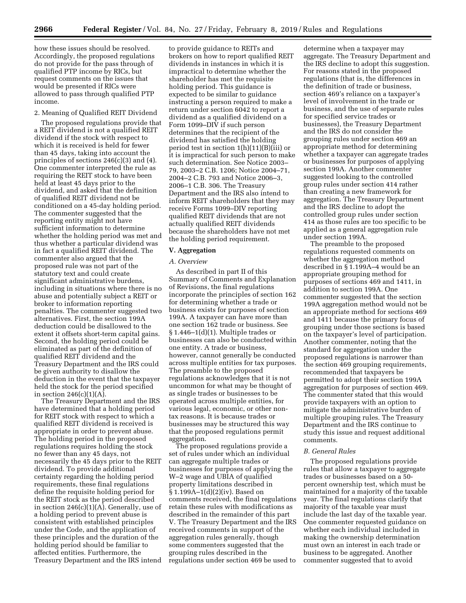how these issues should be resolved. Accordingly, the proposed regulations do not provide for the pass through of qualified PTP income by RICs, but request comments on the issues that would be presented if RICs were allowed to pass through qualified PTP income.

# 2. Meaning of Qualified REIT Dividend

The proposed regulations provide that a REIT dividend is not a qualified REIT dividend if the stock with respect to which it is received is held for fewer than 45 days, taking into account the principles of sections 246(c)(3) and (4). One commenter interpreted the rule as requiring the REIT stock to have been held at least 45 days prior to the dividend, and asked that the definition of qualified REIT dividend not be conditioned on a 45-day holding period. The commenter suggested that the reporting entity might not have sufficient information to determine whether the holding period was met and thus whether a particular dividend was in fact a qualified REIT dividend. The commenter also argued that the proposed rule was not part of the statutory text and could create significant administrative burdens, including in situations where there is no abuse and potentially subject a REIT or broker to information reporting penalties. The commenter suggested two alternatives. First, the section 199A deduction could be disallowed to the extent it offsets short-term capital gains. Second, the holding period could be eliminated as part of the definition of qualified REIT dividend and the Treasury Department and the IRS could be given authority to disallow the deduction in the event that the taxpayer held the stock for the period specified in section  $246(c)(1)(A)$ .

The Treasury Department and the IRS have determined that a holding period for REIT stock with respect to which a qualified REIT dividend is received is appropriate in order to prevent abuse. The holding period in the proposed regulations requires holding the stock no fewer than any 45 days, not necessarily the 45 days prior to the REIT dividend. To provide additional certainty regarding the holding period requirements, these final regulations define the requisite holding period for the REIT stock as the period described in section  $246(c)(1)(A)$ . Generally, use of a holding period to prevent abuse is consistent with established principles under the Code, and the application of these principles and the duration of the holding period should be familiar to affected entities. Furthermore, the Treasury Department and the IRS intend

to provide guidance to REITs and brokers on how to report qualified REIT dividends in instances in which it is impractical to determine whether the shareholder has met the requisite holding period. This guidance is expected to be similar to guidance instructing a person required to make a return under section 6042 to report a dividend as a qualified dividend on a Form 1099–DIV if such person determines that the recipient of the dividend has satisfied the holding period test in section 1(h)(11)(B)(iii) or it is impractical for such person to make such determination. See Notice 2003– 79, 2003–2 C.B. 1206; Notice 2004–71, 2004–2 C.B. 793 and Notice 2006–3, 2006–1 C.B. 306. The Treasury Department and the IRS also intend to inform REIT shareholders that they may receive Forms 1099–DIV reporting qualified REIT dividends that are not actually qualified REIT dividends because the shareholders have not met the holding period requirement.

### **V. Aggregation**

#### *A. Overview*

As described in part II of this Summary of Comments and Explanation of Revisions, the final regulations incorporate the principles of section 162 for determining whether a trade or business exists for purposes of section 199A. A taxpayer can have more than one section 162 trade or business. See § 1.446–1(d)(1). Multiple trades or businesses can also be conducted within one entity. A trade or business, however, cannot generally be conducted across multiple entities for tax purposes. The preamble to the proposed regulations acknowledges that it is not uncommon for what may be thought of as single trades or businesses to be operated across multiple entities, for various legal, economic, or other nontax reasons. It is because trades or businesses may be structured this way that the proposed regulations permit aggregation.

The proposed regulations provide a set of rules under which an individual can aggregate multiple trades or businesses for purposes of applying the W–2 wage and UBIA of qualified property limitations described in § 1.199A–1(d)(2)(iv). Based on comments received, the final regulations retain these rules with modifications as described in the remainder of this part V. The Treasury Department and the IRS received comments in support of the aggregation rules generally, though some commenters suggested that the grouping rules described in the regulations under section 469 be used to

determine when a taxpayer may aggregate. The Treasury Department and the IRS decline to adopt this suggestion. For reasons stated in the proposed regulations (that is, the differences in the definition of trade or business, section 469's reliance on a taxpayer's level of involvement in the trade or business, and the use of separate rules for specified service trades or businesses), the Treasury Department and the IRS do not consider the grouping rules under section 469 an appropriate method for determining whether a taxpayer can aggregate trades or businesses for purposes of applying section 199A. Another commenter suggested looking to the controlled group rules under section 414 rather than creating a new framework for aggregation. The Treasury Department and the IRS decline to adopt the controlled group rules under section 414 as those rules are too specific to be applied as a general aggregation rule under section 199A.

The preamble to the proposed regulations requested comments on whether the aggregation method described in § 1.199A–4 would be an appropriate grouping method for purposes of sections 469 and 1411, in addition to section 199A. One commenter suggested that the section 199A aggregation method would not be an appropriate method for sections 469 and 1411 because the primary focus of grouping under those sections is based on the taxpayer's level of participation. Another commenter, noting that the standard for aggregation under the proposed regulations is narrower than the section 469 grouping requirements, recommended that taxpayers be permitted to adopt their section 199A aggregation for purposes of section 469. The commenter stated that this would provide taxpayers with an option to mitigate the administrative burden of multiple grouping rules. The Treasury Department and the IRS continue to study this issue and request additional comments.

### *B. General Rules*

The proposed regulations provide rules that allow a taxpayer to aggregate trades or businesses based on a 50 percent ownership test, which must be maintained for a majority of the taxable year. The final regulations clarify that majority of the taxable year must include the last day of the taxable year. One commenter requested guidance on whether each individual included in making the ownership determination must own an interest in each trade or business to be aggregated. Another commenter suggested that to avoid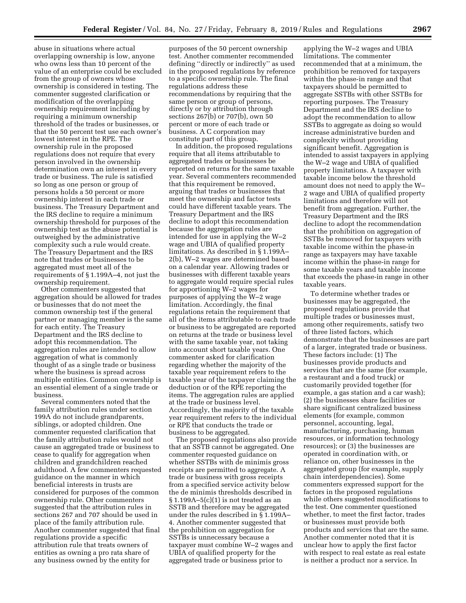abuse in situations where actual overlapping ownership is low, anyone who owns less than 10 percent of the value of an enterprise could be excluded from the group of owners whose ownership is considered in testing. The commenter suggested clarification or modification of the overlapping ownership requirement including by requiring a minimum ownership threshold of the trades or businesses, or that the 50 percent test use each owner's lowest interest in the RPE. The ownership rule in the proposed regulations does not require that every person involved in the ownership determination own an interest in every trade or business. The rule is satisfied so long as one person or group of persons holds a 50 percent or more ownership interest in each trade or business. The Treasury Department and the IRS decline to require a minimum ownership threshold for purposes of the ownership test as the abuse potential is outweighed by the administrative complexity such a rule would create. The Treasury Department and the IRS note that trades or businesses to be aggregated must meet all of the requirements of § 1.199A–4, not just the ownership requirement.

Other commenters suggested that aggregation should be allowed for trades or businesses that do not meet the common ownership test if the general partner or managing member is the same for each entity. The Treasury Department and the IRS decline to adopt this recommendation. The aggregation rules are intended to allow aggregation of what is commonly thought of as a single trade or business where the business is spread across multiple entities. Common ownership is an essential element of a single trade or business.

Several commenters noted that the family attribution rules under section 199A do not include grandparents, siblings, or adopted children. One commenter requested clarification that the family attribution rules would not cause an aggregated trade or business to cease to qualify for aggregation when children and grandchildren reached adulthood. A few commenters requested guidance on the manner in which beneficial interests in trusts are considered for purposes of the common ownership rule. Other commenters suggested that the attribution rules in sections 267 and 707 should be used in place of the family attribution rule. Another commenter suggested that final regulations provide a specific attribution rule that treats owners of entities as owning a pro rata share of any business owned by the entity for

purposes of the 50 percent ownership test. Another commenter recommended defining ''directly or indirectly'' as used in the proposed regulations by reference to a specific ownership rule. The final regulations address these recommendations by requiring that the same person or group of persons, directly or by attribution through sections 267(b) or 707(b), own 50 percent or more of each trade or business. A C corporation may constitute part of this group.

In addition, the proposed regulations require that all items attributable to aggregated trades or businesses be reported on returns for the same taxable year. Several commenters recommended that this requirement be removed, arguing that trades or businesses that meet the ownership and factor tests could have different taxable years. The Treasury Department and the IRS decline to adopt this recommendation because the aggregation rules are intended for use in applying the W–2 wage and UBIA of qualified property limitations. As described in § 1.199A– 2(b), W–2 wages are determined based on a calendar year. Allowing trades or businesses with different taxable years to aggregate would require special rules for apportioning W–2 wages for purposes of applying the W–2 wage limitation. Accordingly, the final regulations retain the requirement that all of the items attributable to each trade or business to be aggregated are reported on returns at the trade or business level with the same taxable year, not taking into account short taxable years. One commenter asked for clarification regarding whether the majority of the taxable year requirement refers to the taxable year of the taxpayer claiming the deduction or of the RPE reporting the items. The aggregation rules are applied at the trade or business level. Accordingly, the majority of the taxable year requirement refers to the individual or RPE that conducts the trade or business to be aggregated.

The proposed regulations also provide that an SSTB cannot be aggregated. One commenter requested guidance on whether SSTBs with de minimis gross receipts are permitted to aggregate. A trade or business with gross receipts from a specified service activity below the de minimis thresholds described in  $§ 1.199A - 5(c)(1)$  is not treated as an SSTB and therefore may be aggregated under the rules described in § 1.199A– 4. Another commenter suggested that the prohibition on aggregation for SSTBs is unnecessary because a taxpayer must combine W–2 wages and UBIA of qualified property for the aggregated trade or business prior to

applying the W–2 wages and UBIA limitations. The commenter recommended that at a minimum, the prohibition be removed for taxpayers within the phase-in range and that taxpayers should be permitted to aggregate SSTBs with other SSTBs for reporting purposes. The Treasury Department and the IRS decline to adopt the recommendation to allow SSTBs to aggregate as doing so would increase administrative burden and complexity without providing significant benefit. Aggregation is intended to assist taxpayers in applying the W–2 wage and UBIA of qualified property limitations. A taxpayer with taxable income below the threshold amount does not need to apply the W– 2 wage and UBIA of qualified property limitations and therefore will not benefit from aggregation. Further, the Treasury Department and the IRS decline to adopt the recommendation that the prohibition on aggregation of SSTBs be removed for taxpayers with taxable income within the phase-in range as taxpayers may have taxable income within the phase-in range for some taxable years and taxable income that exceeds the phase-in range in other taxable years.

To determine whether trades or businesses may be aggregated, the proposed regulations provide that multiple trades or businesses must, among other requirements, satisfy two of three listed factors, which demonstrate that the businesses are part of a larger, integrated trade or business. These factors include: (1) The businesses provide products and services that are the same (for example, a restaurant and a food truck) or customarily provided together (for example, a gas station and a car wash); (2) the businesses share facilities or share significant centralized business elements (for example, common personnel, accounting, legal, manufacturing, purchasing, human resources, or information technology resources); or (3) the businesses are operated in coordination with, or reliance on, other businesses in the aggregated group (for example, supply chain interdependencies). Some commenters expressed support for the factors in the proposed regulations while others suggested modifications to the test. One commenter questioned whether, to meet the first factor, trades or businesses must provide both products and services that are the same. Another commenter noted that it is unclear how to apply the first factor with respect to real estate as real estate is neither a product nor a service. In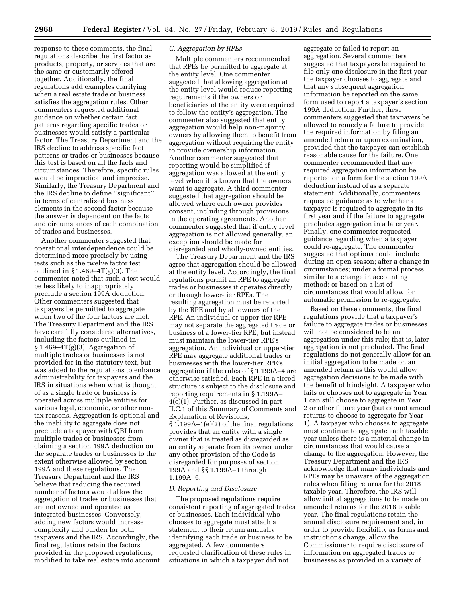response to these comments, the final regulations describe the first factor as products, property, or services that are the same or customarily offered together. Additionally, the final regulations add examples clarifying when a real estate trade or business satisfies the aggregation rules. Other commenters requested additional guidance on whether certain fact patterns regarding specific trades or businesses would satisfy a particular factor. The Treasury Department and the IRS decline to address specific fact patterns or trades or businesses because this test is based on all the facts and circumstances. Therefore, specific rules would be impractical and imprecise. Similarly, the Treasury Department and the IRS decline to define ''significant'' in terms of centralized business elements in the second factor because the answer is dependent on the facts and circumstances of each combination of trades and businesses.

Another commenter suggested that operational interdependence could be determined more precisely by using tests such as the twelve factor test outlined in  $\S 1.469 - 4T(g)(3)$ . The commenter noted that such a test would be less likely to inappropriately preclude a section 199A deduction. Other commenters suggested that taxpayers be permitted to aggregate when two of the four factors are met. The Treasury Department and the IRS have carefully considered alternatives, including the factors outlined in  $§ 1.469 - 4T(g)(3)$ . Aggregation of multiple trades or businesses is not provided for in the statutory text, but was added to the regulations to enhance administrability for taxpayers and the IRS in situations when what is thought of as a single trade or business is operated across multiple entities for various legal, economic, or other nontax reasons. Aggregation is optional and the inability to aggregate does not preclude a taxpayer with QBI from multiple trades or businesses from claiming a section 199A deduction on the separate trades or businesses to the extent otherwise allowed by section 199A and these regulations. The Treasury Department and the IRS believe that reducing the required number of factors would allow the aggregation of trades or businesses that are not owned and operated as integrated businesses. Conversely, adding new factors would increase complexity and burden for both taxpayers and the IRS. Accordingly, the final regulations retain the factors provided in the proposed regulations, modified to take real estate into account.

# *C. Aggregation by RPEs*

Multiple commenters recommended that RPEs be permitted to aggregate at the entity level. One commenter suggested that allowing aggregation at the entity level would reduce reporting requirements if the owners or beneficiaries of the entity were required to follow the entity's aggregation. The commenter also suggested that entity aggregation would help non-majority owners by allowing them to benefit from aggregation without requiring the entity to provide ownership information. Another commenter suggested that reporting would be simplified if aggregation was allowed at the entity level when it is known that the owners want to aggregate. A third commenter suggested that aggregation should be allowed where each owner provides consent, including through provisions in the operating agreements. Another commenter suggested that if entity level aggregation is not allowed generally, an exception should be made for disregarded and wholly-owned entities.

The Treasury Department and the IRS agree that aggregation should be allowed at the entity level. Accordingly, the final regulations permit an RPE to aggregate trades or businesses it operates directly or through lower-tier RPEs. The resulting aggregation must be reported by the RPE and by all owners of the RPE. An individual or upper-tier RPE may not separate the aggregated trade or business of a lower-tier RPE, but instead must maintain the lower-tier RPE's aggregation. An individual or upper-tier RPE may aggregate additional trades or businesses with the lower-tier RPE's aggregation if the rules of § 1.199A–4 are otherwise satisfied. Each RPE in a tiered structure is subject to the disclosure and reporting requirements in § 1.199A– 4(c)(1). Further, as discussed in part II.C.1 of this Summary of Comments and Explanation of Revisions, § 1.199A–1(e)(2) of the final regulations provides that an entity with a single owner that is treated as disregarded as an entity separate from its owner under any other provision of the Code is disregarded for purposes of section 199A and §§ 1.199A–1 through 1.199A–6.

# *D. Reporting and Disclosure*

The proposed regulations require consistent reporting of aggregated trades or businesses. Each individual who chooses to aggregate must attach a statement to their return annually identifying each trade or business to be aggregated. A few commenters requested clarification of these rules in situations in which a taxpayer did not

aggregate or failed to report an aggregation. Several commenters suggested that taxpayers be required to file only one disclosure in the first year the taxpayer chooses to aggregate and that any subsequent aggregation information be reported on the same form used to report a taxpayer's section 199A deduction. Further, these commenters suggested that taxpayers be allowed to remedy a failure to provide the required information by filing an amended return or upon examination, provided that the taxpayer can establish reasonable cause for the failure. One commenter recommended that any required aggregation information be reported on a form for the section 199A deduction instead of as a separate statement. Additionally, commenters requested guidance as to whether a taxpayer is required to aggregate in its first year and if the failure to aggregate precludes aggregation in a later year. Finally, one commenter requested guidance regarding when a taxpayer could re-aggregate. The commenter suggested that options could include during an open season; after a change in circumstances; under a formal process similar to a change in accounting method; or based on a list of circumstances that would allow for automatic permission to re-aggregate.

Based on these comments, the final regulations provide that a taxpayer's failure to aggregate trades or businesses will not be considered to be an aggregation under this rule; that is, later aggregation is not precluded. The final regulations do not generally allow for an initial aggregation to be made on an amended return as this would allow aggregation decisions to be made with the benefit of hindsight. A taxpayer who fails or chooses not to aggregate in Year 1 can still choose to aggregate in Year 2 or other future year (but cannot amend returns to choose to aggregate for Year 1). A taxpayer who chooses to aggregate must continue to aggregate each taxable year unless there is a material change in circumstances that would cause a change to the aggregation. However, the Treasury Department and the IRS acknowledge that many individuals and RPEs may be unaware of the aggregation rules when filing returns for the 2018 taxable year. Therefore, the IRS will allow initial aggregations to be made on amended returns for the 2018 taxable year. The final regulations retain the annual disclosure requirement and, in order to provide flexibility as forms and instructions change, allow the Commissioner to require disclosure of information on aggregated trades or businesses as provided in a variety of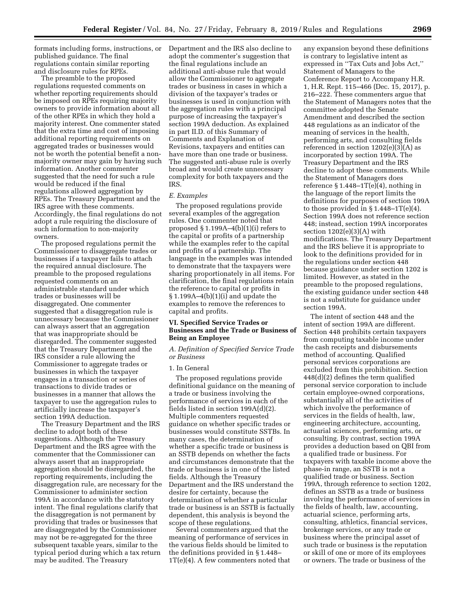formats including forms, instructions, or published guidance. The final regulations contain similar reporting and disclosure rules for RPEs.

The preamble to the proposed regulations requested comments on whether reporting requirements should be imposed on RPEs requiring majority owners to provide information about all of the other RPEs in which they hold a majority interest. One commenter stated that the extra time and cost of imposing additional reporting requirements on aggregated trades or businesses would not be worth the potential benefit a nonmajority owner may gain by having such information. Another commenter suggested that the need for such a rule would be reduced if the final regulations allowed aggregation by RPEs. The Treasury Department and the IRS agree with these comments. Accordingly, the final regulations do not adopt a rule requiring the disclosure of such information to non-majority owners.

The proposed regulations permit the Commissioner to disaggregate trades or businesses if a taxpayer fails to attach the required annual disclosure. The preamble to the proposed regulations requested comments on an administrable standard under which trades or businesses will be disaggregated. One commenter suggested that a disaggregation rule is unnecessary because the Commissioner can always assert that an aggregation that was inappropriate should be disregarded. The commenter suggested that the Treasury Department and the IRS consider a rule allowing the Commissioner to aggregate trades or businesses in which the taxpayer engages in a transaction or series of transactions to divide trades or businesses in a manner that allows the taxpayer to use the aggregation rules to artificially increase the taxpayer's section 199A deduction.

The Treasury Department and the IRS decline to adopt both of these suggestions. Although the Treasury Department and the IRS agree with the commenter that the Commissioner can always assert that an inappropriate aggregation should be disregarded, the reporting requirements, including the disaggregation rule, are necessary for the Commissioner to administer section 199A in accordance with the statutory intent. The final regulations clarify that the disaggregation is not permanent by providing that trades or businesses that are disaggregated by the Commissioner may not be re-aggregated for the three subsequent taxable years, similar to the typical period during which a tax return may be audited. The Treasury

Department and the IRS also decline to adopt the commenter's suggestion that the final regulations include an additional anti-abuse rule that would allow the Commissioner to aggregate trades or business in cases in which a division of the taxpayer's trades or businesses is used in conjunction with the aggregation rules with a principal purpose of increasing the taxpayer's section 199A deduction. As explained in part II.D. of this Summary of Comments and Explanation of Revisions, taxpayers and entities can have more than one trade or business. The suggested anti-abuse rule is overly broad and would create unnecessary complexity for both taxpayers and the IRS.

### *E. Examples*

The proposed regulations provide several examples of the aggregation rules. One commenter noted that proposed § 1.199A–4(b)(1)(i) refers to the capital or profits of a partnership while the examples refer to the capital and profits of a partnership. The language in the examples was intended to demonstrate that the taxpayers were sharing proportionately in all items. For clarification, the final regulations retain the reference to capital or profits in § 1.199A–4(b)(1)(i) and update the examples to remove the references to capital and profits.

# **VI. Specified Service Trades or Businesses and the Trade or Business of Being an Employee**

*A. Definition of Specified Service Trade or Business* 

### 1. In General

The proposed regulations provide definitional guidance on the meaning of a trade or business involving the performance of services in each of the fields listed in section 199A(d)(2). Multiple commenters requested guidance on whether specific trades or businesses would constitute SSTBs. In many cases, the determination of whether a specific trade or business is an SSTB depends on whether the facts and circumstances demonstrate that the trade or business is in one of the listed fields. Although the Treasury Department and the IRS understand the desire for certainty, because the determination of whether a particular trade or business is an SSTB is factually dependent, this analysis is beyond the scope of these regulations.

Several commenters argued that the meaning of performance of services in the various fields should be limited to the definitions provided in § 1.448– 1T(e)(4). A few commenters noted that any expansion beyond these definitions is contrary to legislative intent as expressed in ''Tax Cuts and Jobs Act,'' Statement of Managers to the Conference Report to Accompany H.R. 1, H.R. Rept. 115–466 (Dec. 15, 2017), p. 216–222. These commenters argue that the Statement of Managers notes that the committee adopted the Senate Amendment and described the section 448 regulations as an indicator of the meaning of services in the health, performing arts, and consulting fields referenced in section 1202(e)(3)(A) as incorporated by section 199A. The Treasury Department and the IRS decline to adopt these comments. While the Statement of Managers does reference  $\S 1.448 - 1T(e)(4)$ , nothing in the language of the report limits the definitions for purposes of section 199A to those provided in  $\S 1.448 - 1T(e)(4)$ . Section 199A does not reference section 448; instead, section 199A incorporates section  $1202(e)(3)(A)$  with modifications. The Treasury Department and the IRS believe it is appropriate to look to the definitions provided for in the regulations under section 448 because guidance under section 1202 is limited. However, as stated in the preamble to the proposed regulations, the existing guidance under section 448 is not a substitute for guidance under section 199A.

The intent of section 448 and the intent of section 199A are different. Section 448 prohibits certain taxpayers from computing taxable income under the cash receipts and disbursements method of accounting. Qualified personal services corporations are excluded from this prohibition. Section 448(d)(2) defines the term qualified personal service corporation to include certain employee-owned corporations, substantially all of the activities of which involve the performance of services in the fields of health, law, engineering architecture, accounting, actuarial sciences, performing arts, or consulting. By contrast, section 199A provides a deduction based on QBI from a qualified trade or business. For taxpayers with taxable income above the phase-in range, an SSTB is not a qualified trade or business. Section 199A, through reference to section 1202, defines an SSTB as a trade or business involving the performance of services in the fields of health, law, accounting, actuarial science, performing arts, consulting, athletics, financial services, brokerage services, or any trade or business where the principal asset of such trade or business is the reputation or skill of one or more of its employees or owners. The trade or business of the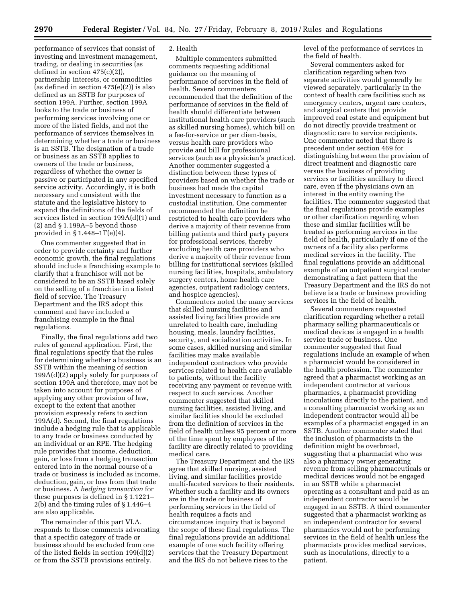performance of services that consist of investing and investment management, trading, or dealing in securities (as defined in section 475(c)(2)), partnership interests, or commodities (as defined in section 475(e)(2)) is also defined as an SSTB for purposes of section 199A. Further, section 199A looks to the trade or business of performing services involving one or more of the listed fields, and not the performance of services themselves in determining whether a trade or business is an SSTB. The designation of a trade or business as an SSTB applies to owners of the trade or business, regardless of whether the owner is passive or participated in any specified service activity. Accordingly, it is both necessary and consistent with the statute and the legislative history to expand the definitions of the fields of services listed in section 199A(d)(1) and (2) and § 1.199A–5 beyond those provided in  $\S 1.448 - 1T(e)(4)$ .

One commenter suggested that in order to provide certainty and further economic growth, the final regulations should include a franchising example to clarify that a franchisor will not be considered to be an SSTB based solely on the selling of a franchise in a listed field of service. The Treasury Department and the IRS adopt this comment and have included a franchising example in the final regulations.

Finally, the final regulations add two rules of general application. First, the final regulations specify that the rules for determining whether a business is an SSTB within the meaning of section 199A(d)(2) apply solely for purposes of section 199A and therefore, may not be taken into account for purposes of applying any other provision of law, except to the extent that another provision expressly refers to section 199A(d). Second, the final regulations include a hedging rule that is applicable to any trade or business conducted by an individual or an RPE. The hedging rule provides that income, deduction, gain, or loss from a hedging transaction entered into in the normal course of a trade or business is included as income, deduction, gain, or loss from that trade or business. A *hedging transaction* for these purposes is defined in § 1.1221– 2(b) and the timing rules of § 1.446–4 are also applicable.

The remainder of this part VI.A. responds to those comments advocating that a specific category of trade or business should be excluded from one of the listed fields in section 199(d)(2) or from the SSTB provisions entirely.

#### 2. Health

Multiple commenters submitted comments requesting additional guidance on the meaning of performance of services in the field of health. Several commenters recommended that the definition of the performance of services in the field of health should differentiate between institutional health care providers (such as skilled nursing homes), which bill on a fee-for-service or per diem-basis, versus health care providers who provide and bill for professional services (such as a physician's practice). Another commenter suggested a distinction between these types of providers based on whether the trade or business had made the capital investment necessary to function as a custodial institution. One commenter recommended the definition be restricted to health care providers who derive a majority of their revenue from billing patients and third party payers for professional services, thereby excluding health care providers who derive a majority of their revenue from billing for institutional services (skilled nursing facilities, hospitals, ambulatory surgery centers, home health care agencies, outpatient radiology centers, and hospice agencies).

Commenters noted the many services that skilled nursing facilities and assisted living facilities provide are unrelated to health care, including housing, meals, laundry facilities, security, and socialization activities. In some cases, skilled nursing and similar facilities may make available independent contractors who provide services related to health care available to patients, without the facility receiving any payment or revenue with respect to such services. Another commenter suggested that skilled nursing facilities, assisted living, and similar facilities should be excluded from the definition of services in the field of health unless 95 percent or more of the time spent by employees of the facility are directly related to providing medical care.

The Treasury Department and the IRS agree that skilled nursing, assisted living, and similar facilities provide multi-faceted services to their residents. Whether such a facility and its owners are in the trade or business of performing services in the field of health requires a facts and circumstances inquiry that is beyond the scope of these final regulations. The final regulations provide an additional example of one such facility offering services that the Treasury Department and the IRS do not believe rises to the

level of the performance of services in the field of health.

Several commenters asked for clarification regarding when two separate activities would generally be viewed separately, particularly in the context of health care facilities such as emergency centers, urgent care centers, and surgical centers that provide improved real estate and equipment but do not directly provide treatment or diagnostic care to service recipients. One commenter noted that there is precedent under section 469 for distinguishing between the provision of direct treatment and diagnostic care versus the business of providing services or facilities ancillary to direct care, even if the physicians own an interest in the entity owning the facilities. The commenter suggested that the final regulations provide examples or other clarification regarding when these and similar facilities will be treated as performing services in the field of health, particularly if one of the owners of a facility also performs medical services in the facility. The final regulations provide an additional example of an outpatient surgical center demonstrating a fact pattern that the Treasury Department and the IRS do not believe is a trade or business providing services in the field of health.

Several commenters requested clarification regarding whether a retail pharmacy selling pharmaceuticals or medical devices is engaged in a health service trade or business. One commenter suggested that final regulations include an example of when a pharmacist would be considered in the health profession. The commenter agreed that a pharmacist working as an independent contractor at various pharmacies, a pharmacist providing inoculations directly to the patient, and a consulting pharmacist working as an independent contractor would all be examples of a pharmacist engaged in an SSTB. Another commenter stated that the inclusion of pharmacists in the definition might be overbroad, suggesting that a pharmacist who was also a pharmacy owner generating revenue from selling pharmaceuticals or medical devices would not be engaged in an SSTB while a pharmacist operating as a consultant and paid as an independent contractor would be engaged in an SSTB. A third commenter suggested that a pharmacist working as an independent contractor for several pharmacies would not be performing services in the field of health unless the pharmacists provides medical services, such as inoculations, directly to a patient.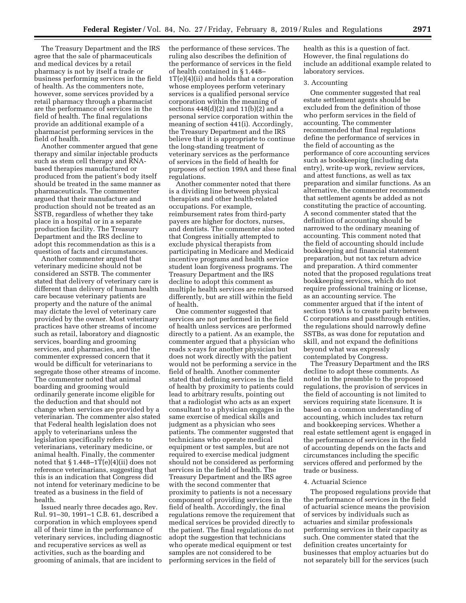The Treasury Department and the IRS agree that the sale of pharmaceuticals and medical devices by a retail pharmacy is not by itself a trade or business performing services in the field of health. As the commenters note, however, some services provided by a retail pharmacy through a pharmacist are the performance of services in the field of health. The final regulations provide an additional example of a pharmacist performing services in the field of health.

Another commenter argued that gene therapy and similar injectable products such as stem cell therapy and RNAbased therapies manufactured or produced from the patient's body itself should be treated in the same manner as pharmaceuticals. The commenter argued that their manufacture and production should not be treated as an SSTB, regardless of whether they take place in a hospital or in a separate production facility. The Treasury Department and the IRS decline to adopt this recommendation as this is a question of facts and circumstances.

Another commenter argued that veterinary medicine should not be considered an SSTB. The commenter stated that delivery of veterinary care is different than delivery of human health care because veterinary patients are property and the nature of the animal may dictate the level of veterinary care provided by the owner. Most veterinary practices have other streams of income such as retail, laboratory and diagnostic services, boarding and grooming services, and pharmacies, and the commenter expressed concern that it would be difficult for veterinarians to segregate those other streams of income. The commenter noted that animal boarding and grooming would ordinarily generate income eligible for the deduction and that should not change when services are provided by a veterinarian. The commenter also stated that Federal health legislation does not apply to veterinarians unless the legislation specifically refers to veterinarians, veterinary medicine, or animal health. Finally, the commenter noted that  $\S 1.448 - 1T(e)(4)(ii)$  does not reference veterinarians, suggesting that this is an indication that Congress did not intend for veterinary medicine to be treated as a business in the field of health.

Issued nearly three decades ago, Rev. Rul. 91–30, 1991–1 C.B. 61, described a corporation in which employees spend all of their time in the performance of veterinary services, including diagnostic and recuperative services as well as activities, such as the boarding and grooming of animals, that are incident to the performance of these services. The ruling also describes the definition of the performance of services in the field of health contained in § 1.448–  $1T(e)(4)(ii)$  and holds that a corporation whose employees perform veterinary services is a qualified personal service corporation within the meaning of sections  $448(d)(2)$  and  $11(b)(2)$  and a personal service corporation within the meaning of section 441(i). Accordingly, the Treasury Department and the IRS believe that it is appropriate to continue the long-standing treatment of veterinary services as the performance of services in the field of health for purposes of section 199A and these final regulations.

Another commenter noted that there is a dividing line between physical therapists and other health-related occupations. For example, reimbursement rates from third-party payers are higher for doctors, nurses, and dentists. The commenter also noted that Congress initially attempted to exclude physical therapists from participating in Medicare and Medicaid incentive programs and health service student loan forgiveness programs. The Treasury Department and the IRS decline to adopt this comment as multiple health services are reimbursed differently, but are still within the field of health.

One commenter suggested that services are not performed in the field of health unless services are performed directly to a patient. As an example, the commenter argued that a physician who reads x-rays for another physician but does not work directly with the patient would not be performing a service in the field of health. Another commenter stated that defining services in the field of health by proximity to patients could lead to arbitrary results, pointing out that a radiologist who acts as an expert consultant to a physician engages in the same exercise of medical skills and judgment as a physician who sees patients. The commenter suggested that technicians who operate medical equipment or test samples, but are not required to exercise medical judgment should not be considered as performing services in the field of health. The Treasury Department and the IRS agree with the second commenter that proximity to patients is not a necessary component of providing services in the field of health. Accordingly, the final regulations remove the requirement that medical services be provided directly to the patient. The final regulations do not adopt the suggestion that technicians who operate medical equipment or test samples are not considered to be performing services in the field of

health as this is a question of fact. However, the final regulations do include an additional example related to laboratory services.

### 3. Accounting

One commenter suggested that real estate settlement agents should be excluded from the definition of those who perform services in the field of accounting. The commenter recommended that final regulations define the performance of services in the field of accounting as the performance of core accounting services such as bookkeeping (including data entry), write-up work, review services, and attest functions, as well as tax preparation and similar functions. As an alternative, the commenter recommends that settlement agents be added as not constituting the practice of accounting. A second commenter stated that the definition of accounting should be narrowed to the ordinary meaning of accounting. This comment noted that the field of accounting should include bookkeeping and financial statement preparation, but not tax return advice and preparation. A third commenter noted that the proposed regulations treat bookkeeping services, which do not require professional training or license, as an accounting service. The commenter argued that if the intent of section 199A is to create parity between C corporations and passthrough entities, the regulations should narrowly define SSTBs, as was done for reputation and skill, and not expand the definitions beyond what was expressly contemplated by Congress.

The Treasury Department and the IRS decline to adopt these comments. As noted in the preamble to the proposed regulations, the provision of services in the field of accounting is not limited to services requiring state licensure. It is based on a common understanding of accounting, which includes tax return and bookkeeping services. Whether a real estate settlement agent is engaged in the performance of services in the field of accounting depends on the facts and circumstances including the specific services offered and performed by the trade or business.

#### 4. Actuarial Science

The proposed regulations provide that the performance of services in the field of actuarial science means the provision of services by individuals such as actuaries and similar professionals performing services in their capacity as such. One commenter stated that the definition creates uncertainty for businesses that employ actuaries but do not separately bill for the services (such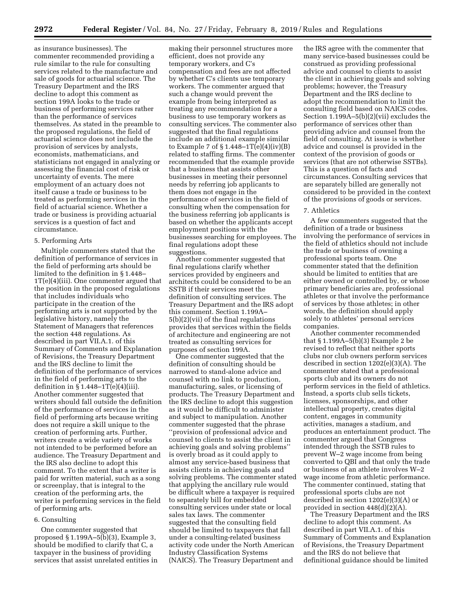as insurance businesses). The commenter recommended providing a rule similar to the rule for consulting services related to the manufacture and sale of goods for actuarial science. The Treasury Department and the IRS decline to adopt this comment as section 199A looks to the trade or business of performing services rather than the performance of services themselves. As stated in the preamble to the proposed regulations, the field of actuarial science does not include the provision of services by analysts, economists, mathematicians, and statisticians not engaged in analyzing or assessing the financial cost of risk or uncertainty of events. The mere employment of an actuary does not itself cause a trade or business to be treated as performing services in the field of actuarial science. Whether a trade or business is providing actuarial services is a question of fact and circumstance.

#### 5. Performing Arts

Multiple commenters stated that the definition of performance of services in the field of performing arts should be limited to the definition in § 1.448– 1T(e)(4)(iii). One commenter argued that the position in the proposed regulations that includes individuals who participate in the creation of the performing arts is not supported by the legislative history, namely the Statement of Managers that references the section 448 regulations. As described in part VII.A.1. of this Summary of Comments and Explanation of Revisions, the Treasury Department and the IRS decline to limit the definition of the performance of services in the field of performing arts to the definition in  $\S 1.448 - 1T(e)(4)(iii)$ . Another commenter suggested that writers should fall outside the definition of the performance of services in the field of performing arts because writing does not require a skill unique to the creation of performing arts. Further, writers create a wide variety of works not intended to be performed before an audience. The Treasury Department and the IRS also decline to adopt this comment. To the extent that a writer is paid for written material, such as a song or screenplay, that is integral to the creation of the performing arts, the writer is performing services in the field of performing arts.

### 6. Consulting

One commenter suggested that proposed § 1.199A–5(b)(3), Example 3, should be modified to clarify that C, a taxpayer in the business of providing services that assist unrelated entities in

making their personnel structures more efficient, does not provide any temporary workers, and C's compensation and fees are not affected by whether C's clients use temporary workers. The commenter argued that such a change would prevent the example from being interpreted as treating any recommendation for a business to use temporary workers as consulting services. The commenter also suggested that the final regulations include an additional example similar to Example 7 of  $\S 1.448 - 1T(e)(4)(iv)(B)$ related to staffing firms. The commenter recommended that the example provide that a business that assists other businesses in meeting their personnel needs by referring job applicants to them does not engage in the performance of services in the field of consulting when the compensation for the business referring job applicants is based on whether the applicants accept employment positions with the businesses searching for employees. The final regulations adopt these suggestions.

Another commenter suggested that final regulations clarify whether services provided by engineers and architects could be considered to be an SSTB if their services meet the definition of consulting services. The Treasury Department and the IRS adopt this comment. Section 1.199A– 5(b)(2)(vii) of the final regulations provides that services within the fields of architecture and engineering are not treated as consulting services for purposes of section 199A.

One commenter suggested that the definition of consulting should be narrowed to stand-alone advice and counsel with no link to production, manufacturing, sales, or licensing of products. The Treasury Department and the IRS decline to adopt this suggestion as it would be difficult to administer and subject to manipulation. Another commenter suggested that the phrase ''provision of professional advice and counsel to clients to assist the client in achieving goals and solving problems'' is overly broad as it could apply to almost any service-based business that assists clients in achieving goals and solving problems. The commenter stated that applying the ancillary rule would be difficult where a taxpayer is required to separately bill for embedded consulting services under state or local sales tax laws. The commenter suggested that the consulting field should be limited to taxpayers that fall under a consulting-related business activity code under the North American Industry Classification Systems (NAICS). The Treasury Department and

the IRS agree with the commenter that many service-based businesses could be construed as providing professional advice and counsel to clients to assist the client in achieving goals and solving problems; however, the Treasury Department and the IRS decline to adopt the recommendation to limit the consulting field based on NAICS codes. Section 1.199A–5(b)(2)(vii) excludes the performance of services other than providing advice and counsel from the field of consulting. At issue is whether advice and counsel is provided in the context of the provision of goods or services (that are not otherwise SSTBs). This is a question of facts and circumstances. Consulting services that are separately billed are generally not considered to be provided in the context of the provisions of goods or services.

#### 7. Athletics

A few commenters suggested that the definition of a trade or business involving the performance of services in the field of athletics should not include the trade or business of owning a professional sports team. One commenter stated that the definition should be limited to entities that are either owned or controlled by, or whose primary beneficiaries are, professional athletes or that involve the performance of services by those athletes; in other words, the definition should apply solely to athletes' personal services companies.

Another commenter recommended that § 1.199A–5(b)(3) Example 2 be revised to reflect that neither sports clubs nor club owners perform services described in section 1202(e)(3)(A). The commenter stated that a professional sports club and its owners do not perform services in the field of athletics. Instead, a sports club sells tickets, licenses, sponsorships, and other intellectual property, creates digital content, engages in community activities, manages a stadium, and produces an entertainment product. The commenter argued that Congress intended through the SSTB rules to prevent W–2 wage income from being converted to QBI and that only the trade or business of an athlete involves W–2 wage income from athletic performance. The commenter continued, stating that professional sports clubs are not described in section 1202(e)(3)(A) or provided in section 448(d)(2)(A).

The Treasury Department and the IRS decline to adopt this comment. As described in part VII.A.1. of this Summary of Comments and Explanation of Revisions, the Treasury Department and the IRS do not believe that definitional guidance should be limited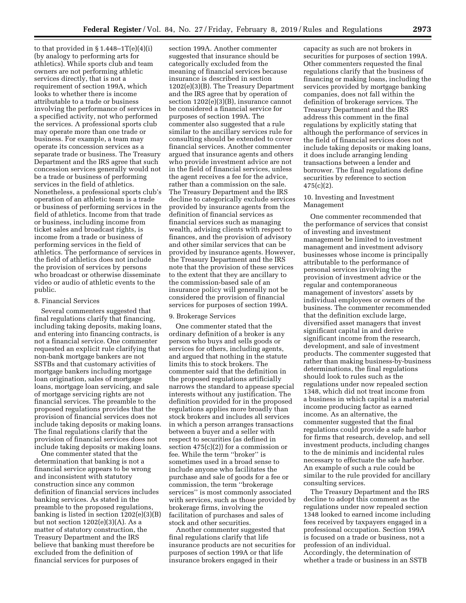to that provided in  $\S 1.448 - 1T(e)(4)(i)$ (by analogy to performing arts for athletics). While sports club and team owners are not performing athletic services directly, that is not a requirement of section 199A, which looks to whether there is income attributable to a trade or business involving the performance of services in a specified activity, not who performed the services. A professional sports club may operate more than one trade or business. For example, a team may operate its concession services as a separate trade or business. The Treasury Department and the IRS agree that such concession services generally would not be a trade or business of performing services in the field of athletics. Nonetheless, a professional sports club's operation of an athletic team is a trade or business of performing services in the field of athletics. Income from that trade or business, including income from ticket sales and broadcast rights, is income from a trade or business of performing services in the field of athletics. The performance of services in the field of athletics does not include the provision of services by persons who broadcast or otherwise disseminate video or audio of athletic events to the public.

#### 8. Financial Services

Several commenters suggested that final regulations clarify that financing, including taking deposits, making loans, and entering into financing contracts, is not a financial service. One commenter requested an explicit rule clarifying that non-bank mortgage bankers are not SSTBs and that customary activities of mortgage bankers including mortgage loan origination, sales of mortgage loans, mortgage loan servicing, and sale of mortgage servicing rights are not financial services. The preamble to the proposed regulations provides that the provision of financial services does not include taking deposits or making loans. The final regulations clarify that the provision of financial services does not include taking deposits or making loans.

One commenter stated that the determination that banking is not a financial service appears to be wrong and inconsistent with statutory construction since any common definition of financial services includes banking services. As stated in the preamble to the proposed regulations, banking is listed in section 1202(e)(3)(B) but not section  $1202(e)(3)(A)$ . As a matter of statutory construction, the Treasury Department and the IRS believe that banking must therefore be excluded from the definition of financial services for purposes of

section 199A. Another commenter suggested that insurance should be categorically excluded from the meaning of financial services because insurance is described in section 1202(e)(3)(B). The Treasury Department and the IRS agree that by operation of section 1202(e)(3)(B), insurance cannot be considered a financial service for purposes of section 199A. The commenter also suggested that a rule similar to the ancillary services rule for consulting should be extended to cover financial services. Another commenter argued that insurance agents and others who provide investment advice are not in the field of financial services, unless the agent receives a fee for the advice, rather than a commission on the sale. The Treasury Department and the IRS decline to categorically exclude services provided by insurance agents from the definition of financial services as financial services such as managing wealth, advising clients with respect to finances, and the provision of advisory and other similar services that can be provided by insurance agents. However, the Treasury Department and the IRS note that the provision of these services to the extent that they are ancillary to the commission-based sale of an insurance policy will generally not be considered the provision of financial services for purposes of section 199A.

#### 9. Brokerage Services

One commenter stated that the ordinary definition of a broker is any person who buys and sells goods or services for others, including agents, and argued that nothing in the statute limits this to stock brokers. The commenter said that the definition in the proposed regulations artificially narrows the standard to appease special interests without any justification. The definition provided for in the proposed regulations applies more broadly than stock brokers and includes all services in which a person arranges transactions between a buyer and a seller with respect to securities (as defined in section  $475(c)(2)$ ) for a commission or fee. While the term ''broker'' is sometimes used in a broad sense to include anyone who facilitates the purchase and sale of goods for a fee or commission, the term ''brokerage services'' is most commonly associated with services, such as those provided by brokerage firms, involving the facilitation of purchases and sales of stock and other securities.

Another commenter suggested that final regulations clarify that life insurance products are not securities for purposes of section 199A or that life insurance brokers engaged in their

capacity as such are not brokers in securities for purposes of section 199A. Other commenters requested the final regulations clarify that the business of financing or making loans, including the services provided by mortgage banking companies, does not fall within the definition of brokerage services. The Treasury Department and the IRS address this comment in the final regulations by explicitly stating that although the performance of services in the field of financial services does not include taking deposits or making loans, it does include arranging lending transactions between a lender and borrower. The final regulations define securities by reference to section  $475(c)(2)$ .

# 10. Investing and Investment Management

One commenter recommended that the performance of services that consist of investing and investment management be limited to investment management and investment advisory businesses whose income is principally attributable to the performance of personal services involving the provision of investment advice or the regular and contemporaneous management of investors' assets by individual employees or owners of the business. The commenter recommended that the definition exclude large, diversified asset managers that invest significant capital in and derive significant income from the research, development, and sale of investment products. The commenter suggested that rather than making business-by-business determinations, the final regulations should look to rules such as the regulations under now repealed section 1348, which did not treat income from a business in which capital is a material income producing factor as earned income. As an alternative, the commenter suggested that the final regulations could provide a safe harbor for firms that research, develop, and sell investment products, including changes to the de minimis and incidental rules necessary to effectuate the safe harbor. An example of such a rule could be similar to the rule provided for ancillary consulting services.

The Treasury Department and the IRS decline to adopt this comment as the regulations under now repealed section 1348 looked to earned income including fees received by taxpayers engaged in a professional occupation. Section 199A is focused on a trade or business, not a profession of an individual. Accordingly, the determination of whether a trade or business in an SSTB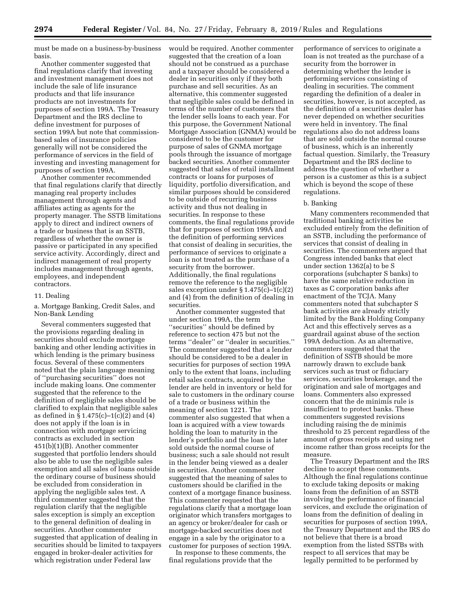must be made on a business-by-business basis.

Another commenter suggested that final regulations clarify that investing and investment management does not include the sale of life insurance products and that life insurance products are not investments for purposes of section 199A. The Treasury Department and the IRS decline to define investment for purposes of section 199A but note that commissionbased sales of insurance policies generally will not be considered the performance of services in the field of investing and investing management for purposes of section 199A.

Another commenter recommended that final regulations clarify that directly managing real property includes management through agents and affiliates acting as agents for the property manager. The SSTB limitations apply to direct and indirect owners of a trade or business that is an SSTB, regardless of whether the owner is passive or participated in any specified service activity. Accordingly, direct and indirect management of real property includes management through agents, employees, and independent contractors.

### 11. Dealing

a. Mortgage Banking, Credit Sales, and Non-Bank Lending

Several commenters suggested that the provisions regarding dealing in securities should exclude mortgage banking and other lending activities in which lending is the primary business focus. Several of these commenters noted that the plain language meaning of ''purchasing securities'' does not include making loans. One commenter suggested that the reference to the definition of negligible sales should be clarified to explain that negligible sales as defined in §  $1.475(c) - 1(c)(2)$  and  $(4)$ does not apply if the loan is in connection with mortgage servicing contracts as excluded in section 451(b)(1)(B). Another commenter suggested that portfolio lenders should also be able to use the negligible sales exemption and all sales of loans outside the ordinary course of business should be excluded from consideration in applying the negligible sales test. A third commenter suggested that the regulation clarify that the negligible sales exception is simply an exception to the general definition of dealing in securities. Another commenter suggested that application of dealing in securities should be limited to taxpayers engaged in broker-dealer activities for which registration under Federal law

would be required. Another commenter suggested that the creation of a loan should not be construed as a purchase and a taxpayer should be considered a dealer in securities only if they both purchase and sell securities. As an alternative, this commenter suggested that negligible sales could be defined in terms of the number of customers that the lender sells loans to each year. For this purpose, the Government National Mortgage Association (GNMA) would be considered to be the customer for purpose of sales of GNMA mortgage pools through the issuance of mortgage backed securities. Another commenter suggested that sales of retail installment contracts or loans for purposes of liquidity, portfolio diversification, and similar purposes should be considered to be outside of recurring business activity and thus not dealing in securities. In response to these comments, the final regulations provide that for purposes of section 199A and the definition of performing services that consist of dealing in securities, the performance of services to originate a loan is not treated as the purchase of a security from the borrower. Additionally, the final regulations remove the reference to the negligible sales exception under § 1.475(c)–1(c)(2) and (4) from the definition of dealing in securities.

Another commenter suggested that under section 199A, the term ''securities'' should be defined by reference to section 475 but not the terms ''dealer'' or ''dealer in securities.'' The commenter suggested that a lender should be considered to be a dealer in securities for purposes of section 199A only to the extent that loans, including retail sales contracts, acquired by the lender are held in inventory or held for sale to customers in the ordinary course of a trade or business within the meaning of section 1221. The commenter also suggested that when a loan is acquired with a view towards holding the loan to maturity in the lender's portfolio and the loan is later sold outside the normal course of business; such a sale should not result in the lender being viewed as a dealer in securities. Another commenter suggested that the meaning of sales to customers should be clarified in the context of a mortgage finance business. This commenter requested that the regulations clarify that a mortgage loan originator which transfers mortgages to an agency or broker/dealer for cash or mortgage-backed securities does not engage in a sale by the originator to a customer for purposes of section 199A.

In response to these comments, the final regulations provide that the

performance of services to originate a loan is not treated as the purchase of a security from the borrower in determining whether the lender is performing services consisting of dealing in securities. The comment regarding the definition of a dealer in securities, however, is not accepted, as the definition of a securities dealer has never depended on whether securities were held in inventory. The final regulations also do not address loans that are sold outside the normal course of business, which is an inherently factual question. Similarly, the Treasury Department and the IRS decline to address the question of whether a person is a customer as this is a subject which is beyond the scope of these regulations.

### b. Banking

Many commenters recommended that traditional banking activities be excluded entirely from the definition of an SSTB, including the performance of services that consist of dealing in securities. The commenters argued that Congress intended banks that elect under section 1362(a) to be S corporations (subchapter S banks) to have the same relative reduction in taxes as C corporation banks after enactment of the TCJA. Many commenters noted that subchapter S bank activities are already strictly limited by the Bank Holding Company Act and this effectively serves as a guardrail against abuse of the section 199A deduction. As an alternative, commenters suggested that the definition of SSTB should be more narrowly drawn to exclude bank services such as trust or fiduciary services, securities brokerage, and the origination and sale of mortgages and loans. Commenters also expressed concern that the de minimis rule is insufficient to protect banks. These commenters suggested revisions including raising the de minimis threshold to 25 percent regardless of the amount of gross receipts and using net income rather than gross receipts for the measure.

The Treasury Department and the IRS decline to accept these comments. Although the final regulations continue to exclude taking deposits or making loans from the definition of an SSTB involving the performance of financial services, and exclude the origination of loans from the definition of dealing in securities for purposes of section 199A, the Treasury Department and the IRS do not believe that there is a broad exemption from the listed SSTBs with respect to all services that may be legally permitted to be performed by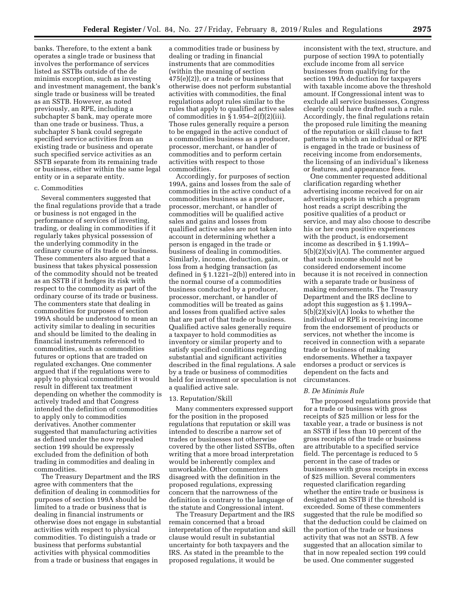banks. Therefore, to the extent a bank operates a single trade or business that involves the performance of services listed as SSTBs outside of the de minimis exception, such as investing and investment management, the bank's single trade or business will be treated as an SSTB. However, as noted previously, an RPE, including a subchapter S bank, may operate more than one trade or business. Thus, a subchapter S bank could segregate specified service activities from an existing trade or business and operate such specified service activities as an SSTB separate from its remaining trade or business, either within the same legal entity or in a separate entity.

### c. Commodities

Several commenters suggested that the final regulations provide that a trade or business is not engaged in the performance of services of investing, trading, or dealing in commodities if it regularly takes physical possession of the underlying commodity in the ordinary course of its trade or business. These commenters also argued that a business that takes physical possession of the commodity should not be treated as an SSTB if it hedges its risk with respect to the commodity as part of the ordinary course of its trade or business. The commenters state that dealing in commodities for purposes of section 199A should be understood to mean an activity similar to dealing in securities and should be limited to the dealing in financial instruments referenced to commodities, such as commodities futures or options that are traded on regulated exchanges. One commenter argued that if the regulations were to apply to physical commodities it would result in different tax treatment depending on whether the commodity is actively traded and that Congress intended the definition of commodities to apply only to commodities derivatives. Another commenter suggested that manufacturing activities as defined under the now repealed section 199 should be expressly excluded from the definition of both trading in commodities and dealing in commodities.

The Treasury Department and the IRS agree with commenters that the definition of dealing in commodities for purposes of section 199A should be limited to a trade or business that is dealing in financial instruments or otherwise does not engage in substantial activities with respect to physical commodities. To distinguish a trade or business that performs substantial activities with physical commodities from a trade or business that engages in

a commodities trade or business by dealing or trading in financial instruments that are commodities (within the meaning of section 475(e)(2)), or a trade or business that otherwise does not perform substantial activities with commodities, the final regulations adopt rules similar to the rules that apply to qualified active sales of commodities in  $\S 1.954-2(f)(2)(iii)$ . Those rules generally require a person to be engaged in the active conduct of a commodities business as a producer, processor, merchant, or handler of commodities and to perform certain activities with respect to those commodities.

Accordingly, for purposes of section 199A, gains and losses from the sale of commodities in the active conduct of a commodities business as a producer, processor, merchant, or handler of commodities will be qualified active sales and gains and losses from qualified active sales are not taken into account in determining whether a person is engaged in the trade or business of dealing in commodities. Similarly, income, deduction, gain, or loss from a hedging transaction (as defined in § 1.1221–2(b)) entered into in the normal course of a commodities business conducted by a producer, processor, merchant, or handler of commodities will be treated as gains and losses from qualified active sales that are part of that trade or business. Qualified active sales generally require a taxpayer to hold commodities as inventory or similar property and to satisfy specified conditions regarding substantial and significant activities described in the final regulations. A sale by a trade or business of commodities held for investment or speculation is not a qualified active sale.

### 13. Reputation/Skill

Many commenters expressed support for the position in the proposed regulations that reputation or skill was intended to describe a narrow set of trades or businesses not otherwise covered by the other listed SSTBs, often writing that a more broad interpretation would be inherently complex and unworkable. Other commenters disagreed with the definition in the proposed regulations, expressing concern that the narrowness of the definition is contrary to the language of the statute and Congressional intent.

The Treasury Department and the IRS remain concerned that a broad interpretation of the reputation and skill clause would result in substantial uncertainty for both taxpayers and the IRS. As stated in the preamble to the proposed regulations, it would be

inconsistent with the text, structure, and purpose of section 199A to potentially exclude income from all service businesses from qualifying for the section 199A deduction for taxpayers with taxable income above the threshold amount. If Congressional intent was to exclude all service businesses, Congress clearly could have drafted such a rule. Accordingly, the final regulations retain the proposed rule limiting the meaning of the reputation or skill clause to fact patterns in which an individual or RPE is engaged in the trade or business of receiving income from endorsements, the licensing of an individual's likeness or features, and appearance fees.

One commenter requested additional clarification regarding whether advertising income received for on air advertising spots in which a program host reads a script describing the positive qualities of a product or service, and may also choose to describe his or her own positive experiences with the product, is endorsement income as described in § 1.199A– 5(b)(2)(xiv)(A). The commenter argued that such income should not be considered endorsement income because it is not received in connection with a separate trade or business of making endorsements. The Treasury Department and the IRS decline to adopt this suggestion as § 1.199A– 5(b)(2)(xiv)(A) looks to whether the individual or RPE is receiving income from the endorsement of products or services, not whether the income is received in connection with a separate trade or business of making endorsements. Whether a taxpayer endorses a product or services is dependent on the facts and circumstances.

#### *B. De Minimis Rule*

The proposed regulations provide that for a trade or business with gross receipts of \$25 million or less for the taxable year, a trade or business is not an SSTB if less than 10 percent of the gross receipts of the trade or business are attributable to a specified service field. The percentage is reduced to 5 percent in the case of trades or businesses with gross receipts in excess of \$25 million. Several commenters requested clarification regarding whether the entire trade or business is designated an SSTB if the threshold is exceeded. Some of these commenters suggested that the rule be modified so that the deduction could be claimed on the portion of the trade or business activity that was not an SSTB. A few suggested that an allocation similar to that in now repealed section 199 could be used. One commenter suggested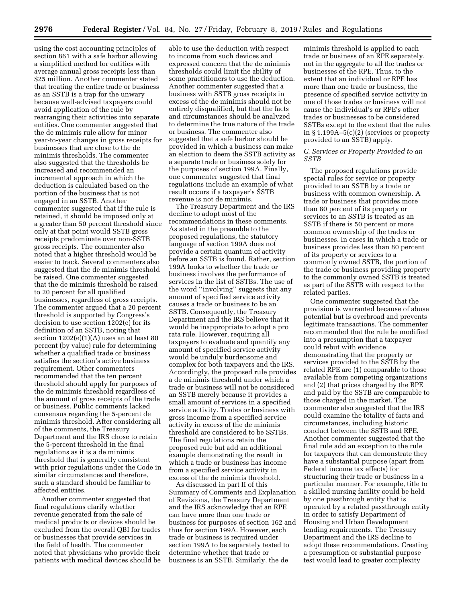using the cost accounting principles of section 861 with a safe harbor allowing a simplified method for entities with average annual gross receipts less than \$25 million. Another commenter stated that treating the entire trade or business as an SSTB is a trap for the unwary because well-advised taxpayers could avoid application of the rule by rearranging their activities into separate entities. One commenter suggested that the de minimis rule allow for minor year-to-year changes in gross receipts for businesses that are close to the de minimis thresholds. The commenter also suggested that the thresholds be increased and recommended an incremental approach in which the deduction is calculated based on the portion of the business that is not engaged in an SSTB. Another commenter suggested that if the rule is retained, it should be imposed only at a greater than 50 percent threshold since only at that point would SSTB gross receipts predominate over non-SSTB gross receipts. The commenter also noted that a higher threshold would be easier to track. Several commenters also suggested that the de minimis threshold be raised. One commenter suggested that the de minimis threshold be raised to 20 percent for all qualified businesses, regardless of gross receipts. The commenter argued that a 20 percent threshold is supported by Congress's decision to use section 1202(e) for its definition of an SSTB, noting that section  $1202(e)(1)(A)$  uses an at least 80 percent (by value) rule for determining whether a qualified trade or business satisfies the section's active business requirement. Other commenters recommended that the ten percent threshold should apply for purposes of the de minimis threshold regardless of the amount of gross receipts of the trade or business. Public comments lacked consensus regarding the 5-percent de minimis threshold. After considering all of the comments, the Treasury Department and the IRS chose to retain the 5-percent threshold in the final regulations as it is a de minimis threshold that is generally consistent with prior regulations under the Code in similar circumstances and therefore, such a standard should be familiar to affected entities.

Another commenter suggested that final regulations clarify whether revenue generated from the sale of medical products or devices should be excluded from the overall QBI for trades or businesses that provide services in the field of health. The commenter noted that physicians who provide their patients with medical devices should be

able to use the deduction with respect to income from such devices and expressed concern that the de minimis thresholds could limit the ability of some practitioners to use the deduction. Another commenter suggested that a business with SSTB gross receipts in excess of the de minimis should not be entirely disqualified, but that the facts and circumstances should be analyzed to determine the true nature of the trade or business. The commenter also suggested that a safe harbor should be provided in which a business can make an election to deem the SSTB activity as a separate trade or business solely for the purposes of section 199A. Finally, one commenter suggested that final regulations include an example of what result occurs if a taxpayer's SSTB revenue is not de minimis.

The Treasury Department and the IRS decline to adopt most of the recommendations in these comments. As stated in the preamble to the proposed regulations, the statutory language of section 199A does not provide a certain quantum of activity before an SSTB is found. Rather, section 199A looks to whether the trade or business involves the performance of services in the list of SSTBs. The use of the word ''involving'' suggests that any amount of specified service activity causes a trade or business to be an SSTB. Consequently, the Treasury Department and the IRS believe that it would be inappropriate to adopt a pro rata rule. However, requiring all taxpayers to evaluate and quantify any amount of specified service activity would be unduly burdensome and complex for both taxpayers and the IRS. Accordingly, the proposed rule provides a de minimis threshold under which a trade or business will not be considered an SSTB merely because it provides a small amount of services in a specified service activity. Trades or business with gross income from a specified service activity in excess of the de minimis threshold are considered to be SSTBs. The final regulations retain the proposed rule but add an additional example demonstrating the result in which a trade or business has income from a specified service activity in excess of the de minimis threshold.

As discussed in part II of this Summary of Comments and Explanation of Revisions, the Treasury Department and the IRS acknowledge that an RPE can have more than one trade or business for purposes of section 162 and thus for section 199A. However, each trade or business is required under section 199A to be separately tested to determine whether that trade or business is an SSTB. Similarly, the de

minimis threshold is applied to each trade or business of an RPE separately, not in the aggregate to all the trades or businesses of the RPE. Thus, to the extent that an individual or RPE has more than one trade or business, the presence of specified service activity in one of those trades or business will not cause the individual's or RPE's other trades or businesses to be considered SSTBs except to the extent that the rules in § 1.199A–5(c)(2) (services or property provided to an SSTB) apply.

# *C. Services or Property Provided to an SSTB*

The proposed regulations provide special rules for service or property provided to an SSTB by a trade or business with common ownership. A trade or business that provides more than 80 percent of its property or services to an SSTB is treated as an SSTB if there is 50 percent or more common ownership of the trades or businesses. In cases in which a trade or business provides less than 80 percent of its property or services to a commonly owned SSTB, the portion of the trade or business providing property to the commonly owned SSTB is treated as part of the SSTB with respect to the related parties.

One commenter suggested that the provision is warranted because of abuse potential but is overbroad and prevents legitimate transactions. The commenter recommended that the rule be modified into a presumption that a taxpayer could rebut with evidence demonstrating that the property or services provided to the SSTB by the related RPE are (1) comparable to those available from competing organizations and (2) that prices charged by the RPE and paid by the SSTB are comparable to those charged in the market. The commenter also suggested that the IRS could examine the totality of facts and circumstances, including historic conduct between the SSTB and RPE. Another commenter suggested that the final rule add an exception to the rule for taxpayers that can demonstrate they have a substantial purpose (apart from Federal income tax effects) for structuring their trade or business in a particular manner. For example, title to a skilled nursing facility could be held by one passthrough entity that is operated by a related passthrough entity in order to satisfy Department of Housing and Urban Development lending requirements. The Treasury Department and the IRS decline to adopt these recommendations. Creating a presumption or substantial purpose test would lead to greater complexity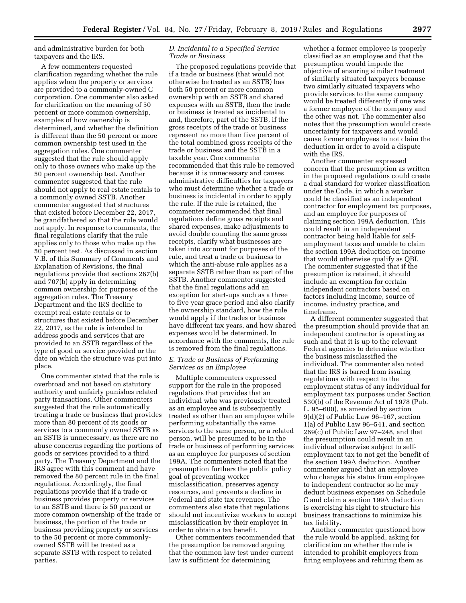and administrative burden for both taxpayers and the IRS.

A few commenters requested clarification regarding whether the rule applies when the property or services are provided to a commonly-owned C corporation. One commenter also asked for clarification on the meaning of 50 percent or more common ownership, examples of how ownership is determined, and whether the definition is different than the 50 percent or more common ownership test used in the aggregation rules. One commenter suggested that the rule should apply only to those owners who make up the 50 percent ownership test. Another commenter suggested that the rule should not apply to real estate rentals to a commonly owned SSTB. Another commenter suggested that structures that existed before December 22, 2017, be grandfathered so that the rule would not apply. In response to comments, the final regulations clarify that the rule applies only to those who make up the 50 percent test. As discussed in section V.B. of this Summary of Comments and Explanation of Revisions, the final regulations provide that sections 267(b) and 707(b) apply in determining common ownership for purposes of the aggregation rules. The Treasury Department and the IRS decline to exempt real estate rentals or to structures that existed before December 22, 2017, as the rule is intended to address goods and services that are provided to an SSTB regardless of the type of good or service provided or the date on which the structure was put into place.

One commenter stated that the rule is overbroad and not based on statutory authority and unfairly punishes related party transactions. Other commenters suggested that the rule automatically treating a trade or business that provides more than 80 percent of its goods or services to a commonly owned SSTB as an SSTB is unnecessary, as there are no abuse concerns regarding the portions of goods or services provided to a third party. The Treasury Department and the IRS agree with this comment and have removed the 80 percent rule in the final regulations. Accordingly, the final regulations provide that if a trade or business provides property or services to an SSTB and there is 50 percent or more common ownership of the trade or business, the portion of the trade or business providing property or services to the 50 percent or more commonlyowned SSTB will be treated as a separate SSTB with respect to related parties.

# *D. Incidental to a Specified Service Trade or Business*

The proposed regulations provide that if a trade or business (that would not otherwise be treated as an SSTB) has both 50 percent or more common ownership with an SSTB and shared expenses with an SSTB, then the trade or business is treated as incidental to and, therefore, part of the SSTB, if the gross receipts of the trade or business represent no more than five percent of the total combined gross receipts of the trade or business and the SSTB in a taxable year. One commenter recommended that this rule be removed because it is unnecessary and causes administrative difficulties for taxpayers who must determine whether a trade or business is incidental in order to apply the rule. If the rule is retained, the commenter recommended that final regulations define gross receipts and shared expenses, make adjustments to avoid double counting the same gross receipts, clarify what businesses are taken into account for purposes of the rule, and treat a trade or business to which the anti-abuse rule applies as a separate SSTB rather than as part of the SSTB. Another commenter suggested that the final regulations add an exception for start-ups such as a three to five year grace period and also clarify the ownership standard, how the rule would apply if the trades or business have different tax years, and how shared expenses would be determined. In accordance with the comments, the rule is removed from the final regulations.

# *E. Trade or Business of Performing Services as an Employee*

Multiple commenters expressed support for the rule in the proposed regulations that provides that an individual who was previously treated as an employee and is subsequently treated as other than an employee while performing substantially the same services to the same person, or a related person, will be presumed to be in the trade or business of performing services as an employee for purposes of section 199A. The commenters noted that the presumption furthers the public policy goal of preventing worker misclassification, preserves agency resources, and prevents a decline in Federal and state tax revenues. The commenters also state that regulations should not incentivize workers to accept misclassification by their employer in order to obtain a tax benefit.

Other commenters recommended that the presumption be removed arguing that the common law test under current law is sufficient for determining

whether a former employee is properly classified as an employee and that the presumption would impede the objective of ensuring similar treatment of similarly situated taxpayers because two similarly situated taxpayers who provide services to the same company would be treated differently if one was a former employee of the company and the other was not. The commenter also notes that the presumption would create uncertainty for taxpayers and would cause former employees to not claim the deduction in order to avoid a dispute with the IRS.

Another commenter expressed concern that the presumption as written in the proposed regulations could create a dual standard for worker classification under the Code, in which a worker could be classified as an independent contractor for employment tax purposes, and an employee for purposes of claiming section 199A deduction. This could result in an independent contractor being held liable for selfemployment taxes and unable to claim the section 199A deduction on income that would otherwise qualify as QBI. The commenter suggested that if the presumption is retained, it should include an exemption for certain independent contractors based on factors including income, source of income, industry practice, and timeframe.

A different commenter suggested that the presumption should provide that an independent contractor is operating as such and that it is up to the relevant Federal agencies to determine whether the business misclassified the individual. The commenter also noted that the IRS is barred from issuing regulations with respect to the employment status of any individual for employment tax purposes under Section 530(b) of the Revenue Act of 1978 (Pub. L. 95–600), as amended by section 9(d)(2) of Public Law 96–167, section 1(a) of Public Law 96–541, and section 269(c) of Public Law 97–248, and that the presumption could result in an individual otherwise subject to selfemployment tax to not get the benefit of the section 199A deduction. Another commenter argued that an employee who changes his status from employee to independent contractor so he may deduct business expenses on Schedule C and claim a section 199A deduction is exercising his right to structure his business transactions to minimize his tax liability.

Another commenter questioned how the rule would be applied, asking for clarification on whether the rule is intended to prohibit employers from firing employees and rehiring them as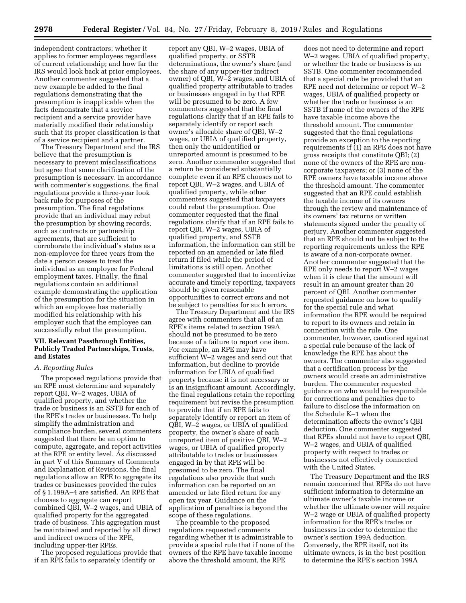independent contractors; whether it applies to former employees regardless of current relationship; and how far the IRS would look back at prior employees. Another commenter suggested that a new example be added to the final regulations demonstrating that the presumption is inapplicable when the facts demonstrate that a service recipient and a service provider have materially modified their relationship such that its proper classification is that of a service recipient and a partner.

The Treasury Department and the IRS believe that the presumption is necessary to prevent misclassifications but agree that some clarification of the presumption is necessary. In accordance with commenter's suggestions, the final regulations provide a three-year look back rule for purposes of the presumption. The final regulations provide that an individual may rebut the presumption by showing records, such as contracts or partnership agreements, that are sufficient to corroborate the individual's status as a non-employee for three years from the date a person ceases to treat the individual as an employee for Federal employment taxes. Finally, the final regulations contain an additional example demonstrating the application of the presumption for the situation in which an employee has materially modified his relationship with his employer such that the employee can successfully rebut the presumption.

# **VII. Relevant Passthrough Entities, Publicly Traded Partnerships, Trusts, and Estates**

### *A. Reporting Rules*

The proposed regulations provide that an RPE must determine and separately report QBI, W–2 wages, UBIA of qualified property, and whether the trade or business is an SSTB for each of the RPE's trades or businesses. To help simplify the administration and compliance burden, several commenters suggested that there be an option to compute, aggregate, and report activities at the RPE or entity level. As discussed in part V of this Summary of Comments and Explanation of Revisions, the final regulations allow an RPE to aggregate its trades or businesses provided the rules of § 1.199A–4 are satisfied. An RPE that chooses to aggregate can report combined QBI, W–2 wages, and UBIA of qualified property for the aggregated trade of business. This aggregation must be maintained and reported by all direct and indirect owners of the RPE, including upper-tier RPEs.

The proposed regulations provide that if an RPE fails to separately identify or

report any QBI, W–2 wages, UBIA of qualified property, or SSTB determinations, the owner's share (and the share of any upper-tier indirect owner) of QBI, W–2 wages, and UBIA of qualified property attributable to trades or businesses engaged in by that RPE will be presumed to be zero. A few commenters suggested that the final regulations clarify that if an RPE fails to separately identify or report each owner's allocable share of QBI, W–2 wages, or UBIA of qualified property, then only the unidentified or unreported amount is presumed to be zero. Another commenter suggested that a return be considered substantially complete even if an RPE chooses not to report QBI, W–2 wages, and UBIA of qualified property, while other commenters suggested that taxpayers could rebut the presumption. One commenter requested that the final regulations clarify that if an RPE fails to report QBI, W–2 wages, UBIA of qualified property, and SSTB information, the information can still be reported on an amended or late filed return if filed while the period of limitations is still open. Another commenter suggested that to incentivize accurate and timely reporting, taxpayers should be given reasonable opportunities to correct errors and not be subject to penalties for such errors.

The Treasury Department and the IRS agree with commenters that all of an RPE's items related to section 199A should not be presumed to be zero because of a failure to report one item. For example, an RPE may have sufficient W–2 wages and send out that information, but decline to provide information for UBIA of qualified property because it is not necessary or is an insignificant amount. Accordingly, the final regulations retain the reporting requirement but revise the presumption to provide that if an RPE fails to separately identify or report an item of QBI, W–2 wages, or UBIA of qualified property, the owner's share of each unreported item of positive QBI, W–2 wages, or UBIA of qualified property attributable to trades or businesses engaged in by that RPE will be presumed to be zero. The final regulations also provide that such information can be reported on an amended or late filed return for any open tax year. Guidance on the application of penalties is beyond the scope of these regulations.

The preamble to the proposed regulations requested comments regarding whether it is administrable to provide a special rule that if none of the owners of the RPE have taxable income above the threshold amount, the RPE

does not need to determine and report W–2 wages, UBIA of qualified property, or whether the trade or business is an SSTB. One commenter recommended that a special rule be provided that an RPE need not determine or report W–2 wages, UBIA of qualified property or whether the trade or business is an SSTB if none of the owners of the RPE have taxable income above the threshold amount. The commenter suggested that the final regulations provide an exception to the reporting requirements if (1) an RPE does not have gross receipts that constitute QBI; (2) none of the owners of the RPE are noncorporate taxpayers; or (3) none of the RPE owners have taxable income above the threshold amount. The commenter suggested that an RPE could establish the taxable income of its owners through the review and maintenance of its owners' tax returns or written statements signed under the penalty of perjury. Another commenter suggested that an RPE should not be subject to the reporting requirements unless the RPE is aware of a non-corporate owner. Another commenter suggested that the RPE only needs to report W–2 wages when it is clear that the amount will result in an amount greater than 20 percent of QBI. Another commenter requested guidance on how to qualify for the special rule and what information the RPE would be required to report to its owners and retain in connection with the rule. One commenter, however, cautioned against a special rule because of the lack of knowledge the RPE has about the owners. The commenter also suggested that a certification process by the owners would create an administrative burden. The commenter requested guidance on who would be responsible for corrections and penalties due to failure to disclose the information on the Schedule K–1 when the determination affects the owner's QBI deduction. One commenter suggested that RPEs should not have to report QBI, W–2 wages, and UBIA of qualified property with respect to trades or businesses not effectively connected with the United States.

The Treasury Department and the IRS remain concerned that RPEs do not have sufficient information to determine an ultimate owner's taxable income or whether the ultimate owner will require W–2 wage or UBIA of qualified property information for the RPE's trades or businesses in order to determine the owner's section 199A deduction. Conversely, the RPE itself, not its ultimate owners, is in the best position to determine the RPE's section 199A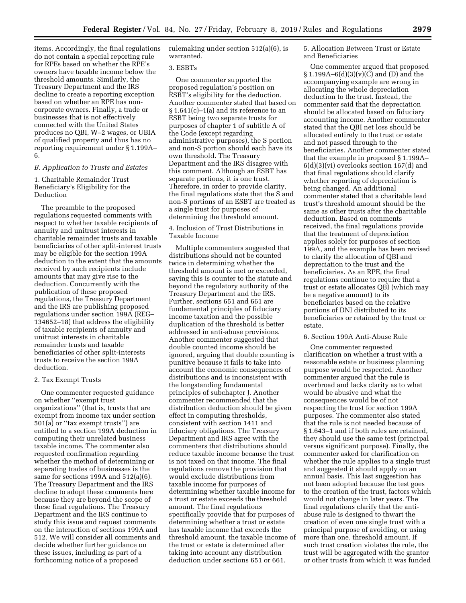items. Accordingly, the final regulations do not contain a special reporting rule for RPEs based on whether the RPE's owners have taxable income below the threshold amounts. Similarly, the Treasury Department and the IRS decline to create a reporting exception based on whether an RPE has noncorporate owners. Finally, a trade or businesses that is not effectively connected with the United States produces no QBI, W–2 wages, or UBIA of qualified property and thus has no reporting requirement under § 1.199A– 6.

# *B. Application to Trusts and Estates*

# 1. Charitable Remainder Trust Beneficiary's Eligibility for the Deduction

The preamble to the proposed regulations requested comments with respect to whether taxable recipients of annuity and unitrust interests in charitable remainder trusts and taxable beneficiaries of other split-interest trusts may be eligible for the section 199A deduction to the extent that the amounts received by such recipients include amounts that may give rise to the deduction. Concurrently with the publication of these proposed regulations, the Treasury Department and the IRS are publishing proposed regulations under section 199A (REG– 134652–18) that address the eligibility of taxable recipients of annuity and unitrust interests in charitable remainder trusts and taxable beneficiaries of other split-interests trusts to receive the section 199A deduction.

### 2. Tax Exempt Trusts

One commenter requested guidance on whether ''exempt trust organizations'' (that is, trusts that are exempt from income tax under section 501(a) or ''tax exempt trusts'') are entitled to a section 199A deduction in computing their unrelated business taxable income. The commenter also requested confirmation regarding whether the method of determining or separating trades of businesses is the same for sections 199A and 512(a)(6). The Treasury Department and the IRS decline to adopt these comments here because they are beyond the scope of these final regulations. The Treasury Department and the IRS continue to study this issue and request comments on the interaction of sections 199A and 512. We will consider all comments and decide whether further guidance on these issues, including as part of a forthcoming notice of a proposed

rulemaking under section 512(a)(6), is warranted.

### 3. ESBTs

One commenter supported the proposed regulation's position on ESBT's eligibility for the deduction. Another commenter stated that based on § 1.641(c)–1(a) and its reference to an ESBT being two separate trusts for purposes of chapter 1 of subtitle A of the Code (except regarding administrative purposes), the S portion and non-S portion should each have its own threshold. The Treasury Department and the IRS disagree with this comment. Although an ESBT has separate portions, it is one trust. Therefore, in order to provide clarity, the final regulations state that the S and non-S portions of an ESBT are treated as a single trust for purposes of determining the threshold amount.

# 4. Inclusion of Trust Distributions in Taxable Income

Multiple commenters suggested that distributions should not be counted twice in determining whether the threshold amount is met or exceeded, saying this is counter to the statute and beyond the regulatory authority of the Treasury Department and the IRS. Further, sections 651 and 661 are fundamental principles of fiduciary income taxation and the possible duplication of the threshold is better addressed in anti-abuse provisions. Another commenter suggested that double counted income should be ignored, arguing that double counting is punitive because it fails to take into account the economic consequences of distributions and is inconsistent with the longstanding fundamental principles of subchapter J. Another commenter recommended that the distribution deduction should be given effect in computing thresholds, consistent with section 1411 and fiduciary obligations. The Treasury Department and IRS agree with the commenters that distributions should reduce taxable income because the trust is not taxed on that income. The final regulations remove the provision that would exclude distributions from taxable income for purposes of determining whether taxable income for a trust or estate exceeds the threshold amount. The final regulations specifically provide that for purposes of determining whether a trust or estate has taxable income that exceeds the threshold amount, the taxable income of the trust or estate is determined after taking into account any distribution deduction under sections 651 or 661.

5. Allocation Between Trust or Estate and Beneficiaries

One commenter argued that proposed  $§ 1.199A-6(d)(3)(v)(C)$  and (D) and the accompanying example are wrong in allocating the whole depreciation deduction to the trust. Instead, the commenter said that the depreciation should be allocated based on fiduciary accounting income. Another commenter stated that the QBI net loss should be allocated entirely to the trust or estate and not passed through to the beneficiaries. Another commenter stated that the example in proposed § 1.199A– 6(d)(3)(vi) overlooks section 167(d) and that final regulations should clarify whether reporting of depreciation is being changed. An additional commenter stated that a charitable lead trust's threshold amount should be the same as other trusts after the charitable deduction. Based on comments received, the final regulations provide that the treatment of depreciation applies solely for purposes of section 199A, and the example has been revised to clarify the allocation of QBI and depreciation to the trust and the beneficiaries. As an RPE, the final regulations continue to require that a trust or estate allocates QBI (which may be a negative amount) to its beneficiaries based on the relative portions of DNI distributed to its beneficiaries or retained by the trust or estate.

#### 6. Section 199A Anti-Abuse Rule

One commenter requested clarification on whether a trust with a reasonable estate or business planning purpose would be respected. Another commenter argued that the rule is overbroad and lacks clarity as to what would be abusive and what the consequences would be of not respecting the trust for section 199A purposes. The commenter also stated that the rule is not needed because of § 1.643–1 and if both rules are retained, they should use the same test (principal versus significant purpose). Finally, the commenter asked for clarification on whether the rule applies to a single trust and suggested it should apply on an annual basis. This last suggestion has not been adopted because the test goes to the creation of the trust, factors which would not change in later years. The final regulations clarify that the antiabuse rule is designed to thwart the creation of even one single trust with a principal purpose of avoiding, or using more than one, threshold amount. If such trust creation violates the rule, the trust will be aggregated with the grantor or other trusts from which it was funded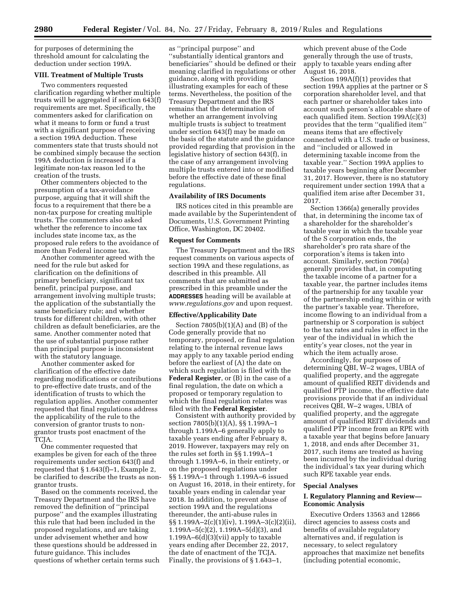for purposes of determining the threshold amount for calculating the deduction under section 199A.

#### **VIII. Treatment of Multiple Trusts**

Two commenters requested clarification regarding whether multiple trusts will be aggregated if section 643(f) requirements are met. Specifically, the commenters asked for clarification on what it means to form or fund a trust with a significant purpose of receiving a section 199A deduction. These commenters state that trusts should not be combined simply because the section 199A deduction is increased if a legitimate non-tax reason led to the creation of the trusts.

Other commenters objected to the presumption of a tax-avoidance purpose, arguing that it will shift the focus to a requirement that there be a non-tax purpose for creating multiple trusts. The commenters also asked whether the reference to income tax includes state income tax, as the proposed rule refers to the avoidance of more than Federal income tax.

Another commenter agreed with the need for the rule but asked for clarification on the definitions of primary beneficiary, significant tax benefit, principal purpose, and arrangement involving multiple trusts; the application of the substantially the same beneficiary rule; and whether trusts for different children, with other children as default beneficiaries, are the same. Another commenter noted that the use of substantial purpose rather than principal purpose is inconsistent with the statutory language.

Another commenter asked for clarification of the effective date regarding modifications or contributions to pre-effective date trusts, and of the identification of trusts to which the regulation applies. Another commenter requested that final regulations address the applicability of the rule to the conversion of grantor trusts to nongrantor trusts post enactment of the TCJA.

One commenter requested that examples be given for each of the three requirements under section 643(f) and requested that § 1.643(f)–1, Example 2, be clarified to describe the trusts as nongrantor trusts.

Based on the comments received, the Treasury Department and the IRS have removed the definition of ''principal purpose'' and the examples illustrating this rule that had been included in the proposed regulations, and are taking under advisement whether and how these questions should be addressed in future guidance. This includes questions of whether certain terms such

as ''principal purpose'' and ''substantially identical grantors and beneficiaries'' should be defined or their meaning clarified in regulations or other guidance, along with providing illustrating examples for each of these terms. Nevertheless, the position of the Treasury Department and the IRS remains that the determination of whether an arrangement involving multiple trusts is subject to treatment under section 643(f) may be made on the basis of the statute and the guidance provided regarding that provision in the legislative history of section 643(f), in the case of any arrangement involving multiple trusts entered into or modified before the effective date of these final regulations.

# **Availability of IRS Documents**

IRS notices cited in this preamble are made available by the Superintendent of Documents, U.S. Government Printing Office, Washington, DC 20402.

#### **Request for Comments**

The Treasury Department and the IRS request comments on various aspects of section 199A and these regulations, as described in this preamble. All comments that are submitted as prescribed in this preamble under the **ADDRESSES** heading will be available at *[www.regulations.gov](http://www.regulations.gov)* and upon request.

#### **Effective/Applicability Date**

Section  $7805(b)(1)(A)$  and  $(B)$  of the Code generally provide that no temporary, proposed, or final regulation relating to the internal revenue laws may apply to any taxable period ending before the earliest of (A) the date on which such regulation is filed with the **Federal Register**, or (B) in the case of a final regulation, the date on which a proposed or temporary regulation to which the final regulation relates was filed with the **Federal Register**.

Consistent with authority provided by section 7805(b)(1)(A), §§ 1.199A–1 through 1.199A–6 generally apply to taxable years ending after February 8, 2019. However, taxpayers may rely on the rules set forth in §§ 1.199A–1 through 1.199A–6, in their entirety, or on the proposed regulations under §§ 1.199A–1 through 1.199A–6 issued on August 16, 2018, in their entirety, for taxable years ending in calendar year 2018. In addition, to prevent abuse of section 199A and the regulations thereunder, the anti-abuse rules in §§ 1.199A–2(c)(1)(iv), 1.199A–3(c)(2)(ii), 1.199A–5(c)(2), 1.199A–5(d)(3), and  $1.199A-6(d)(3)(vii)$  apply to taxable years ending after December 22, 2017, the date of enactment of the TCJA. Finally, the provisions of § 1.643–1,

which prevent abuse of the Code generally through the use of trusts, apply to taxable years ending after August 16, 2018.

Section 199A(f)(1) provides that section 199A applies at the partner or S corporation shareholder level, and that each partner or shareholder takes into account such person's allocable share of each qualified item. Section 199A(c)(3) provides that the term ''qualified item'' means items that are effectively connected with a U.S. trade or business, and ''included or allowed in determining taxable income from the taxable year.'' Section 199A applies to taxable years beginning after December 31, 2017. However, there is no statutory requirement under section 199A that a qualified item arise after December 31, 2017.

Section 1366(a) generally provides that, in determining the income tax of a shareholder for the shareholder's taxable year in which the taxable year of the S corporation ends, the shareholder's pro rata share of the corporation's items is taken into account. Similarly, section 706(a) generally provides that, in computing the taxable income of a partner for a taxable year, the partner includes items of the partnership for any taxable year of the partnership ending within or with the partner's taxable year. Therefore, income flowing to an individual from a partnership or S corporation is subject to the tax rates and rules in effect in the year of the individual in which the entity's year closes, not the year in which the item actually arose.

Accordingly, for purposes of determining QBI, W–2 wages, UBIA of qualified property, and the aggregate amount of qualified REIT dividends and qualified PTP income, the effective date provisions provide that if an individual receives QBI, W–2 wages, UBIA of qualified property, and the aggregate amount of qualified REIT dividends and qualified PTP income from an RPE with a taxable year that begins before January 1, 2018, and ends after December 31, 2017, such items are treated as having been incurred by the individual during the individual's tax year during which such RPE taxable year ends.

# **Special Analyses**

# **I. Regulatory Planning and Review— Economic Analysis**

Executive Orders 13563 and 12866 direct agencies to assess costs and benefits of available regulatory alternatives and, if regulation is necessary, to select regulatory approaches that maximize net benefits (including potential economic,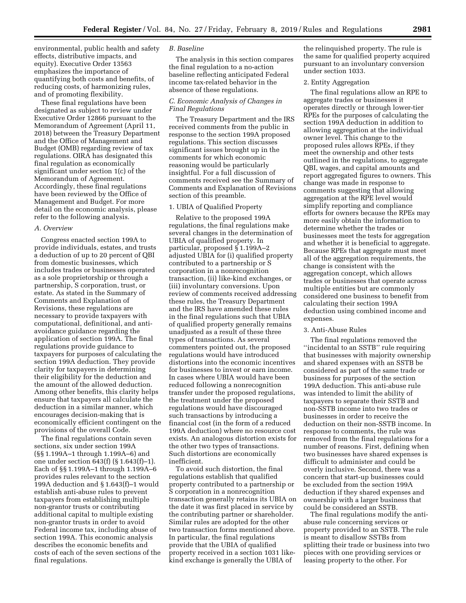environmental, public health and safety effects, distributive impacts, and equity). Executive Order 13563 emphasizes the importance of quantifying both costs and benefits, of reducing costs, of harmonizing rules, and of promoting flexibility.

These final regulations have been designated as subject to review under Executive Order 12866 pursuant to the Memorandum of Agreement (April 11, 2018) between the Treasury Department and the Office of Management and Budget (OMB) regarding review of tax regulations. OIRA has designated this final regulation as economically significant under section 1(c) of the Memorandum of Agreement. Accordingly, these final regulations have been reviewed by the Office of Management and Budget. For more detail on the economic analysis, please refer to the following analysis.

#### *A. Overview*

Congress enacted section 199A to provide individuals, estates, and trusts a deduction of up to 20 percent of QBI from domestic businesses, which includes trades or businesses operated as a sole proprietorship or through a partnership, S corporation, trust, or estate. As stated in the Summary of Comments and Explanation of Revisions, these regulations are necessary to provide taxpayers with computational, definitional, and antiavoidance guidance regarding the application of section 199A. The final regulations provide guidance to taxpayers for purposes of calculating the section 199A deduction. They provide clarity for taxpayers in determining their eligibility for the deduction and the amount of the allowed deduction. Among other benefits, this clarity helps ensure that taxpayers all calculate the deduction in a similar manner, which encourages decision-making that is economically efficient contingent on the provisions of the overall Code.

The final regulations contain seven sections, six under section 199A (§§ 1.199A–1 through 1.199A–6) and one under section 643(f) (§ 1.643(f)–1). Each of §§ 1.199A–1 through 1.199A–6 provides rules relevant to the section 199A deduction and § 1.643(f)–1 would establish anti-abuse rules to prevent taxpayers from establishing multiple non-grantor trusts or contributing additional capital to multiple existing non-grantor trusts in order to avoid Federal income tax, including abuse of section 199A. This economic analysis describes the economic benefits and costs of each of the seven sections of the final regulations.

# *B. Baseline*

The analysis in this section compares the final regulation to a no-action baseline reflecting anticipated Federal income tax-related behavior in the absence of these regulations.

# *C. Economic Analysis of Changes in Final Regulations*

The Treasury Department and the IRS received comments from the public in response to the section 199A proposed regulations. This section discusses significant issues brought up in the comments for which economic reasoning would be particularly insightful. For a full discussion of comments received see the Summary of Comments and Explanation of Revisions section of this preamble.

# 1. UBIA of Qualified Property

Relative to the proposed 199A regulations, the final regulations make several changes in the determination of UBIA of qualified property. In particular, proposed § 1.199A–2 adjusted UBIA for (i) qualified property contributed to a partnership or S corporation in a nonrecognition transaction, (ii) like-kind exchanges, or (iii) involuntary conversions. Upon review of comments received addressing these rules, the Treasury Department and the IRS have amended these rules in the final regulations such that UBIA of qualified property generally remains unadjusted as a result of these three types of transactions. As several commenters pointed out, the proposed regulations would have introduced distortions into the economic incentives for businesses to invest or earn income. In cases where UBIA would have been reduced following a nonrecognition transfer under the proposed regulations, the treatment under the proposed regulations would have discouraged such transactions by introducing a financial cost (in the form of a reduced 199A deduction) where no resource cost exists. An analogous distortion exists for the other two types of transactions. Such distortions are economically inefficient.

To avoid such distortion, the final regulations establish that qualified property contributed to a partnership or S corporation in a nonrecognition transaction generally retains its UBIA on the date it was first placed in service by the contributing partner or shareholder. Similar rules are adopted for the other two transaction forms mentioned above. In particular, the final regulations provide that the UBIA of qualified property received in a section 1031 likekind exchange is generally the UBIA of

the relinquished property. The rule is the same for qualified property acquired pursuant to an involuntary conversion under section 1033.

### 2. Entity Aggregation

The final regulations allow an RPE to aggregate trades or businesses it operates directly or through lower-tier RPEs for the purposes of calculating the section 199A deduction in addition to allowing aggregation at the individual owner level. This change to the proposed rules allows RPEs, if they meet the ownership and other tests outlined in the regulations, to aggregate QBI, wages, and capital amounts and report aggregated figures to owners. This change was made in response to comments suggesting that allowing aggregation at the RPE level would simplify reporting and compliance efforts for owners because the RPEs may more easily obtain the information to determine whether the trades or businesses meet the tests for aggregation and whether it is beneficial to aggregate. Because RPEs that aggregate must meet all of the aggregation requirements, the change is consistent with the aggregation concept, which allows trades or businesses that operate across multiple entities but are commonly considered one business to benefit from calculating their section 199A deduction using combined income and expenses.

#### 3. Anti-Abuse Rules

The final regulations removed the ''incidental to an SSTB'' rule requiring that businesses with majority ownership and shared expenses with an SSTB be considered as part of the same trade or business for purposes of the section 199A deduction. This anti-abuse rule was intended to limit the ability of taxpayers to separate their SSTB and non-SSTB income into two trades or businesses in order to receive the deduction on their non-SSTB income. In response to comments, the rule was removed from the final regulations for a number of reasons. First, defining when two businesses have shared expenses is difficult to administer and could be overly inclusive. Second, there was a concern that start-up businesses could be excluded from the section 199A deduction if they shared expenses and ownership with a larger business that could be considered an SSTB.

The final regulations modify the antiabuse rule concerning services or property provided to an SSTB. The rule is meant to disallow SSTBs from splitting their trade or business into two pieces with one providing services or leasing property to the other. For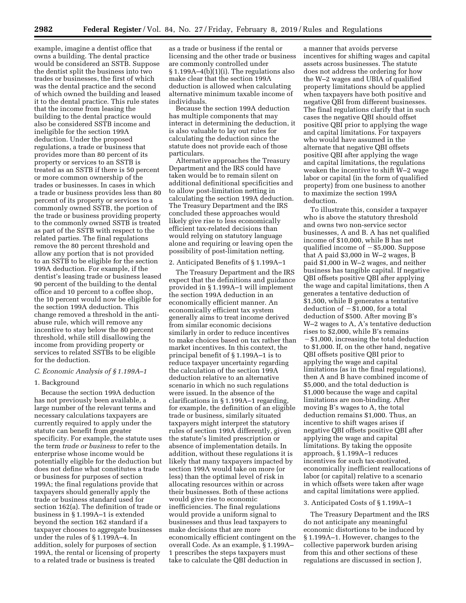example, imagine a dentist office that owns a building. The dental practice would be considered an SSTB. Suppose the dentist split the business into two trades or businesses, the first of which was the dental practice and the second of which owned the building and leased it to the dental practice. This rule states that the income from leasing the building to the dental practice would also be considered SSTB income and ineligible for the section 199A deduction. Under the proposed regulations, a trade or business that provides more than 80 percent of its property or services to an SSTB is treated as an SSTB if there is 50 percent or more common ownership of the trades or businesses. In cases in which a trade or business provides less than 80 percent of its property or services to a commonly owned SSTB, the portion of the trade or business providing property to the commonly owned SSTB is treated as part of the SSTB with respect to the related parties. The final regulations remove the 80 percent threshold and allow any portion that is not provided to an SSTB to be eligible for the section 199A deduction. For example, if the dentist's leasing trade or business leased 90 percent of the building to the dental office and 10 percent to a coffee shop, the 10 percent would now be eligible for the section 199A deduction. This change removed a threshold in the antiabuse rule, which will remove any incentive to stay below the 80 percent threshold, while still disallowing the income from providing property or services to related SSTBs to be eligible for the deduction.

# *C. Economic Analysis of § 1.199A–1*

## 1. Background

Because the section 199A deduction has not previously been available, a large number of the relevant terms and necessary calculations taxpayers are currently required to apply under the statute can benefit from greater specificity. For example, the statute uses the term *trade or business* to refer to the enterprise whose income would be potentially eligible for the deduction but does not define what constitutes a trade or business for purposes of section 199A; the final regulations provide that taxpayers should generally apply the trade or business standard used for section 162(a). The definition of trade or business in § 1.199A–1 is extended beyond the section 162 standard if a taxpayer chooses to aggregate businesses under the rules of § 1.199A–4. In addition, solely for purposes of section 199A, the rental or licensing of property to a related trade or business is treated

as a trade or business if the rental or licensing and the other trade or business are commonly controlled under § 1.199A–4(b)(1)(i). The regulations also make clear that the section 199A deduction is allowed when calculating alternative minimum taxable income of individuals.

Because the section 199A deduction has multiple components that may interact in determining the deduction, it is also valuable to lay out rules for calculating the deduction since the statute does not provide each of those particulars.

Alternative approaches the Treasury Department and the IRS could have taken would be to remain silent on additional definitional specificities and to allow post-limitation netting in calculating the section 199A deduction. The Treasury Department and the IRS concluded these approaches would likely give rise to less economically efficient tax-related decisions than would relying on statutory language alone and requiring or leaving open the possibility of post-limitation netting.

# 2. Anticipated Benefits of § 1.199A–1

The Treasury Department and the IRS expect that the definitions and guidance provided in § 1.199A–1 will implement the section 199A deduction in an economically efficient manner. An economically efficient tax system generally aims to treat income derived from similar economic decisions similarly in order to reduce incentives to make choices based on tax rather than market incentives. In this context, the principal benefit of § 1.199A–1 is to reduce taxpayer uncertainty regarding the calculation of the section 199A deduction relative to an alternative scenario in which no such regulations were issued. In the absence of the clarifications in § 1.199A–1 regarding, for example, the definition of an eligible trade or business, similarly situated taxpayers might interpret the statutory rules of section 199A differently, given the statute's limited prescription or absence of implementation details. In addition, without these regulations it is likely that many taxpayers impacted by section 199A would take on more (or less) than the optimal level of risk in allocating resources within or across their businesses. Both of these actions would give rise to economic inefficiencies. The final regulations would provide a uniform signal to businesses and thus lead taxpayers to make decisions that are more economically efficient contingent on the overall Code. As an example, § 1.199A– 1 prescribes the steps taxpayers must take to calculate the QBI deduction in

a manner that avoids perverse incentives for shifting wages and capital assets across businesses. The statute does not address the ordering for how the W–2 wages and UBIA of qualified property limitations should be applied when taxpayers have both positive and negative QBI from different businesses. The final regulations clarify that in such cases the negative QBI should offset positive QBI prior to applying the wage and capital limitations. For taxpayers who would have assumed in the alternate that negative QBI offsets positive QBI after applying the wage and capital limitations, the regulations weaken the incentive to shift W–2 wage labor or capital (in the form of qualified property) from one business to another to maximize the section 199A deduction.

To illustrate this, consider a taxpayer who is above the statutory threshold and owns two non-service sector businesses, A and B. A has net qualified income of \$10,000, while B has net qualified income of  $-$  \$5,000. Suppose that A paid \$3,000 in W–2 wages, B paid \$1,000 in W–2 wages, and neither business has tangible capital. If negative QBI offsets positive QBI after applying the wage and capital limitations, then A generates a tentative deduction of \$1,500, while B generates a tentative deduction of  $- $1,000$ , for a total deduction of \$500. After moving B's W–2 wages to A, A's tentative deduction rises to \$2,000, while B's remains  $-$ \$1,000, increasing the total deduction to \$1,000. If, on the other hand, negative QBI offsets positive QBI prior to applying the wage and capital limitations (as in the final regulations), then A and B have combined income of \$5,000, and the total deduction is \$1,000 because the wage and capital limitations are non-binding. After moving B's wages to A, the total deduction remains \$1,000. Thus, an incentive to shift wages arises if negative QBI offsets positive QBI after applying the wage and capital limitations. By taking the opposite approach, § 1.199A–1 reduces incentives for such tax-motivated, economically inefficient reallocations of labor (or capital) relative to a scenario in which offsets were taken after wage and capital limitations were applied.

# 3. Anticipated Costs of § 1.199A–1

The Treasury Department and the IRS do not anticipate any meaningful economic distortions to be induced by § 1.199A–1. However, changes to the collective paperwork burden arising from this and other sections of these regulations are discussed in section J,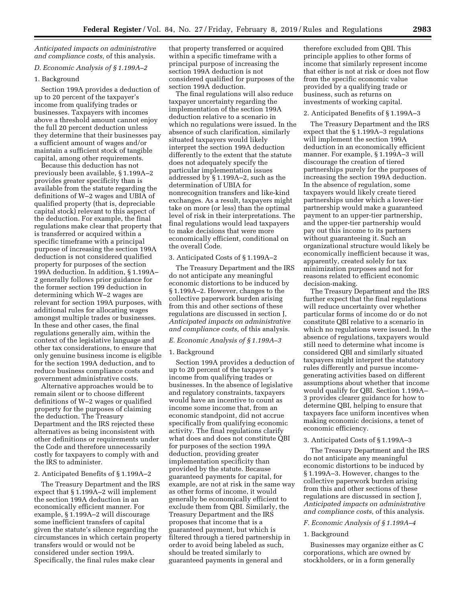*Anticipated impacts on administrative and compliance costs,* of this analysis.

# *D. Economic Analysis of § 1.199A–2*

### 1. Background

Section 199A provides a deduction of up to 20 percent of the taxpayer's income from qualifying trades or businesses. Taxpayers with incomes above a threshold amount cannot enjoy the full 20 percent deduction unless they determine that their businesses pay a sufficient amount of wages and/or maintain a sufficient stock of tangible capital, among other requirements.

Because this deduction has not previously been available, § 1.199A–2 provides greater specificity than is available from the statute regarding the definitions of W–2 wages and UBIA of qualified property (that is, depreciable capital stock) relevant to this aspect of the deduction. For example, the final regulations make clear that property that is transferred or acquired within a specific timeframe with a principal purpose of increasing the section 199A deduction is not considered qualified property for purposes of the section 199A deduction. In addition, § 1.199A– 2 generally follows prior guidance for the former section 199 deduction in determining which W–2 wages are relevant for section 199A purposes, with additional rules for allocating wages amongst multiple trades or businesses. In these and other cases, the final regulations generally aim, within the context of the legislative language and other tax considerations, to ensure that only genuine business income is eligible for the section 199A deduction, and to reduce business compliance costs and government administrative costs.

Alternative approaches would be to remain silent or to choose different definitions of W–2 wages or qualified property for the purposes of claiming the deduction. The Treasury Department and the IRS rejected these alternatives as being inconsistent with other definitions or requirements under the Code and therefore unnecessarily costly for taxpayers to comply with and the IRS to administer.

### 2. Anticipated Benefits of § 1.199A–2

The Treasury Department and the IRS expect that § 1.199A–2 will implement the section 199A deduction in an economically efficient manner. For example, § 1.199A–2 will discourage some inefficient transfers of capital given the statute's silence regarding the circumstances in which certain property transfers would or would not be considered under section 199A. Specifically, the final rules make clear

that property transferred or acquired within a specific timeframe with a principal purpose of increasing the section 199A deduction is not considered qualified for purposes of the section 199A deduction.

The final regulations will also reduce taxpayer uncertainty regarding the implementation of the section 199A deduction relative to a scenario in which no regulations were issued. In the absence of such clarification, similarly situated taxpayers would likely interpret the section 199A deduction differently to the extent that the statute does not adequately specify the particular implementation issues addressed by § 1.199A–2, such as the determination of UBIA for nonrecognition transfers and like-kind exchanges. As a result, taxpayers might take on more (or less) than the optimal level of risk in their interpretations. The final regulations would lead taxpayers to make decisions that were more economically efficient, conditional on the overall Code.

# 3. Anticipated Costs of § 1.199A–2

The Treasury Department and the IRS do not anticipate any meaningful economic distortions to be induced by § 1.199A–2. However, changes to the collective paperwork burden arising from this and other sections of these regulations are discussed in section J, *Anticipated impacts on administrative and compliance costs,* of this analysis.

# *E. Economic Analysis of § 1.199A–3*

### 1. Background

Section 199A provides a deduction of up to 20 percent of the taxpayer's income from qualifying trades or businesses. In the absence of legislative and regulatory constraints, taxpayers would have an incentive to count as income some income that, from an economic standpoint, did not accrue specifically from qualifying economic activity. The final regulations clarify what does and does not constitute QBI for purposes of the section 199A deduction, providing greater implementation specificity than provided by the statute. Because guaranteed payments for capital, for example, are not at risk in the same way as other forms of income, it would generally be economically efficient to exclude them from QBI. Similarly, the Treasury Department and the IRS proposes that income that is a guaranteed payment, but which is filtered through a tiered partnership in order to avoid being labeled as such, should be treated similarly to guaranteed payments in general and

therefore excluded from QBI. This principle applies to other forms of income that similarly represent income that either is not at risk or does not flow from the specific economic value provided by a qualifying trade or business, such as returns on investments of working capital.

### 2. Anticipated Benefits of § 1.199A–3

The Treasury Department and the IRS expect that the § 1.199A–3 regulations will implement the section 199A deduction in an economically efficient manner. For example, § 1.199A–3 will discourage the creation of tiered partnerships purely for the purposes of increasing the section 199A deduction. In the absence of regulation, some taxpayers would likely create tiered partnerships under which a lower-tier partnership would make a guaranteed payment to an upper-tier partnership, and the upper-tier partnership would pay out this income to its partners without guaranteeing it. Such an organizational structure would likely be economically inefficient because it was, apparently, created solely for tax minimization purposes and not for reasons related to efficient economic decision-making.

The Treasury Department and the IRS further expect that the final regulations will reduce uncertainty over whether particular forms of income do or do not constitute QBI relative to a scenario in which no regulations were issued. In the absence of regulations, taxpayers would still need to determine what income is considered QBI and similarly situated taxpayers might interpret the statutory rules differently and pursue incomegenerating activities based on different assumptions about whether that income would qualify for QBI. Section 1.199A– 3 provides clearer guidance for how to determine QBI, helping to ensure that taxpayers face uniform incentives when making economic decisions, a tenet of economic efficiency.

# 3. Anticipated Costs of § 1.199A–3

The Treasury Department and the IRS do not anticipate any meaningful economic distortions to be induced by § 1.199A–3. However, changes to the collective paperwork burden arising from this and other sections of these regulations are discussed in section J, *Anticipated impacts on administrative and compliance costs,* of this analysis.

# *F. Economic Analysis of § 1.199A–4*

### 1. Background

Businesses may organize either as C corporations, which are owned by stockholders, or in a form generally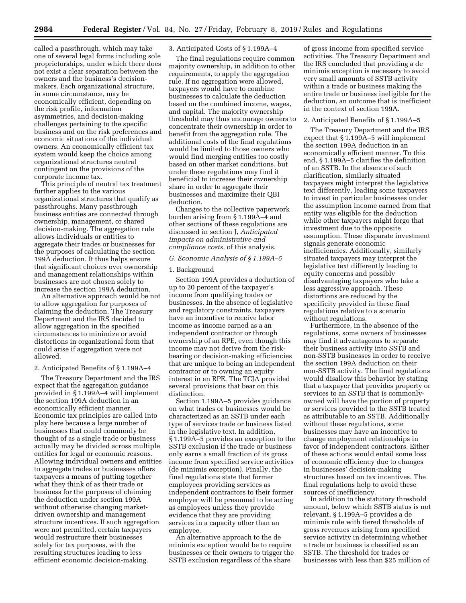called a passthrough, which may take one of several legal forms including sole proprietorships, under which there does not exist a clear separation between the owners and the business's decisionmakers. Each organizational structure, in some circumstance, may be economically efficient, depending on the risk profile, information asymmetries, and decision-making challenges pertaining to the specific business and on the risk preferences and economic situations of the individual owners. An economically efficient tax system would keep the choice among organizational structures neutral contingent on the provisions of the corporate income tax.

This principle of neutral tax treatment further applies to the various organizational structures that qualify as passthroughs. Many passthrough business entities are connected through ownership, management, or shared decision-making. The aggregation rule allows individuals or entities to aggregate their trades or businesses for the purposes of calculating the section 199A deduction. It thus helps ensure that significant choices over ownership and management relationships within businesses are not chosen solely to increase the section 199A deduction.

An alternative approach would be not to allow aggregation for purposes of claiming the deduction. The Treasury Department and the IRS decided to allow aggregation in the specified circumstances to minimize or avoid distortions in organizational form that could arise if aggregation were not allowed.

# 2. Anticipated Benefits of § 1.199A–4

The Treasury Department and the IRS expect that the aggregation guidance provided in § 1.199A–4 will implement the section 199A deduction in an economically efficient manner. Economic tax principles are called into play here because a large number of businesses that could commonly be thought of as a single trade or business actually may be divided across multiple entities for legal or economic reasons. Allowing individual owners and entities to aggregate trades or businesses offers taxpayers a means of putting together what they think of as their trade or business for the purposes of claiming the deduction under section 199A without otherwise changing marketdriven ownership and management structure incentives. If such aggregation were not permitted, certain taxpayers would restructure their businesses solely for tax purposes, with the resulting structures leading to less efficient economic decision-making.

# 3. Anticipated Costs of § 1.199A–4

The final regulations require common majority ownership, in addition to other requirements, to apply the aggregation rule. If no aggregation were allowed, taxpayers would have to combine businesses to calculate the deduction based on the combined income, wages, and capital. The majority ownership threshold may thus encourage owners to concentrate their ownership in order to benefit from the aggregation rule. The additional costs of the final regulations would be limited to those owners who would find merging entities too costly based on other market conditions, but under these regulations may find it beneficial to increase their ownership share in order to aggregate their businesses and maximize their QBI deduction.

Changes to the collective paperwork burden arising from § 1.199A–4 and other sections of these regulations are discussed in section J, *Anticipated impacts on administrative and compliance costs,* of this analysis.

# *G. Economic Analysis of § 1.199A–5*

### 1. Background

Section 199A provides a deduction of up to 20 percent of the taxpayer's income from qualifying trades or businesses. In the absence of legislative and regulatory constraints, taxpayers have an incentive to receive labor income as income earned as a an independent contractor or through ownership of an RPE, even though this income may not derive from the riskbearing or decision-making efficiencies that are unique to being an independent contractor or to owning an equity interest in an RPE. The TCJA provided several provisions that bear on this distinction.

Section 1.199A–5 provides guidance on what trades or businesses would be characterized as an SSTB under each type of services trade or business listed in the legislative text. In addition, § 1.199A–5 provides an exception to the SSTB exclusion if the trade or business only earns a small fraction of its gross income from specified service activities (de minimis exception). Finally, the final regulations state that former employees providing services as independent contractors to their former employer will be presumed to be acting as employees unless they provide evidence that they are providing services in a capacity other than an employee.

An alternative approach to the de minimis exception would be to require businesses or their owners to trigger the SSTB exclusion regardless of the share

of gross income from specified service activities. The Treasury Department and the IRS concluded that providing a de minimis exception is necessary to avoid very small amounts of SSTB activity within a trade or business making the entire trade or business ineligible for the deduction, an outcome that is inefficient in the context of section 199A.

#### 2. Anticipated Benefits of § 1.199A–5

The Treasury Department and the IRS expect that § 1.199A–5 will implement the section 199A deduction in an economically efficient manner. To this end, § 1.199A–5 clarifies the definition of an SSTB. In the absence of such clarification, similarly situated taxpayers might interpret the legislative text differently, leading some taxpayers to invest in particular businesses under the assumption income earned from that entity was eligible for the deduction while other taxpayers might forgo that investment due to the opposite assumption. These disparate investment signals generate economic inefficiencies. Additionally, similarly situated taxpayers may interpret the legislative text differently leading to equity concerns and possibly disadvantaging taxpayers who take a less aggressive approach. These distortions are reduced by the specificity provided in these final regulations relative to a scenario without regulations.

Furthermore, in the absence of the regulations, some owners of businesses may find it advantageous to separate their business activity into SSTB and non-SSTB businesses in order to receive the section 199A deduction on their non-SSTB activity. The final regulations would disallow this behavior by stating that a taxpayer that provides property or services to an SSTB that is commonlyowned will have the portion of property or services provided to the SSTB treated as attributable to an SSTB. Additionally without these regulations, some businesses may have an incentive to change employment relationships in favor of independent contractors. Either of these actions would entail some loss of economic efficiency due to changes in businesses' decision-making structures based on tax incentives. The final regulations help to avoid these sources of inefficiency.

In addition to the statutory threshold amount, below which SSTB status is not relevant, § 1.199A–5 provides a de minimis rule with tiered thresholds of gross revenues arising from specified service activity in determining whether a trade or business is classified as an SSTB. The threshold for trades or businesses with less than \$25 million of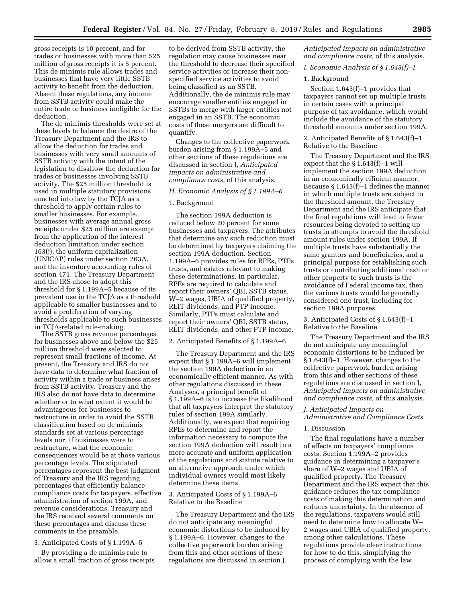gross receipts is 10 percent, and for trades or businesses with more than \$25 million of gross receipts it is 5 percent. This de minimis rule allows trades and businesses that have very little SSTB activity to benefit from the deduction. Absent these regulations, any income from SSTB activity could make the entire trade or business ineligible for the deduction.

The de minimis thresholds were set at these levels to balance the desire of the Treasury Department and the IRS to allow the deduction for trades and businesses with very small amounts of SSTB activity with the intent of the legislation to disallow the deduction for trades or businesses involving SSTB activity. The \$25 million threshold is used in multiple statutory provisions enacted into law by the TCJA as a threshold to apply certain rules to smaller businesses. For example, businesses with average annual gross receipts under \$25 million are exempt from the application of the interest deduction limitation under section 163(j), the uniform capitalization (UNICAP) rules under section 263A, and the inventory accounting rules of section 471. The Treasury Department and the IRS chose to adopt this threshold for § 1.199A–5 because of its prevalent use in the TCJA as a threshold applicable to smaller businesses and to avoid a proliferation of varying thresholds applicable to such businesses in TCJA-related rule-making.

The SSTB gross revenue percentages for businesses above and below the \$25 million threshold were selected to represent small fractions of income. At present, the Treasury and IRS do not have data to determine what fraction of activity within a trade or business arises from SSTB activity. Treasury and the IRS also do not have data to determine whether or to what extent it would be advantageous for businesses to restructure in order to avoid the SSTB classification based on de minimis standards set at various percentage levels nor, if businesses were to restructure, what the economic consequences would be at those various percentage levels. The stipulated percentages represent the best judgment of Treasury and the IRS regarding percentages that efficiently balance compliance costs for taxpayers, effective administration of section 199A, and revenue considerations. Treasury and the IRS received several comments on these percentages and discuss these comments in the preamble.

### 3. Anticipated Costs of § 1.199A–5

By providing a de minimis rule to allow a small fraction of gross receipts

to be derived from SSTB activity, the regulation may cause businesses near the threshold to decrease their specified service activities or increase their nonspecified service activities to avoid being classified as an SSTB. Additionally, the de minimis rule may encourage smaller entities engaged in SSTBs to merge with larger entities not engaged in an SSTB. The economic costs of these mergers are difficult to quantify.

Changes to the collective paperwork burden arising from § 1.199A–5 and other sections of these regulations are discussed in section J, *Anticipated impacts on administrative and compliance costs,* of this analysis.

# *H. Economic Analysis of § 1.199A–6*

### 1. Background

The section 199A deduction is reduced below 20 percent for some businesses and taxpayers. The attributes that determine any such reduction must be determined by taxpayers claiming the section 199A deduction. Section 1.199A–6 provides rules for RPEs, PTPs, trusts, and estates relevant to making these determinations. In particular, RPEs are required to calculate and report their owners' QBI, SSTB status, W–2 wages, UBIA of qualified property, REIT dividends, and PTP income. Similarly, PTPs must calculate and report their owners' QBI, SSTB status, REIT dividends, and other PTP income.

## 2. Anticipated Benefits of § 1.199A–6

The Treasury Department and the IRS expect that § 1.199A–6 will implement the section 199A deduction in an economically efficient manner. As with other regulations discussed in these Analyses, a principal benefit of § 1.199A–6 is to increase the likelihood that all taxpayers interpret the statutory rules of section 199A similarly. Additionally, we expect that requiring RPEs to determine and report the information necessary to compute the section 199A deduction will result in a more accurate and uniform application of the regulations and statute relative to an alternative approach under which individual owners would most likely determine these items.

# 3. Anticipated Costs of § 1.199A–6 Relative to the Baseline

The Treasury Department and the IRS do not anticipate any meaningful economic distortions to be induced by § 1.199A–6. However, changes to the collective paperwork burden arising from this and other sections of these regulations are discussed in section J,

*Anticipated impacts on administrative and compliance costs,* of this analysis.

# *I. Economic Analysis of § 1.643(f)–1*

# 1. Background

Section 1.643(f)–1 provides that taxpayers cannot set up multiple trusts in certain cases with a principal purpose of tax avoidance, which would include the avoidance of the statutory threshold amounts under section 199A.

# 2. Anticipated Benefits of § 1.643(f)–1 Relative to the Baseline

The Treasury Department and the IRS expect that the § 1.643(f)–1 will implement the section 199A deduction in an economically efficient manner. Because § 1.643(f)–1 defines the manner in which multiple trusts are subject to the threshold amount, the Treasury Department and the IRS anticipate that the final regulations will lead to fewer resources being devoted to setting up trusts in attempts to avoid the threshold amount rules under section 199A. If multiple trusts have substantially the same grantors and beneficiaries, and a principal purpose for establishing such trusts or contributing additional cash or other property to such trusts is the avoidance of Federal income tax, then the various trusts would be generally considered one trust, including for section 199A purposes.

3. Anticipated Costs of § 1.643(f)–1 Relative to the Baseline

The Treasury Department and the IRS do not anticipate any meaningful economic distortions to be induced by § 1.643(f)–1. However, changes to the collective paperwork burden arising from this and other sections of these regulations are discussed in section J, *Anticipated impacts on administrative and compliance costs,* of this analysis.

# *J. Anticipated Impacts on Administrative and Compliance Costs*

# 1. Discussion

The final regulations have a number of effects on taxpayers' compliance costs. Section 1.199A–2 provides guidance in determining a taxpayer's share of W–2 wages and UBIA of qualified property. The Treasury Department and the IRS expect that this guidance reduces the tax compliance costs of making this determination and reduces uncertainty. In the absence of the regulations, taxpayers would still need to determine how to allocate W– 2 wages and UBIA of qualified property, among other calculations. These regulations provide clear instructions for how to do this, simplifying the process of complying with the law.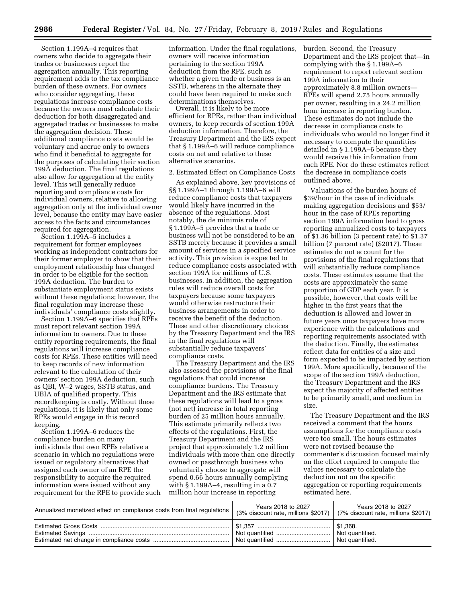Section 1.199A–4 requires that owners who decide to aggregate their trades or businesses report the aggregation annually. This reporting requirement adds to the tax compliance burden of these owners. For owners who consider aggregating, these regulations increase compliance costs because the owners must calculate their deduction for both disaggregated and aggregated trades or businesses to make the aggregation decision. These additional compliance costs would be voluntary and accrue only to owners who find it beneficial to aggregate for the purposes of calculating their section 199A deduction. The final regulations also allow for aggregation at the entity level. This will generally reduce reporting and compliance costs for individual owners, relative to allowing aggregation only at the individual owner level, because the entity may have easier access to the facts and circumstances required for aggregation.

Section 1.199A–5 includes a requirement for former employees working as independent contractors for their former employer to show that their employment relationship has changed in order to be eligible for the section 199A deduction. The burden to substantiate employment status exists without these regulations; however, the final regulation may increase these individuals' compliance costs slightly.

Section 1.199A–6 specifies that RPEs must report relevant section 199A information to owners. Due to these entity reporting requirements, the final regulations will increase compliance costs for RPEs. These entities will need to keep records of new information relevant to the calculation of their owners' section 199A deduction, such as QBI, W–2 wages, SSTB status, and UBIA of qualified property. This recordkeeping is costly. Without these regulations, it is likely that only some RPEs would engage in this record keeping.

Section 1.199A–6 reduces the compliance burden on many individuals that own RPEs relative a scenario in which no regulations were issued or regulatory alternatives that assigned each owner of an RPE the responsibility to acquire the required information were issued without any requirement for the RPE to provide such information. Under the final regulations, owners will receive information pertaining to the section 199A deduction from the RPE, such as whether a given trade or business is an SSTB, whereas in the alternate they could have been required to make such determinations themselves.

Overall, it is likely to be more efficient for RPEs, rather than individual owners, to keep records of section 199A deduction information. Therefore, the Treasury Department and the IRS expect that § 1.199A–6 will reduce compliance costs on net and relative to these alternative scenarios.

#### 2. Estimated Effect on Compliance Costs

As explained above, key provisions of §§ 1.199A–1 through 1.199A–6 will reduce compliance costs that taxpayers would likely have incurred in the absence of the regulations. Most notably, the de minimis rule of § 1.199A–5 provides that a trade or business will not be considered to be an SSTB merely because it provides a small amount of services in a specified service activity. This provision is expected to reduce compliance costs associated with section 199A for millions of U.S. businesses. In addition, the aggregation rules will reduce overall costs for taxpayers because some taxpayers would otherwise restructure their business arrangements in order to receive the benefit of the deduction. These and other discretionary choices by the Treasury Department and the IRS in the final regulations will substantially reduce taxpayers' compliance costs.

The Treasury Department and the IRS also assessed the provisions of the final regulations that could increase compliance burdens. The Treasury Department and the IRS estimate that these regulations will lead to a gross (not net) increase in total reporting burden of 25 million hours annually. This estimate primarily reflects two effects of the regulations. First, the Treasury Department and the IRS project that approximately 1.2 million individuals with more than one directly owned or passthrough business who voluntarily choose to aggregate will spend 0.66 hours annually complying with § 1.199A–4, resulting in a 0.7 million hour increase in reporting

burden. Second, the Treasury Department and the IRS project that—in complying with the § 1.199A–6 requirement to report relevant section 199A information to their approximately 8.8 million owners— RPEs will spend 2.75 hours annually per owner, resulting in a 24.2 million hour increase in reporting burden. These estimates do not include the decrease in compliance costs to individuals who would no longer find it necessary to compute the quantities detailed in § 1.199A–6 because they would receive this information from each RPE. Nor do these estimates reflect the decrease in compliance costs outlined above.

Valuations of the burden hours of \$39/hour in the case of individuals making aggregation decisions and \$53/ hour in the case of RPEs reporting section 199A information lead to gross reporting annualized costs to taxpayers of \$1.36 billion (3 percent rate) to \$1.37 billion (7 percent rate) (\$2017). These estimates do not account for the provisions of the final regulations that will substantially reduce compliance costs. These estimates assume that the costs are approximately the same proportion of GDP each year. It is possible, however, that costs will be higher in the first years that the deduction is allowed and lower in future years once taxpayers have more experience with the calculations and reporting requirements associated with the deduction. Finally, the estimates reflect data for entities of a size and form expected to be impacted by section 199A. More specifically, because of the scope of the section 199A deduction, the Treasury Department and the IRS expect the majority of affected entities to be primarily small, and medium in size.

The Treasury Department and the IRS received a comment that the hours assumptions for the compliance costs were too small. The hours estimates were not revised because the commenter's discussion focused mainly on the effort required to compute the values necessary to calculate the deduction not on the specific aggregation or reporting requirements estimated here.

| Annualized monetized effect on compliance costs from final regulations | Years 2018 to 2027<br>(3% discount rate, millions \$2017)   (7% discount rate, millions \$2017) | Years 2018 to 2027 |
|------------------------------------------------------------------------|-------------------------------------------------------------------------------------------------|--------------------|
|                                                                        |                                                                                                 | ∫ \$1.368.         |
|                                                                        | Not quantified                                                                                  | Not quantified.    |
|                                                                        | Not quantified                                                                                  | Not quantified.    |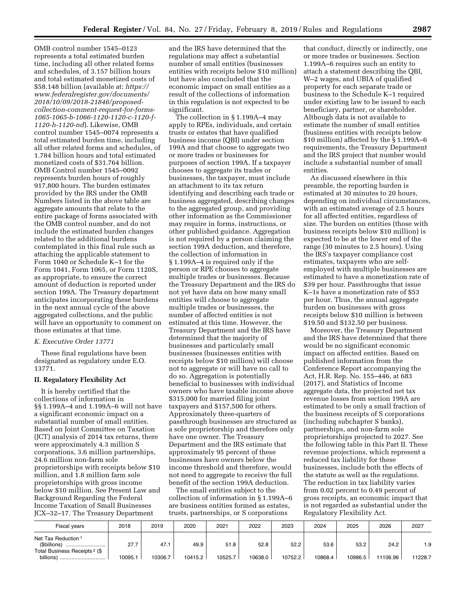OMB control number 1545–0123 represents a total estimated burden time, including all other related forms and schedules, of 3.157 billion hours and total estimated monetized costs of \$58.148 billion (available at: *[https://](https://www.federalregister.gov/documents/2018/10/09/2018-21846/proposed-collection-comment-request-for-forms-1065-1065-b-1066-1120-1120-c-1120-f-1120-h-1120-nd) [www.federalregister.gov/documents/](https://www.federalregister.gov/documents/2018/10/09/2018-21846/proposed-collection-comment-request-for-forms-1065-1065-b-1066-1120-1120-c-1120-f-1120-h-1120-nd) [2018/10/09/2018-21846/proposed](https://www.federalregister.gov/documents/2018/10/09/2018-21846/proposed-collection-comment-request-for-forms-1065-1065-b-1066-1120-1120-c-1120-f-1120-h-1120-nd)[collection-comment-request-for-forms-](https://www.federalregister.gov/documents/2018/10/09/2018-21846/proposed-collection-comment-request-for-forms-1065-1065-b-1066-1120-1120-c-1120-f-1120-h-1120-nd)[1065-1065-b-1066-1120-1120-c-1120-f-](https://www.federalregister.gov/documents/2018/10/09/2018-21846/proposed-collection-comment-request-for-forms-1065-1065-b-1066-1120-1120-c-1120-f-1120-h-1120-nd)[1120-h-1120-nd](https://www.federalregister.gov/documents/2018/10/09/2018-21846/proposed-collection-comment-request-for-forms-1065-1065-b-1066-1120-1120-c-1120-f-1120-h-1120-nd)*). Likewise, OMB control number 1545–0074 represents a total estimated burden time, including all other related forms and schedules, of 1.784 billion hours and total estimated monetized costs of \$31.764 billion. OMB Control number 1545–0092 represents burden hours of roughly 917,800 hours. The burden estimates provided by the IRS under the OMB Numbers listed in the above table are aggregate amounts that relate to the entire package of forms associated with the OMB control number, and do not include the estimated burden changes related to the additional burdens contemplated in this final rule such as attaching the applicable statement to Form 1040 or Schedule K–1 for the Form 1041, Form 1065, or Form 1120S, as appropriate, to ensure the correct amount of deduction is reported under section 199A. The Treasury department anticipates incorporating these burdens in the next annual cycle of the above aggregated collections, and the public will have an opportunity to comment on those estimates at that time.

# *K. Executive Order 13771*

These final regulations have been designated as regulatory under E.O. 13771.

# **II. Regulatory Flexibility Act**

It is hereby certified that the collections of information in §§ 1.199A–4 and 1.199A–6 will not have a significant economic impact on a substantial number of small entities. Based on Joint Committee on Taxation (JCT) analysis of 2014 tax returns, there were approximately 4.3 million S corporations, 3.6 million partnerships, 24.6 million non-farm sole proprietorships with receipts below \$10 million, and 1.8 million farm sole proprietorships with gross income below \$10 million. See Present Law and Background Regarding the Federal Income Taxation of Small Businesses JCX–32–17. The Treasury Department

and the IRS have determined that the regulations may affect a substantial number of small entities (businesses entities with receipts below \$10 million) but have also concluded that the economic impact on small entities as a result of the collections of information in this regulation is not expected to be significant.

The collection in § 1.199A–4 may apply to RPEs, individuals, and certain trusts or estates that have qualified business income (QBI) under section 199A and that choose to aggregate two or more trades or businesses for purposes of section 199A. If a taxpayer chooses to aggregate its trades or businesses, the taxpayer, must include an attachment to its tax return identifying and describing each trade or business aggregated, describing changes to the aggregated group, and providing other information as the Commissioner may require in forms, instructions, or other published guidance. Aggregation is not required by a person claiming the section 199A deduction, and therefore, the collection of information in § 1.199A–4 is required only if the person or RPE chooses to aggregate multiple trades or businesses. Because the Treasury Department and the IRS do not yet have data on how many small entities will choose to aggregate multiple trades or businesses, the number of affected entities is not estimated at this time. However, the Treasury Department and the IRS have determined that the majority of businesses and particularly small businesses (businesses entities with receipts below \$10 million) will choose not to aggregate or will have no call to do so. Aggregation is potentially beneficial to businesses with individual owners who have taxable income above \$315,000 for married filing joint taxpayers and \$157,500 for others. Approximately three-quarters of passthrough businesses are structured as a sole proprietorship and therefore only have one owner. The Treasury Department and the IRS estimate that approximately 95 percent of these businesses have owners below the income threshold and therefore, would not need to aggregate to receive the full benefit of the section 199A deduction.

The small entities subject to the collection of information in § 1.199A–6 are business entities formed as estates, trusts, partnerships, or S corporations

that conduct, directly or indirectly, one or more trades or businesses. Section 1.199A–6 requires such an entity to attach a statement describing the QBI, W–2 wages, and UBIA of qualified property for each separate trade or business to the Schedule K–1 required under existing law to be issued to each beneficiary, partner, or shareholder. Although data is not available to estimate the number of small entities (business entities with receipts below \$10 million) affected by the § 1.199A–6 requirements, the Treasury Department and the IRS project that number would include a substantial number of small entities.

As discussed elsewhere in this preamble, the reporting burden is estimated at 30 minutes to 20 hours, depending on individual circumstances, with an estimated average of 2.5 hours for all affected entities, regardless of size. The burden on entities (those with business receipts below \$10 million) is expected to be at the lower end of the range (30 minutes to 2.5 hours). Using the IRS's taxpayer compliance cost estimates, taxpayers who are selfemployed with multiple businesses are estimated to have a monetization rate of \$39 per hour. Passthroughs that issue K–1s have a monetization rate of \$53 per hour. Thus, the annual aggregate burden on businesses with gross receipts below \$10 million is between \$19.50 and \$132.50 per business.

Moreover, the Treasury Department and the IRS have determined that there would be no significant economic impact on affected entities. Based on published information from the Conference Report accompanying the Act, H.R. Rep. No. 155–446, at 683 (2017), and Statistics of Income aggregate data, the projected net tax revenue losses from section 199A are estimated to be only a small fraction of the business receipts of S corporations (including subchapter S banks), partnerships, and non-farm sole proprietorships projected to 2027. See the following table in this Part II. These revenue projections, which represent a reduced tax liability for these businesses, include both the effects of the statute as well as the regulations. The reduction in tax liability varies from 0.02 percent to 0.49 percent of gross receipts, an economic impact that is not regarded as substantial under the Regulatory Flexibility Act.

| <b>Fiscal years</b>                                       | 2018   | 2019    | 2020    | 2021    | 2022    | 2023    | 2024    | 2025    | 2026     | 2027    |
|-----------------------------------------------------------|--------|---------|---------|---------|---------|---------|---------|---------|----------|---------|
| Net Tax Reduction <sup>1</sup><br>(\$billions)<br>        | 27.7   | 47.1    | 49.9    | 51.8    | 52.8    | 52.2    | 53.6    | 53.2    | 24.2     | 1.9     |
| Total Business Receipts <sup>2</sup> (\$<br>billions)<br> | 10095. | 10306.7 | 10415.2 | 10525.7 | 10638.0 | 10752.2 | 10868.4 | 10986.5 | 11106.96 | 11228.7 |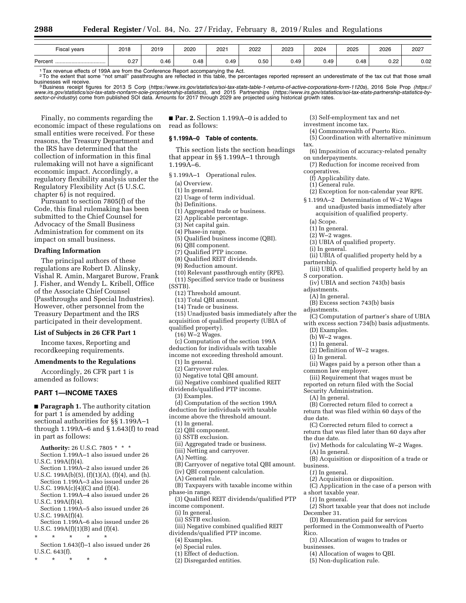| $- \cdot$<br>Fiscal years | 2018                 | 2019 | 2020 | $202 -$                          | 2022 | 2023  | 2024 | 2025 | 2026                                           | 2027 |
|---------------------------|----------------------|------|------|----------------------------------|------|-------|------|------|------------------------------------------------|------|
| Percent<br>               | ד ה<br>◡.←<br>$\sim$ | 0.46 | 0.48 | $\overline{\phantom{a}}$<br>U.49 | 0.50 | 49. ل | 0.49 | 0.48 | $\sim$<br>0.ZZ<br>and the contract of the con- | 0.02 |

1 Tax revenue effects of 199A are from the Conference Report accompanying the Act.<br><sup>2</sup> To the extent that some "not small" passthroughs are reflected in this table, the percentages reported represent an underestimate of th

businesses will receive.<br><sup>3</sup> Business receipt figures for 2013 S Corp (<https://www.irs.gov/statistics/soi-tax-stats-table-1-returns-of-active-corporations-form-1120s>), 2016 Sole Prop ([https://](https://www.irs.gov/statistics/soi-tax-stats-nonfarm-sole-proprietorship-statistics)<br>www.irs.gov/statistics/soi-t *[sector-or-industry](https://www.irs.gov/statistics/soi-tax-stats-partnership-statistics-by-sector-or-industry)*) come from published SOI data. Amounts for 2017 through 2029 are projected using historical growth rates.

Finally, no comments regarding the economic impact of these regulations on small entities were received. For these reasons, the Treasury Department and the IRS have determined that the collection of information in this final rulemaking will not have a significant economic impact. Accordingly, a regulatory flexibility analysis under the Regulatory Flexibility Act (5 U.S.C. chapter 6) is not required.

Pursuant to section 7805(f) of the Code, this final rulemaking has been submitted to the Chief Counsel for Advocacy of the Small Business Administration for comment on its impact on small business.

# **Drafting Information**

The principal authors of these regulations are Robert D. Alinsky, Vishal R. Amin, Margaret Burow, Frank J. Fisher, and Wendy L. Kribell, Office of the Associate Chief Counsel (Passthroughs and Special Industries). However, other personnel from the Treasury Department and the IRS participated in their development.

## **List of Subjects in 26 CFR Part 1**

Income taxes, Reporting and recordkeeping requirements.

### **Amendments to the Regulations**

Accordingly, 26 CFR part 1 is amended as follows:

# **PART 1—INCOME TAXES**

■ **Paragraph 1.** The authority citation for part 1 is amended by adding sectional authorities for §§ 1.199A–1 through 1.199A–6 and § 1.643(f) to read in part as follows:

**Authority:** 26 U.S.C. 7805 \* \* \*

- Section 1.199A–1 also issued under 26 U.S.C. 199A(f)(4).
- Section 1.199A–2 also issued under 26 U.S.C. 199A(b)(5), (f)(1)(A), (f)(4), and (h).
- Section 1.199A–3 also issued under 26 U.S.C.  $199A(c)(4)(C)$  and  $(f)(4)$ .
- Section 1.199A–4 also issued under 26 U.S.C. 199A(f)(4).
- Section 1.199A–5 also issued under 26 U.S.C. 199A(f)(4).
- Section 1.199A–6 also issued under 26 U.S.C. 199A(f)(1)(B) and (f)(4).
- \* \* \* \* \*
- Section 1.643(f)–1 also issued under 26 U.S.C. 643(f).
- \* \* \* \* \*

■ **Par. 2.** Section 1.199A–0 is added to read as follows:

### **§ 1.199A–0 Table of contents.**

- This section lists the section headings that appear in §§ 1.199A–1 through 1.199A–6.
- § 1.199A–1 Operational rules.
	- (a) Overview.
	- (1) In general.
	- (2) Usage of term individual.
	- (b) Definitions.
	- (1) Aggregated trade or business.
	- (2) Applicable percentage.
	- (3) Net capital gain.
	- (4) Phase-in range.
	- (5) Qualified business income (QBI).
	- (6) QBI component.
	- (7) Qualified PTP income.
	- (8) Qualified REIT dividends.
	- (9) Reduction amount.
- (10) Relevant passthrough entity (RPE). (11) Specified service trade or business (SSTB).
	- (12) Threshold amount.
	- (13) Total QBI amount.
	- (14) Trade or business.
	-
- (15) Unadjusted basis immediately after the acquisition of qualified property (UBIA of
- qualified property).
	- $(16)$  W $-2$  Wages.
- (c) Computation of the section 199A
- deduction for individuals with taxable
- income not exceeding threshold amount. (1) In general.
	- (2) Carryover rules.
- (i) Negative total QBI amount.
- (ii) Negative combined qualified REIT
- dividends/qualified PTP income.
	- (3) Examples.
- (d) Computation of the section 199A
- deduction for individuals with taxable income above the threshold amount.
	-
	- (1) In general.
	- (2) QBI component.
	- (i) SSTB exclusion.
	- (ii) Aggregated trade or business. (iii) Netting and carryover.
	- (A) Netting.
	- (B) Carryover of negative total QBI amount.
	- (iv) QBI component calculation.
- (A) General rule.

income component. (i) In general. (ii) SSTB exclusion.

(4) Examples. (e) Special rules. (1) Effect of deduction. (2) Disregarded entities.

(B) Taxpayers with taxable income within phase-in range.

(iii) Negative combined qualified REIT dividends/qualified PTP income.

- (3) Qualified REIT dividends/qualified PTP
- (*1*) In general. (*2*) Short taxable year that does not include December 31.
- (D) Remuneration paid for services

(*2*) Acquisition or disposition.

- performed in the Commonwealth of Puerto Rico.
- (3) Allocation of wages to trades or
- businesses.
	- (4) Allocation of wages to QBI.
	- (5) Non-duplication rule.

(3) Self-employment tax and net investment income tax.

- (4) Commonwealth of Puerto Rico.
- (5) Coordination with alternative minimum tax.
- (6) Imposition of accuracy-related penalty on underpayments.
- (7) Reduction for income received from cooperatives.
	- (f) Applicability date.
	- (1) General rule.
	- (2) Exception for non-calendar year RPE.
- § 1.199A–2 Determination of W–2 Wages and unadjusted basis immediately after acquisition of qualified property.
	- (a) Scope.
- (1) In general.
- $(2)$  W $-2$  wages.
- (3) UBIA of qualified property.
- (i) In general.
- (ii) UBIA of qualified property held by a partnership.
- (iii) UBIA of qualified property held by an S corporation.
	- (iv) UBIA and section 743(b) basis
- adjustments.
	- (A) In general.

(b) W–2 wages. (1) In general.

(i) In general.

common law employer.

Security Administration. (A) In general.

(B) Excess section 743(b) basis

(2) Definition of W–2 wages.

adjustments.

due date.

business. (*1*) In general.

the due date.

(A) In general.

a short taxable year.

(C) Computation of partner's share of UBIA with excess section  $734(b)$  basis adjustments. (D) Examples.

(ii) Wages paid by a person other than a

(iii) Requirement that wages must be reported on return filed with the Social

(B) Corrected return filed to correct a return that was filed within 60 days of the

(C) Corrected return filed to correct a return that was filed later than 60 days after

(iv) Methods for calculating W–2 Wages.

(B) Acquisition or disposition of a trade or

(C) Application in the case of a person with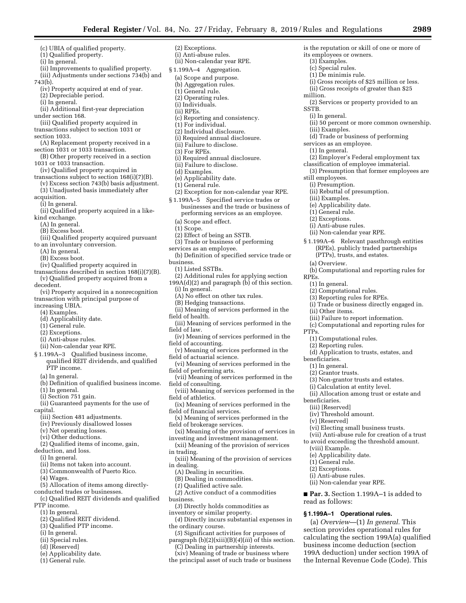is the reputation or skill of one or more of

(i) Gross receipts of \$25 million or less. (ii) Gross receipts of greater than \$25

(2) Services or property provided to an

(d) Trade or business of performing

(ii) Rebuttal of presumption.

(2) Employer's Federal employment tax classification of employee immaterial. (3) Presumption that former employees are

§ 1.199A–6 Relevant passthrough entities (RPEs), publicly traded partnerships

(b) Computational and reporting rules for

(i) Trade or business directly engaged in.

(iii) Failure to report information. (c) Computational and reporting rules for

(d) Application to trusts, estates, and

(3) Non-grantor trusts and estates. (i) Calculation at entity level.

(vi) Electing small business trusts. (vii) Anti-abuse rule for creation of a trust to avoid exceeding the threshold amount.

■ **Par. 3.** Section 1.199A-1 is added to

(a) *Overview*—(1) *In general.* This section provides operational rules for calculating the section 199A(a) qualified business income deduction (section 199A deduction) under section 199A of the Internal Revenue Code (Code). This

**§ 1.199A–1 Operational rules.** 

(ii) Allocation among trust or estate and

(PTPs), trusts, and estates.

(2) Computational rules. (3) Reporting rules for RPEs.

(1) Computational rules. (2) Reporting rules.

(ii) 50 percent or more common ownership.

its employees or owners. (3) Examples. (c) Special rules. (1) De minimis rule.

million.

SSTB.

(i) In general.

(iii) Examples.

still employees. (i) Presumption.

> (iii) Examples. (e) Applicability date. (1) General rule. (2) Exceptions. (i) Anti-abuse rules. (ii) Non-calendar year RPE.

(a) Overview.

(1) In general.

(ii) Other items.

RPEs.

PTPs.

beneficiaries. (1) In general. (2) Grantor trusts.

beneficiaries. (iii) [Reserved] (iv) Threshold amount.

(v) [Reserved]

(viii) Example. (e) Applicability date. (1) General rule. (2) Exceptions. (i) Anti-abuse rules. (ii) Non-calendar year RPE.

read as follows:

services as an employee. (1) In general.

- (c) UBIA of qualified property. (1) Qualified property.
- (i) In general.
- (ii) Improvements to qualified property.
- (iii) Adjustments under sections 734(b) and 743(b).

- (iv) Property acquired at end of year.
- (2) Depreciable period.
- (i) In general.
- (ii) Additional first-year depreciation under section 168.
- (iii) Qualified property acquired in
- transactions subject to section 1031 or section 1033.
- (A) Replacement property received in a section 1031 or 1033 transaction.
- (B) Other property received in a section 1031 or 1033 transaction.
- (iv) Qualified property acquired in
- transactions subject to section 168(i)(7)(B). (v) Excess section 743(b) basis adjustment. (3) Unadjusted basis immediately after
- acquisition.
- (i) In general.
- (ii) Qualified property acquired in a likekind exchange.
	- (A) In general.
	- (B) Excess boot.
- (iii) Qualified property acquired pursuant
- to an involuntary conversion.
	- (A) In general.
	- (B) Excess boot.
- (iv) Qualified property acquired in transactions described in section 168(i)(7)(B).
- (v) Qualified property acquired from a decedent.
- (vi) Property acquired in a nonrecognition transaction with principal purpose of increasing UBIA.
- (4) Examples.
- (d) Applicability date.
- (1) General rule.
- (2) Exceptions.
- 
- (i) Anti-abuse rules.
- (ii) Non-calendar year RPE.
- § 1.199A–3 Qualified business income, qualified REIT dividends, and qualified PTP income.
	- (a) In general.
	- (b) Definition of qualified business income. (1) In general.
	- (i) Section 751 gain.
- (ii) Guaranteed payments for the use of capital.
	- (iii) Section 481 adjustments.
	- (iv) Previously disallowed losses
	- (v) Net operating losses.
	- (vi) Other deductions.
- (2) Qualified items of income, gain,
- deduction, and loss.
- (i) In general.
- (ii) Items not taken into account.
- (3) Commonwealth of Puerto Rico.
- (4) Wages.
- (5) Allocation of items among directly-
- conducted trades or businesses.
- (c) Qualified REIT dividends and qualified PTP income.
- (1) In general.
- (2) Qualified REIT dividend.
- (3) Qualified PTP income.
- (i) In general.
- 
- (ii) Special rules.
- (d) [Reserved]
- (e) Applicability date.
- (1) General rule.
- (2) Exceptions. (i) Anti-abuse rules. (ii) Non-calendar year RPE.
- § 1.199A–4 Aggregation.
- (a) Scope and purpose.
- (b) Aggregation rules. (1) General rule.
- (2) Operating rules.
- (i) Individuals.
- (ii) RPEs.
- (c) Reporting and consistency.
- (1) For individual.
- (2) Individual disclosure.
- (i) Required annual disclosure.
- (ii) Failure to disclose.
- (3) For RPEs.
- (i) Required annual disclosure.
- (ii) Failure to disclose.
- (d) Examples.
- (e) Applicability date.
- (1) General rule.
- (2) Exception for non-calendar year RPE.
- § 1.199A–5 Specified service trades or businesses and the trade or business of performing services as an employee.
	- (a) Scope and effect.
	- (1) Scope.
	- (2) Effect of being an SSTB.
- (3) Trade or business of performing
- services as an employee.
- (b) Definition of specified service trade or business.
- (1) Listed SSTBs.
- (2) Additional rules for applying section 199A(d)(2) and paragraph (b) of this section.
	- (i) In general.

field of athletics.

in trading.

in dealing.

business.

the ordinary course.

field of financial services.

field of brokerage services.

(A) Dealing in securities. (B) Dealing in commodities. (*1*) Qualified active sale.

- (A) No effect on other tax rules.
- (B) Hedging transactions.
- (ii) Meaning of services performed in the field of health.
- (iii) Meaning of services performed in the field of law.
- (iv) Meaning of services performed in the field of accounting.
- (v) Meaning of services performed in the field of actuarial science.
- (vi) Meaning of services performed in the field of performing arts.
- (vii) Meaning of services performed in the field of consulting.

(viii) Meaning of services performed in the

(ix) Meaning of services performed in the

(x) Meaning of services performed in the

(xi) Meaning of the provision of services in investing and investment management. (xii) Meaning of the provision of services

(xiii) Meaning of the provision of services

(*4*) Directly incurs substantial expenses in

(*5*) Significant activities for purposes of paragraph (b)(2)(xiii)(B)(*4*)(*iii*) of this section. (C) Dealing in partnership interests. (xiv) Meaning of trade or business where the principal asset of such trade or business

(*2*) Active conduct of a commodities

(*3*) Directly holds commodities as inventory or similar property.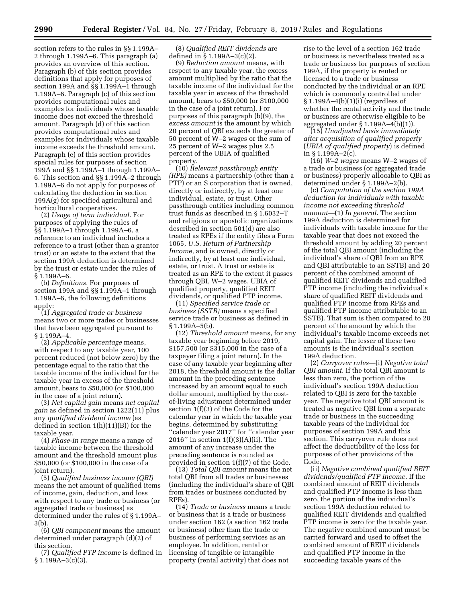section refers to the rules in §§ 1.199A– 2 through 1.199A–6. This paragraph (a) provides an overview of this section. Paragraph (b) of this section provides definitions that apply for purposes of section 199A and §§ 1.199A–1 through 1.199A–6. Paragraph (c) of this section provides computational rules and examples for individuals whose taxable income does not exceed the threshold amount. Paragraph (d) of this section provides computational rules and examples for individuals whose taxable income exceeds the threshold amount. Paragraph (e) of this section provides special rules for purposes of section 199A and §§ 1.199A–1 through 1.199A– 6. This section and §§ 1.199A–2 through 1.199A–6 do not apply for purposes of calculating the deduction in section 199A(g) for specified agricultural and horticultural cooperatives.

(2) *Usage of term individual.* For purposes of applying the rules of §§ 1.199A–1 through 1.199A–6, a reference to an individual includes a reference to a trust (other than a grantor trust) or an estate to the extent that the section 199A deduction is determined by the trust or estate under the rules of § 1.199A–6.

(b) *Definitions.* For purposes of section 199A and §§ 1.199A–1 through 1.199A–6, the following definitions apply:

(1) *Aggregated trade or business*  means two or more trades or businesses that have been aggregated pursuant to § 1.199A–4.

(2) *Applicable percentage* means, with respect to any taxable year, 100 percent reduced (not below zero) by the percentage equal to the ratio that the taxable income of the individual for the taxable year in excess of the threshold amount, bears to \$50,000 (or \$100,000 in the case of a joint return).

(3) *Net capital gain* means *net capital gain* as defined in section 1222(11) plus any *qualified dividend income* (as defined in section 1(h)(11)(B)) for the taxable year.

(4) *Phase-in range* means a range of taxable income between the threshold amount and the threshold amount plus \$50,000 (or \$100,000 in the case of a joint return).

(5) *Qualified business income (QBI)*  means the net amount of qualified items of income, gain, deduction, and loss with respect to any trade or business (or aggregated trade or business) as determined under the rules of § 1.199A– 3(b).

(6) *QBI component* means the amount determined under paragraph (d)(2) of this section.

(7) *Qualified PTP income* is defined in  $§ 1.199A - 3(c)(3).$ 

(8) *Qualified REIT dividends* are defined in § 1.199A–3(c)(2).

(9) *Reduction amount* means, with respect to any taxable year, the excess amount multiplied by the ratio that the taxable income of the individual for the taxable year in excess of the threshold amount, bears to \$50,000 (or \$100,000 in the case of a joint return). For purposes of this paragraph (b)(9), the *excess amount* is the amount by which 20 percent of QBI exceeds the greater of 50 percent of W–2 wages or the sum of 25 percent of W–2 wages plus 2.5 percent of the UBIA of qualified property.

(10) *Relevant passthrough entity (RPE)* means a partnership (other than a PTP) or an S corporation that is owned, directly or indirectly, by at least one individual, estate, or trust. Other passthrough entities including common trust funds as described in § 1.6032–T and religious or apostolic organizations described in section 501(d) are also treated as RPEs if the entity files a Form 1065, *U.S. Return of Partnership Income,* and is owned, directly or indirectly, by at least one individual, estate, or trust. A trust or estate is treated as an RPE to the extent it passes through QBI, W–2 wages, UBIA of qualified property, qualified REIT dividends, or qualified PTP income.

(11) *Specified service trade or business (SSTB)* means a specified service trade or business as defined in § 1.199A–5(b).

(12) *Threshold amount* means, for any taxable year beginning before 2019, \$157,500 (or \$315,000 in the case of a taxpayer filing a joint return). In the case of any taxable year beginning after 2018, the threshold amount is the dollar amount in the preceding sentence increased by an amount equal to such dollar amount, multiplied by the costof-living adjustment determined under section 1(f)(3) of the Code for the calendar year in which the taxable year begins, determined by substituting ''calendar year 2017'' for ''calendar year 2016" in section  $1(f)(3)(A)(ii)$ . The amount of any increase under the preceding sentence is rounded as provided in section 1(f)(7) of the Code.

(13) *Total QBI amount* means the net total QBI from all trades or businesses (including the individual's share of QBI from trades or business conducted by RPEs).

(14) *Trade or business* means a trade or business that is a trade or business under section 162 (a section 162 trade or business) other than the trade or business of performing services as an employee. In addition, rental or licensing of tangible or intangible property (rental activity) that does not

rise to the level of a section 162 trade or business is nevertheless treated as a trade or business for purposes of section 199A, if the property is rented or licensed to a trade or business conducted by the individual or an RPE which is commonly controlled under § 1.199A–4(b)(1)(i) (regardless of whether the rental activity and the trade or business are otherwise eligible to be aggregated under § 1.199A–4(b)(1)).

(15) *Unadjusted basis immediately after acquisition of qualified property*  (*UBIA of qualified property*) is defined in § 1.199A–2(c).

(16) *W–2 wages* means W–2 wages of a trade or business (or aggregated trade or business) properly allocable to QBI as determined under § 1.199A–2(b).

(c) *Computation of the section 199A deduction for individuals with taxable income not exceeding threshold amount*—(1) *In general.* The section 199A deduction is determined for individuals with taxable income for the taxable year that does not exceed the threshold amount by adding 20 percent of the total QBI amount (including the individual's share of QBI from an RPE and QBI attributable to an SSTB) and 20 percent of the combined amount of qualified REIT dividends and qualified PTP income (including the individual's share of qualified REIT dividends and qualified PTP income from RPEs and qualified PTP income attributable to an SSTB). That sum is then compared to 20 percent of the amount by which the individual's taxable income exceeds net capital gain. The lesser of these two amounts is the individual's section 199A deduction.

(2) *Carryover rules*—(i) *Negative total QBI amount.* If the total QBI amount is less than zero, the portion of the individual's section 199A deduction related to QBI is zero for the taxable year. The negative total QBI amount is treated as negative QBI from a separate trade or business in the succeeding taxable years of the individual for purposes of section 199A and this section. This carryover rule does not affect the deductibility of the loss for purposes of other provisions of the Code.

(ii) *Negative combined qualified REIT dividends/qualified PTP income.* If the combined amount of REIT dividends and qualified PTP income is less than zero, the portion of the individual's section 199A deduction related to qualified REIT dividends and qualified PTP income is zero for the taxable year. The negative combined amount must be carried forward and used to offset the combined amount of REIT dividends and qualified PTP income in the succeeding taxable years of the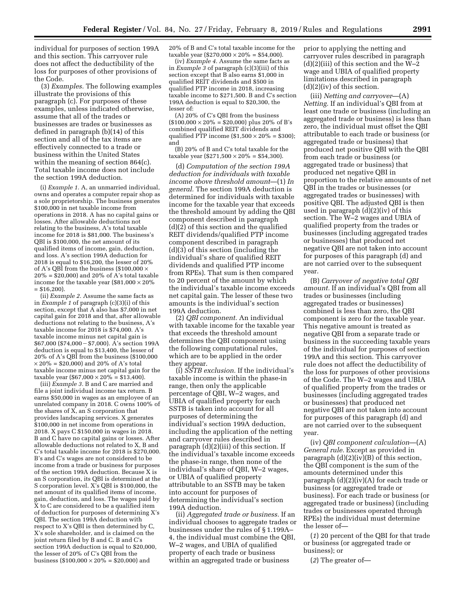individual for purposes of section 199A and this section. This carryover rule does not affect the deductibility of the loss for purposes of other provisions of the Code.

(3) *Examples.* The following examples illustrate the provisions of this paragraph (c). For purposes of these examples, unless indicated otherwise, assume that all of the trades or businesses are trades or businesses as defined in paragraph (b)(14) of this section and all of the tax items are effectively connected to a trade or business within the United States within the meaning of section 864(c). Total taxable income does not include the section 199A deduction.

(i) *Example 1.* A, an unmarried individual, owns and operates a computer repair shop as a sole proprietorship. The business generates \$100,000 in net taxable income from operations in 2018. A has no capital gains or losses. After allowable deductions not relating to the business, A's total taxable income for 2018 is \$81,000. The business's QBI is \$100,000, the net amount of its qualified items of income, gain, deduction, and loss. A's section 199A deduction for 2018 is equal to \$16,200, the lesser of 20% of A's QBI from the business (\$100,000  $\times$  $20\% = $20,000$  and  $20\%$  of A's total taxable income for the taxable year  $(\$81,000 \times 20\%$  $=$  \$16,200).

(ii) *Example 2.* Assume the same facts as in *Example 1* of paragraph (c)(3)(i) of this section, except that  $\tilde{A}$  also has \$7,000 in net capital gain for 2018 and that, after allowable deductions not relating to the business, A's taxable income for 2018 is \$74,000. A's taxable income minus net capital gain is  $$67,000$  (\$74,000 - \$7,000). A's section 199A deduction is equal to \$13,400, the lesser of 20% of A's QBI from the business (\$100,000  $\times$  20% = \$20,000) and 20% of A's total taxable income minus net capital gain for the taxable year (\$67,000  $\times$  20% = \$13,400).

(iii) *Example 3.* B and C are married and file a joint individual income tax return. B earns \$50,000 in wages as an employee of an unrelated company in 2018. C owns 100% of the shares of X, an S corporation that provides landscaping services. X generates \$100,000 in net income from operations in 2018. X pays C \$150,000 in wages in 2018. B and C have no capital gains or losses. After allowable deductions not related to X, B and C's total taxable income for 2018 is \$270,000. B's and C's wages are not considered to be income from a trade or business for purposes of the section 199A deduction. Because X is an S corporation, its QBI is determined at the S corporation level. X's QBI is \$100,000, the net amount of its qualified items of income, gain, deduction, and loss. The wages paid by  $\tilde{X}$  to C are considered to be a qualified item of deduction for purposes of determining X's QBI. The section 199A deduction with respect to X's QBI is then determined by C, X's sole shareholder, and is claimed on the joint return filed by B and C. B and C's section 199A deduction is equal to \$20,000, the lesser of 20% of C's QBI from the business (\$100,000  $\times$  20% = \$20,000) and

20% of B and C's total taxable income for the taxable year  $(\$270,000 \times 20\% = \$54,000)$ .

(iv) *Example 4.* Assume the same facts as in *Example 3* of paragraph (c)(3)(iii) of this section except that B also earns \$1,000 in qualified REIT dividends and \$500 in qualified PTP income in 2018, increasing taxable income to \$271,500. B and C's section 199A deduction is equal to \$20,300, the lesser of:

(A) 20% of C's QBI from the business  $($100,000 \times 20\% = $20,000)$  plus 20% of B's combined qualified REIT dividends and qualified PTP income  $(\$1,500 \times 20\% = \$300);$ and

(B) 20% of B and C's total taxable for the taxable year  $(\$271,500 \times 20\% = \$54,300)$ .

(d) *Computation of the section 199A deduction for individuals with taxable income above threshold amount*—(1) *In general.* The section 199A deduction is determined for individuals with taxable income for the taxable year that exceeds the threshold amount by adding the QBI component described in paragraph (d)(2) of this section and the qualified REIT dividends/qualified PTP income component described in paragraph (d)(3) of this section (including the individual's share of qualified REIT dividends and qualified PTP income from RPEs). That sum is then compared to 20 percent of the amount by which the individual's taxable income exceeds net capital gain. The lesser of these two amounts is the individual's section 199A deduction.

(2) *QBI component.* An individual with taxable income for the taxable year that exceeds the threshold amount determines the QBI component using the following computational rules, which are to be applied in the order they appear.

(i) *SSTB exclusion.* If the individual's taxable income is within the phase-in range, then only the applicable percentage of QBI, W–2 wages, and UBIA of qualified property for each SSTB is taken into account for all purposes of determining the individual's section 199A deduction, including the application of the netting and carryover rules described in paragraph (d)(2)(iii) of this section. If the individual's taxable income exceeds the phase-in range, then none of the individual's share of QBI, W–2 wages, or UBIA of qualified property attributable to an SSTB may be taken into account for purposes of determining the individual's section 199A deduction.

(ii) *Aggregated trade or business.* If an individual chooses to aggregate trades or businesses under the rules of § 1.199A– 4, the individual must combine the QBI, W–2 wages, and UBIA of qualified property of each trade or business within an aggregated trade or business

prior to applying the netting and carryover rules described in paragraph  $(d)(2)(iii)$  of this section and the W-2 wage and UBIA of qualified property limitations described in paragraph (d)(2)(iv) of this section.

(iii) *Netting and carryover*—(A) *Netting.* If an individual's QBI from at least one trade or business (including an aggregated trade or business) is less than zero, the individual must offset the QBI attributable to each trade or business (or aggregated trade or business) that produced net positive QBI with the QBI from each trade or business (or aggregated trade or business) that produced net negative QBI in proportion to the relative amounts of net QBI in the trades or businesses (or aggregated trades or businesses) with positive QBI. The adjusted QBI is then used in paragraph (d)(2)(iv) of this section. The W–2 wages and UBIA of qualified property from the trades or businesses (including aggregated trades or businesses) that produced net negative QBI are not taken into account for purposes of this paragraph (d) and are not carried over to the subsequent year.

(B) *Carryover of negative total QBI amount.* If an individual's QBI from all trades or businesses (including aggregated trades or businesses) combined is less than zero, the QBI component is zero for the taxable year. This negative amount is treated as negative QBI from a separate trade or business in the succeeding taxable years of the individual for purposes of section 199A and this section. This carryover rule does not affect the deductibility of the loss for purposes of other provisions of the Code. The W–2 wages and UBIA of qualified property from the trades or businesses (including aggregated trades or businesses) that produced net negative QBI are not taken into account for purposes of this paragraph (d) and are not carried over to the subsequent year.

(iv) *QBI component calculation*—(A) *General rule.* Except as provided in paragraph (d)(2)(iv)(B) of this section, the QBI component is the sum of the amounts determined under this paragraph (d)(2)(iv)(A) for each trade or business (or aggregated trade or business). For each trade or business (or aggregated trade or business) (including trades or businesses operated through RPEs) the individual must determine the lesser of—

(*1*) 20 percent of the QBI for that trade or business (or aggregated trade or business); or

(*2*) The greater of—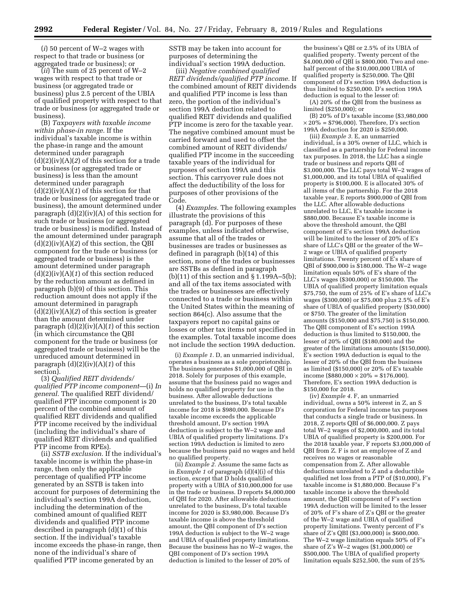(*i*) 50 percent of W–2 wages with respect to that trade or business (or aggregated trade or business); or

(*ii*) The sum of 25 percent of W–2 wages with respect to that trade or business (or aggregated trade or business) plus 2.5 percent of the UBIA of qualified property with respect to that trade or business (or aggregated trade or business).

(B) *Taxpayers with taxable income within phase-in range.* If the individual's taxable income is within the phase-in range and the amount determined under paragraph (d)(2)(iv)(A)(*2*) of this section for a trade or business (or aggregated trade or business) is less than the amount determined under paragraph (d)(2)(iv)(A)(*1*) of this section for that trade or business (or aggregated trade or business), the amount determined under paragraph  $(d)(2)(iv)(A)$  of this section for such trade or business (or aggregated trade or business) is modified. Instead of the amount determined under paragraph (d)(2)(iv)(A)(*2*) of this section, the QBI component for the trade or business (or aggregated trade or business) is the amount determined under paragraph (d)(2)(iv)(A)(*1*) of this section reduced by the reduction amount as defined in paragraph (b)(9) of this section. This reduction amount does not apply if the amount determined in paragraph (d)(2)(iv)(A)(*2*) of this section is greater than the amount determined under paragraph (d)(2)(iv)(A)(*1*) of this section (in which circumstance the QBI component for the trade or business (or aggregated trade or business) will be the unreduced amount determined in paragraph (d)(2)(iv)(A)(*1*) of this section).

(3) *Qualified REIT dividends/ qualified PTP income component*—(i) *In general.* The qualified REIT dividend/ qualified PTP income component is 20 percent of the combined amount of qualified REIT dividends and qualified PTP income received by the individual (including the individual's share of qualified REIT dividends and qualified PTP income from RPEs).

(ii) *SSTB exclusion.* If the individual's taxable income is within the phase-in range, then only the applicable percentage of qualified PTP income generated by an SSTB is taken into account for purposes of determining the individual's section 199A deduction, including the determination of the combined amount of qualified REIT dividends and qualified PTP income described in paragraph (d)(1) of this section. If the individual's taxable income exceeds the phase-in range, then none of the individual's share of qualified PTP income generated by an

SSTB may be taken into account for purposes of determining the individual's section 199A deduction.

(iii) *Negative combined qualified REIT dividends/qualified PTP income.* If the combined amount of REIT dividends and qualified PTP income is less than zero, the portion of the individual's section 199A deduction related to qualified REIT dividends and qualified PTP income is zero for the taxable year. The negative combined amount must be carried forward and used to offset the combined amount of REIT dividends/ qualified PTP income in the succeeding taxable years of the individual for purposes of section 199A and this section. This carryover rule does not affect the deductibility of the loss for purposes of other provisions of the Code.

(4) *Examples.* The following examples illustrate the provisions of this paragraph (d). For purposes of these examples, unless indicated otherwise, assume that all of the trades or businesses are trades or businesses as defined in paragraph (b)(14) of this section, none of the trades or businesses are SSTBs as defined in paragraph (b)(11) of this section and  $\S 1.199A-5(b)$ ; and all of the tax items associated with the trades or businesses are effectively connected to a trade or business within the United States within the meaning of section 864(c). Also assume that the taxpayers report no capital gains or losses or other tax items not specified in the examples. Total taxable income does not include the section 199A deduction.

(i) *Example 1.* D, an unmarried individual, operates a business as a sole proprietorship. The business generates \$1,000,000 of QBI in 2018. Solely for purposes of this example, assume that the business paid no wages and holds no qualified property for use in the business. After allowable deductions unrelated to the business, D's total taxable income for 2018 is \$980,000. Because D's taxable income exceeds the applicable threshold amount, D's section 199A deduction is subject to the W–2 wage and UBIA of qualified property limitations. D's section 199A deduction is limited to zero because the business paid no wages and held no qualified property.

(ii) *Example 2.* Assume the same facts as in *Example 1* of paragraph (d)(4)(i) of this section, except that D holds qualified property with a UBIA of \$10,000,000 for use in the trade or business. D reports \$4,000,000 of QBI for 2020. After allowable deductions unrelated to the business, D's total taxable income for 2020 is \$3,980,000. Because D's taxable income is above the threshold amount, the QBI component of D's section 199A deduction is subject to the W–2 wage and UBIA of qualified property limitations. Because the business has no W–2 wages, the QBI component of D's section 199A deduction is limited to the lesser of 20% of

the business's QBI or 2.5% of its UBIA of qualified property. Twenty percent of the \$4,000,000 of QBI is \$800,000. Two and onehalf percent of the \$10,000,000 UBIA of qualified property is \$250,000. The QBI component of D's section 199A deduction is thus limited to \$250,000. D's section 199A deduction is equal to the lesser of:

(A) 20% of the QBI from the business as limited (\$250,000); or

(B) 20% of D's taxable income (\$3,980,000  $\times$  20% = \$796,000). Therefore, D's section 199A deduction for 2020 is \$250,000.

(iii) *Example 3.* E, an unmarried individual, is a 30% owner of LLC, which is classified as a partnership for Federal income tax purposes. In 2018, the LLC has a single trade or business and reports QBI of \$3,000,000. The LLC pays total W–2 wages of \$1,000,000, and its total UBIA of qualified property is \$100,000. E is allocated 30% of all items of the partnership. For the 2018 taxable year, E reports \$900,000 of QBI from the LLC. After allowable deductions unrelated to LLC, E's taxable income is \$880,000. Because E's taxable income is above the threshold amount, the QBI component of E's section 199A deduction will be limited to the lesser of 20% of E's share of LLC's QBI or the greater of the W– 2 wage or UBIA of qualified property limitations. Twenty percent of E's share of QBI of \$900,000 is \$180,000. The W–2 wage limitation equals 50% of E's share of the LLC's wages (\$300,000) or \$150,000. The UBIA of qualified property limitation equals \$75,750, the sum of 25% of E's share of LLC's wages (\$300,000) or \$75,000 plus 2.5% of E's share of UBIA of qualified property (\$30,000) or \$750. The greater of the limitation amounts (\$150,000 and \$75,750) is \$150,000. The QBI component of E's section 199A deduction is thus limited to \$150,000, the lesser of 20% of QBI (\$180,000) and the greater of the limitations amounts (\$150,000). E's section 199A deduction is equal to the lesser of 20% of the QBI from the business as limited (\$150,000) or 20% of E's taxable income (\$880,000  $\times$  20% = \$176,000). Therefore, E's section 199A deduction is \$150,000 for 2018.

(iv) *Example 4.* F, an unmarried individual, owns a 50% interest in Z, an S corporation for Federal income tax purposes that conducts a single trade or business. In 2018, Z reports QBI of \$6,000,000. Z pays total W–2 wages of \$2,000,000, and its total UBIA of qualified property is \$200,000. For the 2018 taxable year, F reports \$3,000,000 of QBI from Z. F is not an employee of Z and receives no wages or reasonable compensation from Z. After allowable deductions unrelated to Z and a deductible qualified net loss from a PTP of (\$10,000), F's taxable income is \$1,880,000. Because F's taxable income is above the threshold amount, the QBI component of F's section 199A deduction will be limited to the lesser of 20% of F's share of Z's QBI or the greater of the W–2 wage and UBIA of qualified property limitations. Twenty percent of F's share of Z's QBI (\$3,000,000) is \$600,000. The W–2 wage limitation equals 50% of F's share of Z's W–2 wages (\$1,000,000) or \$500,000. The UBIA of qualified property limitation equals \$252,500, the sum of 25%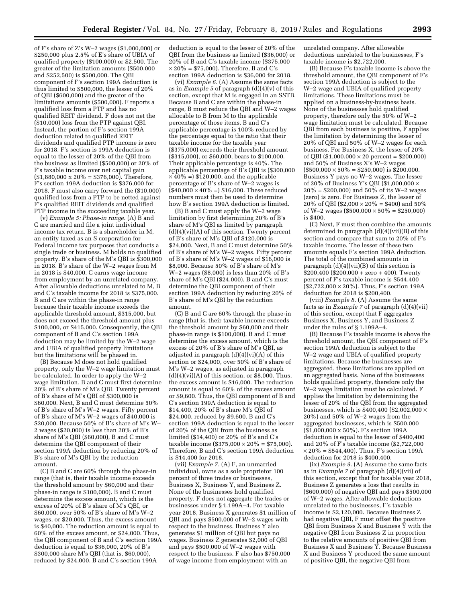of F's share of Z's W–2 wages (\$1,000,000) or \$250,000 plus 2.5% of E's share of UBIA of qualified property (\$100,000) or \$2,500. The greater of the limitation amounts (\$500,000 and \$252,500) is \$500,000. The QBI component of F's section 199A deduction is thus limited to \$500,000, the lesser of 20% of QBI (\$600,000) and the greater of the limitations amounts (\$500,000). F reports a qualified loss from a PTP and has no qualified REIT dividend. F does not net the (\$10,000) loss from the PTP against QBI. Instead, the portion of F's section 199A deduction related to qualified REIT dividends and qualified PTP income is zero for 2018. F's section is 199A deduction is equal to the lesser of 20% of the QBI from the business as limited (\$500,000) or 20% of F's taxable income over net capital gain  $$1,880,000 \times 20\% = $376,000$ . Therefore, F's section 199A deduction is \$376,000 for 2018. F must also carry forward the (\$10,000) qualified loss from a PTP to be netted against F's qualified REIT dividends and qualified PTP income in the succeeding taxable year.

(v) *Example 5: Phase-in range.* (A) B and C are married and file a joint individual income tax return. B is a shareholder in M, an entity taxed as an S corporation for Federal income tax purposes that conducts a single trade or business. M holds no qualified property. B's share of the M's QBI is \$300,000 in 2018. B's share of the W–2 wages from M in 2018 is \$40,000. C earns wage income from employment by an unrelated company. After allowable deductions unrelated to M, B and C's taxable income for 2018 is \$375,000. B and C are within the phase-in range because their taxable income exceeds the applicable threshold amount, \$315,000, but does not exceed the threshold amount plus \$100,000, or \$415,000. Consequently, the QBI component of B and C's section 199A deduction may be limited by the W–2 wage and UBIA of qualified property limitations but the limitations will be phased in.

(B) Because M does not hold qualified property, only the W–2 wage limitation must be calculated. In order to apply the W–2 wage limitation, B and C must first determine 20% of B's share of M's QBI. Twenty percent of B's share of M's QBI of \$300,000 is \$60,000. Next, B and C must determine 50% of B's share of M's W–2 wages. Fifty percent of B's share of M's W–2 wages of \$40,000 is \$20,000. Because 50% of B's share of M's W– 2 wages (\$20,000) is less than 20% of B's share of M's QBI (\$60,000), B and C must determine the QBI component of their section 199A deduction by reducing 20% of B's share of M's QBI by the reduction amount.

(C) B and C are 60% through the phase-in range (that is, their taxable income exceeds the threshold amount by \$60,000 and their phase-in range is \$100,000). B and C must determine the excess amount, which is the excess of 20% of B's share of M's QBI, or \$60,000, over 50% of B's share of M's W–2 wages, or \$20,000. Thus, the excess amount is \$40,000. The reduction amount is equal to 60% of the excess amount, or \$24,000. Thus, the QBI component of B and C's section 199A deduction is equal to \$36,000, 20% of B's \$300,000 share M's QBI (that is, \$60,000), reduced by \$24,000. B and C's section 199A

deduction is equal to the lesser of 20% of the QBI from the business as limited (\$36,000) or 20% of B and C's taxable income (\$375,000  $\times$  20% = \$75,000). Therefore, B and C's section 199A deduction is \$36,000 for 2018.

(vi) *Example 6.* (A) Assume the same facts as in *Example 5* of paragraph (d)(4)(v) of this section, except that M is engaged in an SSTB. Because B and C are within the phase-in range, B must reduce the QBI and W–2 wages allocable to B from M to the applicable percentage of those items. B and C's applicable percentage is 100% reduced by the percentage equal to the ratio that their taxable income for the taxable year (\$375,000) exceeds their threshold amount (\$315,000), or \$60,000, bears to \$100,000. Their applicable percentage is 40%. The applicable percentage of B's QBI is (\$300,000  $\times$  40% =) \$120,000, and the applicable percentage of B's share of W–2 wages is  $($40,000 \times 40\% = $16,000$ . These reduced numbers must then be used to determine how B's section 199A deduction is limited.

(B) B and C must apply the W–2 wage limitation by first determining 20% of B's share of M's QBI as limited by paragraph  $(d)(4)(vi)(A)$  of this section. Twenty percent of B's share of M's QBI of \$120,000 is \$24,000. Next, B and C must determine 50% of B's share of M's W–2 wages. Fifty percent of B's share of M's W–2 wages of \$16,000 is \$8,000. Because 50% of B's share of M's W–2 wages (\$8,000) is less than 20% of B's share of M's QBI (\$24,000), B and C's must determine the QBI component of their section 199A deduction by reducing 20% of B's share of M's QBI by the reduction amount.

(C) B and C are 60% through the phase-in range (that is, their taxable income exceeds the threshold amount by \$60,000 and their phase-in range is \$100,000). B and C must determine the excess amount, which is the excess of 20% of B's share of M's QBI, as adjusted in paragraph  $(d)(4)(vi)(A)$  of this section or \$24,000, over 50% of B's share of M's W–2 wages, as adjusted in paragraph  $(d)(4)(vi)(A)$  of this section, or \$8,000. Thus, the excess amount is \$16,000. The reduction amount is equal to 60% of the excess amount or \$9,600. Thus, the QBI component of B and C's section 199A deduction is equal to \$14,400, 20% of B's share M's QBI of \$24,000, reduced by \$9,600. B and C's section 199A deduction is equal to the lesser of 20% of the QBI from the business as limited (\$14,400) or 20% of B's and C's taxable income (\$375,000  $\times$  20% = \$75,000). Therefore, B and C's section 199A deduction is \$14,400 for 2018.

(vii) *Example 7.* (A) F, an unmarried individual, owns as a sole proprietor 100 percent of three trades or businesses, Business X, Business Y, and Business Z. None of the businesses hold qualified property. F does not aggregate the trades or businesses under § 1.199A–4. For taxable year 2018, Business X generates \$1 million of QBI and pays \$500,000 of W–2 wages with respect to the business. Business Y also generates \$1 million of QBI but pays no wages. Business Z generates \$2,000 of QBI and pays \$500,000 of W–2 wages with respect to the business. F also has \$750,000 of wage income from employment with an

unrelated company. After allowable deductions unrelated to the businesses, F's taxable income is \$2,722,000.

(B) Because F's taxable income is above the threshold amount, the QBI component of F's section 199A deduction is subject to the W–2 wage and UBIA of qualified property limitations. These limitations must be applied on a business-by-business basis. None of the businesses hold qualified property, therefore only the 50% of W–2 wage limitation must be calculated. Because QBI from each business is positive, F applies the limitation by determining the lesser of 20% of QBI and 50% of W–2 wages for each business. For Business X, the lesser of 20% of QBI (\$1,000,000  $\times$  20 percent = \$200,000) and 50% of Business X's W–2 wages  $($500,000 \times 50\% = $250,000) \text{ is } $200,000.$ Business Y pays no W–2 wages. The lesser of 20% of Business Y's QBI (\$1,000,000  $\times$  $20\% = $200,000$  and  $50\%$  of its W-2 wages (zero) is zero. For Business Z, the lesser of 20% of QBI (\$2,000  $\times$  20% = \$400) and 50% of W–2 wages (\$500,000  $\times$  50% = \$250,000) is \$400.

(C) Next, F must then combine the amounts determined in paragraph  $(d)(4)(vi)(B)$  of this section and compare that sum to 20% of F's taxable income. The lesser of these two amounts equals F's section 199A deduction. The total of the combined amounts in paragraph (d)(4)(vii)(B) of this section is  $$200,400$  (\$200,000 + zero + 400). Twenty percent of F's taxable income is \$544,400 (\$2,722,000 × 20%). Thus, F's section 199A deduction for 2018 is \$200,400.

(viii) *Example 8.* (A) Assume the same facts as in *Example 7* of paragraph (d)(4)(vii) of this section, except that F aggregates Business X, Business Y, and Business Z under the rules of § 1.199A–4.

(B) Because F's taxable income is above the threshold amount, the QBI component of F's section 199A deduction is subject to the W–2 wage and UBIA of qualified property limitations. Because the businesses are aggregated, these limitations are applied on an aggregated basis. None of the businesses holds qualified property, therefore only the W–2 wage limitation must be calculated. F applies the limitation by determining the lesser of 20% of the QBI from the aggregated businesses, which is \$400,400 (\$2,002,000  $\times$ 20%) and 50% of W–2 wages from the aggregated businesses, which is \$500,000 (\$1,000,000 x 50%). F's section 199A deduction is equal to the lesser of \$400,400 and 20% of F's taxable income (\$2,722,000  $\times$  20% = \$544,400). Thus, F's section 199A deduction for 2018 is \$400,400.

(ix) *Example 9.* (A) Assume the same facts as in *Example 7* of paragraph (d)(4)(vii) of this section, except that for taxable year 2018, Business Z generates a loss that results in (\$600,000) of negative QBI and pays \$500,000 of W–2 wages. After allowable deductions unrelated to the businesses, F's taxable income is \$2,120,000. Because Business Z had negative QBI, F must offset the positive QBI from Business X and Business  $\tilde{Y}$  with the negative QBI from Business Z in proportion to the relative amounts of positive QBI from Business X and Business  $\tilde{Y}$ . Because Business X and Business Y produced the same amount of positive QBI, the negative QBI from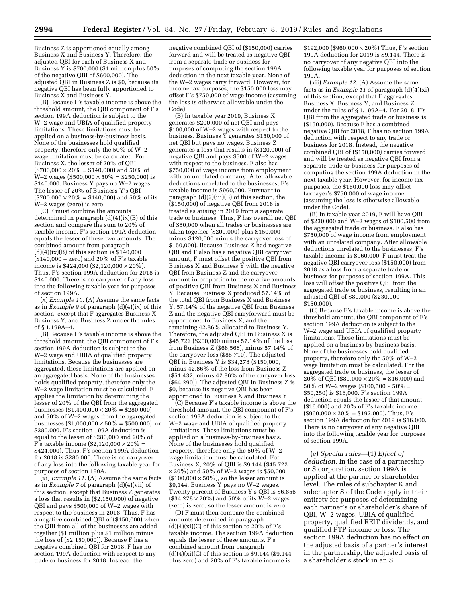Business Z is apportioned equally among Business X and Business Y. Therefore, the adjusted QBI for each of Business X and Business Y is \$700,000 (\$1 million plus 50% of the negative QBI of \$600,000). The adjusted QBI in Business Z is \$0, because its negative QBI has been fully apportioned to Business X and Business Y.

(B) Because F's taxable income is above the threshold amount, the QBI component of F's section 199A deduction is subject to the W–2 wage and UBIA of qualified property limitations. These limitations must be applied on a business-by-business basis. None of the businesses hold qualified property, therefore only the 50% of W–2 wage limitation must be calculated. For Business X, the lesser of 20% of QBI  $($700,000 \times 20\% = $140,000)$  and 50% of  $W-2$  wages (\$500,000  $\times$  50% = \$250,000) is \$140,000. Business Y pays no W–2 wages. The lesser of 20% of Business Y's QBI  $($700,000 \times 20\% = $140,000)$  and 50% of its W–2 wages (zero) is zero.

(C) F must combine the amounts determined in paragraph (d)(4)(ix)(B) of this section and compare the sum to 20% of taxable income. F's section 199A deduction equals the lesser of these two amounts. The combined amount from paragraph  $(d)(4)(ix)(B)$  of this section is \$140,000  $($140,000 + zero)$  and  $20\%$  of F's taxable income is \$424,000 (\$2,120,000  $\times$  20%). Thus, F's section 199A deduction for 2018 is \$140,000. There is no carryover of any loss into the following taxable year for purposes of section 199A.

(x) *Example 10.* (A) Assume the same facts as in *Example 9* of paragraph (d)(4)(ix) of this section, except that F aggregates Business X, Business Y, and Business Z under the rules of § 1.199A–4.

(B) Because F's taxable income is above the threshold amount, the QBI component of F's section 199A deduction is subject to the W–2 wage and UBIA of qualified property limitations. Because the businesses are aggregated, these limitations are applied on an aggregated basis. None of the businesses holds qualified property, therefore only the W–2 wage limitation must be calculated. F applies the limitation by determining the lesser of 20% of the QBI from the aggregated businesses (\$1,400,000  $\times$  20% = \$280,000) and 50% of W–2 wages from the aggregated businesses (\$1,000,000  $\times$  50% = \$500,000), or \$280,000. F's section 199A deduction is equal to the lesser of \$280,000 and 20% of F's taxable income  $(\$2,120,000 \times 20\% =$ \$424,000). Thus, F's section 199A deduction for 2018 is \$280,000. There is no carryover of any loss into the following taxable year for purposes of section 199A.

(xi) *Example 11.* (A) Assume the same facts as in *Example 7* of paragraph (d)(4)(vii) of this section, except that Business Z generates a loss that results in (\$2,150,000) of negative QBI and pays \$500,000 of W–2 wages with respect to the business in 2018. Thus, F has a negative combined QBI of (\$150,000) when the QBI from all of the businesses are added together (\$1 million plus \$1 million minus the loss of (\$2,150,000)). Because F has a negative combined QBI for 2018, F has no section 199A deduction with respect to any trade or business for 2018. Instead, the

negative combined QBI of (\$150,000) carries forward and will be treated as negative QBI from a separate trade or business for purposes of computing the section 199A deduction in the next taxable year. None of the W–2 wages carry forward. However, for income tax purposes, the \$150,000 loss may offset F's \$750,000 of wage income (assuming the loss is otherwise allowable under the Code).

(B) In taxable year 2019, Business X generates \$200,000 of net QBI and pays \$100,000 of W–2 wages with respect to the business. Business Y generates \$150,000 of net QBI but pays no wages. Business Z generates a loss that results in (\$120,000) of negative QBI and pays \$500 of W–2 wages with respect to the business. F also has \$750,000 of wage income from employment with an unrelated company. After allowable deductions unrelated to the businesses, F's taxable income is \$960,000. Pursuant to paragraph (d)(2)(iii)(B) of this section, the (\$150,000) of negative QBI from 2018 is treated as arising in 2019 from a separate trade or business. Thus, F has overall net QBI of \$80,000 when all trades or businesses are taken together (\$200,000) plus \$150,000 minus \$120,000 minus the carryover loss of \$150,000). Because Business Z had negative QBI and F also has a negative QBI carryover amount, F must offset the positive QBI from Business X and Business  $\tilde{Y}$  with the negative QBI from Business Z and the carryover amount in proportion to the relative amounts of positive QBI from Business X and Business Y. Because Business X produced 57.14% of the total QBI from Business X and Business Y, 57.14% of the negative QBI from Business Z and the negative QBI carryforward must be apportioned to Business X, and the remaining 42.86% allocated to Business Y. Therefore, the adjusted QBI in Business X is \$45,722 (\$200,000 minus 57.14% of the loss from Business Z (\$68,568), minus 57.14% of the carryover loss (\$85,710). The adjusted QBI in Business Y is \$34,278 (\$150,000, minus 42.86% of the loss from Business Z (\$51,432) minus 42.86% of the carryover loss (\$64,290)). The adjusted QBI in Business Z is \$0, because its negative QBI has been apportioned to Business X and Business Y.

(C) Because F's taxable income is above the threshold amount, the QBI component of F's section 199A deduction is subject to the W–2 wage and UBIA of qualified property limitations. These limitations must be applied on a business-by-business basis. None of the businesses hold qualified property, therefore only the 50% of W–2 wage limitation must be calculated. For Business X, 20% of QBI is \$9,144 (\$45,722  $\times\,20\%$  ) and 50% of W–2 wages is \$50,000  $($100,000 \times 50\%)$ , so the lesser amount is \$9,144. Business Y pays no W–2 wages. Twenty percent of Business Y's QBI is \$6,856  $($ \$34,278  $\times$  20%) and 50% of its W-2 wages (zero) is zero, so the lesser amount is zero.

(D) F must then compare the combined amounts determined in paragraph  $(d)(4)(xi)(C)$  of this section to 20% of F's taxable income. The section 199A deduction equals the lesser of these amounts. F's combined amount from paragraph  $(d)(4)(xi)(C)$  of this section is \$9,144 (\$9,144) plus zero) and 20% of F's taxable income is

\$192,000 (\$960,000  $\times$  20%) Thus, F's section 199A deduction for 2019 is \$9,144. There is no carryover of any negative QBI into the following taxable year for purposes of section 199A.

(xii) *Example 12.* (A) Assume the same facts as in *Example 11* of paragraph (d)(4)(xi) of this section, except that F aggregates Business X, Business Y, and Business Z under the rules of § 1.199A–4. For 2018, F's QBI from the aggregated trade or business is (\$150,000). Because F has a combined negative QBI for 2018, F has no section 199A deduction with respect to any trade or business for 2018. Instead, the negative combined QBI of (\$150,000) carries forward and will be treated as negative QBI from a separate trade or business for purposes of computing the section 199A deduction in the next taxable year. However, for income tax purposes, the \$150,000 loss may offset taxpayer's \$750,000 of wage income (assuming the loss is otherwise allowable under the Code).

(B) In taxable year 2019, F will have QBI of \$230,000 and W–2 wages of \$100,500 from the aggregated trade or business. F also has \$750,000 of wage income from employment with an unrelated company. After allowable deductions unrelated to the businesses, F's taxable income is \$960,000. F must treat the negative QBI carryover loss (\$150,000) from 2018 as a loss from a separate trade or business for purposes of section 199A. This loss will offset the positive QBI from the aggregated trade or business, resulting in an adjusted QBI of \$80,000 (\$230,000 -\$150,000).

(C) Because F's taxable income is above the threshold amount, the QBI component of F's section 199A deduction is subject to the W–2 wage and UBIA of qualified property limitations. These limitations must be applied on a business-by-business basis. None of the businesses hold qualified property, therefore only the 50% of W–2 wage limitation must be calculated. For the aggregated trade or business, the lesser of 20% of QBI (\$80,000  $\times$  20% = \$16,000) and 50% of W-2 wages (\$100,500  $\times$  50% = \$50,250) is \$16,000. F's section 199A deduction equals the lesser of that amount (\$16,000) and 20% of F's taxable income  $($960,000 \times 20\% = $192,000)$ . Thus, F's section 199A deduction for 2019 is \$16,000. There is no carryover of any negative QBI into the following taxable year for purposes of section 199A.

(e) *Special rules*—(1) *Effect of deduction.* In the case of a partnership or S corporation, section 199A is applied at the partner or shareholder level. The rules of subchapter K and subchapter S of the Code apply in their entirety for purposes of determining each partner's or shareholder's share of QBI, W–2 wages, UBIA of qualified property, qualified REIT dividends, and qualified PTP income or loss. The section 199A deduction has no effect on the adjusted basis of a partner's interest in the partnership, the adjusted basis of a shareholder's stock in an S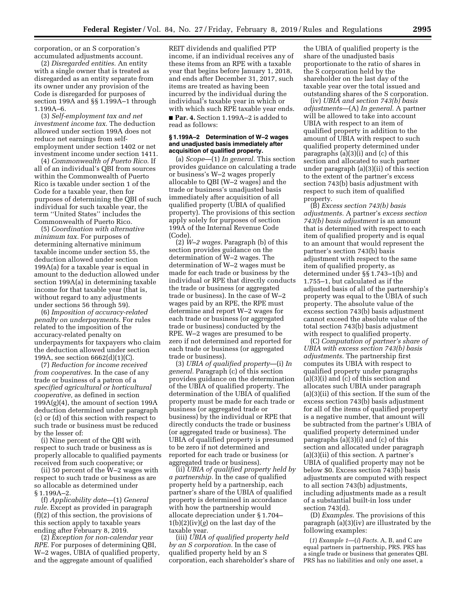corporation, or an S corporation's accumulated adjustments account.

(2) *Disregarded entities.* An entity with a single owner that is treated as disregarded as an entity separate from its owner under any provision of the Code is disregarded for purposes of section 199A and §§ 1.199A–1 through 1.199A–6.

(3) *Self-employment tax and net investment income tax.* The deduction allowed under section 199A does not reduce net earnings from selfemployment under section 1402 or net investment income under section 1411.

(4) *Commonwealth of Puerto Rico.* If all of an individual's QBI from sources within the Commonwealth of Puerto Rico is taxable under section 1 of the Code for a taxable year, then for purposes of determining the QBI of such individual for such taxable year, the term ''United States'' includes the Commonwealth of Puerto Rico.

(5) *Coordination with alternative minimum tax.* For purposes of determining alternative minimum taxable income under section 55, the deduction allowed under section 199A(a) for a taxable year is equal in amount to the deduction allowed under section 199A(a) in determining taxable income for that taxable year (that is, without regard to any adjustments under sections 56 through 59).

(6) *Imposition of accuracy-related penalty on underpayments.* For rules related to the imposition of the accuracy-related penalty on underpayments for taxpayers who claim the deduction allowed under section 199A, see section 6662(d)(1)(C).

(7) *Reduction for income received from cooperatives.* In the case of any trade or business of a patron of a *specified agricultural or horticultural cooperative,* as defined in section 199A(g)(4), the amount of section 199A deduction determined under paragraph (c) or (d) of this section with respect to such trade or business must be reduced by the lesser of:

(i) Nine percent of the QBI with respect to such trade or business as is properly allocable to qualified payments received from such cooperative; or

(ii) 50 percent of the  $W-2$  wages with respect to such trade or business as are so allocable as determined under § 1.199A–2.

(f) *Applicability date*—(1) *General rule.* Except as provided in paragraph (f)(2) of this section, the provisions of this section apply to taxable years ending after February 8, 2019.

(2) *Exception for non-calendar year RPE.* For purposes of determining QBI, W–2 wages, UBIA of qualified property, and the aggregate amount of qualified

REIT dividends and qualified PTP income, if an individual receives any of these items from an RPE with a taxable year that begins before January 1, 2018, and ends after December 31, 2017, such items are treated as having been incurred by the individual during the individual's taxable year in which or with which such RPE taxable year ends.

■ **Par. 4.** Section 1.199A–2 is added to read as follows:

### **§ 1.199A–2 Determination of W–2 wages and unadjusted basis immediately after acquisition of qualified property.**

(a) *Scope*—(1) *In general.* This section provides guidance on calculating a trade or business's W–2 wages properly allocable to QBI (W–2 wages) and the trade or business's unadjusted basis immediately after acquisition of all qualified property (UBIA of qualified property). The provisions of this section apply solely for purposes of section 199A of the Internal Revenue Code (Code).

(2) *W–2 wages.* Paragraph (b) of this section provides guidance on the determination of W–2 wages. The determination of W–2 wages must be made for each trade or business by the individual or RPE that directly conducts the trade or business (or aggregated trade or business). In the case of W–2 wages paid by an RPE, the RPE must determine and report W–2 wages for each trade or business (or aggregated trade or business) conducted by the RPE. W–2 wages are presumed to be zero if not determined and reported for each trade or business (or aggregated trade or business).

(3) *UBIA of qualified property*—(i) *In general.* Paragraph (c) of this section provides guidance on the determination of the UBIA of qualified property. The determination of the UBIA of qualified property must be made for each trade or business (or aggregated trade or business) by the individual or RPE that directly conducts the trade or business (or aggregated trade or business). The UBIA of qualified property is presumed to be zero if not determined and reported for each trade or business (or aggregated trade or business).

(ii) *UBIA of qualified property held by a partnership.* In the case of qualified property held by a partnership, each partner's share of the UBIA of qualified property is determined in accordance with how the partnership would allocate depreciation under § 1.704– 1(b)(2)(iv)(*g*) on the last day of the taxable year.

(iii) *UBIA of qualified property held by an S corporation.* In the case of qualified property held by an S corporation, each shareholder's share of

the UBIA of qualified property is the share of the unadjusted basis proportionate to the ratio of shares in the S corporation held by the shareholder on the last day of the taxable year over the total issued and outstanding shares of the S corporation.

(iv) *UBIA and section 743(b) basis adjustments*—(A) *In general.* A partner will be allowed to take into account UBIA with respect to an item of qualified property in addition to the amount of UBIA with respect to such qualified property determined under paragraphs (a)(3)(i) and (c) of this section and allocated to such partner under paragraph (a)(3)(ii) of this section to the extent of the partner's excess section 743(b) basis adjustment with respect to such item of qualified property.

(B) *Excess section 743(b) basis adjustments.* A partner's *excess section 743(b) basis adjustment* is an amount that is determined with respect to each item of qualified property and is equal to an amount that would represent the partner's section 743(b) basis adjustment with respect to the same item of qualified property, as determined under §§ 1.743–1(b) and 1.755–1, but calculated as if the adjusted basis of all of the partnership's property was equal to the UBIA of such property. The absolute value of the excess section 743(b) basis adjustment cannot exceed the absolute value of the total section 743(b) basis adjustment with respect to qualified property.

(C) *Computation of partner's share of UBIA with excess section 743(b) basis adjustments.* The partnership first computes its UBIA with respect to qualified property under paragraphs (a)(3)(i) and (c) of this section and allocates such UBIA under paragraph (a)(3)(ii) of this section. If the sum of the excess section 743(b) basis adjustment for all of the items of qualified property is a negative number, that amount will be subtracted from the partner's UBIA of qualified property determined under paragraphs (a)(3)(i) and (c) of this section and allocated under paragraph (a)(3)(ii) of this section. A partner's UBIA of qualified property may not be below \$0. Excess section 743(b) basis adjustments are computed with respect to all section 743(b) adjustments, including adjustments made as a result of a substantial built-in loss under section 743(d).

(D) *Examples.* The provisions of this paragraph (a)(3)(iv) are illustrated by the following examples:

(*1*) *Example 1*—(*i*) *Facts.* A, B, and C are equal partners in partnership, PRS. PRS has a single trade or business that generates QBI. PRS has no liabilities and only one asset, a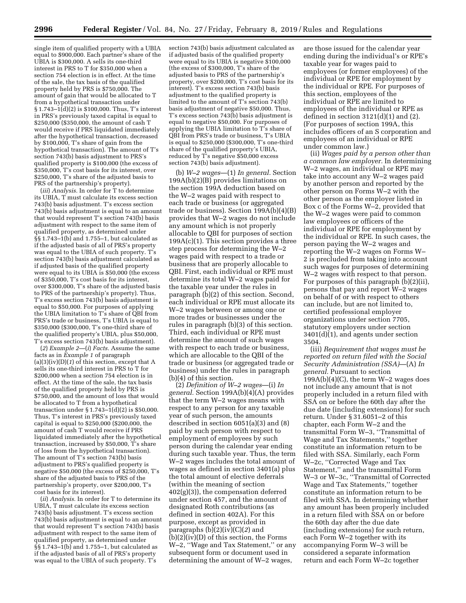single item of qualified property with a UBIA equal to \$900,000. Each partner's share of the UBIA is \$300,000. A sells its one-third interest in PRS to T for \$350,000 when a section 754 election is in effect. At the time of the sale, the tax basis of the qualified property held by PRS is \$750,000. The amount of gain that would be allocated to T from a hypothetical transaction under § 1.743–1(d)(2) is \$100,000. Thus, T's interest in PRS's previously taxed capital is equal to \$250,000 (\$350,000, the amount of cash T would receive if PRS liquidated immediately after the hypothetical transaction, decreased by \$100,000, T's share of gain from the hypothetical transaction). The amount of T's section 743(b) basis adjustment to PRS's qualified property is \$100,000 (the excess of \$350,000, T's cost basis for its interest, over \$250,000, T's share of the adjusted basis to PRS of the partnership's property).

(*iii*) *Analysis.* In order for T to determine its UBIA, T must calculate its excess section 743(b) basis adjustment. T's excess section 743(b) basis adjustment is equal to an amount that would represent T's section 743(b) basis adjustment with respect to the same item of qualified property, as determined under §§ 1.743–1(b) and 1.755–1, but calculated as if the adjusted basis of all of PRS's property was equal to the UBIA of such property. T's section 743(b) basis adjustment calculated as if adjusted basis of the qualified property were equal to its UBIA is \$50,000 (the excess of \$350,000, T's cost basis for its interest, over \$300,000, T's share of the adjusted basis to PRS of the partnership's property). Thus, T's excess section 743(b) basis adjustment is equal to \$50,000. For purposes of applying the UBIA limitation to T's share of QBI from PRS's trade or business, T's UBIA is equal to \$350,000 (\$300,000, T's one-third share of the qualified property's UBIA, plus \$50,000, T's excess section 743(b) basis adjustment).

(*2*) *Example 2*—(*i*) *Facts.* Assume the same facts as in *Example 1* of paragraph (a)(3)(iv)(D)(*1*) of this section, except that A sells its one-third interest in PRS to T for \$200,000 when a section 754 election is in effect. At the time of the sale, the tax basis of the qualified property held by PRS is \$750,000, and the amount of loss that would be allocated to T from a hypothetical transaction under  $\S 1.743-1(d)(2)$  is \$50,000. Thus, T's interest in PRS's previously taxed capital is equal to \$250,000 (\$200,000, the amount of cash T would receive if PRS liquidated immediately after the hypothetical transaction, increased by \$50,000, T's share of loss from the hypothetical transaction). The amount of T's section 743(b) basis adjustment to PRS's qualified property is negative \$50,000 (the excess of \$250,000, T's share of the adjusted basis to PRS of the partnership's property, over \$200,000, T's cost basis for its interest).

(*ii*) *Analysis.* In order for T to determine its UBIA, T must calculate its excess section 743(b) basis adjustment. T's excess section 743(b) basis adjustment is equal to an amount that would represent T's section 743(b) basis adjustment with respect to the same item of qualified property, as determined under §§ 1.743–1(b) and 1.755–1, but calculated as if the adjusted basis of all of PRS's property was equal to the UBIA of such property. T's

section 743(b) basis adjustment calculated as if adjusted basis of the qualified property were equal to its UBIA is negative \$100,000 (the excess of \$300,000, T's share of the adjusted basis to PRS of the partnership's property, over \$200,000, T's cost basis for its interest). T's excess section 743(b) basis adjustment to the qualified property is limited to the amount of T's section 743(b) basis adjustment of negative \$50,000. Thus, T's excess section 743(b) basis adjustment is equal to negative \$50,000. For purposes of applying the UBIA limitation to T's share of QBI from PRS's trade or business, T's UBIA is equal to \$250,000 (\$300,000, T's one-third share of the qualified property's UBIA, reduced by T's negative \$50,000 excess section 743(b) basis adjustment).

(b) *W–2 wages*—(1) *In general.* Section 199A(b)(2)(B) provides limitations on the section 199A deduction based on the W–2 wages paid with respect to each trade or business (or aggregated trade or business). Section 199A(b)(4)(B) provides that W–2 wages do not include any amount which is not properly allocable to QBI for purposes of section 199A(c)(1). This section provides a three step process for determining the W–2 wages paid with respect to a trade or business that are properly allocable to QBI. First, each individual or RPE must determine its total W–2 wages paid for the taxable year under the rules in paragraph (b)(2) of this section. Second, each individual or RPE must allocate its W–2 wages between or among one or more trades or businesses under the rules in paragraph (b)(3) of this section. Third, each individual or RPE must determine the amount of such wages with respect to each trade or business, which are allocable to the QBI of the trade or business (or aggregated trade or business) under the rules in paragraph (b)(4) of this section.

(2) *Definition of W–2 wages*—(i) *In general.* Section 199A(b)(4)(A) provides that the term W–2 wages means with respect to any person for any taxable year of such person, the amounts described in section 6051(a)(3) and (8) paid by such person with respect to employment of employees by such person during the calendar year ending during such taxable year. Thus, the term W–2 wages includes the total amount of wages as defined in section 3401(a) plus the total amount of elective deferrals (within the meaning of section 402(g)(3)), the compensation deferred under section 457, and the amount of designated Roth contributions (as defined in section 402A). For this purpose, except as provided in paragraphs (b)(2)(iv)(C)(*2*) and (b)(2)(iv)(D) of this section, the Forms W–2, ''Wage and Tax Statement,'' or any subsequent form or document used in determining the amount of W–2 wages,

are those issued for the calendar year ending during the individual's or RPE's taxable year for wages paid to employees (or former employees) of the individual or RPE for employment by the individual or RPE. For purposes of this section, employees of the individual or RPE are limited to employees of the individual or RPE as defined in section  $3121(d)(1)$  and  $(2)$ . (For purposes of section 199A, this includes officers of an S corporation and employees of an individual or RPE under common law.)

(ii) *Wages paid by a person other than a common law employer.* In determining W–2 wages, an individual or RPE may take into account any W–2 wages paid by another person and reported by the other person on Forms W–2 with the other person as the employer listed in Box c of the Forms W–2, provided that the W–2 wages were paid to common law employees or officers of the individual or RPE for employment by the individual or RPE. In such cases, the person paying the W–2 wages and reporting the W–2 wages on Forms W– 2 is precluded from taking into account such wages for purposes of determining W–2 wages with respect to that person. For purposes of this paragraph (b)(2)(ii), persons that pay and report W–2 wages on behalf of or with respect to others can include, but are not limited to, certified professional employer organizations under section 7705, statutory employers under section 3401(d)(1), and agents under section 3504.

(iii) *Requirement that wages must be reported on return filed with the Social Security Administration (SSA)*—(A) *In general.* Pursuant to section  $199A(b)(4)(C)$ , the term W-2 wages does not include any amount that is not properly included in a return filed with SSA on or before the 60th day after the due date (including extensions) for such return. Under § 31.6051–2 of this chapter, each Form W–2 and the transmittal Form W–3, ''Transmittal of Wage and Tax Statements,'' together constitute an information return to be filed with SSA. Similarly, each Form W–2c, ''Corrected Wage and Tax Statement,'' and the transmittal Form W–3 or W–3c, ''Transmittal of Corrected Wage and Tax Statements,'' together constitute an information return to be filed with SSA. In determining whether any amount has been properly included in a return filed with SSA on or before the 60th day after the due date (including extensions) for such return, each Form W–2 together with its accompanying Form W–3 will be considered a separate information return and each Form W–2c together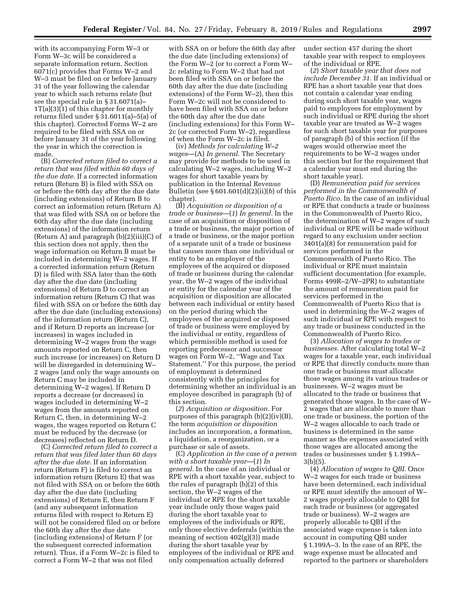with its accompanying Form W–3 or Form W–3c will be considered a separate information return. Section 6071(c) provides that Forms W–2 and W–3 must be filed on or before January 31 of the year following the calendar year to which such returns relate (but see the special rule in § 31.6071(a)–  $1T(a)(3)(1)$  of this chapter for monthly returns filed under § 31.6011(a)–5(a) of this chapter). Corrected Forms W–2 are required to be filed with SSA on or before January 31 of the year following the year in which the correction is made.

(B) *Corrected return filed to correct a return that was filed within 60 days of the due date.* If a corrected information return (Return B) is filed with SSA on or before the 60th day after the due date (including extensions) of Return B to correct an information return (Return A) that was filed with SSA on or before the 60th day after the due date (including extensions) of the information return (Return A) and paragraph  $(b)(2)(iii)(C)$  of this section does not apply, then the wage information on Return B must be included in determining W–2 wages. If a corrected information return (Return D) is filed with SSA later than the 60th day after the due date (including extensions) of Return D to correct an information return (Return C) that was filed with SSA on or before the 60th day after the due date (including extensions) of the information return (Return C), and if Return D reports an increase (or increases) in wages included in determining W–2 wages from the wage amounts reported on Return C, then such increase (or increases) on Return D will be disregarded in determining W– 2 wages (and only the wage amounts on Return C may be included in determining W–2 wages). If Return D reports a decrease (or decreases) in wages included in determining W–2 wages from the amounts reported on Return C, then, in determining W–2 wages, the wages reported on Return C must be reduced by the decrease (or decreases) reflected on Return D.

(C) *Corrected return filed to correct a return that was filed later than 60 days after the due date.* If an information return (Return F) is filed to correct an information return (Return E) that was not filed with SSA on or before the 60th day after the due date (including extensions) of Return E, then Return F (and any subsequent information returns filed with respect to Return E) will not be considered filed on or before the 60th day after the due date (including extensions) of Return F (or the subsequent corrected information return). Thus, if a Form W–2c is filed to correct a Form W–2 that was not filed

with SSA on or before the 60th day after the due date (including extensions) of the Form W–2 (or to correct a Form W– 2c relating to Form W–2 that had not been filed with SSA on or before the 60th day after the due date (including extensions) of the Form W–2), then this Form W–2c will not be considered to have been filed with SSA on or before the 60th day after the due date (including extensions) for this Form W– 2c (or corrected Form W–2), regardless of when the Form W–2c is filed.

(iv) *Methods for calculating W–2 wages*—(A) *In general.* The Secretary may provide for methods to be used in calculating W–2 wages, including W–2 wages for short taxable years by publication in the Internal Revenue Bulletin (see § 601.601(d)(2)(ii)(*b*) of this chapter).

(B) *Acquisition or disposition of a trade or business*—(*1*) *In general.* In the case of an acquisition or disposition of a trade or business, the major portion of a trade or business, or the major portion of a separate unit of a trade or business that causes more than one individual or entity to be an employer of the employees of the acquired or disposed of trade or business during the calendar year, the W–2 wages of the individual or entity for the calendar year of the acquisition or disposition are allocated between each individual or entity based on the period during which the employees of the acquired or disposed of trade or business were employed by the individual or entity, regardless of which permissible method is used for reporting predecessor and successor wages on Form W–2, ''Wage and Tax Statement.'' For this purpose, the period of employment is determined consistently with the principles for determining whether an individual is an employee described in paragraph (b) of this section.

(*2*) *Acquisition or disposition.* For purposes of this paragraph (b)(2)(iv)(B), the term *acquisition or disposition*  includes an incorporation, a formation, a liquidation, a reorganization, or a purchase or sale of assets.

(C) *Application in the case of a person with a short taxable year*—(*1*) *In general.* In the case of an individual or RPE with a short taxable year, subject to the rules of paragraph (b)(2) of this section, the W–2 wages of the individual or RPE for the short taxable year include only those wages paid during the short taxable year to employees of the individuals or RPE, only those elective deferrals (within the meaning of section 402(g)(3)) made during the short taxable year by employees of the individual or RPE and only compensation actually deferred

under section 457 during the short taxable year with respect to employees of the individual or RPE.

(*2*) *Short taxable year that does not include December 31.* If an individual or RPE has a short taxable year that does not contain a calendar year ending during such short taxable year, wages paid to employees for employment by such individual or RPE during the short taxable year are treated as W–2 wages for such short taxable year for purposes of paragraph (b) of this section (if the wages would otherwise meet the requirements to be W–2 wages under this section but for the requirement that a calendar year must end during the short taxable year).

(D) *Remuneration paid for services performed in the Commonwealth of Puerto Rico.* In the case of an individual or RPE that conducts a trade or business in the Commonwealth of Puerto Rico, the determination of W–2 wages of such individual or RPE will be made without regard to any exclusion under section 3401(a)(8) for remuneration paid for services performed in the Commonwealth of Puerto Rico. The individual or RPE must maintain sufficient documentation (for example, Forms 499R–2/W–2PR) to substantiate the amount of remuneration paid for services performed in the Commonwealth of Puerto Rico that is used in determining the W–2 wages of such individual or RPE with respect to any trade or business conducted in the Commonwealth of Puerto Rico.

(3) *Allocation of wages to trades or businesses.* After calculating total W–2 wages for a taxable year, each individual or RPE that directly conducts more than one trade or business must allocate those wages among its various trades or businesses. W–2 wages must be allocated to the trade or business that generated those wages. In the case of W– 2 wages that are allocable to more than one trade or business, the portion of the W–2 wages allocable to each trade or business is determined in the same manner as the expenses associated with those wages are allocated among the trades or businesses under § 1.199A– 3(b)(5).

(4) *Allocation of wages to QBI.* Once W–2 wages for each trade or business have been determined, each individual or RPE must identify the amount of W– 2 wages properly allocable to QBI for each trade or business (or aggregated trade or business). W–2 wages are properly allocable to QBI if the associated wage expense is taken into account in computing QBI under § 1.199A–3. In the case of an RPE, the wage expense must be allocated and reported to the partners or shareholders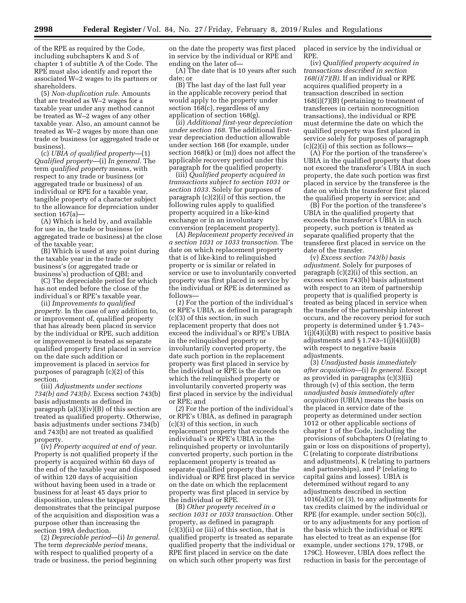of the RPE as required by the Code, including subchapters K and S of chapter 1 of subtitle A of the Code. The RPE must also identify and report the associated W–2 wages to its partners or shareholders.

(5) *Non-duplication rule.* Amounts that are treated as W–2 wages for a taxable year under any method cannot be treated as W–2 wages of any other taxable year. Also, an amount cannot be treated as W–2 wages by more than one trade or business (or aggregated trade or business).

(c) *UBIA of qualified property*—(1) *Qualified property*—(i) *In general.* The term *qualified property* means, with respect to any trade or business (or aggregated trade or business) of an individual or RPE for a taxable year, tangible property of a character subject to the allowance for depreciation under section 167(a)—

(A) Which is held by, and available for use in, the trade or business (or aggregated trade or business) at the close of the taxable year;

(B) Which is used at any point during the taxable year in the trade or business's (or aggregated trade or business's) production of QBI; and

(C) The depreciable period for which has not ended before the close of the individual's or RPE's taxable year.

(ii) *Improvements to qualified property.* In the case of any addition to, or improvement of, qualified property that has already been placed in service by the individual or RPE, such addition or improvement is treated as separate qualified property first placed in service on the date such addition or improvement is placed in service for purposes of paragraph (c)(2) of this section.

(iii) *Adjustments under sections 734(b) and 743(b).* Excess section 743(b) basis adjustments as defined in paragraph (a)(3)(iv)(B) of this section are treated as qualified property. Otherwise, basis adjustments under sections 734(b) and 743(b) are not treated as qualified property.

(iv) *Property acquired at end of year.*  Property is not qualified property if the property is acquired within 60 days of the end of the taxable year and disposed of within 120 days of acquisition without having been used in a trade or business for at least 45 days prior to disposition, unless the taxpayer demonstrates that the principal purpose of the acquisition and disposition was a purpose other than increasing the section 199A deduction.

(2) *Depreciable period*—(i) *In general.*  The term *depreciable period* means, with respect to qualified property of a trade or business, the period beginning

on the date the property was first placed in service by the individual or RPE and ending on the later of—

(A) The date that is 10 years after such date; or

(B) The last day of the last full year in the applicable recovery period that would apply to the property under section 168(c), regardless of any application of section 168(g).

(ii) *Additional first-year depreciation under section 168.* The additional firstyear depreciation deduction allowable under section 168 (for example, under section 168(k) or (m)) does not affect the applicable recovery period under this paragraph for the qualified property.

(iii) *Qualified property acquired in transactions subject to section 1031 or section 1033.* Solely for purposes of paragraph (c)(2)(i) of this section, the following rules apply to qualified property acquired in a like-kind exchange or in an involuntary conversion (replacement property).

(A) *Replacement property received in a section 1031 or 1033 transaction.* The date on which replacement property that is of like-kind to relinquished property or is similar or related in service or use to involuntarily converted property was first placed in service by the individual or RPE is determined as follows—

(*1*) For the portion of the individual's or RPE's UBIA, as defined in paragraph (c)(3) of this section, in such replacement property that does not exceed the individual's or RPE's UBIA in the relinquished property or involuntarily converted property, the date such portion in the replacement property was first placed in service by the individual or RPE is the date on which the relinquished property or involuntarily converted property was first placed in service by the individual or RPE; and

(*2*) For the portion of the individual's or RPE's UBIA, as defined in paragraph (c)(3) of this section, in such replacement property that exceeds the individual's or RPE's UBIA in the relinquished property or involuntarily converted property, such portion in the replacement property is treated as separate qualified property that the individual or RPE first placed in service on the date on which the replacement property was first placed in service by the individual or RPE.

(B) *Other property received in a section 1031 or 1033 transaction.* Other property, as defined in paragraph (c)(3)(ii) or (iii) of this section, that is qualified property is treated as separate qualified property that the individual or RPE first placed in service on the date on which such other property was first

placed in service by the individual or RPE.

(iv) *Qualified property acquired in transactions described in section 168(i)(7)(B).* If an individual or RPE acquires qualified property in a transaction described in section 168(i)(7)(B) (pertaining to treatment of transferees in certain nonrecognition transactions), the individual or RPE must determine the date on which the qualified property was first placed in service solely for purposes of paragraph  $(c)(2)(i)$  of this section as follows-

(A) For the portion of the transferee's UBIA in the qualified property that does not exceed the transferor's UBIA in such property, the date such portion was first placed in service by the transferee is the date on which the transferor first placed the qualified property in service; and

(B) For the portion of the transferee's UBIA in the qualified property that exceeds the transferor's UBIA in such property, such portion is treated as separate qualified property that the transferee first placed in service on the date of the transfer.

(v) *Excess section 743(b) basis adjustment.* Solely for purposes of paragraph (c)(2)(i) of this section, an excess section 743(b) basis adjustment with respect to an item of partnership property that is qualified property is treated as being placed in service when the transfer of the partnership interest occurs, and the recovery period for such property is determined under § 1.743–  $1(j)(4)(i)(B)$  with respect to positive basis adjustments and  $\S 1.743-1(j)(4)(ii)(B)$ with respect to negative basis adjustments.

(3) *Unadjusted basis immediately after acquisition*—(i) *In general.* Except as provided in paragraphs (c)(3)(ii) through (v) of this section, the term *unadjusted basis immediately after acquisition* (UBIA) means the basis on the placed in service date of the property as determined under section 1012 or other applicable sections of chapter 1 of the Code, including the provisions of subchapters O (relating to gain or loss on dispositions of property), C (relating to corporate distributions and adjustments), K (relating to partners and partnerships), and P (relating to capital gains and losses). UBIA is determined without regard to any adjustments described in section 1016(a)(2) or (3), to any adjustments for tax credits claimed by the individual or RPE (for example, under section 50(c)), or to any adjustments for any portion of the basis which the individual or RPE has elected to treat as an expense (for example, under sections 179, 179B, or 179C). However, UBIA does reflect the reduction in basis for the percentage of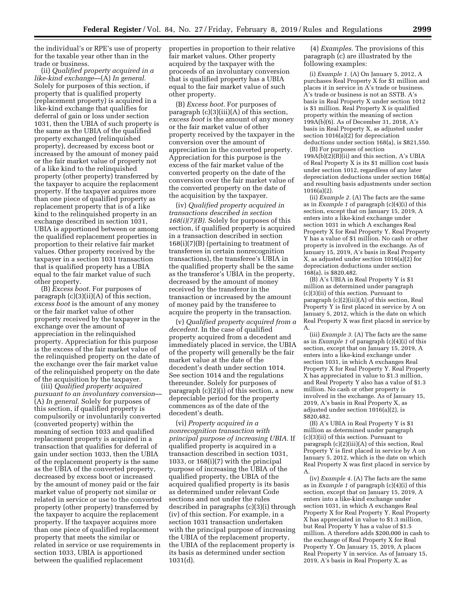the individual's or RPE's use of property for the taxable year other than in the trade or business.

(ii) *Qualified property acquired in a like-kind exchange*—(A) *In general.*  Solely for purposes of this section, if property that is qualified property (replacement property) is acquired in a like-kind exchange that qualifies for deferral of gain or loss under section 1031, then the UBIA of such property is the same as the UBIA of the qualified property exchanged (relinquished property), decreased by excess boot or increased by the amount of money paid or the fair market value of property not of a like kind to the relinquished property (other property) transferred by the taxpayer to acquire the replacement property. If the taxpayer acquires more than one piece of qualified property as replacement property that is of a like kind to the relinquished property in an exchange described in section 1031, UBIA is apportioned between or among the qualified replacement properties in proportion to their relative fair market values. Other property received by the taxpayer in a section 1031 transaction that is qualified property has a UBIA equal to the fair market value of such other property.

(B) *Excess boot.* For purposes of paragraph (c)(3)(ii)(A) of this section, *excess boot* is the amount of any money or the fair market value of other property received by the taxpayer in the exchange over the amount of appreciation in the relinquished property. Appreciation for this purpose is the excess of the fair market value of the relinquished property on the date of the exchange over the fair market value of the relinquished property on the date of the acquisition by the taxpayer.

(iii) *Qualified property acquired pursuant to an involuntary conversion*— (A) *In general.* Solely for purposes of this section, if qualified property is compulsorily or involuntarily converted (converted property) within the meaning of section 1033 and qualified replacement property is acquired in a transaction that qualifies for deferral of gain under section 1033, then the UBIA of the replacement property is the same as the UBIA of the converted property, decreased by excess boot or increased by the amount of money paid or the fair market value of property not similar or related in service or use to the converted property (other property) transferred by the taxpayer to acquire the replacement property. If the taxpayer acquires more than one piece of qualified replacement property that meets the similar or related in service or use requirements in section 1033, UBIA is apportioned between the qualified replacement

properties in proportion to their relative fair market values. Other property acquired by the taxpayer with the proceeds of an involuntary conversion that is qualified property has a UBIA equal to the fair market value of such other property.

(B) *Excess boot.* For purposes of paragraph (c)(3)(iii)(A) of this section, *excess boot* is the amount of any money or the fair market value of other property received by the taxpayer in the conversion over the amount of appreciation in the converted property. Appreciation for this purpose is the excess of the fair market value of the converted property on the date of the conversion over the fair market value of the converted property on the date of the acquisition by the taxpayer.

(iv) *Qualified property acquired in transactions described in section 168(i)(7)(B).* Solely for purposes of this section, if qualified property is acquired in a transaction described in section 168(i)(7)(B) (pertaining to treatment of transferees in certain nonrecognition transactions), the transferee's UBIA in the qualified property shall be the same as the transferor's UBIA in the property, decreased by the amount of money received by the transferor in the transaction or increased by the amount of money paid by the transferee to acquire the property in the transaction.

(v) *Qualified property acquired from a decedent.* In the case of qualified property acquired from a decedent and immediately placed in service, the UBIA of the property will generally be the fair market value at the date of the decedent's death under section 1014. See section 1014 and the regulations thereunder. Solely for purposes of paragraph (c)(2)(i) of this section, a new depreciable period for the property commences as of the date of the decedent's death.

(vi) *Property acquired in a nonrecognition transaction with principal purpose of increasing UBIA.* If qualified property is acquired in a transaction described in section 1031, 1033, or 168(i)(7) with the principal purpose of increasing the UBIA of the qualified property, the UBIA of the acquired qualified property is its basis as determined under relevant Code sections and not under the rules described in paragraphs (c)(3)(i) through (iv) of this section. For example, in a section 1031 transaction undertaken with the principal purpose of increasing the UBIA of the replacement property, the UBIA of the replacement property is its basis as determined under section 1031(d).

(4) *Examples.* The provisions of this paragraph (c) are illustrated by the following examples:

(i) *Example 1.* (A) On January 5, 2012, A purchases Real Property X for \$1 million and places it in service in A's trade or business. A's trade or business is not an SSTB. A's basis in Real Property X under section 1012 is \$1 million. Real Property X is qualified property within the meaning of section 199A(b)(6). As of December 31, 2018, A's basis in Real Property X, as adjusted under section 1016(a)(2) for depreciation deductions under section 168(a), is \$821,550.

(B) For purposes of section  $199A(b)(2)(B)(ii)$  and this section, A's UBIA of Real Property X is its \$1 million cost basis under section 1012, regardless of any later depreciation deductions under section 168(a) and resulting basis adjustments under section 1016(a)(2).

(ii) *Example 2.* (A) The facts are the same as in *Example 1* of paragraph (c)(4)(i) of this section, except that on January 15, 2019, A enters into a like-kind exchange under section 1031 in which A exchanges Real Property X for Real Property Y. Real Property Y has a value of \$1 million. No cash or other property is involved in the exchange. As of January 15, 2019, A's basis in Real Property X, as adjusted under section  $1016(a)(2)$  for depreciation deductions under section 168(a), is \$820,482.

(B) A's UBIA in Real Property Y is \$1 million as determined under paragraph (c)(3)(ii) of this section. Pursuant to paragraph (c)(2)(iii)(A) of this section, Real Property Y is first placed in service by A on January 5, 2012, which is the date on which Real Property X was first placed in service by A.

(iii) *Example 3.* (A) The facts are the same as in *Example 1* of paragraph (c)(4)(i) of this section, except that on January 15, 2019, A enters into a like-kind exchange under section 1031, in which A exchanges Real Property X for Real Property Y. Real Property X has appreciated in value to \$1.3 million, and Real Property Y also has a value of \$1.3 million. No cash or other property is involved in the exchange. As of January 15, 2019, A's basis in Real Property X, as adjusted under section  $1016(a)(2)$ , is \$820,482.

(B) A's UBIA in Real Property Y is \$1 million as determined under paragraph (c)(3)(ii) of this section. Pursuant to paragraph (c)(2)(iii)(A) of this section, Real Property Y is first placed in service by A on January 5, 2012, which is the date on which Real Property X was first placed in service by A.

(iv) *Example 4.* (A) The facts are the same as in *Example 1* of paragraph (c)(4)(i) of this section, except that on January 15, 2019, A enters into a like-kind exchange under section 1031, in which A exchanges Real Property X for Real Property Y. Real Property X has appreciated in value to \$1.3 million, but Real Property Y has a value of \$1.5 million. A therefore adds \$200,000 in cash to the exchange of Real Property X for Real Property Y. On January 15, 2019, A places Real Property Y in service. As of January 15, 2019, A's basis in Real Property X, as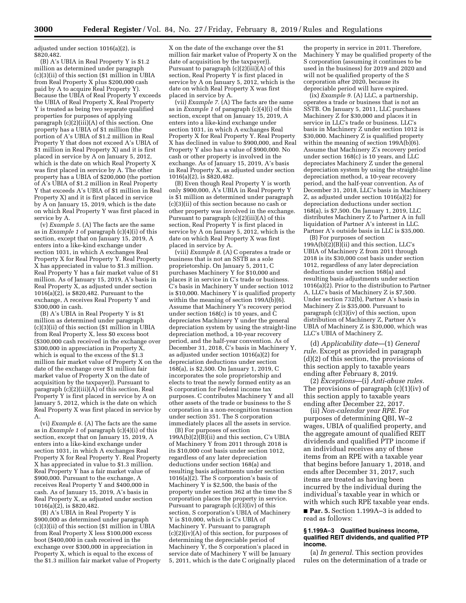adjusted under section 1016(a)(2), is \$820,482.

(B) A's UBIA in Real Property Y is \$1.2 million as determined under paragraph (c)(3)(ii) of this section (\$1 million in UBIA from Real Property X plus \$200,000 cash paid by A to acquire Real Property Y). Because the UBIA of Real Property Y exceeds the UBIA of Real Property X, Real Property Y is treated as being two separate qualified properties for purposes of applying paragraph  $(c)(2)(iii)(A)$  of this section. One property has a UBIA of \$1 million (the portion of A's UBIA of \$1.2 million in Real Property Y that does not exceed A's UBIA of \$1 million in Real Property X) and it is first placed in service by A on January 5, 2012, which is the date on which Real Property X was first placed in service by A. The other property has a UBIA of \$200,000 (the portion of A's UBIA of \$1.2 million in Real Property Y that exceeds A's UBIA of \$1 million in Real Property X) and it is first placed in service by A on January 15, 2019, which is the date on which Real Property Y was first placed in service by A.

(v) *Example 5.* (A) The facts are the same as in *Example 1* of paragraph (c)(4)(i) of this section, except that on January 15, 2019, A enters into a like-kind exchange under section 1031, in which A exchanges Real Property X for Real Property Y. Real Property X has appreciated in value to \$1.3 million. Real Property Y has a fair market value of \$1 million. As of January 15, 2019, A's basis in Real Property X, as adjusted under section  $1016(a)(2)$ , is \$820,482. Pursuant to the exchange, A receives Real Property Y and \$300,000 in cash.

(B) A's UBIA in Real Property Y is \$1 million as determined under paragraph (c)(3)(ii) of this section (\$1 million in UBIA from Real Property X, less \$0 excess boot (\$300,000 cash received in the exchange over \$300,000 in appreciation in Property  $\tilde{X}$ , which is equal to the excess of the \$1.3 million fair market value of Property X on the date of the exchange over \$1 million fair market value of Property X on the date of acquisition by the taxpayer)). Pursuant to paragraph (c)(2)(iii)(A) of this section, Real Property Y is first placed in service by A on January 5, 2012, which is the date on which Real Property X was first placed in service by A.

(vi) *Example 6.* (A) The facts are the same as in *Example 1* of paragraph (c)(4)(i) of this section, except that on January 15, 2019, A enters into a like-kind exchange under section 1031, in which A exchanges Real Property X for Real Property Y. Real Property X has appreciated in value to \$1.3 million. Real Property Y has a fair market value of \$900,000. Pursuant to the exchange, A receives Real Property Y and \$400,000 in cash. As of January 15, 2019, A's basis in Real Property X, as adjusted under section 1016(a)(2), is \$820,482.

(B) A's UBIA in Real Property Y is \$900,000 as determined under paragraph  $(c)(3)(ii)$  of this section  $(\$1$  million in UBIA from Real Property X less \$100,000 excess boot (\$400,000 in cash received in the exchange over \$300,000 in appreciation in Property X, which is equal to the excess of the \$1.3 million fair market value of Property

X on the date of the exchange over the \$1 million fair market value of Property X on the date of acquisition by the taxpayer)). Pursuant to paragraph  $(c)(2)(iii)(A)$  of this section, Real Property Y is first placed in service by A on January 5, 2012, which is the date on which Real Property X was first placed in service by A.

(vii) *Example 7.* (A) The facts are the same as in *Example 1* of paragraph (c)(4)(i) of this section, except that on January 15, 2019, A enters into a like-kind exchange under section 1031, in which A exchanges Real Property X for Real Property Y. Real Property X has declined in value to \$900,000, and Real Property Y also has a value of \$900,000. No cash or other property is involved in the exchange. As of January 15, 2019, A's basis in Real Property X, as adjusted under section 1016(a)(2), is \$820,482.

(B) Even though Real Property Y is worth only \$900,000, A's UBIA in Real Property Y is \$1 million as determined under paragraph (c)(3)(ii) of this section because no cash or other property was involved in the exchange. Pursuant to paragraph (c)(2)(iii)(A) of this section, Real Property Y is first placed in service by A on January 5, 2012, which is the date on which Real Property X was first placed in service by A.

(viii) *Example 8.* (A) C operates a trade or business that is not an SSTB as a sole proprietorship. On January 5, 2011, C purchases Machinery Y for \$10,000 and places it in service in C's trade or business. C's basis in Machinery Y under section 1012 is \$10,000. Machinery Y is qualified property within the meaning of section  $199A(b)(6)$ . Assume that Machinery Y's recovery period under section 168(c) is 10 years, and C depreciates Machinery Y under the general depreciation system by using the straight-line depreciation method, a 10-year recovery period, and the half-year convention. As of December 31, 2018, C's basis in Machinery Y, as adjusted under section 1016(a)(2) for depreciation deductions under section 168(a), is \$2,500. On January 1, 2019, C incorporates the sole proprietorship and elects to treat the newly formed entity as an S corporation for Federal income tax purposes. C contributes Machinery Y and all other assets of the trade or business to the S corporation in a non-recognition transaction under section 351. The S corporation immediately places all the assets in service.

(B) For purposes of section 199A(b)(2)(B)(ii) and this section, C's UBIA of Machinery Y from 2011 through 2018 is its \$10,000 cost basis under section 1012, regardless of any later depreciation deductions under section 168(a) and resulting basis adjustments under section  $1016(a)(2)$ . The S corporation's basis of Machinery Y is \$2,500, the basis of the property under section 362 at the time the S corporation places the property in service. Pursuant to paragraph (c)(3)(iv) of this section, S corporation's UBIA of Machinery Y is \$10,000, which is C's UBIA of Machinery Y. Pursuant to paragraph  $(c)(2)(iv)(A)$  of this section, for purposes of determining the depreciable period of Machinery Y, the S corporation's placed in service date of Machinery Y will be January 5, 2011, which is the date C originally placed

the property in service in 2011. Therefore, Machinery Y may be qualified property of the S corporation (assuming it continues to be used in the business) for 2019 and 2020 and will not be qualified property of the S corporation after 2020, because its depreciable period will have expired.

(ix) *Example 9.* (A) LLC, a partnership, operates a trade or business that is not an SSTB. On January 5, 2011, LLC purchases Machinery Z for \$30,000 and places it in service in LLC's trade or business. LLC's basis in Machinery Z under section 1012 is \$30,000. Machinery Z is qualified property within the meaning of section  $199A(b)(6)$ . Assume that Machinery Z's recovery period under section 168(c) is 10 years, and LLC depreciates Machinery Z under the general depreciation system by using the straight-line depreciation method, a 10-year recovery period, and the half-year convention. As of December 31, 2018, LLC's basis in Machinery Z, as adjusted under section 1016(a)(2) for depreciation deductions under section 168(a), is \$7,500. On January 1, 2019, LLC distributes Machinery Z to Partner A in full liquidation of Partner A's interest in LLC. Partner A's outside basis in LLC is \$35,000.

(B) For purposes of section  $199A(b)(2)(B)(ii)$  and this section, LLC's UBIA of Machinery Z from 2011 through 2018 is its \$30,000 cost basis under section 1012, regardless of any later depreciation deductions under section 168(a) and resulting basis adjustments under section 1016(a)(2). Prior to the distribution to Partner A, LLC's basis of Machinery Z is \$7,500. Under section 732(b), Partner A's basis in Machinery Z is \$35,000. Pursuant to paragraph (c)(3)(iv) of this section, upon distribution of Machinery Z, Partner A's UBIA of Machinery Z is \$30,000, which was LLC's UBIA of Machinery Z.

(d) *Applicability date*—(1) *General rule.* Except as provided in paragraph (d)(2) of this section, the provisions of this section apply to taxable years ending after February 8, 2019.

(2) *Exceptions*—(i) *Anti-abuse rules.*  The provisions of paragraph (c)(1)(iv) of this section apply to taxable years ending after December 22, 2017.

(ii) *Non-calendar year RPE.* For purposes of determining QBI, W–2 wages, UBIA of qualified property, and the aggregate amount of qualified REIT dividends and qualified PTP income if an individual receives any of these items from an RPE with a taxable year that begins before January 1, 2018, and ends after December 31, 2017, such items are treated as having been incurred by the individual during the individual's taxable year in which or with which such RPE taxable year ends.

■ **Par. 5.** Section 1.199A-3 is added to read as follows:

### **§ 1.199A–3 Qualified business income, qualified REIT dividends, and qualified PTP income.**

(a) *In general.* This section provides rules on the determination of a trade or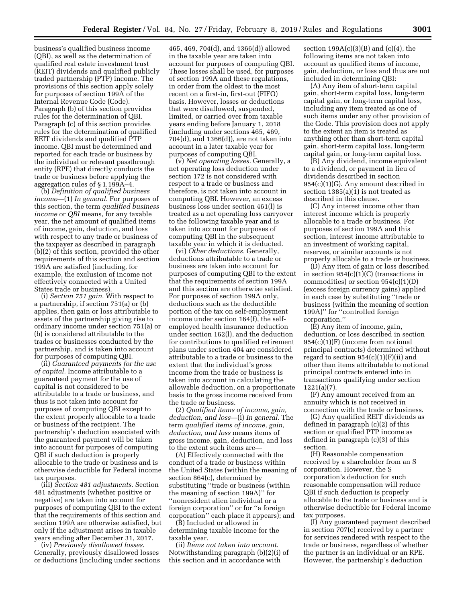business's qualified business income (QBI), as well as the determination of qualified real estate investment trust (REIT) dividends and qualified publicly traded partnership (PTP) income. The provisions of this section apply solely for purposes of section 199A of the Internal Revenue Code (Code). Paragraph (b) of this section provides rules for the determination of QBI. Paragraph (c) of this section provides rules for the determination of qualified REIT dividends and qualified PTP income. QBI must be determined and reported for each trade or business by the individual or relevant passthrough entity (RPE) that directly conducts the trade or business before applying the aggregation rules of § 1.199A–4.

(b) *Definition of qualified business income*—(1) *In general.* For purposes of this section, the term *qualified business income* or *QBI* means, for any taxable year, the net amount of qualified items of income, gain, deduction, and loss with respect to any trade or business of the taxpayer as described in paragraph (b)(2) of this section, provided the other requirements of this section and section 199A are satisfied (including, for example, the exclusion of income not effectively connected with a United States trade or business).

(i) *Section 751 gain.* With respect to a partnership, if section 751(a) or (b) applies, then gain or loss attributable to assets of the partnership giving rise to ordinary income under section 751(a) or (b) is considered attributable to the trades or businesses conducted by the partnership, and is taken into account for purposes of computing QBI.

(ii) *Guaranteed payments for the use of capital.* Income attributable to a guaranteed payment for the use of capital is not considered to be attributable to a trade or business, and thus is not taken into account for purposes of computing QBI except to the extent properly allocable to a trade or business of the recipient. The partnership's deduction associated with the guaranteed payment will be taken into account for purposes of computing QBI if such deduction is properly allocable to the trade or business and is otherwise deductible for Federal income tax purposes.

(iii) *Section 481 adjustments.* Section 481 adjustments (whether positive or negative) are taken into account for purposes of computing QBI to the extent that the requirements of this section and section 199A are otherwise satisfied, but only if the adjustment arises in taxable years ending after December 31, 2017.

(iv) *Previously disallowed losses.*  Generally, previously disallowed losses or deductions (including under sections

465, 469, 704(d), and 1366(d)) allowed in the taxable year are taken into account for purposes of computing QBI. These losses shall be used, for purposes of section 199A and these regulations, in order from the oldest to the most recent on a first-in, first-out (FIFO) basis. However, losses or deductions that were disallowed, suspended, limited, or carried over from taxable years ending before January 1, 2018 (including under sections 465, 469, 704(d), and 1366(d)), are not taken into account in a later taxable year for purposes of computing QBI.

(v) *Net operating losses.* Generally, a net operating loss deduction under section 172 is not considered with respect to a trade or business and therefore, is not taken into account in computing QBI. However, an excess business loss under section 461(l) is treated as a net operating loss carryover to the following taxable year and is taken into account for purposes of computing QBI in the subsequent taxable year in which it is deducted.

(vi) *Other deductions.* Generally, deductions attributable to a trade or business are taken into account for purposes of computing QBI to the extent that the requirements of section 199A and this section are otherwise satisfied. For purposes of section 199A only, deductions such as the deductible portion of the tax on self-employment income under section 164(f), the selfemployed health insurance deduction under section 162(l), and the deduction for contributions to qualified retirement plans under section 404 are considered attributable to a trade or business to the extent that the individual's gross income from the trade or business is taken into account in calculating the allowable deduction, on a proportionate basis to the gross income received from the trade or business.

(2) *Qualified items of income, gain, deduction, and loss*—(i) *In general.* The term *qualified items of income, gain, deduction, and loss* means items of gross income, gain, deduction, and loss to the extent such items are—

(A) Effectively connected with the conduct of a trade or business within the United States (within the meaning of section 864(c), determined by substituting ''trade or business (within the meaning of section 199A)'' for ''nonresident alien individual or a foreign corporation'' or for ''a foreign corporation'' each place it appears); and

(B) Included or allowed in determining taxable income for the taxable year.

(ii) *Items not taken into account.*  Notwithstanding paragraph (b)(2)(i) of this section and in accordance with

section 199A(c)(3)(B) and (c)(4), the following items are not taken into account as qualified items of income, gain, deduction, or loss and thus are not included in determining QBI:

(A) Any item of short-term capital gain, short-term capital loss, long-term capital gain, or long-term capital loss, including any item treated as one of such items under any other provision of the Code. This provision does not apply to the extent an item is treated as anything other than short-term capital gain, short-term capital loss, long-term capital gain, or long-term capital loss.

(B) Any dividend, income equivalent to a dividend, or payment in lieu of dividends described in section 954(c)(1)(G). Any amount described in section 1385(a)(1) is not treated as described in this clause.

(C) Any interest income other than interest income which is properly allocable to a trade or business. For purposes of section 199A and this section, interest income attributable to an investment of working capital, reserves, or similar accounts is not properly allocable to a trade or business.

(D) Any item of gain or loss described in section 954(c)(1)(C) (transactions in commodities) or section  $954(c)(1)(D)$ (excess foreign currency gains) applied in each case by substituting ''trade or business (within the meaning of section 199A)'' for ''controlled foreign corporation.''

(E) Any item of income, gain, deduction, or loss described in section 954(c)(1)(F) (income from notional principal contracts) determined without regard to section  $954(c)(1)(F)(ii)$  and other than items attributable to notional principal contracts entered into in transactions qualifying under section 1221(a)(7).

(F) Any amount received from an annuity which is not received in connection with the trade or business.

(G) Any qualified REIT dividends as defined in paragraph (c)(2) of this section or qualified PTP income as defined in paragraph (c)(3) of this section.

(H) Reasonable compensation received by a shareholder from an S corporation. However, the S corporation's deduction for such reasonable compensation will reduce QBI if such deduction is properly allocable to the trade or business and is otherwise deductible for Federal income tax purposes.

(I) Any guaranteed payment described in section 707(c) received by a partner for services rendered with respect to the trade or business, regardless of whether the partner is an individual or an RPE. However, the partnership's deduction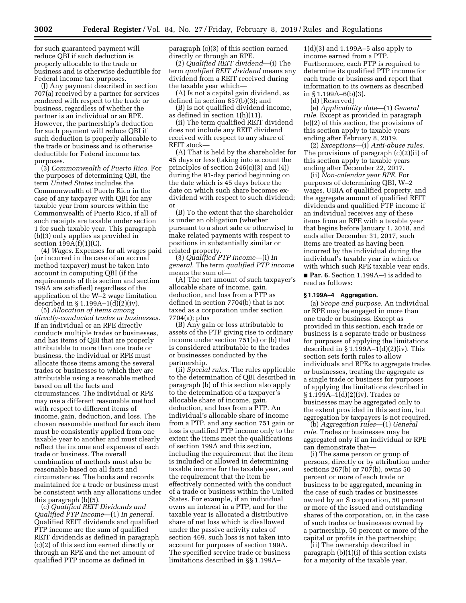for such guaranteed payment will reduce QBI if such deduction is properly allocable to the trade or business and is otherwise deductible for Federal income tax purposes.

(J) Any payment described in section 707(a) received by a partner for services rendered with respect to the trade or business, regardless of whether the partner is an individual or an RPE. However, the partnership's deduction for such payment will reduce QBI if such deduction is properly allocable to the trade or business and is otherwise deductible for Federal income tax purposes.

(3) *Commonwealth of Puerto Rico.* For the purposes of determining QBI, the term *United States* includes the Commonwealth of Puerto Rico in the case of any taxpayer with QBI for any taxable year from sources within the Commonwealth of Puerto Rico, if all of such receipts are taxable under section 1 for such taxable year. This paragraph (b)(3) only applies as provided in section  $199A(f)(1)(C)$ .

(4) *Wages.* Expenses for all wages paid (or incurred in the case of an accrual method taxpayer) must be taken into account in computing QBI (if the requirements of this section and section 199A are satisfied) regardless of the application of the W–2 wage limitation described in § 1.199A–1(d)(2)(iv).

(5) *Allocation of items among directly-conducted trades or businesses.*  If an individual or an RPE directly conducts multiple trades or businesses, and has items of QBI that are properly attributable to more than one trade or business, the individual or RPE must allocate those items among the several trades or businesses to which they are attributable using a reasonable method based on all the facts and circumstances. The individual or RPE may use a different reasonable method with respect to different items of income, gain, deduction, and loss. The chosen reasonable method for each item must be consistently applied from one taxable year to another and must clearly reflect the income and expenses of each trade or business. The overall combination of methods must also be reasonable based on all facts and circumstances. The books and records maintained for a trade or business must be consistent with any allocations under this paragraph (b)(5).

(c) *Qualified REIT Dividends and Qualified PTP Income*—(1) *In general.*  Qualified REIT dividends and qualified PTP income are the sum of qualified REIT dividends as defined in paragraph (c)(2) of this section earned directly or through an RPE and the net amount of qualified PTP income as defined in

paragraph (c)(3) of this section earned directly or through an RPE.

(2) *Qualified REIT dividend*—(i) The term *qualified REIT dividend* means any dividend from a REIT received during the taxable year which—

(A) Is not a capital gain dividend, as defined in section 857(b)(3); and

(B) Is not qualified dividend income, as defined in section 1(h)(11).

(ii) The term qualified REIT dividend does not include any REIT dividend received with respect to any share of REIT stock—

(A) That is held by the shareholder for 45 days or less (taking into account the principles of section 246(c)(3) and (4)) during the 91-day period beginning on the date which is 45 days before the date on which such share becomes exdividend with respect to such dividend; or

(B) To the extent that the shareholder is under an obligation (whether pursuant to a short sale or otherwise) to make related payments with respect to positions in substantially similar or related property.

(3) *Qualified PTP income*—(i) *In general.* The term *qualified PTP income*  means the sum of—

(A) The net amount of such taxpayer's allocable share of income, gain, deduction, and loss from a PTP as defined in section 7704(b) that is not taxed as a corporation under section 7704(a); plus

(B) Any gain or loss attributable to assets of the PTP giving rise to ordinary income under section 751(a) or (b) that is considered attributable to the trades or businesses conducted by the partnership.

(ii) *Special rules.* The rules applicable to the determination of QBI described in paragraph (b) of this section also apply to the determination of a taxpayer's allocable share of income, gain, deduction, and loss from a PTP. An individual's allocable share of income from a PTP, and any section 751 gain or loss is qualified PTP income only to the extent the items meet the qualifications of section 199A and this section, including the requirement that the item is included or allowed in determining taxable income for the taxable year, and the requirement that the item be effectively connected with the conduct of a trade or business within the United States. For example, if an individual owns an interest in a PTP, and for the taxable year is allocated a distributive share of net loss which is disallowed under the passive activity rules of section 469, such loss is not taken into account for purposes of section 199A. The specified service trade or business limitations described in §§ 1.199A–

1(d)(3) and 1.199A–5 also apply to income earned from a PTP. Furthermore, each PTP is required to determine its qualified PTP income for each trade or business and report that information to its owners as described in  $§ 1.199A - 6(b)(3)$ .

(d) [Reserved]

(e) *Applicability date*—(1) *General rule.* Except as provided in paragraph (e)(2) of this section, the provisions of this section apply to taxable years ending after February 8, 2019.

(2) *Exceptions*—(i) *Anti-abuse rules.*  The provisions of paragraph (c)(2)(ii) of this section apply to taxable years ending after December 22, 2017.

(ii) *Non-calendar year RPE.* For purposes of determining QBI, W–2 wages, UBIA of qualified property, and the aggregate amount of qualified REIT dividends and qualified PTP income if an individual receives any of these items from an RPE with a taxable year that begins before January 1, 2018, and ends after December 31, 2017, such items are treated as having been incurred by the individual during the individual's taxable year in which or with which such RPE taxable year ends.

■ **Par. 6.** Section 1.199A-4 is added to read as follows:

### **§ 1.199A–4 Aggregation.**

(a) *Scope and purpose.* An individual or RPE may be engaged in more than one trade or business. Except as provided in this section, each trade or business is a separate trade or business for purposes of applying the limitations described in  $\S 1.199A-1(d)(2)(iv)$ . This section sets forth rules to allow individuals and RPEs to aggregate trades or businesses, treating the aggregate as a single trade or business for purposes of applying the limitations described in § 1.199A–1(d)(2)(iv). Trades or businesses may be aggregated only to the extent provided in this section, but aggregation by taxpayers is not required.

(b) *Aggregation rules*—(1) *General rule.* Trades or businesses may be aggregated only if an individual or RPE can demonstrate that—

(i) The same person or group of persons, directly or by attribution under sections 267(b) or 707(b), owns 50 percent or more of each trade or business to be aggregated, meaning in the case of such trades or businesses owned by an S corporation, 50 percent or more of the issued and outstanding shares of the corporation, or, in the case of such trades or businesses owned by a partnership, 50 percent or more of the capital or profits in the partnership;

(ii) The ownership described in paragraph (b)(1)(i) of this section exists for a majority of the taxable year,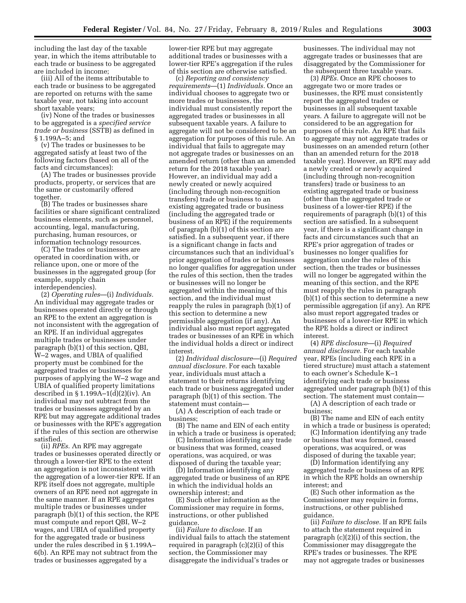including the last day of the taxable year, in which the items attributable to each trade or business to be aggregated are included in income;

(iii) All of the items attributable to each trade or business to be aggregated are reported on returns with the same taxable year, not taking into account short taxable years;

(iv) None of the trades or businesses to be aggregated is a *specified service trade or business* (SSTB) as defined in § 1.199A–5; and

(v) The trades or businesses to be aggregated satisfy at least two of the following factors (based on all of the facts and circumstances):

(A) The trades or businesses provide products, property, or services that are the same or customarily offered together.

(B) The trades or businesses share facilities or share significant centralized business elements, such as personnel, accounting, legal, manufacturing, purchasing, human resources, or information technology resources.

(C) The trades or businesses are operated in coordination with, or reliance upon, one or more of the businesses in the aggregated group (for example, supply chain interdependencies).

(2) *Operating rules*—(i) *Individuals.*  An individual may aggregate trades or businesses operated directly or through an RPE to the extent an aggregation is not inconsistent with the aggregation of an RPE. If an individual aggregates multiple trades or businesses under paragraph (b)(1) of this section, QBI, W–2 wages, and UBIA of qualified property must be combined for the aggregated trades or businesses for purposes of applying the W–2 wage and UBIA of qualified property limitations described in § 1.199A–1(d)(2)(iv). An individual may not subtract from the trades or businesses aggregated by an RPE but may aggregate additional trades or businesses with the RPE's aggregation if the rules of this section are otherwise satisfied.

(ii) *RPEs.* An RPE may aggregate trades or businesses operated directly or through a lower-tier RPE to the extent an aggregation is not inconsistent with the aggregation of a lower-tier RPE. If an RPE itself does not aggregate, multiple owners of an RPE need not aggregate in the same manner. If an RPE aggregates multiple trades or businesses under paragraph (b)(1) of this section, the RPE must compute and report QBI, W–2 wages, and UBIA of qualified property for the aggregated trade or business under the rules described in § 1.199A– 6(b). An RPE may not subtract from the trades or businesses aggregated by a

lower-tier RPE but may aggregate additional trades or businesses with a lower-tier RPE's aggregation if the rules of this section are otherwise satisfied.

(c) *Reporting and consistency requirements*—(1) *Individuals.* Once an individual chooses to aggregate two or more trades or businesses, the individual must consistently report the aggregated trades or businesses in all subsequent taxable years. A failure to aggregate will not be considered to be an aggregation for purposes of this rule. An individual that fails to aggregate may not aggregate trades or businesses on an amended return (other than an amended return for the 2018 taxable year). However, an individual may add a newly created or newly acquired (including through non-recognition transfers) trade or business to an existing aggregated trade or business (including the aggregated trade or business of an RPE) if the requirements of paragraph (b)(1) of this section are satisfied. In a subsequent year, if there is a significant change in facts and circumstances such that an individual's prior aggregation of trades or businesses no longer qualifies for aggregation under the rules of this section, then the trades or businesses will no longer be aggregated within the meaning of this section, and the individual must reapply the rules in paragraph (b)(1) of this section to determine a new permissible aggregation (if any). An individual also must report aggregated trades or businesses of an RPE in which the individual holds a direct or indirect interest.

(2) *Individual disclosure*—(i) *Required annual disclosure.* For each taxable year, individuals must attach a statement to their returns identifying each trade or business aggregated under paragraph (b)(1) of this section. The statement must contain—

(A) A description of each trade or business;

(B) The name and EIN of each entity in which a trade or business is operated;

(C) Information identifying any trade or business that was formed, ceased operations, was acquired, or was disposed of during the taxable year;

(D) Information identifying any aggregated trade or business of an RPE in which the individual holds an ownership interest; and

(E) Such other information as the Commissioner may require in forms, instructions, or other published guidance.

(ii) *Failure to disclose.* If an individual fails to attach the statement required in paragraph (c)(2)(i) of this section, the Commissioner may disaggregate the individual's trades or

businesses. The individual may not aggregate trades or businesses that are disaggregated by the Commissioner for the subsequent three taxable years.

(3) *RPEs.* Once an RPE chooses to aggregate two or more trades or businesses, the RPE must consistently report the aggregated trades or businesses in all subsequent taxable years. A failure to aggregate will not be considered to be an aggregation for purposes of this rule. An RPE that fails to aggregate may not aggregate trades or businesses on an amended return (other than an amended return for the 2018 taxable year). However, an RPE may add a newly created or newly acquired (including through non-recognition transfers) trade or business to an existing aggregated trade or business (other than the aggregated trade or business of a lower-tier RPE) if the requirements of paragraph (b)(1) of this section are satisfied. In a subsequent year, if there is a significant change in facts and circumstances such that an RPE's prior aggregation of trades or businesses no longer qualifies for aggregation under the rules of this section, then the trades or businesses will no longer be aggregated within the meaning of this section, and the RPE must reapply the rules in paragraph (b)(1) of this section to determine a new permissible aggregation (if any). An RPE also must report aggregated trades or businesses of a lower-tier RPE in which the RPE holds a direct or indirect interest.

(4) *RPE disclosure*—(i) *Required annual disclosure.* For each taxable year, RPEs (including each RPE in a tiered structure) must attach a statement to each owner's Schedule K–1 identifying each trade or business aggregated under paragraph (b)(1) of this section. The statement must contain—

(A) A description of each trade or business;

(B) The name and EIN of each entity in which a trade or business is operated;

(C) Information identifying any trade or business that was formed, ceased operations, was acquired, or was disposed of during the taxable year;

(D) Information identifying any aggregated trade or business of an RPE in which the RPE holds an ownership interest; and

(E) Such other information as the Commissioner may require in forms, instructions, or other published guidance.

(ii) *Failure to disclose.* If an RPE fails to attach the statement required in paragraph (c)(2)(i) of this section, the Commissioner may disaggregate the RPE's trades or businesses. The RPE may not aggregate trades or businesses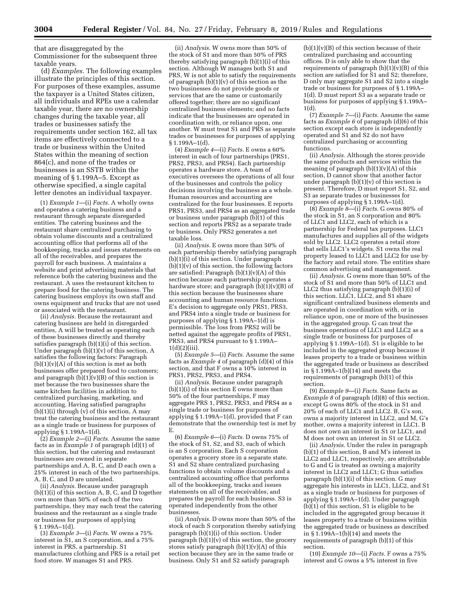that are disaggregated by the Commissioner for the subsequent three taxable years.

(d) *Examples.* The following examples illustrate the principles of this section. For purposes of these examples, assume the taxpayer is a United States citizen, all individuals and RPEs use a calendar taxable year, there are no ownership changes during the taxable year, all trades or businesses satisfy the requirements under section 162, all tax items are effectively connected to a trade or business within the United States within the meaning of section 864(c), and none of the trades or businesses is an SSTB within the meaning of § 1.199A–5. Except as otherwise specified, a single capital letter denotes an individual taxpayer.

(1) *Example 1*—(i) *Facts.* A wholly owns and operates a catering business and a restaurant through separate disregarded entities. The catering business and the restaurant share centralized purchasing to obtain volume discounts and a centralized accounting office that performs all of the bookkeeping, tracks and issues statements on all of the receivables, and prepares the payroll for each business. A maintains a website and print advertising materials that reference both the catering business and the restaurant. A uses the restaurant kitchen to prepare food for the catering business. The catering business employs its own staff and owns equipment and trucks that are not used or associated with the restaurant.

(ii) *Analysis.* Because the restaurant and catering business are held in disregarded entities, A will be treated as operating each of these businesses directly and thereby satisfies paragraph (b)(1)(i) of this section. Under paragraph  $(b)(1)(v)$  of this section, A satisfies the following factors: Paragraph  $(b)(1)(v)(A)$  of this section is met as both businesses offer prepared food to customers; and paragraph  $(b)(1)(v)(B)$  of this section is met because the two businesses share the same kitchen facilities in addition to centralized purchasing, marketing, and accounting. Having satisfied paragraphs  $(b)(1)(i)$  through  $(v)$  of this section, A may treat the catering business and the restaurant as a single trade or business for purposes of applying § 1.199A–1(d).

(2) *Example 2*—(i) *Facts.* Assume the same facts as in *Example 1* of paragraph (d)(1) of this section, but the catering and restaurant businesses are owned in separate partnerships and A, B, C, and D each own a 25% interest in each of the two partnerships. A, B, C, and D are unrelated.

(ii) *Analysis.* Because under paragraph (b)(1)(i) of this section A, B, C, and D together own more than 50% of each of the two partnerships, they may each treat the catering business and the restaurant as a single trade or business for purposes of applying § 1.199A–1(d).

(3) *Example 3*—(i) *Facts.* W owns a 75% interest in S1, an S corporation, and a 75% interest in PRS, a partnership. S1 manufactures clothing and PRS is a retail pet food store. W manages S1 and PRS.

(ii) *Analysis.* W owns more than 50% of the stock of S1 and more than 50% of PRS thereby satisfying paragraph (b)(1)(i) of this section. Although W manages both S1 and PRS, W is not able to satisfy the requirements of paragraph  $(b)(1)(v)$  of this section as the two businesses do not provide goods or services that are the same or customarily offered together; there are no significant centralized business elements; and no facts indicate that the businesses are operated in coordination with, or reliance upon, one another. W must treat S1 and PRS as separate trades or businesses for purposes of applying § 1.199A–1(d).

(4) *Example 4*—(i) *Facts.* E owns a 60% interest in each of four partnerships (PRS1, PRS2, PRS3, and PRS4). Each partnership operates a hardware store. A team of executives oversees the operations of all four of the businesses and controls the policy decisions involving the business as a whole. Human resources and accounting are centralized for the four businesses. E reports PRS1, PRS3, and PRS4 as an aggregated trade or business under paragraph (b)(1) of this section and reports PRS2 as a separate trade or business. Only PRS2 generates a net taxable loss.

(ii) *Analysis.* E owns more than 50% of each partnership thereby satisfying paragraph (b)(1)(i) of this section. Under paragraph  $(b)(1)(v)$  of this section, the following factors are satisfied: Paragraph  $(b)(1)(v)(A)$  of this section because each partnership operates a hardware store; and paragraph  $(b)(1)(v)(B)$  of this section because the businesses share accounting and human resource functions. E's decision to aggregate only PRS1, PRS3, and PRS4 into a single trade or business for purposes of applying § 1.199A–1(d) is permissible. The loss from PRS2 will be netted against the aggregate profits of PRS1, PRS3, and PRS4 pursuant to § 1.199A–  $1(d)(2)(iii)$ .

(5) *Example 5*—(i) *Facts.* Assume the same facts as *Example 4* of paragraph (d)(4) of this section, and that F owns a 10% interest in PRS1, PRS2, PRS3, and PRS4.

(ii) *Analysis.* Because under paragraph (b)(1)(i) of this section E owns more than 50% of the four partnerships, F may aggregate PRS 1, PRS2, PRS3, and PRS4 as a single trade or business for purposes of applying § 1.199A–1(d), provided that F can demonstrate that the ownership test is met by E.

(6) *Example 6*—(i) *Facts.* D owns 75% of the stock of S1, S2, and S3, each of which is an S corporation. Each S corporation operates a grocery store in a separate state. S1 and S2 share centralized purchasing functions to obtain volume discounts and a centralized accounting office that performs all of the bookkeeping, tracks and issues statements on all of the receivables, and prepares the payroll for each business. S3 is operated independently from the other businesses.

(ii) *Analysis.* D owns more than 50% of the stock of each S corporation thereby satisfying paragraph (b)(1)(i) of this section. Under paragraph  $(b)(1)(v)$  of this section, the grocery stores satisfy paragraph  $(b)(1)(v)(A)$  of this section because they are in the same trade or business. Only S1 and S2 satisfy paragraph

 $(b)(1)(v)(B)$  of this section because of their centralized purchasing and accounting offices. D is only able to show that the requirements of paragraph  $(b)(1)(v)(B)$  of this section are satisfied for S1 and S2; therefore, D only may aggregate S1 and S2 into a single trade or business for purposes of § 1.199A–  $1(d)$ . D must report  $S_3$  as a separate trade or business for purposes of applying § 1.199A– 1(d).

(7) *Example 7*—(i) *Facts.* Assume the same facts as *Example 6* of paragraph (d)(6) of this section except each store is independently operated and S1 and S2 do not have centralized purchasing or accounting functions.

(ii) *Analysis.* Although the stores provide the same products and services within the meaning of paragraph  $(b)(1)(v)(A)$  of this section, D cannot show that another factor under paragraph  $(b)(1)(v)$  of this section is present. Therefore, D must report S1, S2, and S3 as separate trades or businesses for purposes of applying § 1.199A–1(d).

(8) *Example 8*—(i) *Facts.* G owns 80% of the stock in S1, an S corporation and 80% of LLC1 and LLC2, each of which is a partnership for Federal tax purposes. LLC1 manufactures and supplies all of the widgets sold by LLC2. LLC2 operates a retail store that sells LLC1's widgets. S1 owns the real property leased to LLC1 and LLC2 for use by the factory and retail store. The entities share common advertising and management.

(ii) *Analysis.* G owns more than 50% of the stock of S1 and more than 50% of LLC1 and LLC2 thus satisfying paragraph (b)(1)(i) of this section. LLC1, LLC2, and S1 share significant centralized business elements and are operated in coordination with, or in reliance upon, one or more of the businesses in the aggregated group. G can treat the business operations of LLC1 and LLC2 as a single trade or business for purposes of applying § 1.199A–1(d). S1 is eligible to be included in the aggregated group because it leases property to a trade or business within the aggregated trade or business as described in § 1.199A–1(b)(14) and meets the requirements of paragraph (b)(1) of this section.

(9) *Example 9*—(i) *Facts.* Same facts as *Example 8* of paragraph (d)(8) of this section, except G owns 80% of the stock in S1 and 20% of each of LLC1 and LLC2. B, G's son, owns a majority interest in LLC2, and M, G's mother, owns a majority interest in LLC1. B does not own an interest in S1 or LLC1, and M does not own an interest in S1 or LLC2.

(ii) *Analysis.* Under the rules in paragraph (b)(1) of this section, B and M's interest in LLC2 and LLC1, respectively, are attributable to G and G is treated as owning a majority interest in LLC2 and LLC1; G thus satisfies paragraph (b)(1)(i) of this section. G may aggregate his interests in LLC1, LLC2, and S1 as a single trade or business for purposes of applying § 1.199A–1(d). Under paragraph  $(\overline{b})(1)$  of this section, S1 is eligible to be included in the aggregated group because it leases property to a trade or business within the aggregated trade or business as described in § 1.199A–1(b)(14) and meets the requirements of paragraph (b)(1) of this section.

(10) *Example 10*—(i) *Facts.* F owns a 75% interest and G owns a 5% interest in five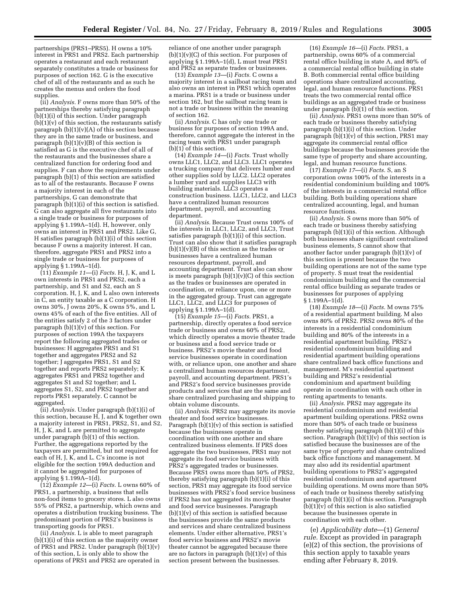partnerships (PRS1–PRS5). H owns a 10% interest in PRS1 and PRS2. Each partnership operates a restaurant and each restaurant separately constitutes a trade or business for purposes of section 162. G is the executive chef of all of the restaurants and as such he creates the menus and orders the food supplies.

(ii) *Analysis.* F owns more than 50% of the partnerships thereby satisfying paragraph (b)(1)(i) of this section. Under paragraph  $(b)(1)(v)$  of this section, the restaurants satisfy paragraph (b)(1)(v)(A) of this section because they are in the same trade or business, and paragraph  $(b)(1)(v)(B)$  of this section is satisfied as G is the executive chef of all of the restaurants and the businesses share a centralized function for ordering food and supplies. F can show the requirements under paragraph (b)(1) of this section are satisfied as to all of the restaurants. Because F owns a majority interest in each of the partnerships, G can demonstrate that paragraph (b)(1)(i) of this section is satisfied. G can also aggregate all five restaurants into a single trade or business for purposes of applying § 1.199A–1(d). H, however, only owns an interest in PRS1 and PRS2. Like G, H satisfies paragraph (b)(1)(i) of this section because F owns a majority interest. H can, therefore, aggregate PRS1 and PRS2 into a single trade or business for purposes of applying § 1.199A–1(d).

(11) *Example 11*—(i) *Facts.* H, J, K, and L own interests in PRS1 and PRS2, each a partnership, and S1 and S2, each an S corporation. H, J, K, and L also own interests in C, an entity taxable as a C corporation. H owns 30%, J owns 20%, K owns 5%, and L owns 45% of each of the five entities. All of the entities satisfy 2 of the 3 factors under paragraph  $(b)(1)(v)$  of this section. For purposes of section 199A the taxpayers report the following aggregated trades or businesses: H aggregates PRS1 and S1 together and aggregates PRS2 and S2 together; J aggregates PRS1, S1 and S2 together and reports PRS2 separately; K aggregates PRS1 and PRS2 together and aggregates S1 and S2 together; and L aggregates S1, S2, and PRS2 together and reports PRS1 separately. C cannot be aggregated.

(ii) *Analysis.* Under paragraph (b)(1)(i) of this section, because H, J, and K together own a majority interest in PRS1, PRS2, S1, and S2, H, J, K, and L are permitted to aggregate under paragraph (b)(1) of this section. Further, the aggregations reported by the taxpayers are permitted, but not required for each of H, J, K, and L. C's income is not eligible for the section 199A deduction and it cannot be aggregated for purposes of applying § 1.199A–1(d).

(12) *Example 12*—(i) *Facts.* L owns 60% of PRS1, a partnership, a business that sells non-food items to grocery stores. L also owns 55% of PRS2, a partnership, which owns and operates a distribution trucking business. The predominant portion of PRS2's business is transporting goods for PRS1.

(ii) *Analysis.* L is able to meet paragraph (b)(1)(i) of this section as the majority owner of PRS1 and PRS2. Under paragraph (b)(1)(v) of this section, L is only able to show the operations of PRS1 and PRS2 are operated in reliance of one another under paragraph  $(b)(1)(v)(C)$  of this section. For purposes of applying § 1.199A–1(d), L must treat PRS1 and PRS2 as separate trades or businesses.

(13) *Example 13*—(i) *Facts.* C owns a majority interest in a sailboat racing team and also owns an interest in PRS1 which operates a marina. PRS1 is a trade or business under section 162, but the sailboat racing team is not a trade or business within the meaning of section 162.

(ii) *Analysis.* C has only one trade or business for purposes of section 199A and, therefore, cannot aggregate the interest in the racing team with PRS1 under paragraph (b)(1) of this section.

(14) *Example 14*—(i) *Facts.* Trust wholly owns LLC1, LLC2, and LLC3. LLC1 operates a trucking company that delivers lumber and other supplies sold by LLC2. LLC2 operates a lumber yard and supplies LLC3 with building materials. LLC3 operates a construction business. LLC1, LLC2, and LLC3 have a centralized human resources department, payroll, and accounting department.

(ii) *Analysis.* Because Trust owns 100% of the interests in LLC1, LLC2, and LLC3, Trust satisfies paragraph (b)(1)(i) of this section. Trust can also show that it satisfies paragraph  $(b)(1)(v)(B)$  of this section as the trades or businesses have a centralized human resources department, payroll, and accounting department. Trust also can show is meets paragraph  $(b)(1)(v)(C)$  of this section as the trades or businesses are operated in coordination, or reliance upon, one or more in the aggregated group. Trust can aggregate LLC1, LLC2, and LLC3 for purposes of applying § 1.199A–1(d).

(15) *Example 15*—(i) *Facts.* PRS1, a partnership, directly operates a food service trade or business and owns 60% of PRS2, which directly operates a movie theater trade or business and a food service trade or business. PRS2's movie theater and food service businesses operate in coordination with, or reliance upon, one another and share a centralized human resources department, payroll, and accounting department. PRS1's and PRS2's food service businesses provide products and services that are the same and share centralized purchasing and shipping to obtain volume discounts.

(ii) *Analysis.* PRS2 may aggregate its movie theater and food service businesses. Paragraph (b)(1)(v) of this section is satisfied because the businesses operate in coordination with one another and share centralized business elements. If PRS does aggregate the two businesses, PRS1 may not aggregate its food service business with PRS2's aggregated trades or businesses. Because PRS1 owns more than 50% of PRS2, thereby satisfying paragraph (b)(1)(i) of this section, PRS1 may aggregate its food service businesses with PRS2's food service business if PRS2 has not aggregated its movie theater and food service businesses. Paragraph (b)(1)(v) of this section is satisfied because the businesses provide the same products and services and share centralized business elements. Under either alternative, PRS1's food service business and PRS2's movie theater cannot be aggregated because there are no factors in paragraph  $(b)(1)(v)$  of this section present between the businesses.

(16) *Example 16*—(i) *Facts.* PRS1, a partnership, owns 60% of a commercial rental office building in state A, and 80% of a commercial rental office building in state B. Both commercial rental office building operations share centralized accounting, legal, and human resource functions. PRS1 treats the two commercial rental office buildings as an aggregated trade or business under paragraph  $(b)(1)$  of this section.

(ii) *Analysis.* PRS1 owns more than 50% of each trade or business thereby satisfying paragraph (b)(1)(i) of this section. Under paragraph  $(b)(1)(v)$  of this section, PRS1 may aggregate its commercial rental office buildings because the businesses provide the same type of property and share accounting, legal, and human resource functions.

(17) *Example 17*—(i) *Facts.* S, an S corporation owns 100% of the interests in a residential condominium building and 100% of the interests in a commercial rental office building. Both building operations share centralized accounting, legal, and human resource functions.

(ii) *Analysis.* S owns more than 50% of each trade or business thereby satisfying paragraph (b)(1)(i) of this section. Although both businesses share significant centralized business elements, S cannot show that another factor under paragraph (b)(1)(v) of this section is present because the two building operations are not of the same type of property. S must treat the residential condominium building and the commercial rental office building as separate trades or businesses for purposes of applying § 1.199A–1(d).

(18) *Example 18*—(i) *Facts.* M owns 75% of a residential apartment building. M also owns 80% of PRS2. PRS2 owns 80% of the interests in a residential condominium building and 80% of the interests in a residential apartment building. PRS2's residential condominium building and residential apartment building operations share centralized back office functions and management. M's residential apartment building and PRS2's residential condominium and apartment building operate in coordination with each other in renting apartments to tenants.

(ii) *Analysis.* PRS2 may aggregate its residential condominium and residential apartment building operations. PRS2 owns more than 50% of each trade or business thereby satisfying paragraph (b)(1)(i) of this section. Paragraph  $(b)(1)(v)$  of this section is satisfied because the businesses are of the same type of property and share centralized back office functions and management. M may also add its residential apartment building operations to PRS2's aggregated residential condominium and apartment building operations. M owns more than 50% of each trade or business thereby satisfying paragraph (b)(1)(i) of this section. Paragraph  $(b)(1)(v)$  of this section is also satisfied because the businesses operate in coordination with each other.

(e) *Applicability date*—(1) *General rule.* Except as provided in paragraph (e)(2) of this section, the provisions of this section apply to taxable years ending after February 8, 2019.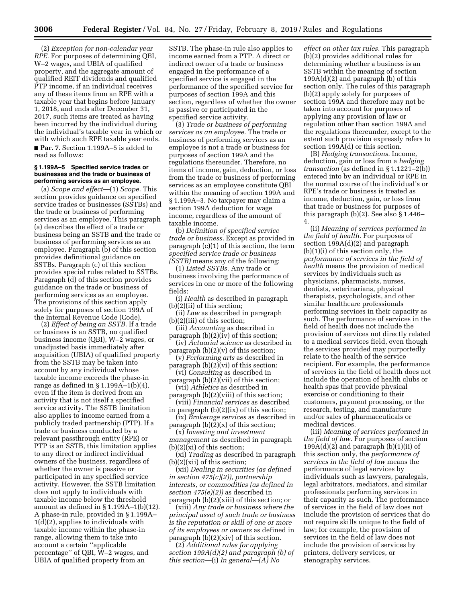(2) *Exception for non-calendar year RPE.* For purposes of determining QBI, W–2 wages, and UBIA of qualified property, and the aggregate amount of qualified REIT dividends and qualified PTP income, if an individual receives any of these items from an RPE with a taxable year that begins before January 1, 2018, and ends after December 31, 2017, such items are treated as having been incurred by the individual during the individual's taxable year in which or with which such RPE taxable year ends. ■ **Par. 7.** Section 1.199A–5 is added to read as follows:

# **§ 1.199A–5 Specified service trades or businesses and the trade or business of performing services as an employee.**

(a) *Scope and effect*—(1) *Scope.* This section provides guidance on specified service trades or businesses (SSTBs) and the trade or business of performing services as an employee. This paragraph (a) describes the effect of a trade or business being an SSTB and the trade or business of performing services as an employee. Paragraph (b) of this section provides definitional guidance on SSTBs. Paragraph (c) of this section provides special rules related to SSTBs. Paragraph (d) of this section provides guidance on the trade or business of performing services as an employee. The provisions of this section apply solely for purposes of section 199A of the Internal Revenue Code (Code).

(2) *Effect of being an SSTB.* If a trade or business is an SSTB, no qualified business income (QBI), W–2 wages, or unadjusted basis immediately after acquisition (UBIA) of qualified property from the SSTB may be taken into account by any individual whose taxable income exceeds the phase-in range as defined in § 1.199A–1(b)(4), even if the item is derived from an activity that is not itself a specified service activity. The SSTB limitation also applies to income earned from a publicly traded partnership (PTP). If a trade or business conducted by a relevant passthrough entity (RPE) or PTP is an SSTB, this limitation applies to any direct or indirect individual owners of the business, regardless of whether the owner is passive or participated in any specified service activity. However, the SSTB limitation does not apply to individuals with taxable income below the threshold amount as defined in  $\S 1.199A-1(b)(12)$ . A phase-in rule, provided in § 1.199A–  $1\overline{d}(2)$ , applies to individuals with taxable income within the phase-in range, allowing them to take into account a certain ''applicable percentage'' of QBI, W–2 wages, and UBIA of qualified property from an

SSTB. The phase-in rule also applies to income earned from a PTP. A direct or indirect owner of a trade or business engaged in the performance of a specified service is engaged in the performance of the specified service for purposes of section 199A and this section, regardless of whether the owner is passive or participated in the specified service activity.

(3) *Trade or business of performing services as an employee.* The trade or business of performing services as an employee is not a trade or business for purposes of section 199A and the regulations thereunder. Therefore, no items of income, gain, deduction, or loss from the trade or business of performing services as an employee constitute QBI within the meaning of section 199A and § 1.199A–3. No taxpayer may claim a section 199A deduction for wage income, regardless of the amount of taxable income.

(b) *Definition of specified service trade or business.* Except as provided in paragraph (c)(1) of this section, the term *specified service trade or business (SSTB)* means any of the following:

(1) *Listed SSTBs.* Any trade or business involving the performance of services in one or more of the following fields:

(i) *Health* as described in paragraph (b)(2)(ii) of this section;

(ii) *Law* as described in paragraph (b)(2)(iii) of this section;

- (iii) *Accounting* as described in paragraph (b)(2)(iv) of this section;
- (iv) *Actuarial science* as described in paragraph  $(b)(2)(v)$  of this section;
- (v) *Performing arts* as described in paragraph (b)(2)(vi) of this section;

(vi) *Consulting* as described in paragraph  $(b)(2)\bar{(}vii)$  of this section;

(vii) *Athletics* as described in paragraph (b)(2)(viii) of this section;

(viii) *Financial services* as described in paragraph (b)(2)(ix) of this section;

(ix) *Brokerage services* as described in paragraph  $(b)(2)(x)$  of this section;

(x) *Investing and investment management* as described in paragraph (b)(2)(xi) of this section;

(xi) *Trading* as described in paragraph (b)(2)(xii) of this section;

(xii) *Dealing in securities (as defined in section 475(c)(2)), partnership interests, or commodities (as defined in section 475(e)(2))* as described in paragraph (b)(2)(xiii) of this section; or

(xiii) *Any trade or business where the principal asset of such trade or business is the reputation or skill of one or more of its employees or owners* as defined in paragraph (b)(2)(xiv) of this section.

(2) *Additional rules for applying section 199A(d)(2) and paragraph (b) of this section*—(i) *In general*—*(A) No* 

*effect on other tax rules.* This paragraph (b)(2) provides additional rules for determining whether a business is an SSTB within the meaning of section 199A(d)(2) and paragraph (b) of this section only. The rules of this paragraph (b)(2) apply solely for purposes of section 199A and therefore may not be taken into account for purposes of applying any provision of law or regulation other than section 199A and the regulations thereunder, except to the extent such provision expressly refers to section 199A(d) or this section.

(B) *Hedging transactions.* Income, deduction, gain or loss from a *hedging transaction* (as defined in § 1.1221–2(b)) entered into by an individual or RPE in the normal course of the individual's or RPE's trade or business is treated as income, deduction, gain, or loss from that trade or business for purposes of this paragraph (b)(2). See also § 1.446– 4.

(ii) *Meaning of services performed in the field of health.* For purposes of section 199A(d)(2) and paragraph  $(b)(1)(i)$  of this section only, the *performance of services in the field of health* means the provision of medical services by individuals such as physicians, pharmacists, nurses, dentists, veterinarians, physical therapists, psychologists, and other similar healthcare professionals performing services in their capacity as such. The performance of services in the field of health does not include the provision of services not directly related to a medical services field, even though the services provided may purportedly relate to the health of the service recipient. For example, the performance of services in the field of health does not include the operation of health clubs or health spas that provide physical exercise or conditioning to their customers, payment processing, or the research, testing, and manufacture and/or sales of pharmaceuticals or medical devices.

(iii) *Meaning of services performed in the field of law.* For purposes of section 199 $A(d)(2)$  and paragraph  $(b)(1)(ii)$  of this section only, the *performance of services in the field of law* means the performance of legal services by individuals such as lawyers, paralegals, legal arbitrators, mediators, and similar professionals performing services in their capacity as such. The performance of services in the field of law does not include the provision of services that do not require skills unique to the field of law; for example, the provision of services in the field of law does not include the provision of services by printers, delivery services, or stenography services.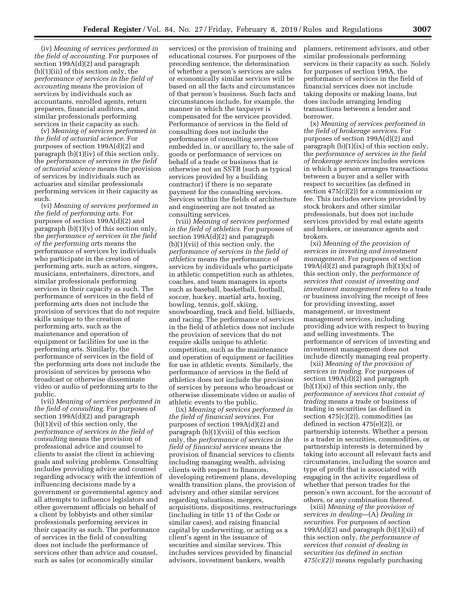(iv) *Meaning of services performed in the field of accounting.* For purposes of section 199A(d)(2) and paragraph (b)(1)(iii) of this section only, the *performance of services in the field of accounting* means the provision of services by individuals such as accountants, enrolled agents, return preparers, financial auditors, and similar professionals performing services in their capacity as such.

(v) *Meaning of services performed in the field of actuarial science.* For purposes of section 199A(d)(2) and paragraph (b)(1)(iv) of this section only, the *performance of services in the field of actuarial science* means the provision of services by individuals such as actuaries and similar professionals performing services in their capacity as such.

(vi) *Meaning of services performed in the field of performing arts.* For purposes of section 199A(d)(2) and paragraph  $(b)(1)(v)$  of this section only, the *performance of services in the field of the performing arts* means the performance of services by individuals who participate in the creation of performing arts, such as actors, singers, musicians, entertainers, directors, and similar professionals performing services in their capacity as such. The performance of services in the field of performing arts does not include the provision of services that do not require skills unique to the creation of performing arts, such as the maintenance and operation of equipment or facilities for use in the performing arts. Similarly, the performance of services in the field of the performing arts does not include the provision of services by persons who broadcast or otherwise disseminate video or audio of performing arts to the public.

(vii) *Meaning of services performed in the field of consulting.* For purposes of section 199A(d)(2) and paragraph (b)(1)(vi) of this section only, the *performance of services in the field of consulting* means the provision of professional advice and counsel to clients to assist the client in achieving goals and solving problems. Consulting includes providing advice and counsel regarding advocacy with the intention of influencing decisions made by a government or governmental agency and all attempts to influence legislators and other government officials on behalf of a client by lobbyists and other similar professionals performing services in their capacity as such. The performance of services in the field of consulting does not include the performance of services other than advice and counsel, such as sales (or economically similar

services) or the provision of training and educational courses. For purposes of the preceding sentence, the determination of whether a person's services are sales or economically similar services will be based on all the facts and circumstances of that person's business. Such facts and circumstances include, for example, the manner in which the taxpayer is compensated for the services provided. Performance of services in the field of consulting does not include the performance of consulting services embedded in, or ancillary to, the sale of goods or performance of services on behalf of a trade or business that is otherwise not an SSTB (such as typical services provided by a building contractor) if there is no separate payment for the consulting services. Services within the fields of architecture and engineering are not treated as consulting services.

(viii) *Meaning of services performed in the field of athletics.* For purposes of section 199A(d)(2) and paragraph (b)(1)(vii) of this section only, the *performance of services in the field of athletics* means the performance of services by individuals who participate in athletic competition such as athletes, coaches, and team managers in sports such as baseball, basketball, football, soccer, hockey, martial arts, boxing, bowling, tennis, golf, skiing, snowboarding, track and field, billiards, and racing. The performance of services in the field of athletics does not include the provision of services that do not require skills unique to athletic competition, such as the maintenance and operation of equipment or facilities for use in athletic events. Similarly, the performance of services in the field of athletics does not include the provision of services by persons who broadcast or otherwise disseminate video or audio of athletic events to the public.

(ix) *Meaning of services performed in the field of financial services.* For purposes of section 199A(d)(2) and paragraph (b)(1)(viii) of this section only, the *performance of services in the field of financial services* means the provision of financial services to clients including managing wealth, advising clients with respect to finances, developing retirement plans, developing wealth transition plans, the provision of advisory and other similar services regarding valuations, mergers, acquisitions, dispositions, restructurings (including in title 11 of the Code or similar cases), and raising financial capital by underwriting, or acting as a client's agent in the issuance of securities and similar services. This includes services provided by financial advisors, investment bankers, wealth

planners, retirement advisors, and other similar professionals performing services in their capacity as such. Solely for purposes of section 199A, the performance of services in the field of financial services does not include taking deposits or making loans, but does include arranging lending transactions between a lender and borrower.

(x) *Meaning of services performed in the field of brokerage services.* For purposes of section 199A(d)(2) and paragraph (b)(1)(ix) of this section only, the *performance of services in the field of brokerage services* includes services in which a person arranges transactions between a buyer and a seller with respect to securities (as defined in section  $475(c)(2)$ ) for a commission or fee. This includes services provided by stock brokers and other similar professionals, but does not include services provided by real estate agents and brokers, or insurance agents and brokers.

(xi) *Meaning of the provision of services in investing and investment management.* For purposes of section 199A(d)(2) and paragraph  $(b)(1)(x)$  of this section only, the *performance of services that consist of investing and investment management* refers to a trade or business involving the receipt of fees for providing investing, asset management, or investment management services, including providing advice with respect to buying and selling investments. The performance of services of investing and investment management does not include directly managing real property.

(xii) *Meaning of the provision of services in trading.* For purposes of section 199A(d)(2) and paragraph (b)(1)(xi) of this section only, the *performance of services that consist of trading* means a trade or business of trading in securities (as defined in section 475(c)(2)), commodities (as defined in section 475(e)(2)), or partnership interests. Whether a person is a trader in securities, commodities, or partnership interests is determined by taking into account all relevant facts and circumstances, including the source and type of profit that is associated with engaging in the activity regardless of whether that person trades for the person's own account, for the account of others, or any combination thereof.

(xiii) *Meaning of the provision of services in dealing*—(A) *Dealing in securities.* For purposes of section 199 $A(d)(2)$  and paragraph  $(b)(1)(xii)$  of this section only, *the performance of services that consist of dealing in securities (as defined in section 475(c)(2))* means regularly purchasing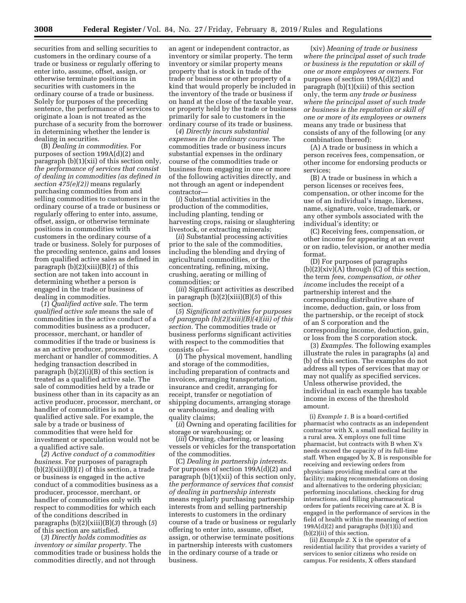securities from and selling securities to customers in the ordinary course of a trade or business or regularly offering to enter into, assume, offset, assign, or otherwise terminate positions in securities with customers in the ordinary course of a trade or business. Solely for purposes of the preceding sentence, the performance of services to originate a loan is not treated as the purchase of a security from the borrower in determining whether the lender is dealing in securities.

(B) *Dealing in commodities.* For purposes of section 199A(d)(2) and paragraph (b)(1)(xii) of this section only, *the performance of services that consist of dealing in commodities (as defined in section 475(e)(2))* means regularly purchasing commodities from and selling commodities to customers in the ordinary course of a trade or business or regularly offering to enter into, assume, offset, assign, or otherwise terminate positions in commodities with customers in the ordinary course of a trade or business. Solely for purposes of the preceding sentence, gains and losses from qualified active sales as defined in paragraph (b)(2)(xiii)(B)(*1*) of this section are not taken into account in determining whether a person is engaged in the trade or business of dealing in commodities.

(*1*) *Qualified active sale.* The term *qualified active sale* means the sale of commodities in the active conduct of a commodities business as a producer, processor, merchant, or handler of commodities if the trade or business is as an active producer, processor, merchant or handler of commodities. A hedging transaction described in paragraph (b)(2)(i)(B) of this section is treated as a qualified active sale. The sale of commodities held by a trade or business other than in its capacity as an active producer, processor, merchant, or handler of commodities is not a qualified active sale. For example, the sale by a trade or business of commodities that were held for investment or speculation would not be a qualified active sale.

(*2*) *Active conduct of a commodities business.* For purposes of paragraph (b)(2)(xiii)(B)(*1*) of this section, a trade or business is engaged in the active conduct of a commodities business as a producer, processor, merchant, or handler of commodities only with respect to commodities for which each of the conditions described in paragraphs (b)(2)(xiii)(B)(*3*) through (*5*) of this section are satisfied.

(*3*) *Directly holds commodities as inventory or similar property.* The commodities trade or business holds the commodities directly, and not through

an agent or independent contractor, as inventory or similar property. The term inventory or similar property means property that is stock in trade of the trade or business or other property of a kind that would properly be included in the inventory of the trade or business if on hand at the close of the taxable year, or property held by the trade or business primarily for sale to customers in the ordinary course of its trade or business.

(*4*) *Directly incurs substantial expenses in the ordinary course.* The commodities trade or business incurs substantial expenses in the ordinary course of the commodities trade or business from engaging in one or more of the following activities directly, and not through an agent or independent contractor—

(*i*) Substantial activities in the production of the commodities, including planting, tending or harvesting crops, raising or slaughtering livestock, or extracting minerals;

(*ii*) Substantial processing activities prior to the sale of the commodities, including the blending and drying of agricultural commodities, or the concentrating, refining, mixing, crushing, aerating or milling of commodities; or

(*iii*) Significant activities as described in paragraph (b)(2)(xiii)(B)(*5*) of this section.

(*5*) *Significant activities for purposes of paragraph (b)(2)(xiii)(B)(4)(iii) of this section.* The commodities trade or business performs significant activities with respect to the commodities that consists of—

(*i*) The physical movement, handling and storage of the commodities, including preparation of contracts and invoices, arranging transportation, insurance and credit, arranging for receipt, transfer or negotiation of shipping documents, arranging storage or warehousing, and dealing with quality claims;

(*ii*) Owning and operating facilities for storage or warehousing; or

(*iii*) Owning, chartering, or leasing vessels or vehicles for the transportation of the commodities.

(C) *Dealing in partnership interests.*  For purposes of section 199A(d)(2) and paragraph (b)(1)(xii) of this section only, *the performance of services that consist of dealing in partnership interests*  means regularly purchasing partnership interests from and selling partnership interests to customers in the ordinary course of a trade or business or regularly offering to enter into, assume, offset, assign, or otherwise terminate positions in partnership interests with customers in the ordinary course of a trade or business.

(xiv) *Meaning of trade or business where the principal asset of such trade or business is the reputation or skill of one or more employees or owners.* For purposes of section 199A(d)(2) and paragraph (b)(1)(xiii) of this section only, the term *any trade or business where the principal asset of such trade or business is the reputation or skill of one or more of its employees or owners*  means any trade or business that consists of any of the following (or any combination thereof):

(A) A trade or business in which a person receives fees, compensation, or other income for endorsing products or services;

(B) A trade or business in which a person licenses or receives fees, compensation, or other income for the use of an individual's image, likeness, name, signature, voice, trademark, or any other symbols associated with the individual's identity; or

(C) Receiving fees, compensation, or other income for appearing at an event or on radio, television, or another media format.

(D) For purposes of paragraphs  $(b)(2)(xiv)(A)$  through  $(C)$  of this section, the term *fees, compensation, or other income* includes the receipt of a partnership interest and the corresponding distributive share of income, deduction, gain, or loss from the partnership, or the receipt of stock of an S corporation and the corresponding income, deduction, gain, or loss from the S corporation stock.

(3) *Examples.* The following examples illustrate the rules in paragraphs (a) and (b) of this section. The examples do not address all types of services that may or may not qualify as specified services. Unless otherwise provided, the individual in each example has taxable income in excess of the threshold amount.

(i) *Example 1.* B is a board-certified pharmacist who contracts as an independent contractor with X, a small medical facility in a rural area. X employs one full time pharmacist, but contracts with B when X's needs exceed the capacity of its full-time staff. When engaged by X, B is responsible for receiving and reviewing orders from physicians providing medical care at the facility; making recommendations on dosing and alternatives to the ordering physician; performing inoculations, checking for drug interactions, and filling pharmaceutical orders for patients receiving care at X. B is engaged in the performance of services in the field of health within the meaning of section 199A(d)(2) and paragraphs  $(b)(1)(i)$  and (b)(2)(ii) of this section.

(ii) *Example 2.* X is the operator of a residential facility that provides a variety of services to senior citizens who reside on campus. For residents, X offers standard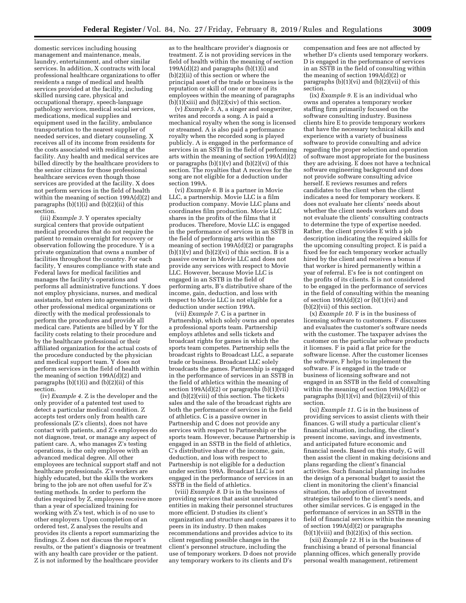domestic services including housing management and maintenance, meals, laundry, entertainment, and other similar services. In addition, X contracts with local professional healthcare organizations to offer residents a range of medical and health services provided at the facility, including skilled nursing care, physical and occupational therapy, speech-language pathology services, medical social services, medications, medical supplies and equipment used in the facility, ambulance transportation to the nearest supplier of needed services, and dietary counseling. X receives all of its income from residents for the costs associated with residing at the facility. Any health and medical services are billed directly by the healthcare providers to the senior citizens for those professional healthcare services even though those services are provided at the facility. X does not perform services in the field of health within the meaning of section 199A(d)(2) and paragraphs (b)(1)(i) and (b)(2)(ii) of this section.

(iii) *Example 3.* Y operates specialty surgical centers that provide outpatient medical procedures that do not require the patient to remain overnight for recovery or observation following the procedure. Y is a private organization that owns a number of facilities throughout the country. For each facility, Y ensures compliance with state and Federal laws for medical facilities and manages the facility's operations and performs all administrative functions. Y does not employ physicians, nurses, and medical assistants, but enters into agreements with other professional medical organizations or directly with the medical professionals to perform the procedures and provide all medical care. Patients are billed by Y for the facility costs relating to their procedure and by the healthcare professional or their affiliated organization for the actual costs of the procedure conducted by the physician and medical support team. Y does not perform services in the field of health within the meaning of section 199A(d)(2) and paragraphs  $(b)(1)(i)$  and  $(b)(2)(ii)$  of this section.

(iv) *Example 4.* Z is the developer and the only provider of a patented test used to detect a particular medical condition. Z accepts test orders only from health care professionals (Z's clients), does not have contact with patients, and Z's employees do not diagnose, treat, or manage any aspect of patient care. A, who manages Z's testing operations, is the only employee with an advanced medical degree. All other employees are technical support staff and not healthcare professionals. Z's workers are highly educated, but the skills the workers bring to the job are not often useful for Z's testing methods. In order to perform the duties required by Z, employees receive more than a year of specialized training for working with  $\overline{Z}$ 's test, which is of no use to other employers. Upon completion of an ordered test, Z analyses the results and provides its clients a report summarizing the findings. Z does not discuss the report's results, or the patient's diagnosis or treatment with any health care provider or the patient. Z is not informed by the healthcare provider

as to the healthcare provider's diagnosis or treatment. Z is not providing services in the field of health within the meaning of section  $199A(d)(2)$  and paragraphs  $(b)(1)(i)$  and (b)(2)(ii) of this section or where the principal asset of the trade or business is the reputation or skill of one or more of its employees within the meaning of paragraphs  $(b)(1)(xiii)$  and  $(b)(2)(xiv)$  of this section.

(v) *Example 5.* A, a singer and songwriter, writes and records a song. A is paid a mechanical royalty when the song is licensed or streamed. A is also paid a performance royalty when the recorded song is played publicly. A is engaged in the performance of services in an SSTB in the field of performing arts within the meaning of section 199A(d)(2) or paragraphs  $(b)(1)(v)$  and  $(b)(2)(vi)$  of this section. The royalties that A receives for the song are not eligible for a deduction under section 199A.

(vi) *Example 6.* B is a partner in Movie LLC, a partnership. Movie LLC is a film production company. Movie LLC plans and coordinates film production. Movie LLC shares in the profits of the films that it produces. Therefore, Movie LLC is engaged in the performance of services in an SSTB in the field of performing arts within the meaning of section 199A(d)(2) or paragraphs  $(b)(1)(v)$  and  $(b)(2)(vi)$  of this section. B is a passive owner in Movie LLC and does not provide any services with respect to Movie LLC. However, because Movie LLC is engaged in an SSTB in the field of performing arts, B's distributive share of the income, gain, deduction, and loss with respect to Movie LLC is not eligible for a deduction under section 199A.

(vii) *Example 7.* C is a partner in Partnership, which solely owns and operates a professional sports team. Partnership employs athletes and sells tickets and broadcast rights for games in which the sports team competes. Partnership sells the broadcast rights to Broadcast LLC, a separate trade or business. Broadcast LLC solely broadcasts the games. Partnership is engaged in the performance of services in an SSTB in the field of athletics within the meaning of section  $199A(d)(2)$  or paragraphs  $(b)(1)(vii)$ and (b)(2)(viii) of this section. The tickets sales and the sale of the broadcast rights are both the performance of services in the field of athletics. C is a passive owner in Partnership and C does not provide any services with respect to Partnership or the sports team. However, because Partnership is engaged in an SSTB in the field of athletics, C's distributive share of the income, gain, deduction, and loss with respect to Partnership is not eligible for a deduction under section 199A. Broadcast LLC is not engaged in the performance of services in an SSTB in the field of athletics.

(viii) *Example 8.* D is in the business of providing services that assist unrelated entities in making their personnel structures more efficient. D studies its client's organization and structure and compares it to peers in its industry. D then makes recommendations and provides advice to its client regarding possible changes in the client's personnel structure, including the use of temporary workers. D does not provide any temporary workers to its clients and D's

compensation and fees are not affected by whether D's clients used temporary workers. D is engaged in the performance of services in an SSTB in the field of consulting within the meaning of section 199A(d)(2) or paragraphs  $(b)(1)(vi)$  and  $(b)(2)(vii)$  of this section.

(ix) *Example 9.* E is an individual who owns and operates a temporary worker staffing firm primarily focused on the software consulting industry. Business clients hire E to provide temporary workers that have the necessary technical skills and experience with a variety of business software to provide consulting and advice regarding the proper selection and operation of software most appropriate for the business they are advising. E does not have a technical software engineering background and does not provide software consulting advice herself. E reviews resumes and refers candidates to the client when the client indicates a need for temporary workers. E does not evaluate her clients' needs about whether the client needs workers and does not evaluate the clients' consulting contracts to determine the type of expertise needed. Rather, the client provides E with a job description indicating the required skills for the upcoming consulting project. E is paid a fixed fee for each temporary worker actually hired by the client and receives a bonus if that worker is hired permanently within a year of referral. E's fee is not contingent on the profits of its clients. E is not considered to be engaged in the performance of services in the field of consulting within the meaning of section  $199A(d)(2)$  or  $(b)(1)(vi)$  and (b)(2)(vii) of this section.

(x) *Example 10.* F is in the business of licensing software to customers. F discusses and evaluates the customer's software needs with the customer. The taxpayer advises the customer on the particular software products it licenses. F is paid a flat price for the software license. After the customer licenses the software, F helps to implement the software. F is engaged in the trade or business of licensing software and not engaged in an SSTB in the field of consulting within the meaning of section 199A(d)(2) or paragraphs  $(b)(1)(vi)$  and  $(b)(2)(vii)$  of this section.

(xi) *Example 11.* G is in the business of providing services to assist clients with their finances. G will study a particular client's financial situation, including, the client's present income, savings, and investments, and anticipated future economic and financial needs. Based on this study, G will then assist the client in making decisions and plans regarding the client's financial activities. Such financial planning includes the design of a personal budget to assist the client in monitoring the client's financial situation, the adoption of investment strategies tailored to the client's needs, and other similar services. G is engaged in the performance of services in an SSTB in the field of financial services within the meaning of section 199A(d)(2) or paragraphs  $(b)(1)(viii)$  and  $(b)(2)(ix)$  of this section.

(xii) *Example 12.* H is in the business of franchising a brand of personal financial planning offices, which generally provide personal wealth management, retirement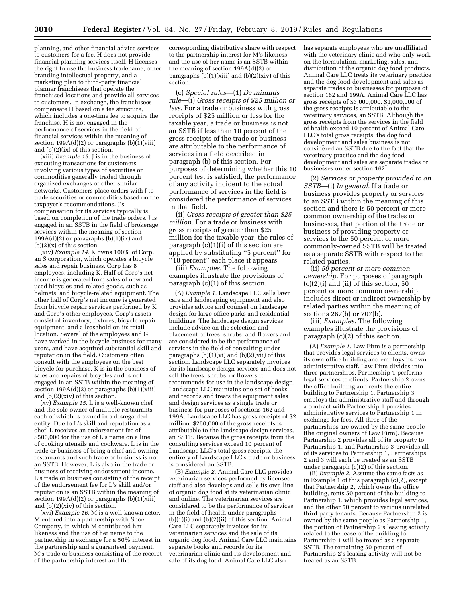planning, and other financial advice services to customers for a fee. H does not provide financial planning services itself. H licenses the right to use the business tradename, other branding intellectual property, and a marketing plan to third-party financial planner franchisees that operate the franchised locations and provide all services to customers. In exchange, the franchisees compensate H based on a fee structure, which includes a one-time fee to acquire the franchise. H is not engaged in the performance of services in the field of financial services within the meaning of section  $199A(d)(2)$  or paragraphs  $(b)(1)(viii)$ and (b)(2)(ix) of this section.

(xiii) *Example 13.* J is in the business of executing transactions for customers involving various types of securities or commodities generally traded through organized exchanges or other similar networks. Customers place orders with J to trade securities or commodities based on the taxpayer's recommendations. J's compensation for its services typically is based on completion of the trade orders. J is engaged in an SSTB in the field of brokerage services within the meaning of section 199 $A(d)(2)$  or paragraphs  $(b)(1)(ix)$  and  $(b)(2)(x)$  of this section.

(xiv) *Example 14.* K owns 100% of Corp, an S corporation, which operates a bicycle sales and repair business. Corp has 8 employees, including K. Half of Corp's net income is generated from sales of new and used bicycles and related goods, such as helmets, and bicycle-related equipment. The other half of Corp's net income is generated from bicycle repair services performed by K and Corp's other employees. Corp's assets consist of inventory, fixtures, bicycle repair equipment, and a leasehold on its retail location. Several of the employees and G have worked in the bicycle business for many years, and have acquired substantial skill and reputation in the field. Customers often consult with the employees on the best bicycle for purchase. K is in the business of sales and repairs of bicycles and is not engaged in an SSTB within the meaning of section  $199A(d)(2)$  or paragraphs  $(b)(1)(xiii)$ and (b)(2)(xiv) of this section.

(xv) *Example 15.* L is a well-known chef and the sole owner of multiple restaurants each of which is owned in a disregarded entity. Due to L's skill and reputation as a chef, L receives an endorsement fee of \$500,000 for the use of L's name on a line of cooking utensils and cookware. L is in the trade or business of being a chef and owning restaurants and such trade or business is not an SSTB. However, L is also in the trade or business of receiving endorsement income. L's trade or business consisting of the receipt of the endorsement fee for L's skill and/or reputation is an SSTB within the meaning of section 199A(d)(2) or paragraphs (b)(1)(xiii) and (b)(2)(xiv) of this section.

(xvi) *Example 16.* M is a well-known actor. M entered into a partnership with Shoe Company, in which M contributed her likeness and the use of her name to the partnership in exchange for a 50% interest in the partnership and a guaranteed payment. M's trade or business consisting of the receipt of the partnership interest and the

corresponding distributive share with respect to the partnership interest for M's likeness and the use of her name is an SSTB within the meaning of section 199A(d)(2) or paragraphs  $(b)(1)(xiii)$  and  $(b)(2)(xiv)$  of this section.

(c) *Special rules*—(1) *De minimis rule*—(i) *Gross receipts of \$25 million or less.* For a trade or business with gross receipts of \$25 million or less for the taxable year, a trade or business is not an SSTB if less than 10 percent of the gross receipts of the trade or business are attributable to the performance of services in a field described in paragraph (b) of this section. For purposes of determining whether this 10 percent test is satisfied, the performance of any activity incident to the actual performance of services in the field is considered the performance of services in that field.

(ii) *Gross receipts of greater than \$25 million.* For a trade or business with gross receipts of greater than \$25 million for the taxable year, the rules of paragraph (c)(1)(i) of this section are applied by substituting ''5 percent'' for ''10 percent'' each place it appears.

(iii) *Examples.* The following examples illustrate the provisions of paragraph (c)(1) of this section.

(A) *Example 1.* Landscape LLC sells lawn care and landscaping equipment and also provides advice and counsel on landscape design for large office parks and residential buildings. The landscape design services include advice on the selection and placement of trees, shrubs, and flowers and are considered to be the performance of services in the field of consulting under paragraphs  $(b)(1)(vi)$  and  $(b)(2)(vii)$  of this section. Landscape LLC separately invoices for its landscape design services and does not sell the trees, shrubs, or flowers it recommends for use in the landscape design. Landscape LLC maintains one set of books and records and treats the equipment sales and design services as a single trade or business for purposes of sections 162 and 199A. Landscape LLC has gross receipts of \$2 million. \$250,000 of the gross receipts is attributable to the landscape design services, an SSTB. Because the gross receipts from the consulting services exceed 10 percent of Landscape LLC's total gross receipts, the entirety of Landscape LLC's trade or business is considered an SSTB.

(B) *Example 2.* Animal Care LLC provides veterinarian services performed by licensed staff and also develops and sells its own line of organic dog food at its veterinarian clinic and online. The veterinarian services are considered to be the performance of services in the field of health under paragraphs (b)(1)(i) and (b)(2)(ii) of this section. Animal Care LLC separately invoices for its veterinarian services and the sale of its organic dog food. Animal Care LLC maintains separate books and records for its veterinarian clinic and its development and sale of its dog food. Animal Care LLC also

has separate employees who are unaffiliated with the veterinary clinic and who only work on the formulation, marketing, sales, and distribution of the organic dog food products. Animal Care LLC treats its veterinary practice and the dog food development and sales as separate trades or businesses for purposes of section 162 and 199A. Animal Care LLC has gross receipts of \$3,000,000. \$1,000,000 of the gross receipts is attributable to the veterinary services, an SSTB. Although the gross receipts from the services in the field of health exceed 10 percent of Animal Care LLC's total gross receipts, the dog food development and sales business is not considered an SSTB due to the fact that the veterinary practice and the dog food development and sales are separate trades or businesses under section 162.

(2) *Services or property provided to an SSTB*—(i) *In general.* If a trade or business provides property or services to an SSTB within the meaning of this section and there is 50 percent or more common ownership of the trades or businesses, that portion of the trade or business of providing property or services to the 50 percent or more commonly-owned SSTB will be treated as a separate SSTB with respect to the related parties.

(ii) *50 percent or more common ownership.* For purposes of paragraph  $(c)(2)(i)$  and  $(ii)$  of this section, 50 percent or more common ownership includes direct or indirect ownership by related parties within the meaning of sections 267(b) or 707(b).

(iii) *Examples.* The following examples illustrate the provisions of paragraph (c)(2) of this section.

(A) *Example 1.* Law Firm is a partnership that provides legal services to clients, owns its own office building and employs its own administrative staff. Law Firm divides into three partnerships. Partnership 1 performs legal services to clients. Partnership 2 owns the office building and rents the entire building to Partnership 1. Partnership 3 employs the administrative staff and through a contract with Partnership 1 provides administrative services to Partnership 1 in exchange for fees. All three of the partnerships are owned by the same people (the original owners of Law Firm). Because Partnership 2 provides all of its property to Partnership 1, and Partnership 3 provides all of its services to Partnership 1, Partnerships 2 and 3 will each be treated as an SSTB under paragraph (c)(2) of this section.

(B) *Example 2.* Assume the same facts as in Example 1 of this paragraph (c)(2), except that Partnership 2, which owns the office building, rents 50 percent of the building to Partnership 1, which provides legal services, and the other 50 percent to various unrelated third party tenants. Because Partnership 2 is owned by the same people as Partnership 1, the portion of Partnership 2's leasing activity related to the lease of the building to Partnership 1 will be treated as a separate SSTB. The remaining 50 percent of Partnership 2's leasing activity will not be treated as an SSTB.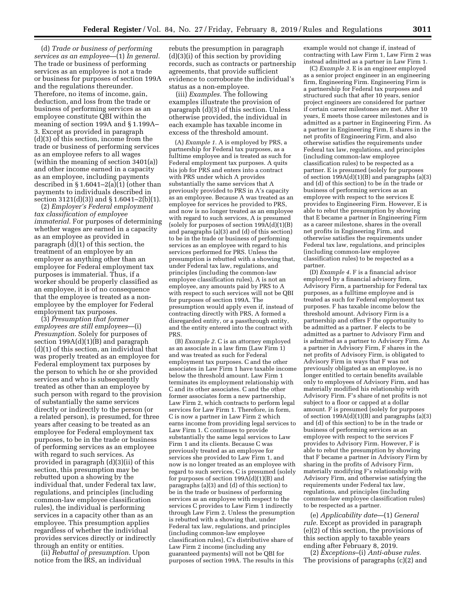(d) *Trade or business of performing services as an employee*—(1) *In general.*  The trade or business of performing services as an employee is not a trade or business for purposes of section 199A and the regulations thereunder. Therefore, no items of income, gain, deduction, and loss from the trade or business of performing services as an employee constitute QBI within the meaning of section 199A and § 1.199A– 3. Except as provided in paragraph (d)(3) of this section, income from the trade or business of performing services as an employee refers to all wages (within the meaning of section 3401(a)) and other income earned in a capacity as an employee, including payments described in  $\S 1.6041 - 2(a)(1)$  (other than payments to individuals described in section 3121(d)(3)) and § 1.6041–2(b)(1).

(2) *Employer's Federal employment tax classification of employee immaterial.* For purposes of determining whether wages are earned in a capacity as an employee as provided in paragraph (d)(1) of this section, the treatment of an employee by an employer as anything other than an employee for Federal employment tax purposes is immaterial. Thus, if a worker should be properly classified as an employee, it is of no consequence that the employee is treated as a nonemployee by the employer for Federal employment tax purposes.

(3) *Presumption that former employees are still employees*—(i) *Presumption.* Solely for purposes of section  $199A(d)(1)(B)$  and paragraph (d)(1) of this section, an individual that was properly treated as an employee for Federal employment tax purposes by the person to which he or she provided services and who is subsequently treated as other than an employee by such person with regard to the provision of substantially the same services directly or indirectly to the person (or a related person), is presumed, for three years after ceasing to be treated as an employee for Federal employment tax purposes, to be in the trade or business of performing services as an employee with regard to such services. As provided in paragraph (d)(3)(ii) of this section, this presumption may be rebutted upon a showing by the individual that, under Federal tax law, regulations, and principles (including common-law employee classification rules), the individual is performing services in a capacity other than as an employee. This presumption applies regardless of whether the individual provides services directly or indirectly through an entity or entities.

(ii) *Rebuttal of presumption.* Upon notice from the IRS, an individual

rebuts the presumption in paragraph (d)(3)(i) of this section by providing records, such as contracts or partnership agreements, that provide sufficient evidence to corroborate the individual's status as a non-employee.

(iii) *Examples.* The following examples illustrate the provision of paragraph (d)(3) of this section. Unless otherwise provided, the individual in each example has taxable income in excess of the threshold amount.

(A) *Example 1.* A is employed by PRS, a partnership for Federal tax purposes, as a fulltime employee and is treated as such for Federal employment tax purposes. A quits his job for PRS and enters into a contract with PRS under which A provides substantially the same services that A previously provided to PRS in A's capacity as an employee. Because A was treated as an employee for services he provided to PRS, and now is no longer treated as an employee with regard to such services, A is presumed (solely for purposes of section  $199A(d)(1)(B)$ and paragraphs (a)(3) and (d) of this section) to be in the trade or business of performing services as an employee with regard to his services performed for PRS. Unless the presumption is rebutted with a showing that, under Federal tax law, regulations, and principles (including the common-law employee classification rules), A is not an employee, any amounts paid by PRS to A with respect to such services will not be QBI for purposes of section 199A. The presumption would apply even if, instead of contracting directly with PRS, A formed a disregarded entity, or a passthrough entity, and the entity entered into the contract with PRS.

(B) *Example 2.* C is an attorney employed as an associate in a law firm (Law Firm 1) and was treated as such for Federal employment tax purposes. C and the other associates in Law Firm 1 have taxable income below the threshold amount. Law Firm 1 terminates its employment relationship with C and its other associates. C and the other former associates form a new partnership, Law Firm 2, which contracts to perform legal services for Law Firm 1. Therefore, in form, C is now a partner in Law Firm 2 which earns income from providing legal services to Law Firm 1. C continues to provide substantially the same legal services to Law Firm 1 and its clients. Because C was previously treated as an employee for services she provided to Law Firm 1, and now is no longer treated as an employee with regard to such services, C is presumed (solely for purposes of section  $199A(d)(1)(B)$  and paragraphs (a)(3) and (d) of this section) to be in the trade or business of performing services as an employee with respect to the services C provides to Law Firm 1 indirectly through Law Firm 2. Unless the presumption is rebutted with a showing that, under Federal tax law, regulations, and principles (including common-law employee classification rules), C's distributive share of Law Firm 2 income (including any guaranteed payments) will not be QBI for purposes of section 199A. The results in this

example would not change if, instead of contracting with Law Firm 1, Law Firm 2 was instead admitted as a partner in Law Firm 1.

(C) *Example 3.* E is an engineer employed as a senior project engineer in an engineering firm, Engineering Firm. Engineering Firm is a partnership for Federal tax purposes and structured such that after 10 years, senior project engineers are considered for partner if certain career milestones are met. After 10 years, E meets those career milestones and is admitted as a partner in Engineering Firm. As a partner in Engineering Firm, E shares in the net profits of Engineering Firm, and also otherwise satisfies the requirements under Federal tax law, regulations, and principles (including common-law employee classification rules) to be respected as a partner. E is presumed (solely for purposes of section  $199A(d)(1)(B)$  and paragraphs (a)(3) and (d) of this section) to be in the trade or business of performing services as an employee with respect to the services E provides to Engineering Firm. However, E is able to rebut the presumption by showing that E became a partner in Engineering Firm as a career milestone, shares in the overall net profits in Engineering Firm, and otherwise satisfies the requirements under Federal tax law, regulations, and principles (including common-law employee classification rules) to be respected as a partner.

(D) *Example 4.* F is a financial advisor employed by a financial advisory firm, Advisory Firm, a partnership for Federal tax purposes, as a fulltime employee and is treated as such for Federal employment tax purposes. F has taxable income below the threshold amount. Advisory Firm is a partnership and offers F the opportunity to be admitted as a partner. F elects to be admitted as a partner to Advisory Firm and is admitted as a partner to Advisory Firm. As a partner in Advisory Firm, F shares in the net profits of Advisory Firm, is obligated to Advisory Firm in ways that F was not previously obligated as an employee, is no longer entitled to certain benefits available only to employees of Advisory Firm, and has materially modified his relationship with Advisory Firm. F's share of net profits is not subject to a floor or capped at a dollar amount. F is presumed (solely for purposes of section 199A(d)(1)(B) and paragraphs (a)(3) and (d) of this section) to be in the trade or business of performing services as an employee with respect to the services F provides to Advisory Firm. However, F is able to rebut the presumption by showing that F became a partner in Advisory Firm by sharing in the profits of Advisory Firm, materially modifying F's relationship with Advisory Firm, and otherwise satisfying the requirements under Federal tax law, regulations, and principles (including common-law employee classification rules) to be respected as a partner.

(e) *Applicability date*—(1) *General rule.* Except as provided in paragraph (e)(2) of this section, the provisions of this section apply to taxable years ending after February 8, 2019.

(2) *Exceptions*–(i) *Anti-abuse rules.*  The provisions of paragraphs (c)(2) and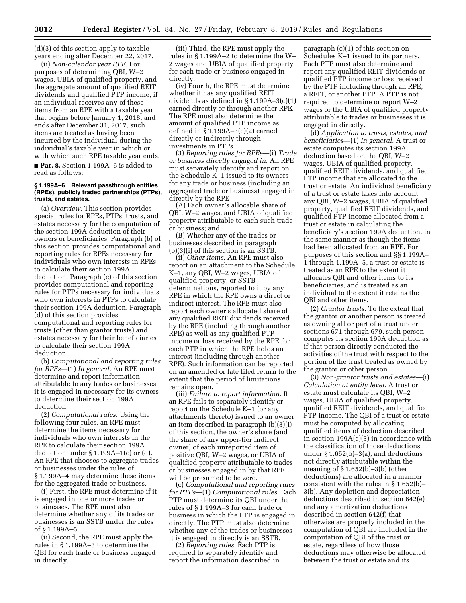(d)(3) of this section apply to taxable years ending after December 22, 2017.

(ii) *Non-calendar year RPE.* For purposes of determining QBI, W–2 wages, UBIA of qualified property, and the aggregate amount of qualified REIT dividends and qualified PTP income, if an individual receives any of these items from an RPE with a taxable year that begins before January 1, 2018, and ends after December 31, 2017, such items are treated as having been incurred by the individual during the individual's taxable year in which or with which such RPE taxable year ends.

■ **Par. 8.** Section 1.199A–6 is added to read as follows:

### **§ 1.199A–6 Relevant passthrough entities (RPEs), publicly traded partnerships (PTPs), trusts, and estates.**

(a) *Overview.* This section provides special rules for RPEs, PTPs, trusts, and estates necessary for the computation of the section 199A deduction of their owners or beneficiaries. Paragraph (b) of this section provides computational and reporting rules for RPEs necessary for individuals who own interests in RPEs to calculate their section 199A deduction. Paragraph (c) of this section provides computational and reporting rules for PTPs necessary for individuals who own interests in PTPs to calculate their section 199A deduction. Paragraph (d) of this section provides computational and reporting rules for trusts (other than grantor trusts) and estates necessary for their beneficiaries to calculate their section 199A deduction.

(b) *Computational and reporting rules for RPEs*—(1) *In general.* An RPE must determine and report information attributable to any trades or businesses it is engaged in necessary for its owners to determine their section 199A deduction.

(2) *Computational rules.* Using the following four rules, an RPE must determine the items necessary for individuals who own interests in the RPE to calculate their section 199A deduction under § 1.199A–1(c) or (d). An RPE that chooses to aggregate trades or businesses under the rules of § 1.199A–4 may determine these items for the aggregated trade or business.

(i) First, the RPE must determine if it is engaged in one or more trades or businesses. The RPE must also determine whether any of its trades or businesses is an SSTB under the rules of § 1.199A–5.

(ii) Second, the RPE must apply the rules in § 1.199A–3 to determine the QBI for each trade or business engaged in directly.

(iii) Third, the RPE must apply the rules in § 1.199A–2 to determine the W– 2 wages and UBIA of qualified property for each trade or business engaged in directly.

(iv) Fourth, the RPE must determine whether it has any qualified REIT dividends as defined in § 1.199A–3(c)(1) earned directly or through another RPE. The RPE must also determine the amount of qualified PTP income as defined in § 1.199A–3(c)(2) earned directly or indirectly through investments in PTPs.

(3) *Reporting rules for RPEs*—(i) *Trade or business directly engaged in.* An RPE must separately identify and report on the Schedule K–1 issued to its owners for any trade or business (including an aggregated trade or business) engaged in directly by the RPE—

(A) Each owner's allocable share of QBI, W–2 wages, and UBIA of qualified property attributable to each such trade or business; and

(B) Whether any of the trades or businesses described in paragraph (b)(3)(i) of this section is an SSTB.

(ii) *Other items.* An RPE must also report on an attachment to the Schedule K–1, any QBI, W–2 wages, UBIA of qualified property, or SSTB determinations, reported to it by any RPE in which the RPE owns a direct or indirect interest. The RPE must also report each owner's allocated share of any qualified REIT dividends received by the RPE (including through another RPE) as well as any qualified PTP income or loss received by the RPE for each PTP in which the RPE holds an interest (including through another RPE). Such information can be reported on an amended or late filed return to the extent that the period of limitations remains open.

(iii) *Failure to report information.* If an RPE fails to separately identify or report on the Schedule K–1 (or any attachments thereto) issued to an owner an item described in paragraph (b)(3)(i) of this section, the owner's share (and the share of any upper-tier indirect owner) of each unreported item of positive QBI, W–2 wages, or UBIA of qualified property attributable to trades or businesses engaged in by that RPE will be presumed to be zero.

(c) *Computational and reporting rules for PTPs*—(1) *Computational rules.* Each PTP must determine its QBI under the rules of § 1.199A–3 for each trade or business in which the PTP is engaged in directly. The PTP must also determine whether any of the trades or businesses it is engaged in directly is an SSTB.

(2) *Reporting rules.* Each PTP is required to separately identify and report the information described in

paragraph (c)(1) of this section on Schedules K–1 issued to its partners. Each PTP must also determine and report any qualified REIT dividends or qualified PTP income or loss received by the PTP including through an RPE, a REIT, or another PTP. A PTP is not required to determine or report W–2 wages or the UBIA of qualified property attributable to trades or businesses it is engaged in directly.

(d) *Application to trusts, estates, and beneficiaries*—(1) *In general.* A trust or estate computes its section 199A deduction based on the QBI, W–2 wages, UBIA of qualified property, qualified REIT dividends, and qualified PTP income that are allocated to the trust or estate. An individual beneficiary of a trust or estate takes into account any QBI, W–2 wages, UBIA of qualified property, qualified REIT dividends, and qualified PTP income allocated from a trust or estate in calculating the beneficiary's section 199A deduction, in the same manner as though the items had been allocated from an RPE. For purposes of this section and §§ 1.199A– 1 through 1.199A–5, a trust or estate is treated as an RPE to the extent it allocates QBI and other items to its beneficiaries, and is treated as an individual to the extent it retains the QBI and other items.

(2) *Grantor trusts.* To the extent that the grantor or another person is treated as owning all or part of a trust under sections 671 through 679, such person computes its section 199A deduction as if that person directly conducted the activities of the trust with respect to the portion of the trust treated as owned by the grantor or other person.

(3) *Non-grantor trusts and estates*—(i) *Calculation at entity level.* A trust or estate must calculate its QBI, W–2 wages, UBIA of qualified property, qualified REIT dividends, and qualified PTP income. The QBI of a trust or estate must be computed by allocating qualified items of deduction described in section 199A(c)(3) in accordance with the classification of those deductions under § 1.652(b)–3(a), and deductions not directly attributable within the meaning of § 1.652(b)–3(b) (other deductions) are allocated in a manner consistent with the rules in § 1.652(b)– 3(b). Any depletion and depreciation deductions described in section 642(e) and any amortization deductions described in section 642(f) that otherwise are properly included in the computation of QBI are included in the computation of QBI of the trust or estate, regardless of how those deductions may otherwise be allocated between the trust or estate and its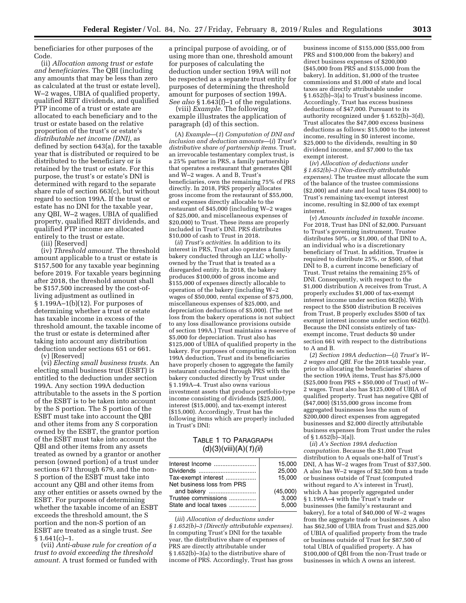beneficiaries for other purposes of the Code.

(ii) *Allocation among trust or estate and beneficiaries.* The QBI (including any amounts that may be less than zero as calculated at the trust or estate level), W–2 wages, UBIA of qualified property, qualified REIT dividends, and qualified PTP income of a trust or estate are allocated to each beneficiary and to the trust or estate based on the relative proportion of the trust's or estate's *distributable net income (DNI),* as defined by section 643(a), for the taxable year that is distributed or required to be distributed to the beneficiary or is retained by the trust or estate. For this purpose, the trust's or estate's DNI is determined with regard to the separate share rule of section 663(c), but without regard to section 199A. If the trust or estate has no DNI for the taxable year, any QBI, W–2 wages, UBIA of qualified property, qualified REIT dividends, and qualified PTP income are allocated entirely to the trust or estate.

(iii) [Reserved]

(iv) *Threshold amount.* The threshold amount applicable to a trust or estate is \$157,500 for any taxable year beginning before 2019. For taxable years beginning after 2018, the threshold amount shall be \$157,500 increased by the cost-ofliving adjustment as outlined in § 1.199A–1(b)(12). For purposes of determining whether a trust or estate has taxable income in excess of the threshold amount, the taxable income of the trust or estate is determined after taking into account any distribution deduction under sections 651 or 661.

(v) [Reserved]

(vi) *Electing small business trusts.* An electing small business trust (ESBT) is entitled to the deduction under section 199A. Any section 199A deduction attributable to the assets in the S portion of the ESBT is to be taken into account by the S portion. The S portion of the ESBT must take into account the QBI and other items from any S corporation owned by the ESBT, the grantor portion of the ESBT must take into account the QBI and other items from any assets treated as owned by a grantor or another person (owned portion) of a trust under sections 671 through 679, and the non-S portion of the ESBT must take into account any QBI and other items from any other entities or assets owned by the ESBT. For purposes of determining whether the taxable income of an ESBT exceeds the threshold amount, the S portion and the non-S portion of an ESBT are treated as a single trust. *See*   $§ 1.641(c)-1.$ 

(vii) *Anti-abuse rule for creation of a trust to avoid exceeding the threshold amount.* A trust formed or funded with

a principal purpose of avoiding, or of using more than one, threshold amount for purposes of calculating the deduction under section 199A will not be respected as a separate trust entity for purposes of determining the threshold amount for purposes of section 199A. *See also* § 1.643(f)–1 of the regulations.

(viii) *Example.* The following example illustrates the application of paragraph (d) of this section.

(A) *Example*—(*1*) *Computation of DNI and inclusion and deduction amounts*—(*i*) *Trust's distributive share of partnership items.* Trust, an irrevocable testamentary complex trust, is a 25% partner in PRS, a family partnership that operates a restaurant that generates QBI and W–2 wages. A and B, Trust's beneficiaries, own the remaining 75% of PRS directly. In 2018, PRS properly allocates gross income from the restaurant of \$55,000, and expenses directly allocable to the restaurant of \$45,000 (including W–2 wages of \$25,000, and miscellaneous expenses of \$20,000) to Trust. These items are properly included in Trust's DNI. PRS distributes \$10,000 of cash to Trust in 2018.

(*ii*) *Trust's activities.* In addition to its interest in PRS, Trust also operates a family bakery conducted through an LLC whollyowned by the Trust that is treated as a disregarded entity. In 2018, the bakery produces \$100,000 of gross income and \$155,000 of expenses directly allocable to operation of the bakery (including W–2 wages of \$50,000, rental expense of \$75,000, miscellaneous expenses of \$25,000, and depreciation deductions of \$5,000). (The net loss from the bakery operations is not subject to any loss disallowance provisions outside of section 199A.) Trust maintains a reserve of \$5,000 for depreciation. Trust also has \$125,000 of UBIA of qualified property in the bakery. For purposes of computing its section 199A deduction, Trust and its beneficiaries have properly chosen to aggregate the family restaurant conducted through PRS with the bakery conducted directly by Trust under § 1.199A–4. Trust also owns various investment assets that produce portfolio-type income consisting of dividends (\$25,000), interest (\$15,000), and tax-exempt interest (\$15,000). Accordingly, Trust has the following items which are properly included in Trust's DNI:

# TABLE 1 TO PARAGRAPH (d)(3)(viii)(A)(*1*)*(ii*)

| 15.000   |
|----------|
| 25,000   |
| 15.000   |
|          |
| (45,000) |
| 3.000    |
| 5.000    |
|          |

(*iii*) *Allocation of deductions under § 1.652(b)–3 (Directly attributable expenses).*  In computing Trust's DNI for the taxable year, the distributive share of expenses of PRS are directly attributable under § 1.652(b)–3(a) to the distributive share of income of PRS. Accordingly, Trust has gross

business income of \$155,000 (\$55,000 from PRS and \$100,000 from the bakery) and direct business expenses of \$200,000 (\$45,000 from PRS and \$155,000 from the bakery). In addition, \$1,000 of the trustee commissions and \$1,000 of state and local taxes are directly attributable under § 1.652(b)–3(a) to Trust's business income. Accordingly, Trust has excess business deductions of \$47,000. Pursuant to its authority recognized under § 1.652(b)–3(d), Trust allocates the \$47,000 excess business deductions as follows: \$15,000 to the interest income, resulting in \$0 interest income, \$25,000 to the dividends, resulting in \$0 dividend income, and \$7,000 to the tax exempt interest.

(*iv*) *Allocation of deductions under § 1.652(b)–3 (Non-directly attributable expenses).* The trustee must allocate the sum of the balance of the trustee commissions (\$2,000) and state and local taxes (\$4,000) to Trust's remaining tax-exempt interest income, resulting in \$2,000 of tax exempt interest.

(*v*) *Amounts included in taxable income.*  For 2018, Trust has DNI of \$2,000. Pursuant to Trust's governing instrument, Trustee distributes 50%, or \$1,000, of that DNI to A, an individual who is a discretionary beneficiary of Trust. In addition, Trustee is required to distribute 25%, or \$500, of that DNI to B, a current income beneficiary of Trust. Trust retains the remaining 25% of DNI. Consequently, with respect to the \$1,000 distribution A receives from Trust, A properly excludes \$1,000 of tax-exempt interest income under section 662(b). With respect to the \$500 distribution B receives from Trust, B properly excludes \$500 of tax exempt interest income under section 662(b). Because the DNI consists entirely of taxexempt income, Trust deducts \$0 under section 661 with respect to the distributions to A and B.

(*2*) *Section 199A deduction*—(*i*) *Trust's W– 2 wages and QBI.* For the 2018 taxable year, prior to allocating the beneficiaries' shares of the section 199A items, Trust has \$75,000 (\$25,000 from PRS + \$50,000 of Trust) of W– 2 wages. Trust also has \$125,000 of UBIA of qualified property. Trust has negative QBI of (\$47,000) (\$155,000 gross income from aggregated businesses less the sum of \$200,000 direct expenses from aggregated businesses and \$2,000 directly attributable business expenses from Trust under the rules of § 1.652(b)–3(a)).

(*ii*) *A's Section 199A deduction computation.* Because the \$1,000 Trust distribution to A equals one-half of Trust's DNI, A has W–2 wages from Trust of \$37,500. A also has W–2 wages of \$2,500 from a trade or business outside of Trust (computed without regard to A's interest in Trust), which A has properly aggregated under § 1.199A–4 with the Trust's trade or businesses (the family's restaurant and bakery), for a total of \$40,000 of W–2 wages from the aggregate trade or businesses. A also has \$62,500 of UBIA from Trust and \$25,000 of UBIA of qualified property from the trade or business outside of Trust for \$87,500 of total UBIA of qualified property. A has \$100,000 of QBI from the non-Trust trade or businesses in which A owns an interest.